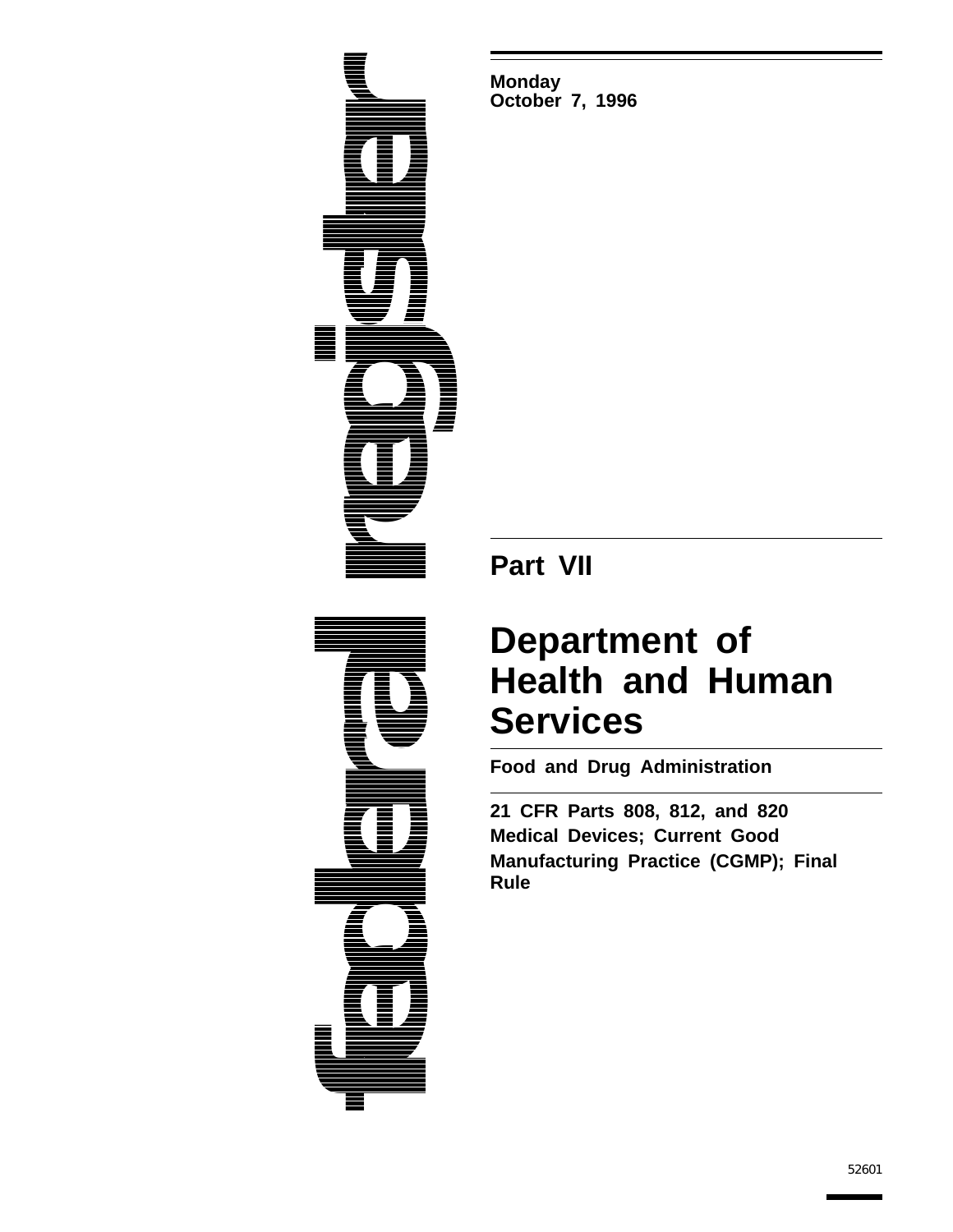**federal federal Register Contains the Second Contains of the Contains of the Contains of the Contains of the Contains of the Contains of the Contains of the Contains of the Contains of the Contains of the Contains of the** 

**Monday October 7, 1996**

**Part VII**

# **Department of Health and Human Services**

**Food and Drug Administration**

**21 CFR Parts 808, 812, and 820 Medical Devices; Current Good Manufacturing Practice (CGMP); Final Rule**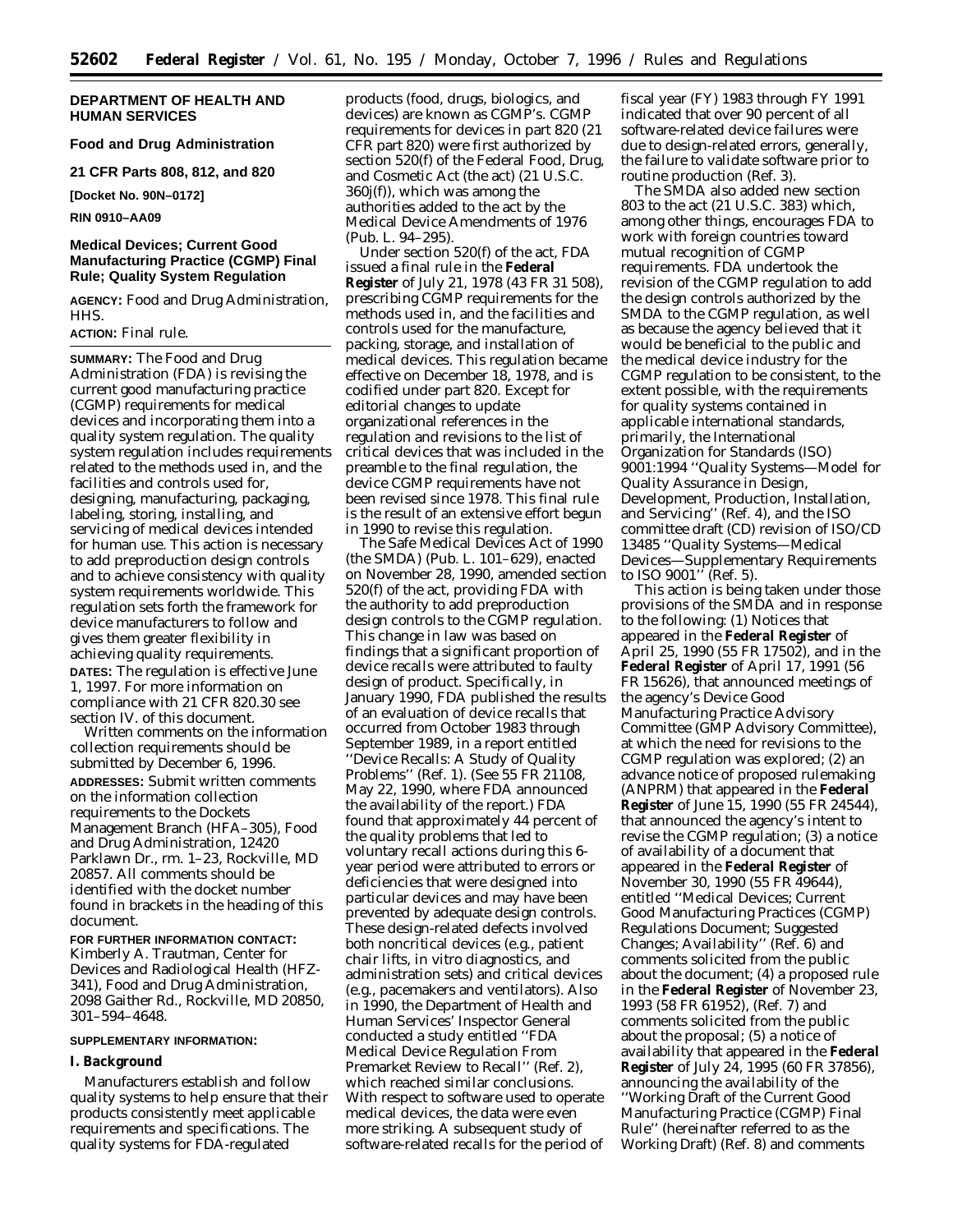## **DEPARTMENT OF HEALTH AND HUMAN SERVICES**

## **Food and Drug Administration**

**21 CFR Parts 808, 812, and 820**

**[Docket No. 90N–0172]**

**RIN 0910–AA09**

## **Medical Devices; Current Good Manufacturing Practice (CGMP) Final Rule; Quality System Regulation**

**AGENCY:** Food and Drug Administration, HHS.

## **ACTION:** Final rule.

**SUMMARY:** The Food and Drug Administration (FDA) is revising the current good manufacturing practice (CGMP) requirements for medical devices and incorporating them into a quality system regulation. The quality system regulation includes requirements related to the methods used in, and the facilities and controls used for, designing, manufacturing, packaging, labeling, storing, installing, and servicing of medical devices intended for human use. This action is necessary to add preproduction design controls and to achieve consistency with quality system requirements worldwide. This regulation sets forth the framework for device manufacturers to follow and gives them greater flexibility in achieving quality requirements. **DATES:** The regulation is effective June 1, 1997. For more information on compliance with 21 CFR 820.30 see section IV. of this document.

Written comments on the information collection requirements should be submitted by December 6, 1996. **ADDRESSES:** Submit written comments on the information collection requirements to the Dockets Management Branch (HFA–305), Food and Drug Administration, 12420 Parklawn Dr., rm. 1–23, Rockville, MD 20857. All comments should be identified with the docket number found in brackets in the heading of this document.

**FOR FURTHER INFORMATION CONTACT:** Kimberly A. Trautman, Center for Devices and Radiological Health (HFZ-341), Food and Drug Administration, 2098 Gaither Rd., Rockville, MD 20850, 301–594–4648.

## **SUPPLEMENTARY INFORMATION:**

#### **I. Background**

Manufacturers establish and follow quality systems to help ensure that their products consistently meet applicable requirements and specifications. The quality systems for FDA-regulated

products (food, drugs, biologics, and devices) are known as CGMP's. CGMP requirements for devices in part 820 (21 CFR part 820) were first authorized by section 520(f) of the Federal Food, Drug, and Cosmetic Act (the act) (21 U.S.C. 360j(f)), which was among the authorities added to the act by the Medical Device Amendments of 1976 (Pub. L. 94–295).

Under section 520(f) of the act, FDA issued a final rule in the **Federal Register** of July 21, 1978 (43 FR 31 508), prescribing CGMP requirements for the methods used in, and the facilities and controls used for the manufacture, packing, storage, and installation of medical devices. This regulation became effective on December 18, 1978, and is codified under part 820. Except for editorial changes to update organizational references in the regulation and revisions to the list of critical devices that was included in the preamble to the final regulation, the device CGMP requirements have not been revised since 1978. This final rule is the result of an extensive effort begun in 1990 to revise this regulation.

The Safe Medical Devices Act of 1990 (the SMDA) (Pub. L. 101–629), enacted on November 28, 1990, amended section 520(f) of the act, providing FDA with the authority to add preproduction design controls to the CGMP regulation. This change in law was based on findings that a significant proportion of device recalls were attributed to faulty design of product. Specifically, in January 1990, FDA published the results of an evaluation of device recalls that occurred from October 1983 through September 1989, in a report entitled ''Device Recalls: A Study of Quality Problems'' (Ref. 1). (See 55 FR 21108, May 22, 1990, where FDA announced the availability of the report.) FDA found that approximately 44 percent of the quality problems that led to voluntary recall actions during this 6 year period were attributed to errors or deficiencies that were designed into particular devices and may have been prevented by adequate design controls. These design-related defects involved both noncritical devices (e.g., patient chair lifts, in vitro diagnostics, and administration sets) and critical devices (e.g., pacemakers and ventilators). Also in 1990, the Department of Health and Human Services' Inspector General conducted a study entitled ''FDA Medical Device Regulation From Premarket Review to Recall'' (Ref. 2), which reached similar conclusions. With respect to software used to operate medical devices, the data were even more striking. A subsequent study of software-related recalls for the period of

fiscal year (FY) 1983 through FY 1991 indicated that over 90 percent of all software-related device failures were due to design-related errors, generally, the failure to validate software prior to routine production (Ref. 3).

The SMDA also added new section 803 to the act (21 U.S.C. 383) which, among other things, encourages FDA to work with foreign countries toward mutual recognition of CGMP requirements. FDA undertook the revision of the CGMP regulation to add the design controls authorized by the SMDA to the CGMP regulation, as well as because the agency believed that it would be beneficial to the public and the medical device industry for the CGMP regulation to be consistent, to the extent possible, with the requirements for quality systems contained in applicable international standards, primarily, the International Organization for Standards (ISO) 9001:1994 ''Quality Systems—Model for Quality Assurance in Design, Development, Production, Installation, and Servicing'' (Ref. 4), and the ISO committee draft (CD) revision of ISO/CD 13485 ''Quality Systems—Medical Devices—Supplementary Requirements to ISO 9001'' (Ref. 5).

This action is being taken under those provisions of the SMDA and in response to the following: (1) Notices that appeared in the **Federal Register** of April 25, 1990 (55 FR 17502), and in the **Federal Register** of April 17, 1991 (56 FR 15626), that announced meetings of the agency's Device Good Manufacturing Practice Advisory Committee (GMP Advisory Committee), at which the need for revisions to the CGMP regulation was explored; (2) an advance notice of proposed rulemaking (ANPRM) that appeared in the **Federal Register** of June 15, 1990 (55 FR 24544), that announced the agency's intent to revise the CGMP regulation; (3) a notice of availability of a document that appeared in the **Federal Register** of November 30, 1990 (55 FR 49644), entitled ''Medical Devices; Current Good Manufacturing Practices (CGMP) Regulations Document; Suggested Changes; Availability'' (Ref. 6) and comments solicited from the public about the document; (4) a proposed rule in the **Federal Register** of November 23, 1993 (58 FR 61952), (Ref. 7) and comments solicited from the public about the proposal; (5) a notice of availability that appeared in the **Federal Register** of July 24, 1995 (60 FR 37856), announcing the availability of the ''Working Draft of the Current Good Manufacturing Practice (CGMP) Final Rule'' (hereinafter referred to as the Working Draft) (Ref. 8) and comments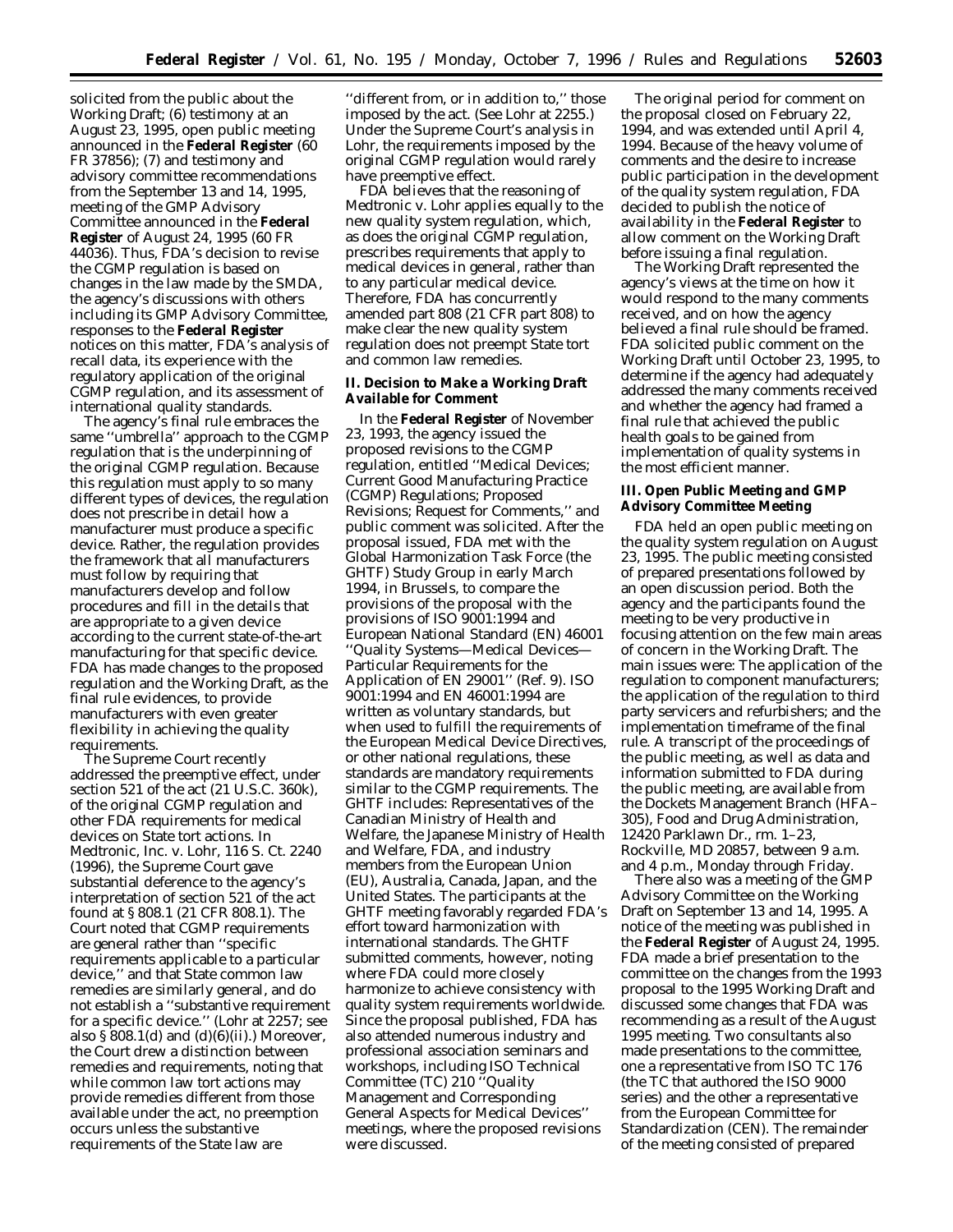solicited from the public about the Working Draft; (6) testimony at an August 23, 1995, open public meeting announced in the **Federal Register** (60 FR 37856); (7) and testimony and advisory committee recommendations from the September 13 and 14, 1995, meeting of the GMP Advisory Committee announced in the **Federal Register** of August 24, 1995 (60 FR 44036). Thus, FDA's decision to revise the CGMP regulation is based on changes in the law made by the SMDA, the agency's discussions with others including its GMP Advisory Committee, responses to the **Federal Register** notices on this matter, FDA's analysis of recall data, its experience with the regulatory application of the original CGMP regulation, and its assessment of international quality standards.

The agency's final rule embraces the same ''umbrella'' approach to the CGMP regulation that is the underpinning of the original CGMP regulation. Because this regulation must apply to so many different types of devices, the regulation does not prescribe in detail how a manufacturer must produce a specific device. Rather, the regulation provides the framework that all manufacturers must follow by requiring that manufacturers develop and follow procedures and fill in the details that are appropriate to a given device according to the current state-of-the-art manufacturing for that specific device. FDA has made changes to the proposed regulation and the Working Draft, as the final rule evidences, to provide manufacturers with even greater flexibility in achieving the quality requirements.

The Supreme Court recently addressed the preemptive effect, under section 521 of the act (21 U.S.C. 360k), of the original CGMP regulation and other FDA requirements for medical devices on State tort actions. In *Medtronic, Inc.* v. *Lohr,* 116 S. Ct. 2240 (1996), the Supreme Court gave substantial deference to the agency's interpretation of section 521 of the act found at § 808.1 (21 CFR 808.1). The Court noted that CGMP requirements are general rather than ''specific requirements applicable to a particular device,'' and that State common law remedies are similarly general, and do not establish a ''substantive requirement for a specific device.'' (*Lohr* at 2257; see also  $\S 808.1$ (d) and (d)(6)(ii).) Moreover, the Court drew a distinction between remedies and requirements, noting that while common law tort actions may provide remedies different from those available under the act, no preemption occurs unless the substantive requirements of the State law are

''different from, or in addition to,'' those imposed by the act. (See *Lohr* at 2255.) Under the Supreme Court's analysis in *Lohr,* the requirements imposed by the original CGMP regulation would rarely have preemptive effect.

FDA believes that the reasoning of *Medtronic* v. *Lohr* applies equally to the new quality system regulation, which, as does the original CGMP regulation, prescribes requirements that apply to medical devices in general, rather than to any particular medical device. Therefore, FDA has concurrently amended part 808 (21 CFR part 808) to make clear the new quality system regulation does not preempt State tort and common law remedies.

**II. Decision to Make a Working Draft Available for Comment**

In the **Federal Register** of November 23, 1993, the agency issued the proposed revisions to the CGMP regulation, entitled ''Medical Devices; Current Good Manufacturing Practice (CGMP) Regulations; Proposed Revisions; Request for Comments,'' and public comment was solicited. After the proposal issued, FDA met with the Global Harmonization Task Force (the GHTF) Study Group in early March 1994, in Brussels, to compare the provisions of the proposal with the provisions of ISO 9001:1994 and European National Standard (EN) 46001 ''Quality Systems—Medical Devices— Particular Requirements for the Application of EN 29001'' (Ref. 9). ISO 9001:1994 and EN 46001:1994 are written as voluntary standards, but when used to fulfill the requirements of the European Medical Device Directives, or other national regulations, these standards are mandatory requirements similar to the CGMP requirements. The GHTF includes: Representatives of the Canadian Ministry of Health and Welfare, the Japanese Ministry of Health and Welfare, FDA, and industry members from the European Union (EU), Australia, Canada, Japan, and the United States. The participants at the GHTF meeting favorably regarded FDA's effort toward harmonization with international standards. The GHTF submitted comments, however, noting where FDA could more closely harmonize to achieve consistency with quality system requirements worldwide. Since the proposal published, FDA has also attended numerous industry and professional association seminars and workshops, including ISO Technical Committee (TC) 210 ''Quality Management and Corresponding General Aspects for Medical Devices'' meetings, where the proposed revisions were discussed.

The original period for comment on the proposal closed on February 22, 1994, and was extended until April 4, 1994. Because of the heavy volume of comments and the desire to increase public participation in the development of the quality system regulation, FDA decided to publish the notice of availability in the **Federal Register** to allow comment on the Working Draft before issuing a final regulation.

The Working Draft represented the agency's views at the time on how it would respond to the many comments received, and on how the agency believed a final rule should be framed. FDA solicited public comment on the Working Draft until October 23, 1995, to determine if the agency had adequately addressed the many comments received and whether the agency had framed a final rule that achieved the public health goals to be gained from implementation of quality systems in the most efficient manner.

**III. Open Public Meeting and GMP Advisory Committee Meeting**

FDA held an open public meeting on the quality system regulation on August 23, 1995. The public meeting consisted of prepared presentations followed by an open discussion period. Both the agency and the participants found the meeting to be very productive in focusing attention on the few main areas of concern in the Working Draft. The main issues were: The application of the regulation to component manufacturers; the application of the regulation to third party servicers and refurbishers; and the implementation timeframe of the final rule. A transcript of the proceedings of the public meeting, as well as data and information submitted to FDA during the public meeting, are available from the Dockets Management Branch (HFA– 305), Food and Drug Administration, 12420 Parklawn Dr., rm. 1–23, Rockville, MD 20857, between 9 a.m. and 4 p.m., Monday through Friday.

There also was a meeting of the GMP Advisory Committee on the Working Draft on September 13 and 14, 1995. A notice of the meeting was published in the **Federal Register** of August 24, 1995. FDA made a brief presentation to the committee on the changes from the 1993 proposal to the 1995 Working Draft and discussed some changes that FDA was recommending as a result of the August 1995 meeting. Two consultants also made presentations to the committee, one a representative from ISO TC 176 (the TC that authored the ISO 9000 series) and the other a representative from the European Committee for Standardization (CEN). The remainder of the meeting consisted of prepared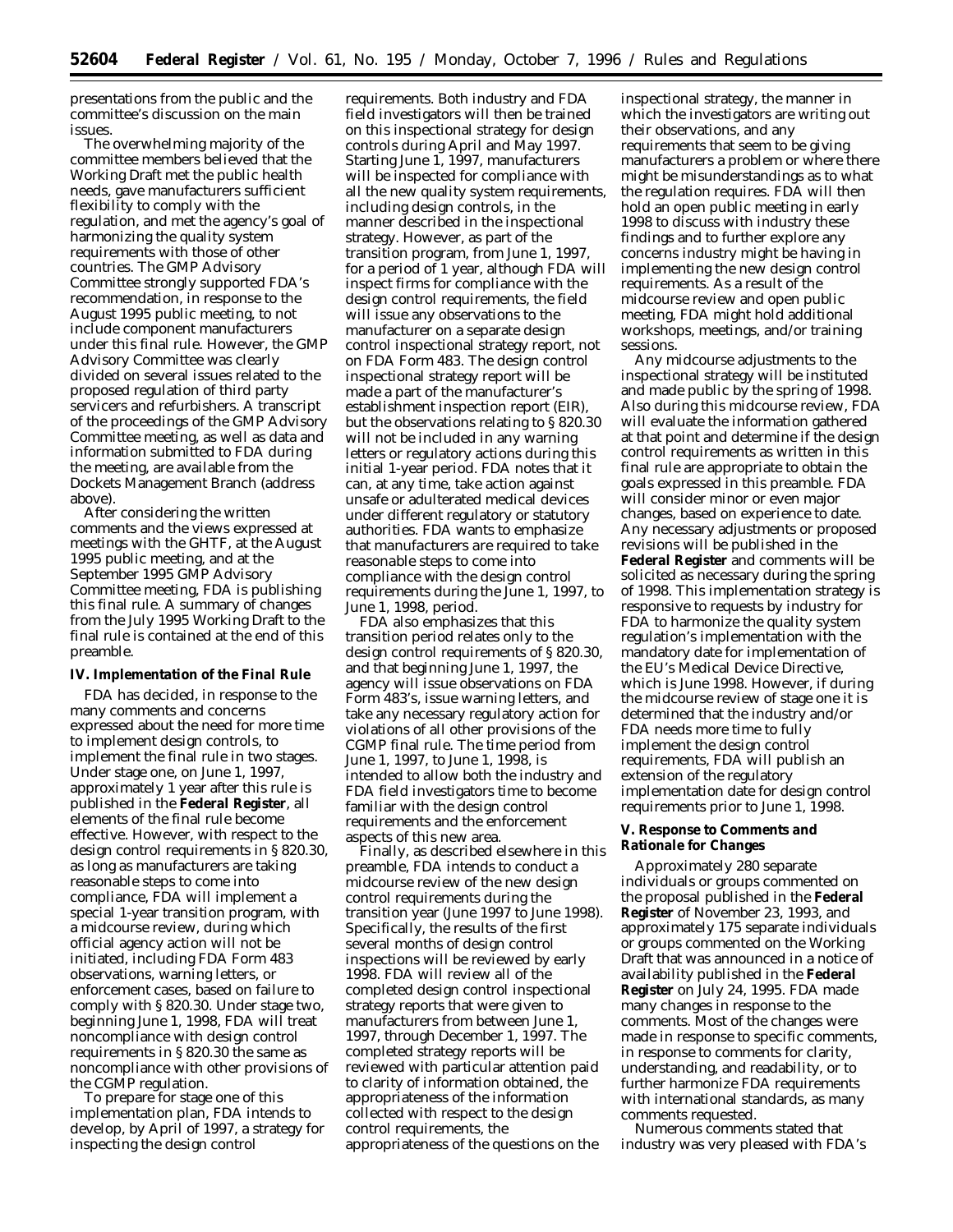presentations from the public and the committee's discussion on the main issues.

The overwhelming majority of the committee members believed that the Working Draft met the public health needs, gave manufacturers sufficient flexibility to comply with the regulation, and met the agency's goal of harmonizing the quality system requirements with those of other countries. The GMP Advisory Committee strongly supported FDA's recommendation, in response to the August 1995 public meeting, to not include component manufacturers under this final rule. However, the GMP Advisory Committee was clearly divided on several issues related to the proposed regulation of third party servicers and refurbishers. A transcript of the proceedings of the GMP Advisory Committee meeting, as well as data and information submitted to FDA during the meeting, are available from the Dockets Management Branch (address above).

After considering the written comments and the views expressed at meetings with the GHTF, at the August 1995 public meeting, and at the September 1995 GMP Advisory Committee meeting, FDA is publishing this final rule. A summary of changes from the July 1995 Working Draft to the final rule is contained at the end of this preamble.

#### **IV. Implementation of the Final Rule**

FDA has decided, in response to the many comments and concerns expressed about the need for more time to implement design controls, to implement the final rule in two stages. Under stage one, on June 1, 1997, approximately 1 year after this rule is published in the **Federal Register**, all elements of the final rule become effective. However, with respect to the design control requirements in § 820.30, as long as manufacturers are taking reasonable steps to come into compliance, FDA will implement a special 1-year transition program, with a midcourse review, during which official agency action will not be initiated, including FDA Form 483 observations, warning letters, or enforcement cases, based on failure to comply with § 820.30. Under stage two, beginning June 1, 1998, FDA will treat noncompliance with design control requirements in § 820.30 the same as noncompliance with other provisions of the CGMP regulation.

To prepare for stage one of this implementation plan, FDA intends to develop, by April of 1997, a strategy for inspecting the design control

requirements. Both industry and FDA field investigators will then be trained on this inspectional strategy for design controls during April and May 1997. Starting June 1, 1997, manufacturers will be inspected for compliance with all the new quality system requirements, including design controls, in the manner described in the inspectional strategy. However, as part of the transition program, from June 1, 1997, for a period of 1 year, although FDA will inspect firms for compliance with the design control requirements, the field will issue any observations to the manufacturer on a separate design control inspectional strategy report, not on FDA Form 483. The design control inspectional strategy report will be made a part of the manufacturer's establishment inspection report (EIR), but the observations relating to § 820.30 will not be included in any warning letters or regulatory actions during this initial 1-year period. FDA notes that it can, at any time, take action against unsafe or adulterated medical devices under different regulatory or statutory authorities. FDA wants to emphasize that *manufacturers are required to take reasonable steps to come into compliance with the design control requirements during the June 1, 1997, to June 1, 1998, period.*

FDA also emphasizes that this transition period relates only to the design control requirements of § 820.30, and that beginning June 1, 1997, the agency will issue observations on FDA Form 483's, issue warning letters, and take any necessary regulatory action for violations of all other provisions of the CGMP final rule. The time period from June 1, 1997, to June 1, 1998, is intended to allow both the industry and FDA field investigators time to become familiar with the design control requirements and the enforcement aspects of this new area.

Finally, as described elsewhere in this preamble, FDA intends to conduct a midcourse review of the new design control requirements during the transition year (June 1997 to June 1998). Specifically, the results of the first several months of design control inspections will be reviewed by early 1998. FDA will review all of the completed design control inspectional strategy reports that were given to manufacturers from between June 1, 1997, through December 1, 1997. The completed strategy reports will be reviewed with particular attention paid to clarity of information obtained, the appropriateness of the information collected with respect to the design control requirements, the appropriateness of the questions on the

inspectional strategy, the manner in which the investigators are writing out their observations, and any requirements that seem to be giving manufacturers a problem or where there might be misunderstandings as to what the regulation requires. FDA will then hold an open public meeting in early 1998 to discuss with industry these findings and to further explore any concerns industry might be having in implementing the new design control requirements. As a result of the midcourse review and open public meeting, FDA might hold additional workshops, meetings, and/or training sessions.

Any midcourse adjustments to the inspectional strategy will be instituted and made public by the spring of 1998. Also during this midcourse review, FDA will evaluate the information gathered at that point and determine if the design control requirements as written in this final rule are appropriate to obtain the goals expressed in this preamble. FDA will consider minor or even major changes, based on experience to date. Any necessary adjustments or proposed revisions will be published in the **Federal Register** and comments will be solicited as necessary during the spring of 1998. This implementation strategy is responsive to requests by industry for FDA to harmonize the quality system regulation's implementation with the mandatory date for implementation of the EU's Medical Device Directive, which is June 1998. However, if during the midcourse review of stage one it is determined that the industry and/or FDA needs more time to fully implement the design control requirements, FDA will publish an extension of the regulatory implementation date for design control requirements prior to June 1, 1998.

## **V. Response to Comments and Rationale for Changes**

Approximately 280 separate individuals or groups commented on the proposal published in the **Federal Register** of November 23, 1993, and approximately 175 separate individuals or groups commented on the Working Draft that was announced in a notice of availability published in the **Federal Register** on July 24, 1995. FDA made many changes in response to the comments. Most of the changes were made in response to specific comments, in response to comments for clarity, understanding, and readability, or to further harmonize FDA requirements with international standards, as many comments requested.

Numerous comments stated that industry was very pleased with FDA's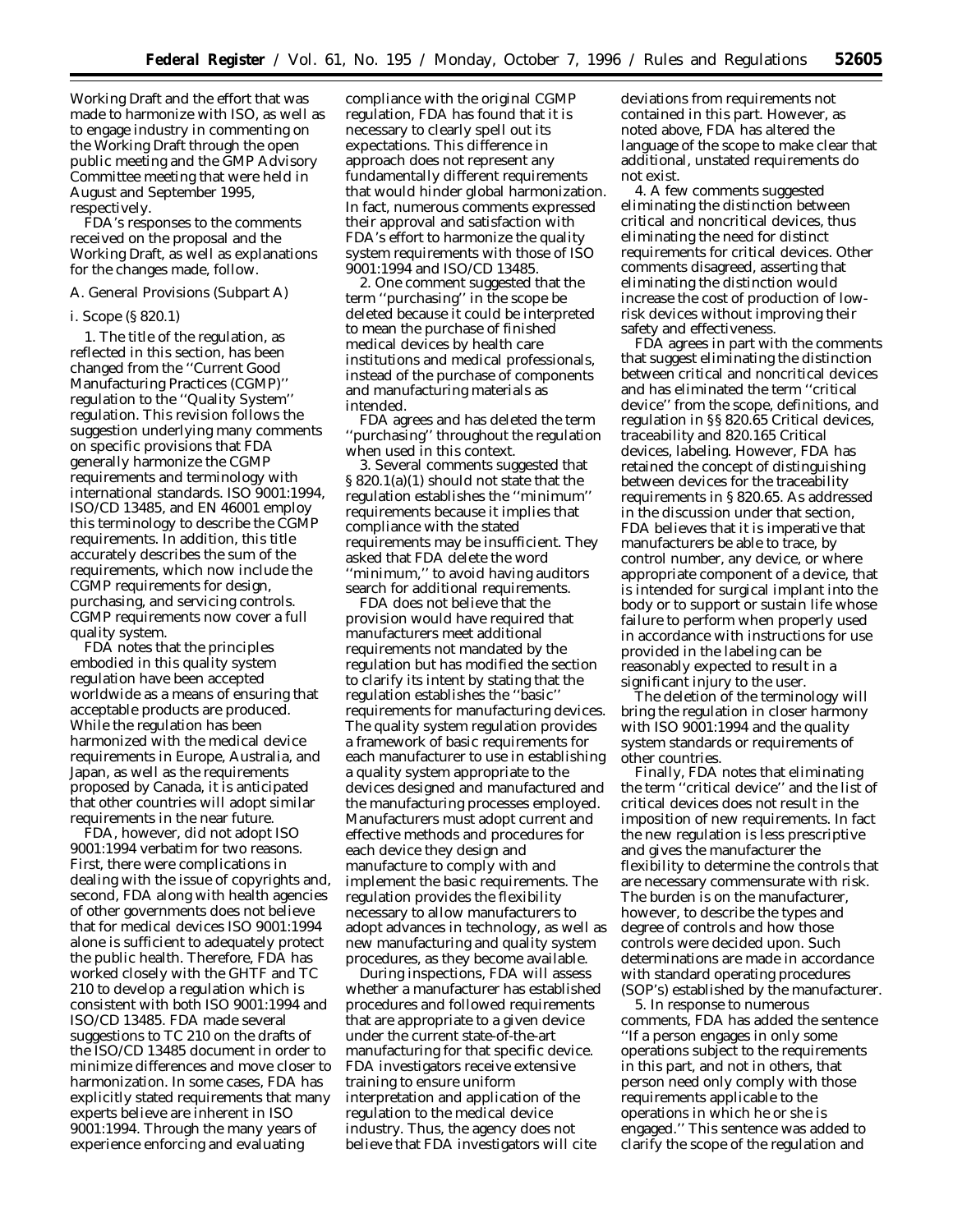Working Draft and the effort that was made to harmonize with ISO, as well as to engage industry in commenting on the Working Draft through the open public meeting and the GMP Advisory Committee meeting that were held in August and September 1995, respectively.

FDA's responses to the comments received on the proposal and the Working Draft, as well as explanations for the changes made, follow.

## *A. General Provisions (Subpart A)*

#### i. Scope (§ 820.1)

1. The title of the regulation, as reflected in this section, has been changed from the ''Current Good Manufacturing Practices (CGMP)'' regulation to the ''Quality System'' regulation. This revision follows the suggestion underlying many comments on specific provisions that FDA generally harmonize the CGMP requirements and terminology with international standards. ISO 9001:1994, ISO/CD 13485, and EN 46001 employ this terminology to describe the CGMP requirements. In addition, this title accurately describes the sum of the requirements, which now include the CGMP requirements for design, purchasing, and servicing controls. CGMP requirements now cover a full quality system.

FDA notes that the principles embodied in this quality system regulation have been accepted worldwide as a means of ensuring that acceptable products are produced. While the regulation has been harmonized with the medical device requirements in Europe, Australia, and Japan, as well as the requirements proposed by Canada, it is anticipated that other countries will adopt similar requirements in the near future.

FDA, however, did not adopt ISO 9001:1994 verbatim for two reasons. First, there were complications in dealing with the issue of copyrights and, second, FDA along with health agencies of other governments does not believe that for medical devices ISO 9001:1994 alone is sufficient to adequately protect the public health. Therefore, FDA has worked closely with the GHTF and TC 210 to develop a regulation which is consistent with both ISO 9001:1994 and ISO/CD 13485. FDA made several suggestions to TC 210 on the drafts of the ISO/CD 13485 document in order to minimize differences and move closer to harmonization. In some cases, FDA has explicitly stated requirements that many experts believe are inherent in ISO 9001:1994. Through the many years of experience enforcing and evaluating

compliance with the original CGMP regulation, FDA has found that it is necessary to clearly spell out its expectations. This difference in approach does not represent any fundamentally different requirements that would hinder global harmonization. In fact, numerous comments expressed their approval and satisfaction with FDA's effort to harmonize the quality system requirements with those of ISO 9001:1994 and ISO/CD 13485.

2. One comment suggested that the term ''purchasing'' in the scope be deleted because it could be interpreted to mean the purchase of finished medical devices by health care institutions and medical professionals, instead of the purchase of components and manufacturing materials as intended.

FDA agrees and has deleted the term ''purchasing'' throughout the regulation when used in this context.

3. Several comments suggested that § 820.1(a)(1) should not state that the regulation establishes the ''minimum'' requirements because it implies that compliance with the stated requirements may be insufficient. They asked that FDA delete the word ''minimum,'' to avoid having auditors search for additional requirements.

FDA does not believe that the provision would have required that manufacturers meet additional requirements not mandated by the regulation but has modified the section to clarify its intent by stating that the regulation establishes the ''basic'' requirements for manufacturing devices. The quality system regulation provides a framework of basic requirements for each manufacturer to use in establishing a quality system appropriate to the devices designed and manufactured and the manufacturing processes employed. Manufacturers must adopt current and effective methods and procedures for each device they design and manufacture to comply with and implement the basic requirements. The regulation provides the flexibility necessary to allow manufacturers to adopt advances in technology, as well as new manufacturing and quality system procedures, as they become available.

During inspections, FDA will assess whether a manufacturer has established procedures and followed requirements that are appropriate to a given device under the current state-of-the-art manufacturing for that specific device. FDA investigators receive extensive training to ensure uniform interpretation and application of the regulation to the medical device industry. Thus, the agency does not believe that FDA investigators will cite

deviations from requirements not contained in this part. However, as noted above, FDA has altered the language of the scope to make clear that additional, unstated requirements do not exist.

4. A few comments suggested eliminating the distinction between critical and noncritical devices, thus eliminating the need for distinct requirements for critical devices. Other comments disagreed, asserting that eliminating the distinction would increase the cost of production of lowrisk devices without improving their safety and effectiveness.

FDA agrees in part with the comments that suggest eliminating the distinction between critical and noncritical devices and has eliminated the term ''critical device'' from the scope, definitions, and regulation in §§ 820.65 *Critical devices, traceability* and 820.165 *Critical devices, labeling.* However, FDA has retained the concept of distinguishing between devices for the traceability requirements in § 820.65. As addressed in the discussion under that section, FDA believes that it is imperative that manufacturers be able to trace, by control number, any device, or where appropriate component of a device, that is intended for surgical implant into the body or to support or sustain life whose failure to perform when properly used in accordance with instructions for use provided in the labeling can be reasonably expected to result in a significant injury to the user.

The deletion of the terminology will bring the regulation in closer harmony with ISO 9001:1994 and the quality system standards or requirements of other countries.

Finally, FDA notes that eliminating the term ''critical device'' and the list of critical devices does not result in the imposition of new requirements. In fact the new regulation is less prescriptive and gives the manufacturer the flexibility to determine the controls that are necessary commensurate with risk. The burden is on the manufacturer, however, to describe the types and degree of controls and how those controls were decided upon. Such determinations are made in accordance with standard operating procedures (SOP's) established by the manufacturer.

5. In response to numerous comments, FDA has added the sentence ''If a person engages in only some operations subject to the requirements in this part, and not in others, that person need only comply with those requirements applicable to the operations in which he or she is engaged.'' This sentence was added to clarify the scope of the regulation and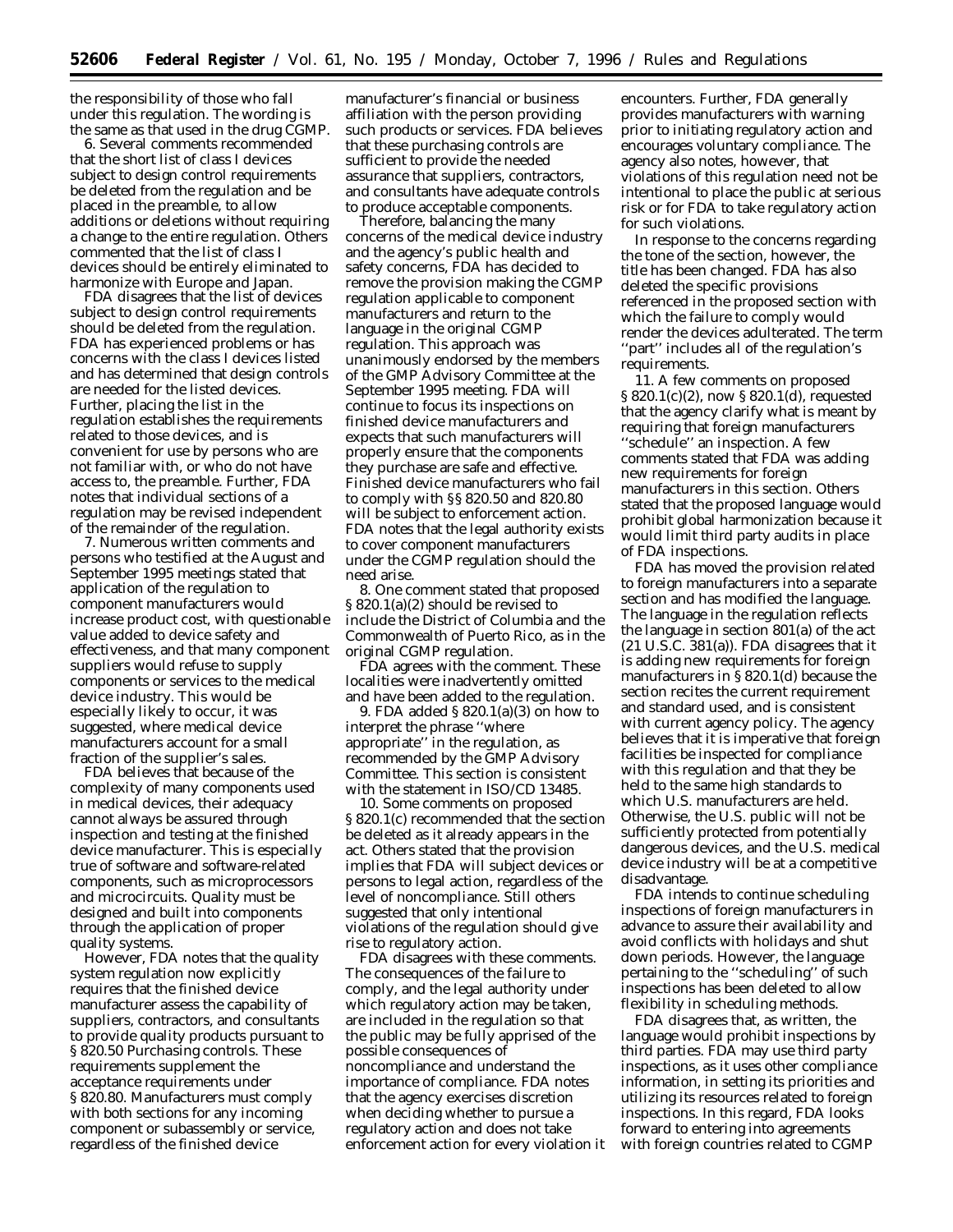the responsibility of those who fall under this regulation. The wording is the same as that used in the drug CGMP.

6. Several comments recommended that the short list of class I devices subject to design control requirements be deleted from the regulation and be placed in the preamble, to allow additions or deletions without requiring a change to the entire regulation. Others commented that the list of class I devices should be entirely eliminated to harmonize with Europe and Japan.

FDA disagrees that the list of devices subject to design control requirements should be deleted from the regulation. FDA has experienced problems or has concerns with the class I devices listed and has determined that design controls are needed for the listed devices. Further, placing the list in the regulation establishes the requirements related to those devices, and is convenient for use by persons who are not familiar with, or who do not have access to, the preamble. Further, FDA notes that individual sections of a regulation may be revised independent of the remainder of the regulation.

7. Numerous written comments and persons who testified at the August and September 1995 meetings stated that application of the regulation to component manufacturers would increase product cost, with questionable value added to device safety and effectiveness, and that many component suppliers would refuse to supply components or services to the medical device industry. This would be especially likely to occur, it was suggested, where medical device manufacturers account for a small fraction of the supplier's sales.

FDA believes that because of the complexity of many components used in medical devices, their adequacy cannot always be assured through inspection and testing at the finished device manufacturer. This is especially true of software and software-related components, such as microprocessors and microcircuits. Quality must be designed and built into components through the application of proper quality systems.

However, FDA notes that the quality system regulation now explicitly requires that the finished device manufacturer assess the capability of suppliers, contractors, and consultants to provide quality products pursuant to § 820.50 *Purchasing controls.* These requirements supplement the acceptance requirements under § 820.80. Manufacturers must comply with both sections for any incoming component or subassembly or service, regardless of the finished device

manufacturer's financial or business affiliation with the person providing such products or services. FDA believes that these purchasing controls are sufficient to provide the needed assurance that suppliers, contractors, and consultants have adequate controls to produce acceptable components.

Therefore, balancing the many concerns of the medical device industry and the agency's public health and safety concerns, FDA has decided to remove the provision making the CGMP regulation applicable to component manufacturers and return to the language in the original CGMP regulation. This approach was unanimously endorsed by the members of the GMP Advisory Committee at the September 1995 meeting. FDA will continue to focus its inspections on finished device manufacturers and expects that such manufacturers will properly ensure that the components they purchase are safe and effective. Finished device manufacturers who fail to comply with §§ 820.50 and 820.80 will be subject to enforcement action. FDA notes that the legal authority exists to cover component manufacturers under the CGMP regulation should the need arise.

8. One comment stated that proposed § 820.1(a)(2) should be revised to include the District of Columbia and the Commonwealth of Puerto Rico, as in the original CGMP regulation.

FDA agrees with the comment. These localities were inadvertently omitted and have been added to the regulation.

9. FDA added § 820.1(a)(3) on how to interpret the phrase ''where appropriate'' in the regulation, as recommended by the GMP Advisory Committee. This section is consistent with the statement in ISO/CD 13485.

10. Some comments on proposed § 820.1(c) recommended that the section be deleted as it already appears in the act. Others stated that the provision implies that FDA will subject devices or persons to legal action, regardless of the level of noncompliance. Still others suggested that only intentional violations of the regulation should give rise to regulatory action.

FDA disagrees with these comments. The consequences of the failure to comply, and the legal authority under which regulatory action may be taken, are included in the regulation so that the public may be fully apprised of the possible consequences of noncompliance and understand the importance of compliance. FDA notes that the agency exercises discretion when deciding whether to pursue a regulatory action and does not take enforcement action for every violation it encounters. Further, FDA generally provides manufacturers with warning prior to initiating regulatory action and encourages voluntary compliance. The agency also notes, however, that violations of this regulation need not be intentional to place the public at serious risk or for FDA to take regulatory action for such violations.

In response to the concerns regarding the tone of the section, however, the title has been changed. FDA has also deleted the specific provisions referenced in the proposed section with which the failure to comply would render the devices adulterated. The term ''part'' includes all of the regulation's requirements.

11. A few comments on proposed § 820.1(c)(2), now § 820.1(d), requested that the agency clarify what is meant by requiring that foreign manufacturers ''schedule'' an inspection. A few comments stated that FDA was adding new requirements for foreign manufacturers in this section. Others stated that the proposed language would prohibit global harmonization because it would limit third party audits in place of FDA inspections.

FDA has moved the provision related to foreign manufacturers into a separate section and has modified the language. The language in the regulation reflects the language in section 801(a) of the act (21 U.S.C. 381(a)). FDA disagrees that it is adding new requirements for foreign manufacturers in § 820.1(d) because the section recites the current requirement and standard used, and is consistent with current agency policy. The agency believes that it is imperative that foreign facilities be inspected for compliance with this regulation and that they be held to the same high standards to which U.S. manufacturers are held. Otherwise, the U.S. public will not be sufficiently protected from potentially dangerous devices, and the U.S. medical device industry will be at a competitive disadvantage.

FDA intends to continue scheduling inspections of foreign manufacturers in advance to assure their availability and avoid conflicts with holidays and shut down periods. However, the language pertaining to the ''scheduling'' of such inspections has been deleted to allow flexibility in scheduling methods.

FDA disagrees that, as written, the language would prohibit inspections by third parties. FDA may use third party inspections, as it uses other compliance information, in setting its priorities and utilizing its resources related to foreign inspections. In this regard, FDA looks forward to entering into agreements with foreign countries related to CGMP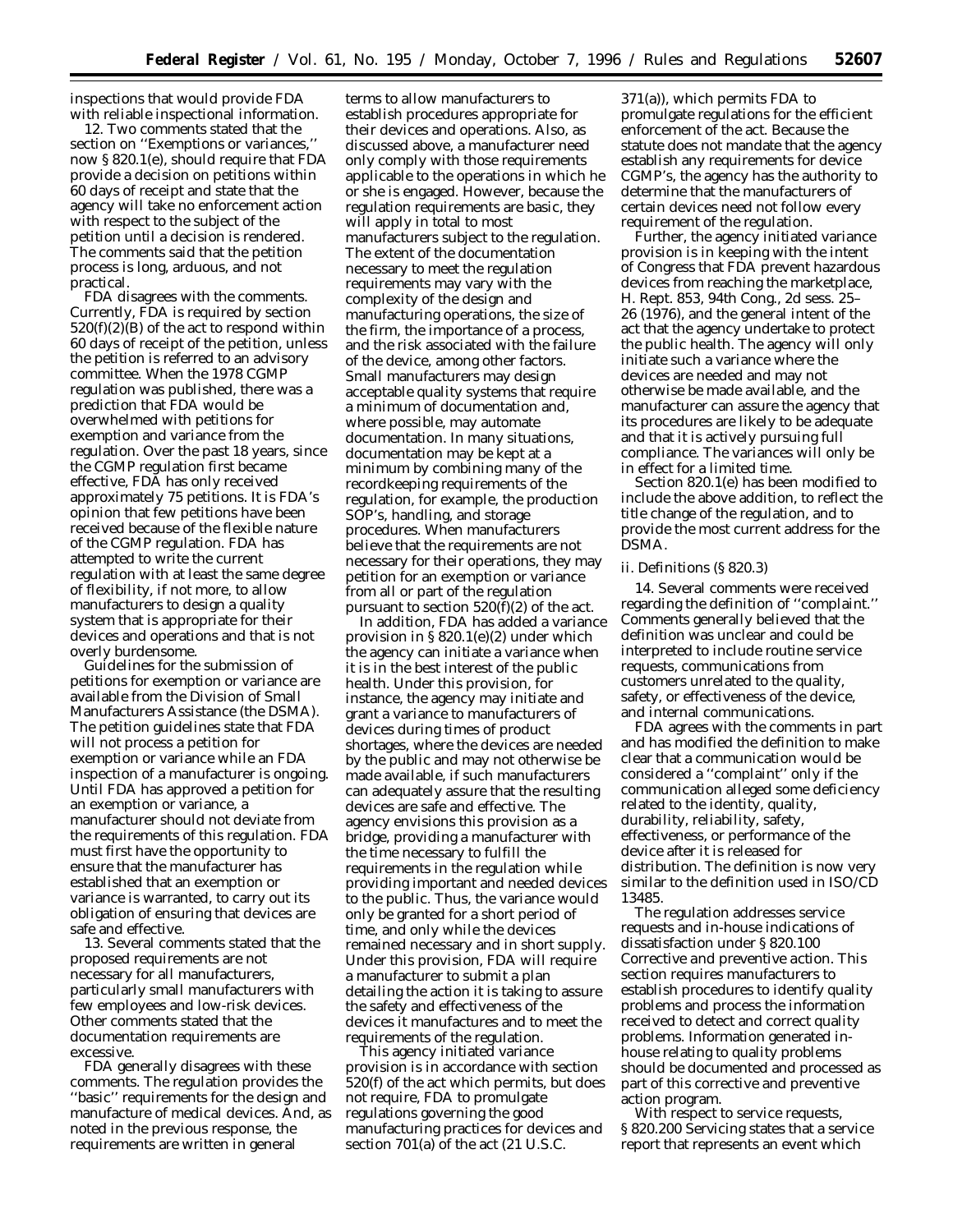inspections that would provide FDA with reliable inspectional information.

12. Two comments stated that the section on ''Exemptions or variances,'' now § 820.1(e), should require that FDA provide a decision on petitions within 60 days of receipt and state that the agency will take no enforcement action with respect to the subject of the petition until a decision is rendered. The comments said that the petition process is long, arduous, and not practical.

FDA disagrees with the comments. Currently, FDA is required by section  $520(f)(2)(B)$  of the act to respond within 60 days of receipt of the petition, unless the petition is referred to an advisory committee. When the 1978 CGMP regulation was published, there was a prediction that FDA would be overwhelmed with petitions for exemption and variance from the regulation. Over the past 18 years, since the CGMP regulation first became effective, FDA has only received approximately 75 petitions. It is FDA's opinion that few petitions have been received because of the flexible nature of the CGMP regulation. FDA has attempted to write the current regulation with at least the same degree of flexibility, if not more, to allow manufacturers to design a quality system that is appropriate for their devices and operations and that is not overly burdensome.

Guidelines for the submission of petitions for exemption or variance are available from the Division of Small Manufacturers Assistance (the DSMA). The petition guidelines state that FDA will not process a petition for exemption or variance while an FDA inspection of a manufacturer is ongoing. Until FDA has approved a petition for an exemption or variance, a manufacturer should not deviate from the requirements of this regulation. FDA must first have the opportunity to ensure that the manufacturer has established that an exemption or variance is warranted, to carry out its obligation of ensuring that devices are safe and effective.

13. Several comments stated that the proposed requirements are not necessary for all manufacturers, particularly small manufacturers with few employees and low-risk devices. Other comments stated that the documentation requirements are excessive.

FDA generally disagrees with these comments. The regulation provides the ''basic'' requirements for the design and manufacture of medical devices. And, as noted in the previous response, the requirements are written in general

terms to allow manufacturers to establish procedures appropriate for their devices and operations. Also, as discussed above, a manufacturer need only comply with those requirements applicable to the operations in which he or she is engaged. However, because the regulation requirements are basic, they will apply in total to most manufacturers subject to the regulation. The extent of the documentation necessary to meet the regulation requirements may vary with the complexity of the design and manufacturing operations, the size of the firm, the importance of a process, and the risk associated with the failure of the device, among other factors. Small manufacturers may design acceptable quality systems that require a minimum of documentation and, where possible, may automate documentation. In many situations, documentation may be kept at a minimum by combining many of the recordkeeping requirements of the regulation, for example, the production SOP's, handling, and storage procedures. When manufacturers believe that the requirements are not necessary for their operations, they may petition for an exemption or variance from all or part of the regulation pursuant to section  $520(f)(2)$  of the act.

In addition, FDA has added a variance provision in § 820.1(e)(2) under which the agency can initiate a variance when it is in the best interest of the public health. Under this provision, for instance, the agency may initiate and grant a variance to manufacturers of devices during times of product shortages, where the devices are needed by the public and may not otherwise be made available, if such manufacturers can adequately assure that the resulting devices are safe and effective. The agency envisions this provision as a bridge, providing a manufacturer with the time necessary to fulfill the requirements in the regulation while providing important and needed devices to the public. Thus, the variance would only be granted for a short period of time, and only while the devices remained necessary and in short supply. Under this provision, FDA will require a manufacturer to submit a plan detailing the action it is taking to assure the safety and effectiveness of the devices it manufactures and to meet the requirements of the regulation.

This agency initiated variance provision is in accordance with section 520(f) of the act which permits, but does not require, FDA to promulgate regulations governing the good manufacturing practices for devices and section 701(a) of the act (21 U.S.C.

371(a)), which permits FDA to promulgate regulations for the efficient enforcement of the act. Because the statute does not mandate that the agency establish any requirements for device CGMP's, the agency has the authority to determine that the manufacturers of certain devices need not follow every requirement of the regulation.

Further, the agency initiated variance provision is in keeping with the intent of Congress that FDA prevent hazardous devices from reaching the marketplace, H. Rept. 853, 94th Cong., 2d sess. 25– 26 (1976), and the general intent of the act that the agency undertake to protect the public health. The agency will only initiate such a variance where the devices are needed and may not otherwise be made available, and the manufacturer can assure the agency that its procedures are likely to be adequate and that it is actively pursuing full compliance. The variances will only be in effect for a limited time.

Section 820.1(e) has been modified to include the above addition, to reflect the title change of the regulation, and to provide the most current address for the DSMA.

#### ii. Definitions (§ 820.3)

14. Several comments were received regarding the definition of ''complaint.'' Comments generally believed that the definition was unclear and could be interpreted to include routine service requests, communications from customers unrelated to the quality, safety, or effectiveness of the device, and internal communications.

FDA agrees with the comments in part and has modified the definition to make clear that a communication would be considered a ''complaint'' only if the communication alleged some deficiency related to the identity, quality, durability, reliability, safety, effectiveness, or performance of the device after it is released for distribution. The definition is now very similar to the definition used in ISO/CD 13485.

The regulation addresses service requests and in-house indications of dissatisfaction under § 820.100 *Corrective and preventive action.* This section requires manufacturers to establish procedures to identify quality problems and process the information received to detect and correct quality problems. Information generated inhouse relating to quality problems should be documented and processed as part of this corrective and preventive action program.

With respect to service requests, § 820.200 *Servicing* states that a service report that represents an event which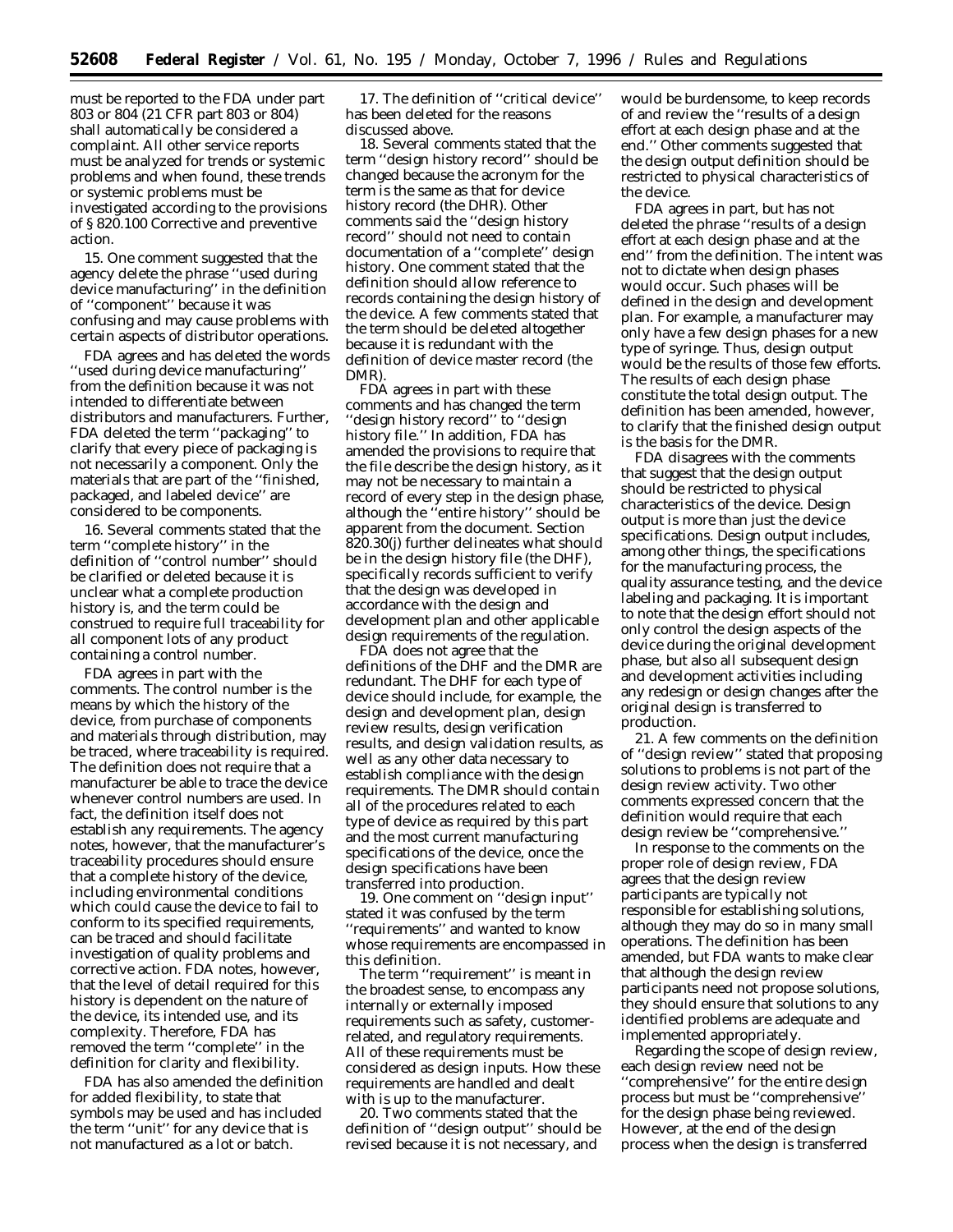must be reported to the FDA under part 803 or 804 (21 CFR part 803 or 804) shall automatically be considered a complaint. All other service reports must be analyzed for trends or systemic problems and when found, these trends or systemic problems must be investigated according to the provisions of § 820.100 *Corrective and preventive action.*

15. One comment suggested that the agency delete the phrase ''used during device manufacturing'' in the definition of ''component'' because it was confusing and may cause problems with certain aspects of distributor operations.

FDA agrees and has deleted the words ''used during device manufacturing'' from the definition because it was not intended to differentiate between distributors and manufacturers. Further, FDA deleted the term ''packaging'' to clarify that every piece of packaging is not necessarily a component. Only the materials that are part of the ''finished, packaged, and labeled device'' are considered to be components.

16. Several comments stated that the term ''complete history'' in the definition of ''control number'' should be clarified or deleted because it is unclear what a complete production history is, and the term could be construed to require full traceability for all component lots of any product containing a control number.

FDA agrees in part with the comments. The control number is the means by which the history of the device, from purchase of components and materials through distribution, may be traced, where traceability is required. The definition does not require that a manufacturer be able to trace the device whenever control numbers are used. In fact, the definition itself does not establish any requirements. The agency notes, however, that the manufacturer's traceability procedures should ensure that a complete history of the device, including environmental conditions which could cause the device to fail to conform to its specified requirements, can be traced and should facilitate investigation of quality problems and corrective action. FDA notes, however, that the level of detail required for this history is dependent on the nature of the device, its intended use, and its complexity. Therefore, FDA has removed the term ''complete'' in the definition for clarity and flexibility.

FDA has also amended the definition for added flexibility, to state that symbols may be used and has included the term ''unit'' for any device that is not manufactured as a lot or batch.

17. The definition of ''critical device'' has been deleted for the reasons discussed above.

18. Several comments stated that the term ''design history record'' should be changed because the acronym for the term is the same as that for device history record (the DHR). Other comments said the ''design history record'' should not need to contain documentation of a ''complete'' design history. One comment stated that the definition should allow reference to records containing the design history of the device. A few comments stated that the term should be deleted altogether because it is redundant with the definition of device master record (the DMR).

FDA agrees in part with these comments and has changed the term ''design history record'' to ''design history file.'' In addition, FDA has amended the provisions to require that the file describe the design history, as it may not be necessary to maintain a record of every step in the design phase, although the ''entire history'' should be apparent from the document. Section 820.30(j) further delineates what should be in the design history file (the DHF), specifically records sufficient to verify that the design was developed in accordance with the design and development plan and other applicable design requirements of the regulation.

FDA does not agree that the definitions of the DHF and the DMR are redundant. The DHF for each type of device should include, for example, the design and development plan, design review results, design verification results, and design validation results, as well as any other data necessary to establish compliance with the design requirements. The DMR should contain all of the procedures related to each type of device as required by this part and the most current manufacturing specifications of the device, once the design specifications have been transferred into production.

19. One comment on ''design input'' stated it was confused by the term ''requirements'' and wanted to know whose requirements are encompassed in this definition.

The term ''requirement'' is meant in the broadest sense, to encompass any internally or externally imposed requirements such as safety, customerrelated, and regulatory requirements. All of these requirements must be considered as design inputs. How these requirements are handled and dealt with is up to the manufacturer.

20. Two comments stated that the definition of ''design output'' should be revised because it is not necessary, and

would be burdensome, to keep records of and review the ''results of a design effort at each design phase and at the end.'' Other comments suggested that the design output definition should be restricted to physical characteristics of the device.

FDA agrees in part, but has not deleted the phrase ''results of a design effort at each design phase and at the end'' from the definition. The intent was not to dictate when design phases would occur. Such phases will be defined in the design and development plan. For example, a manufacturer may only have a few design phases for a new type of syringe. Thus, design output would be the results of those few efforts. The results of each design phase constitute the total design output. The definition has been amended, however, to clarify that the finished design output is the basis for the DMR.

FDA disagrees with the comments that suggest that the design output should be restricted to physical characteristics of the device. Design output is more than just the device specifications. Design output includes, among other things, the specifications for the manufacturing process, the quality assurance testing, and the device labeling and packaging. It is important to note that the design effort should not only control the design aspects of the device during the original development phase, but also all subsequent design and development activities including any redesign or design changes after the original design is transferred to production.

21. A few comments on the definition of ''design review'' stated that proposing solutions to problems is not part of the design review activity. Two other comments expressed concern that the definition would require that *each design review be ''comprehensive.''*

In response to the comments on the proper role of design review, FDA agrees that the design review participants are typically not responsible for establishing solutions, although they may do so in many small operations. The definition has been amended, but FDA wants to make clear that although the design review participants need not propose solutions, they should ensure that solutions to any identified problems are adequate and implemented appropriately.

Regarding the scope of design review, each design review need not be ''comprehensive'' for the entire design process but must be ''comprehensive'' for the design phase being reviewed. However, at the end of the design process when the design is transferred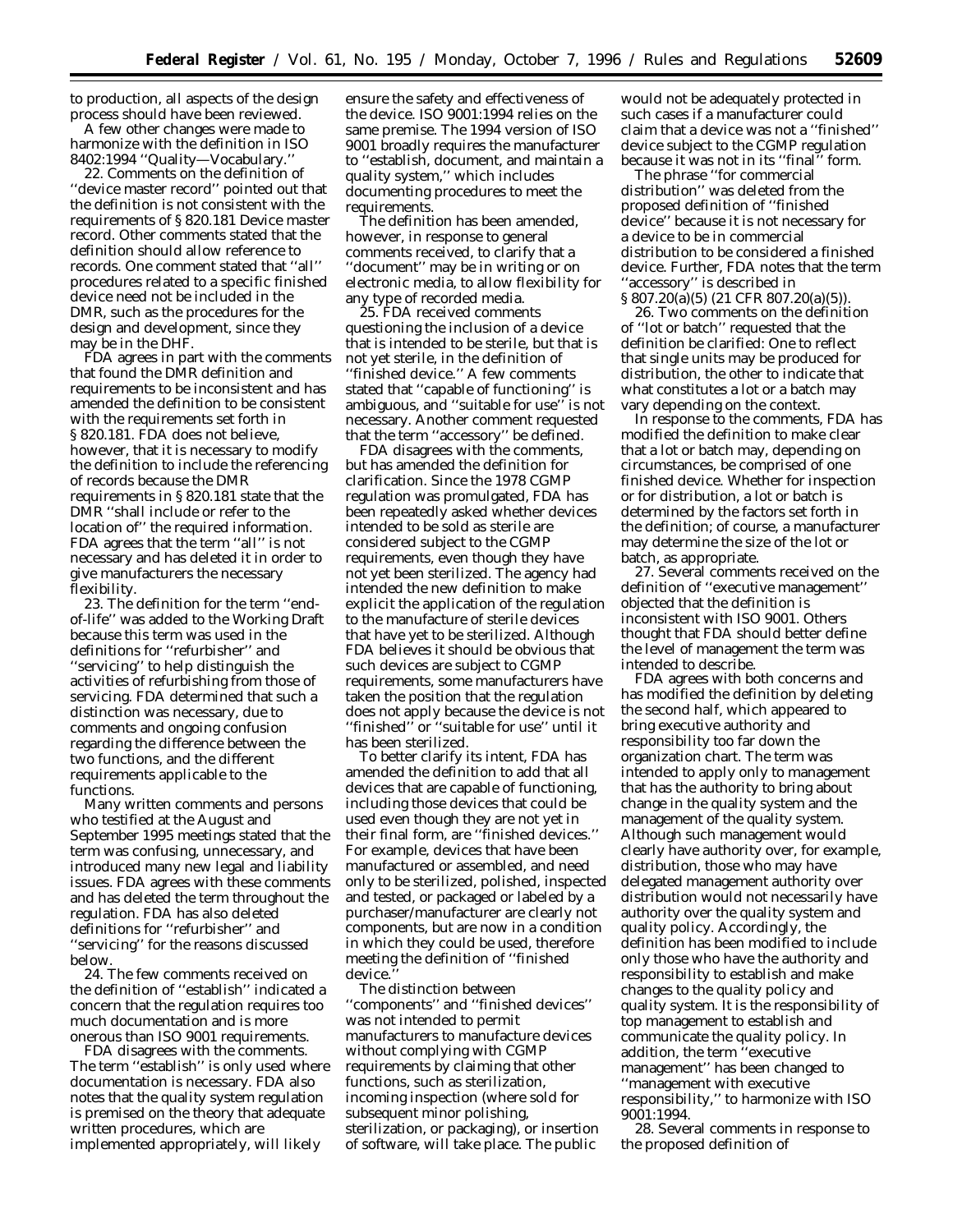to production, all aspects of the design process should have been reviewed.

A few other changes were made to harmonize with the definition in ISO 8402:1994 ''Quality—Vocabulary.''

22. Comments on the definition of ''device master record'' pointed out that the definition is not consistent with the requirements of § 820.181 *Device master record.* Other comments stated that the definition should allow reference to records. One comment stated that ''all'' procedures related to a specific finished device need not be included in the DMR, such as the procedures for the design and development, since they may be in the DHF.

FDA agrees in part with the comments that found the DMR definition and requirements to be inconsistent and has amended the definition to be consistent with the requirements set forth in § 820.181. FDA does not believe, however, that it is necessary to modify the definition to include the referencing of records because the DMR requirements in § 820.181 state that the DMR ''shall include or refer to the location of'' the required information. FDA agrees that the term ''all'' is not necessary and has deleted it in order to give manufacturers the necessary flexibility.

23. The definition for the term ''endof-life'' was added to the Working Draft because this term was used in the definitions for ''refurbisher'' and ''servicing'' to help distinguish the activities of refurbishing from those of servicing. FDA determined that such a distinction was necessary, due to comments and ongoing confusion regarding the difference between the two functions, and the different requirements applicable to the functions.

Many written comments and persons who testified at the August and September 1995 meetings stated that the term was confusing, unnecessary, and introduced many new legal and liability issues. FDA agrees with these comments and has deleted the term throughout the regulation. FDA has also deleted definitions for ''refurbisher'' and ''servicing'' for the reasons discussed below.

24. The few comments received on the definition of ''establish'' indicated a concern that the regulation requires too much documentation and is more onerous than ISO 9001 requirements.

FDA disagrees with the comments. The term ''establish'' is only used where documentation is necessary. FDA also notes that the quality system regulation is premised on the theory that adequate written procedures, which are implemented appropriately, will likely

ensure the safety and effectiveness of the device. ISO 9001:1994 relies on the same premise. The 1994 version of ISO 9001 broadly requires the manufacturer to ''establish, document, and maintain a quality system,'' which includes documenting procedures to meet the requirements.

The definition has been amended, however, in response to general comments received, to clarify that a ''document'' may be in writing or on electronic media, to allow flexibility for any type of recorded media.

25. FDA received comments questioning the inclusion of a device that is intended to be sterile, but that is not yet sterile, in the definition of ''finished device.'' A few comments stated that ''capable of functioning'' is ambiguous, and ''suitable for use'' is not necessary. Another comment requested that the term ''accessory'' be defined.

FDA disagrees with the comments, but has amended the definition for clarification. Since the 1978 CGMP regulation was promulgated, FDA has been repeatedly asked whether devices intended to be sold as sterile are considered subject to the CGMP requirements, even though they have not yet been sterilized. The agency had intended the new definition to make explicit the application of the regulation to the manufacture of sterile devices that have yet to be sterilized. Although FDA believes it should be obvious that such devices are subject to CGMP requirements, some manufacturers have taken the position that the regulation does not apply because the device is not ''finished'' or ''suitable for use'' until it has been sterilized.

To better clarify its intent, FDA has amended the definition to add that all devices that are capable of functioning, including those devices that could be used even though they are not yet in their final form, are ''finished devices.'' For example, devices that have been manufactured or assembled, and need only to be sterilized, polished, inspected and tested, or packaged or labeled by a purchaser/manufacturer are clearly not components, but are now in a condition in which they could be used, therefore meeting the definition of ''finished device.

The distinction between ''components'' and ''finished devices'' was *not* intended to permit manufacturers to manufacture devices without complying with CGMP requirements by claiming that other functions, such as sterilization, incoming inspection (where sold for subsequent minor polishing, sterilization, or packaging), or insertion of software, will take place. The public

would not be adequately protected in such cases if a manufacturer could claim that a device was not a ''finished'' device subject to the CGMP regulation because it was not in its ''final'' form.

The phrase ''for commercial distribution'' was deleted from the proposed definition of ''finished device'' because it is not necessary for a device to be in commercial distribution to be considered a finished device. Further, FDA notes that the term ''accessory'' is described in § 807.20(a)(5) (21 CFR 807.20(a)(5)).

26. Two comments on the definition of ''lot or batch'' requested that the definition be clarified: One to reflect that single units may be produced for distribution, the other to indicate that what constitutes a lot or a batch may vary depending on the context.

In response to the comments, FDA has modified the definition to make clear that a lot or batch may, depending on circumstances, be comprised of one finished device. Whether for inspection or for distribution, a lot or batch is determined by the factors set forth in the definition; of course, a manufacturer may determine the size of the lot or batch, as appropriate.

27. Several comments received on the definition of ''executive management'' objected that the definition is inconsistent with ISO 9001. Others thought that FDA should better define the level of management the term was intended to describe.

FDA agrees with both concerns and has modified the definition by deleting the second half, which appeared to bring executive authority and responsibility too far down the organization chart. The term was intended to apply only to management that has the authority to bring about change in the quality system and the management of the quality system. Although such management would clearly have authority over, for example, distribution, those who may have delegated management authority over distribution would not necessarily have authority over the quality system and quality policy. Accordingly, the definition has been modified to include only those who have the authority and responsibility to establish and make changes to the quality policy and quality system. It is the responsibility of top management to establish and communicate the quality policy. In addition, the term ''executive management'' has been changed to ''management with executive responsibility,'' to harmonize with ISO 9001:1994.

28. Several comments in response to the proposed definition of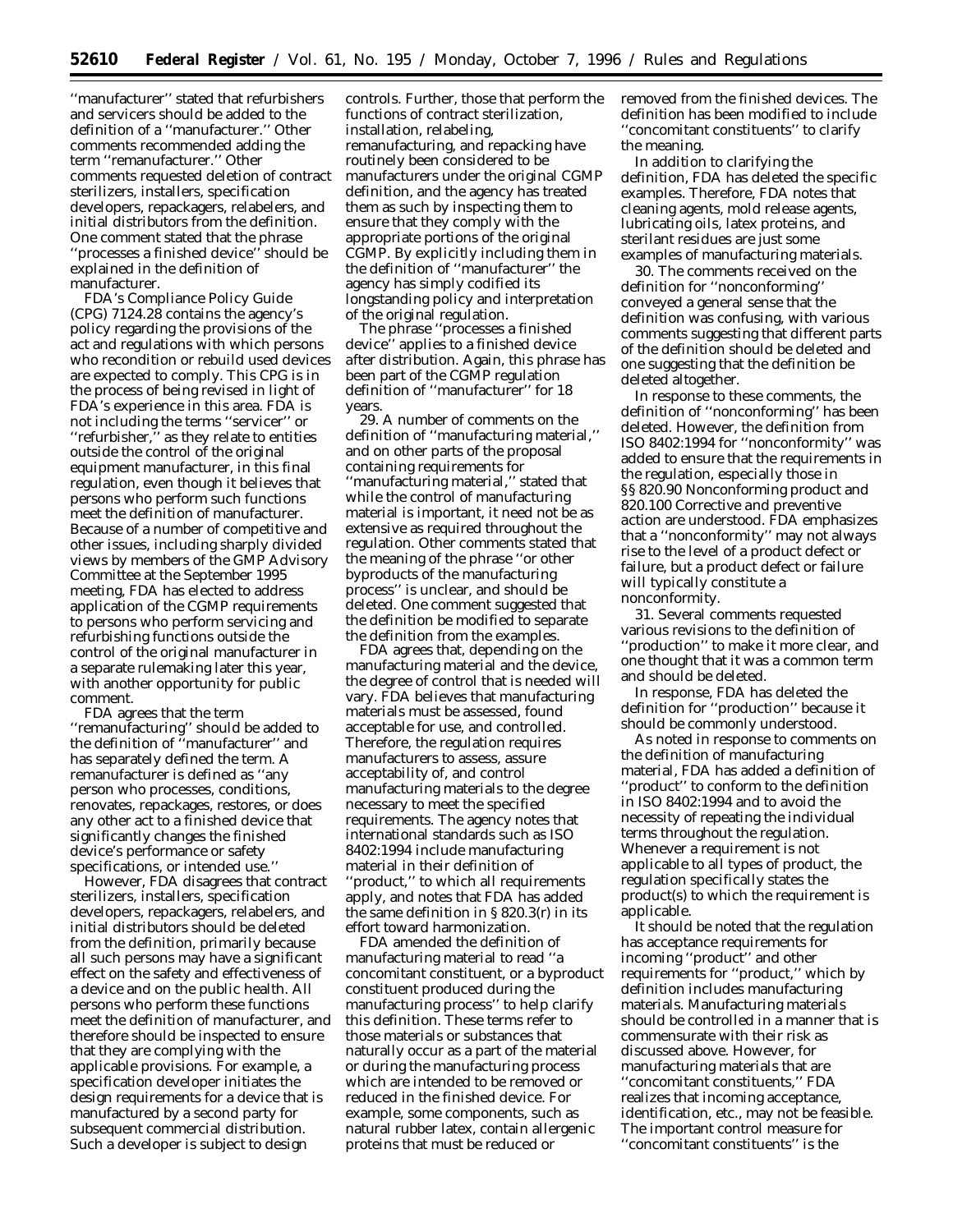''manufacturer'' stated that refurbishers and servicers should be added to the definition of a ''manufacturer.'' Other comments recommended adding the term ''remanufacturer.'' Other comments requested deletion of contract sterilizers, installers, specification developers, repackagers, relabelers, and initial distributors from the definition. One comment stated that the phrase ''processes a finished device'' should be explained in the definition of manufacturer.

FDA's Compliance Policy Guide (CPG) 7124.28 contains the agency's policy regarding the provisions of the act and regulations with which persons who recondition or rebuild used devices are expected to comply. This CPG is in the process of being revised in light of FDA's experience in this area. FDA is not including the terms ''servicer'' or ''refurbisher,'' as they relate to entities outside the control of the original equipment manufacturer, in this final regulation, even though it believes that persons who perform such functions meet the definition of manufacturer. Because of a number of competitive and other issues, including sharply divided views by members of the GMP Advisory Committee at the September 1995 meeting, FDA has elected to address application of the CGMP requirements to persons who perform servicing and refurbishing functions outside the control of the original manufacturer in a separate rulemaking later this year, with another opportunity for public comment.

FDA agrees that the term ''remanufacturing'' should be added to the definition of ''manufacturer'' and has separately defined the term. A remanufacturer is defined as ''any person who processes, conditions, renovates, repackages, restores, or does any other act to a finished device that significantly changes the finished device's performance or safety specifications, or intended use.''

However, FDA disagrees that contract sterilizers, installers, specification developers, repackagers, relabelers, and initial distributors should be deleted from the definition, primarily because all such persons may have a significant effect on the safety and effectiveness of a device and on the public health. All persons who perform these functions meet the definition of manufacturer, and therefore should be inspected to ensure that they are complying with the applicable provisions. For example, a specification developer initiates the design requirements for a device that is manufactured by a second party for subsequent commercial distribution. Such a developer is subject to design

controls. Further, those that perform the functions of contract sterilization, installation, relabeling, remanufacturing, and repacking have routinely been considered to be manufacturers under the original CGMP definition, and the agency has treated them as such by inspecting them to ensure that they comply with the appropriate portions of the original CGMP. By explicitly including them in the definition of ''manufacturer'' the agency has simply codified its longstanding policy and interpretation of the original regulation.

The phrase ''processes a finished device'' applies to a finished device *after* distribution. Again, this phrase has been part of the CGMP regulation definition of ''manufacturer'' for 18 years.

29. A number of comments on the definition of ''manufacturing material,'' and on other parts of the proposal containing requirements for ''manufacturing material,'' stated that while the control of manufacturing material is important, it need not be as extensive as required throughout the regulation. Other comments stated that the meaning of the phrase ''or other byproducts of the manufacturing process'' is unclear, and should be deleted. One comment suggested that the definition be modified to separate the definition from the examples.

FDA agrees that, depending on the manufacturing material and the device, the degree of control that is needed will vary. FDA believes that manufacturing materials must be assessed, found acceptable for use, and controlled. Therefore, the regulation requires manufacturers to assess, assure acceptability of, and control manufacturing materials to the degree necessary to meet the specified requirements. The agency notes that international standards such as ISO 8402:1994 include manufacturing material in their definition of ''product,'' to which all requirements apply, and notes that FDA has added the same definition in § 820.3(r) in its effort toward harmonization.

FDA amended the definition of manufacturing material to read ''a concomitant constituent, or a byproduct constituent produced during the manufacturing process'' to help clarify this definition. These terms refer to those materials or substances that naturally occur as a part of the material or during the manufacturing process which are intended to be removed or reduced in the finished device. For example, some components, such as natural rubber latex, contain allergenic proteins that must be reduced or

removed from the finished devices. The definition has been modified to include ''concomitant constituents'' to clarify the meaning.

In addition to clarifying the definition, FDA has deleted the specific examples. Therefore, FDA notes that cleaning agents, mold release agents, lubricating oils, latex proteins, and sterilant residues are just some examples of manufacturing materials.

30. The comments received on the definition for ''nonconforming'' conveyed a general sense that the definition was confusing, with various comments suggesting that different parts of the definition should be deleted and one suggesting that the definition be deleted altogether.

In response to these comments, the definition of ''nonconforming'' has been deleted. However, the definition from ISO 8402:1994 for ''nonconformity'' was added to ensure that the requirements in the regulation, especially those in §§ 820.90 *Nonconforming product* and 820.100 *Corrective and preventive action* are understood. FDA emphasizes that a ''nonconformity'' may not always rise to the level of a product defect or failure, but a product defect or failure will typically constitute a nonconformity.

31. Several comments requested various revisions to the definition of ''production'' to make it more clear, and one thought that it was a common term and should be deleted.

In response, FDA has deleted the definition for ''production'' because it should be commonly understood.

As noted in response to comments on the definition of manufacturing material, FDA has added a definition of ''product'' to conform to the definition in ISO 8402:1994 and to avoid the necessity of repeating the individual terms throughout the regulation. Whenever a requirement is not applicable to all types of product, the regulation specifically states the product(s) to which the requirement is applicable.

It should be noted that the regulation has acceptance requirements for incoming ''product'' and other requirements for ''product,'' which by definition includes manufacturing materials. Manufacturing materials should be controlled in a manner that is commensurate with their risk as discussed above. However, for manufacturing materials that are ''concomitant constituents,'' FDA realizes that incoming acceptance, identification, etc., may not be feasible. The important control measure for ''concomitant constituents'' is the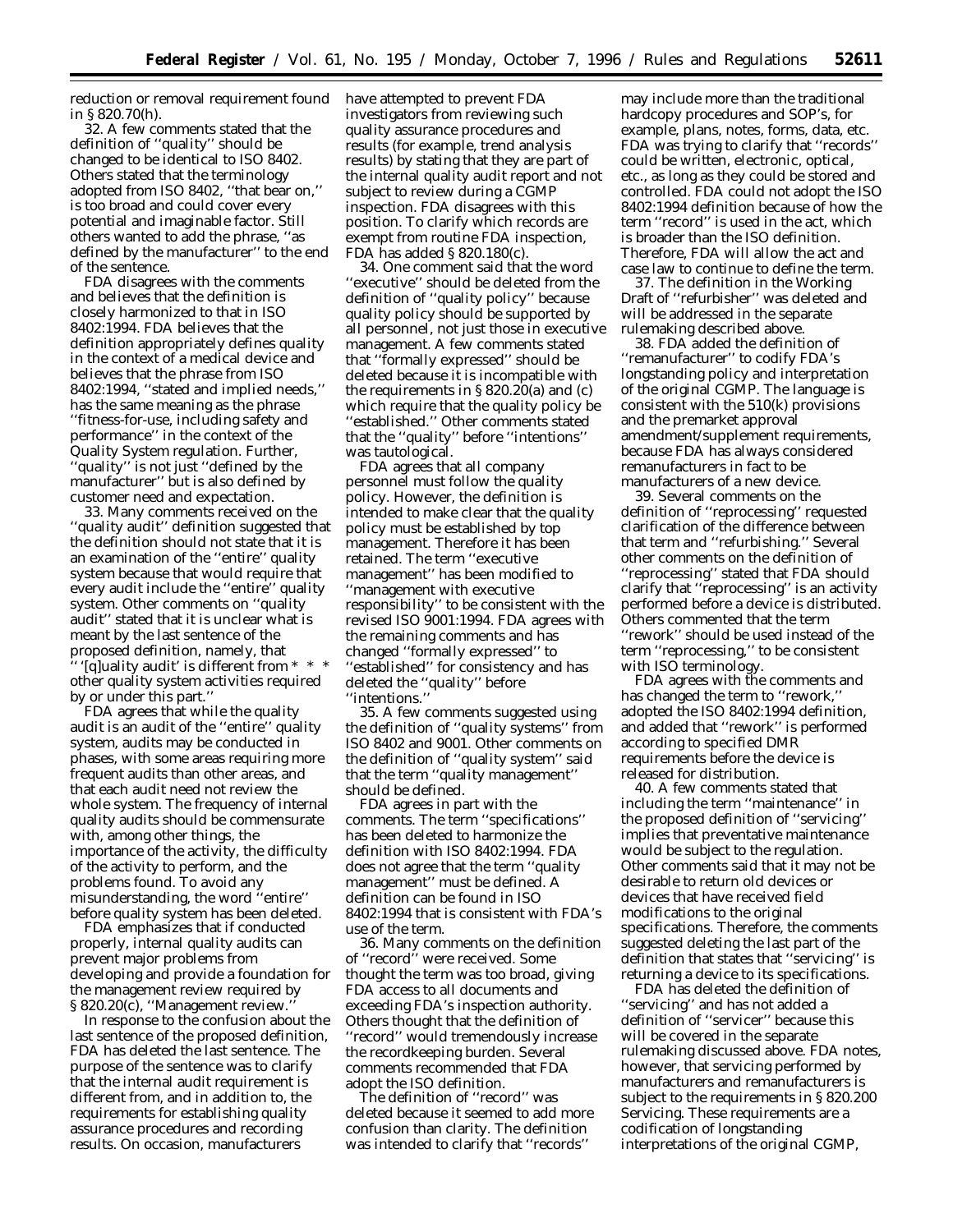reduction or removal requirement found in § 820.70(h).

32. A few comments stated that the definition of ''quality'' should be changed to be identical to ISO 8402. Others stated that the terminology adopted from ISO 8402, ''that bear on,'' is too broad and could cover every potential and imaginable factor. Still others wanted to add the phrase, ''as defined by the manufacturer'' to the end of the sentence.

FDA disagrees with the comments and believes that the definition is closely harmonized to that in ISO 8402:1994. FDA believes that the definition appropriately defines quality in the context of a medical device and believes that the phrase from ISO 8402:1994, ''stated and implied needs,'' has the same meaning as the phrase ''fitness-for-use, including safety and performance'' in the context of the Quality System regulation. Further, ''quality'' is not just ''defined by the manufacturer'' but is also defined by customer need and expectation.

33. Many comments received on the ''quality audit'' definition suggested that the definition should not state that it is an examination of the ''entire'' quality system because that would require that every audit include the ''entire'' quality system. Other comments on "quality audit'' stated that it is unclear what is meant by the last sentence of the proposed definition, namely, that '[q]uality audit' is different from \* \* \*

other quality system activities required by or under this part.

FDA agrees that while the quality audit is an audit of the ''entire'' quality system, audits may be conducted in phases, with some areas requiring more frequent audits than other areas, and that each audit need not review the whole system. The frequency of internal quality audits should be commensurate with, among other things, the importance of the activity, the difficulty of the activity to perform, and the problems found. To avoid any misunderstanding, the word ''entire'' before quality system has been deleted.

FDA emphasizes that if conducted properly, internal quality audits can prevent major problems from developing and provide a foundation for the management review required by § 820.20(c), "Management review.

In response to the confusion about the last sentence of the proposed definition, FDA has deleted the last sentence. The purpose of the sentence was to clarify that the internal audit requirement is different from, and in addition to, the requirements for establishing quality assurance procedures and recording results. On occasion, manufacturers

have attempted to prevent FDA investigators from reviewing such quality assurance procedures and results (for example, trend analysis results) by stating that they are part of the internal quality audit report and not subject to review during a CGMP inspection. FDA disagrees with this position. To clarify which records are exempt from routine FDA inspection, FDA has added § 820.180(c).

34. One comment said that the word ''executive'' should be deleted from the definition of ''quality policy'' because quality policy should be supported by all personnel, not just those in executive management. A few comments stated that ''formally expressed'' should be deleted because it is incompatible with the requirements in  $\S 820.20(a)$  and (c) which require that the quality policy be ''established.'' Other comments stated that the ''quality'' before ''intentions'' was tautological.

FDA agrees that all company personnel must follow the quality policy. However, the definition is intended to make clear that the quality policy must be established by top management. Therefore it has been retained. The term ''executive management'' has been modified to ''management with executive responsibility'' to be consistent with the revised ISO 9001:1994. FDA agrees with the remaining comments and has changed ''formally expressed'' to ''established'' for consistency and has deleted the ''quality'' before ''intentions.''

35. A few comments suggested using the definition of ''quality systems'' from ISO 8402 and 9001. Other comments on the definition of ''quality system'' said that the term ''quality management'' should be defined.

FDA agrees in part with the comments. The term ''specifications'' has been deleted to harmonize the definition with ISO 8402:1994. FDA does not agree that the term ''quality management'' must be defined. A definition can be found in ISO 8402:1994 that is consistent with FDA's use of the term.

36. Many comments on the definition of ''record'' were received. Some thought the term was too broad, giving FDA access to all documents and exceeding FDA's inspection authority. Others thought that the definition of ''record'' would tremendously increase the recordkeeping burden. Several comments recommended that FDA adopt the ISO definition.

The definition of ''record'' was deleted because it seemed to add more confusion than clarity. The definition was intended to clarify that ''records''

may include more than the traditional hardcopy procedures and SOP's, for example, plans, notes, forms, data, etc. FDA was trying to clarify that ''records'' could be written, electronic, optical, etc., as long as they could be stored and controlled. FDA could not adopt the ISO 8402:1994 definition because of how the term ''record'' is used in the act, which is broader than the ISO definition. Therefore, FDA will allow the act and case law to continue to define the term.

37. The definition in the Working Draft of ''refurbisher'' was deleted and will be addressed in the separate rulemaking described above.

38. FDA added the definition of ''remanufacturer'' to codify FDA's longstanding policy and interpretation of the original CGMP. The language is consistent with the 510(k) provisions and the premarket approval amendment/supplement requirements, because FDA has always considered remanufacturers in fact to be manufacturers of a new device.

39. Several comments on the definition of ''reprocessing'' requested clarification of the difference between that term and ''refurbishing.'' Several other comments on the definition of ''reprocessing'' stated that FDA should clarify that ''reprocessing'' is an activity performed before a device is distributed. Others commented that the term ''rework'' should be used instead of the term ''reprocessing,'' to be consistent with ISO terminology.

FDA agrees with the comments and has changed the term to ''rework,'' adopted the ISO 8402:1994 definition, and added that ''rework'' is performed according to specified DMR requirements before the device is released for distribution.

40. A few comments stated that including the term ''maintenance'' in the proposed definition of ''servicing'' implies that preventative maintenance would be subject to the regulation. Other comments said that it may not be desirable to return old devices or devices that have received field modifications to the original specifications. Therefore, the comments suggested deleting the last part of the definition that states that ''servicing'' is returning a device to its specifications.

FDA has deleted the definition of ''servicing'' and has not added a definition of ''servicer'' because this will be covered in the separate rulemaking discussed above. FDA notes, however, that servicing performed by manufacturers and remanufacturers is subject to the requirements in § 820.200 *Servicing.* These requirements are a codification of longstanding interpretations of the original CGMP,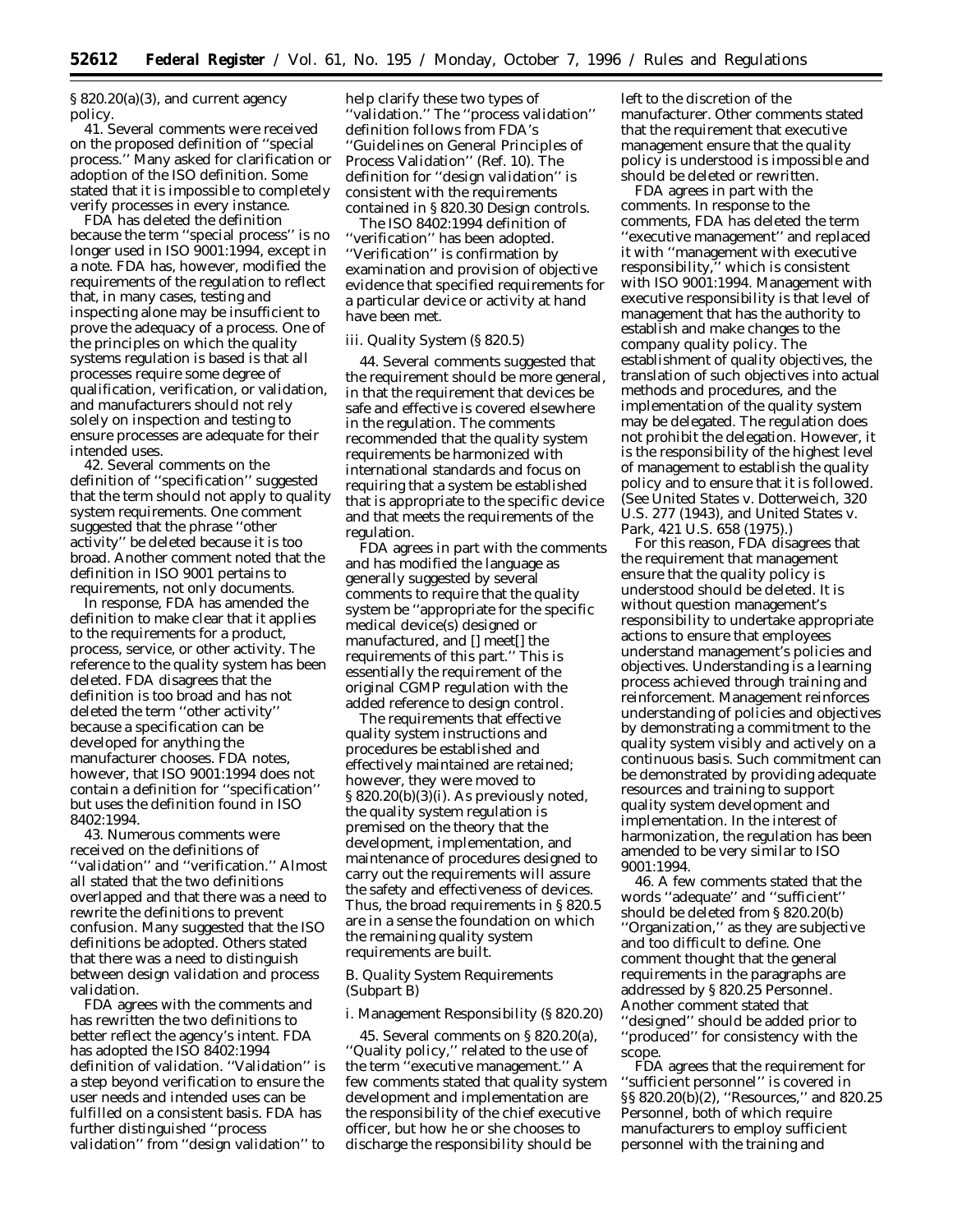§ 820.20(a)(3), and current agency policy.

41. Several comments were received on the proposed definition of ''special process.'' Many asked for clarification or adoption of the ISO definition. Some stated that it is impossible to completely verify processes in every instance.

FDA has deleted the definition because the term ''special process'' is no longer used in ISO 9001:1994, except in a note. FDA has, however, modified the requirements of the regulation to reflect that, in many cases, testing and inspecting alone may be insufficient to prove the adequacy of a process. One of the principles on which the quality systems regulation is based is that all processes require some degree of qualification, verification, or validation, and manufacturers should not rely solely on inspection and testing to ensure processes are adequate for their intended uses.

42. Several comments on the definition of ''specification'' suggested that the term should not apply to quality system requirements. One comment suggested that the phrase ''other activity'' be deleted because it is too broad. Another comment noted that the definition in ISO 9001 pertains to requirements, not only documents.

In response, FDA has amended the definition to make clear that it applies to the requirements for a product, process, service, or other activity. The reference to the quality system has been deleted. FDA disagrees that the definition is too broad and has not deleted the term ''other activity'' because a specification can be developed for anything the manufacturer chooses. FDA notes, however, that ISO 9001:1994 does not contain a definition for ''specification'' but uses the definition found in ISO 8402:1994.

43. Numerous comments were received on the definitions of ''validation'' and ''verification.'' Almost all stated that the two definitions overlapped and that there was a need to rewrite the definitions to prevent confusion. Many suggested that the ISO definitions be adopted. Others stated that there was a need to distinguish between design validation and process validation.

FDA agrees with the comments and has rewritten the two definitions to better reflect the agency's intent. FDA has adopted the ISO 8402:1994 definition of validation. ''Validation'' is a step beyond verification to ensure the user needs and intended uses can be fulfilled on a consistent basis. FDA has further distinguished ''process validation'' from ''design validation'' to

help clarify these two types of ''validation.'' The ''process validation'' definition follows from FDA's ''Guidelines on General Principles of Process Validation'' (Ref. 10). The definition for ''design validation'' is consistent with the requirements contained in § 820.30 *Design controls*.

The ISO 8402:1994 definition of ''verification'' has been adopted. ''Verification'' is confirmation by examination and provision of objective evidence that specified requirements for a particular device or activity at hand have been met.

## iii. Quality System (§ 820.5)

44. Several comments suggested that the requirement should be more general, in that the requirement that devices be safe and effective is covered elsewhere in the regulation. The comments recommended that the quality system requirements be harmonized with international standards and focus on requiring that a system be established that is appropriate to the specific device and that meets the requirements of the regulation.

FDA agrees in part with the comments and has modified the language as generally suggested by several comments to require that the quality system be ''appropriate for the specific medical device(s) designed or manufactured, and [] meet[] the requirements of this part.'' This is essentially the requirement of the original CGMP regulation with the added reference to design control.

The requirements that effective quality system instructions and procedures be established and effectively maintained are retained; however, they were moved to § 820.20(b)(3)(i). As previously noted, the quality system regulation is premised on the theory that the development, implementation, and maintenance of procedures designed to carry out the requirements will assure the safety and effectiveness of devices. Thus, the broad requirements in § 820.5 are in a sense the foundation on which the remaining quality system requirements are built.

## *B. Quality System Requirements (Subpart B)*

#### i. Management Responsibility (§ 820.20)

45. Several comments on § 820.20(a), ''Quality policy,'' related to the use of the term ''executive management.'' A few comments stated that quality system development and implementation are the responsibility of the chief executive officer, but how he or she chooses to discharge the responsibility should be

left to the discretion of the manufacturer. Other comments stated that the requirement that executive management ensure that the quality policy is understood is impossible and should be deleted or rewritten.

FDA agrees in part with the comments. In response to the comments, FDA has deleted the term ''executive management'' and replaced it with ''management with executive responsibility,'' which is consistent with ISO 9001:1994. Management with executive responsibility is that level of management that has the authority to establish and make changes to the company quality policy. The establishment of quality objectives, the translation of such objectives into actual methods and procedures, and the implementation of the quality system may be delegated. The regulation does not prohibit the delegation. However, it is the responsibility of the highest level of management to establish the quality policy and to ensure that it is followed. (See *United States* v. *Dotterweich,* 320 U.S. 277 (1943), and *United States* v. *Park,* 421 U.S. 658 (1975).)

For this reason, FDA disagrees that the requirement that management ensure that the quality policy is understood should be deleted. It is without question management's responsibility to undertake appropriate actions to ensure that employees understand management's policies and objectives. Understanding is a learning process achieved through training and reinforcement. Management reinforces understanding of policies and objectives by demonstrating a commitment to the quality system visibly and actively on a continuous basis. Such commitment can be demonstrated by providing adequate resources and training to support quality system development and implementation. In the interest of harmonization, the regulation has been amended to be very similar to ISO 9001:1994.

46. A few comments stated that the words ''adequate'' and ''sufficient'' should be deleted from § 820.20(b) ''Organization,'' as they are subjective and too difficult to define. One comment thought that the general requirements in the paragraphs are addressed by § 820.25 *Personnel.* Another comment stated that ''designed'' should be added prior to ''produced'' for consistency with the scope.

FDA agrees that the requirement for ''sufficient personnel'' is covered in §§ 820.20(b)(2), ''Resources,'' and 820.25 *Personnel,* both of which require manufacturers to employ sufficient personnel with the training and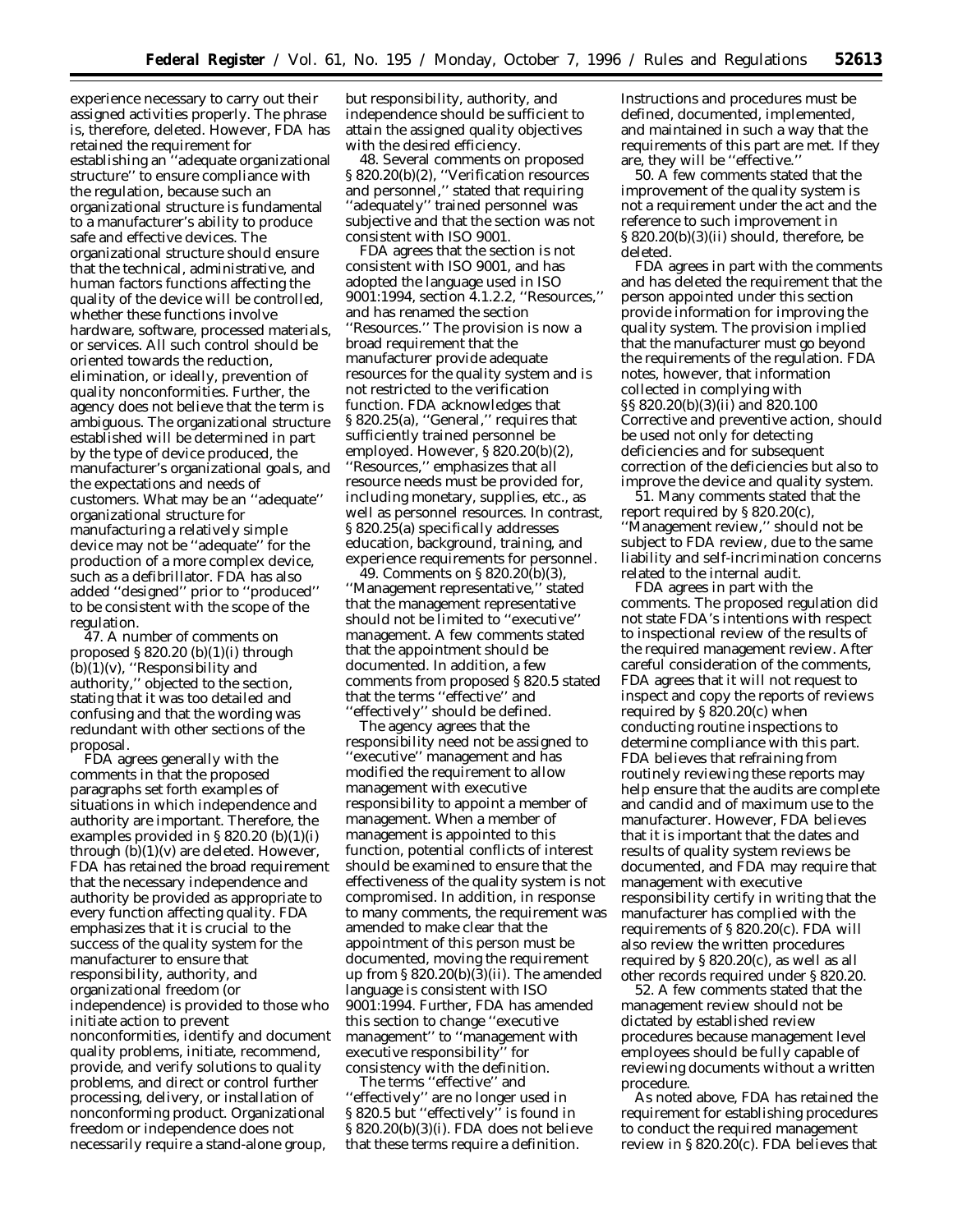experience necessary to carry out their assigned activities properly. The phrase is, therefore, deleted. However, FDA has retained the requirement for establishing an ''adequate organizational structure'' to ensure compliance with the regulation, because such an organizational structure is fundamental to a manufacturer's ability to produce safe and effective devices. The organizational structure should ensure that the technical, administrative, and human factors functions affecting the quality of the device will be controlled, whether these functions involve hardware, software, processed materials, or services. All such control should be oriented towards the reduction, elimination, or ideally, prevention of quality nonconformities. Further, the agency does not believe that the term is ambiguous. The organizational structure established will be determined in part by the type of device produced, the manufacturer's organizational goals, and the expectations and needs of customers. What may be an ''adequate'' organizational structure for manufacturing a relatively simple device may not be ''adequate'' for the production of a more complex device, such as a defibrillator. FDA has also added ''designed'' prior to ''produced'' to be consistent with the scope of the regulation.

47. A number of comments on proposed  $\S 820.20$  (b)(1)(i) through  $(b)(1)(v)$ , "Responsibility and authority,'' objected to the section, stating that it was too detailed and confusing and that the wording was redundant with other sections of the proposal.

FDA agrees generally with the comments in that the proposed paragraphs set forth examples of situations in which independence and authority are important. Therefore, the examples provided in  $\S 820.20$  (b)(1)(i) through  $(b)(1)(v)$  are deleted. However, FDA has retained the broad requirement that the necessary independence and authority be provided as appropriate to every function affecting quality. FDA emphasizes that it is crucial to the success of the quality system for the manufacturer to ensure that responsibility, authority, and organizational freedom (or independence) is provided to those who initiate action to prevent nonconformities, identify and document quality problems, initiate, recommend, provide, and verify solutions to quality problems, and direct or control further processing, delivery, or installation of nonconforming product. Organizational freedom or independence does not necessarily require a stand-alone group,

but responsibility, authority, and independence should be sufficient to attain the assigned quality objectives with the desired efficiency.

48. Several comments on proposed § 820.20(b)(2), "Verification resources and personnel,'' stated that requiring ''adequately'' trained personnel was subjective and that the section was not consistent with ISO 9001.

FDA agrees that the section is not consistent with ISO 9001, and has adopted the language used in ISO 9001:1994, section 4.1.2.2, ''Resources,'' and has renamed the section ''Resources.'' The provision is now a broad requirement that the manufacturer provide adequate resources for the quality system and is not restricted to the verification function. FDA acknowledges that § 820.25(a), ''General,'' requires that sufficiently trained personnel be employed. However, § 820.20(b)(2), ''Resources,'' emphasizes that *all* resource needs must be provided for, including monetary, supplies, etc., as well as personnel resources. In contrast, § 820.25(a) specifically addresses education, background, training, and experience requirements for personnel.

49. Comments on § 820.20(b)(3), ''Management representative,'' stated that the management representative should not be limited to ''executive'' management. A few comments stated that the appointment should be documented. In addition, a few comments from proposed § 820.5 stated that the terms ''effective'' and ''effectively'' should be defined.

The agency agrees that the responsibility need not be assigned to ''executive'' management and has modified the requirement to allow management with executive responsibility to appoint a member of management. When a member of management is appointed to this function, potential conflicts of interest should be examined to ensure that the effectiveness of the quality system is not compromised. In addition, in response to many comments, the requirement was amended to make clear that the appointment of this person must be documented, moving the requirement up from § 820.20(b)(3)(ii). The amended language is consistent with ISO 9001:1994. Further, FDA has amended this section to change ''executive management'' to ''management with executive responsibility'' for consistency with the definition.

The terms ''effective'' and ''effectively'' are no longer used in § 820.5 but "effectively" is found in § 820.20(b)(3)(i). FDA does not believe that these terms require a definition.

Instructions and procedures must be defined, documented, implemented, and maintained in such a way that the requirements of this part are met. If they are, they will be ''effective.''

50. A few comments stated that the improvement of the quality system is not a requirement under the act and the reference to such improvement in § 820.20(b)(3)(ii) should, therefore, be deleted.

FDA agrees in part with the comments and has deleted the requirement that the person appointed under this section provide information for improving the quality system. The provision implied that the manufacturer must go beyond the requirements of the regulation. FDA notes, however, that information collected in complying with §§ 820.20(b)(3)(ii) and 820.100 *Corrective and preventive action,* should be used not only for detecting deficiencies and for subsequent correction of the deficiencies but also to improve the device and quality system.

51. Many comments stated that the report required by § 820.20(c), ''Management review,'' should not be subject to FDA review, due to the same liability and self-incrimination concerns related to the internal audit.

FDA agrees in part with the comments. The proposed regulation did not state FDA's intentions with respect to inspectional review of the results of the required management review. After careful consideration of the comments, FDA agrees that it will not request to inspect and copy the reports of reviews required by § 820.20(c) when conducting routine inspections to determine compliance with this part. FDA believes that refraining from routinely reviewing these reports may help ensure that the audits are complete and candid and of maximum use to the manufacturer. However, FDA believes that it is important that the dates and results of quality system reviews be documented, and FDA may require that management with executive responsibility certify in writing that the manufacturer has complied with the requirements of § 820.20(c). FDA will also review the written procedures required by § 820.20(c), as well as all other records required under § 820.20.

52. A few comments stated that the management review should not be dictated by established review procedures because management level employees should be fully capable of reviewing documents without a written procedure.

As noted above, FDA has retained the requirement for establishing procedures to conduct the required management review in § 820.20(c). FDA believes that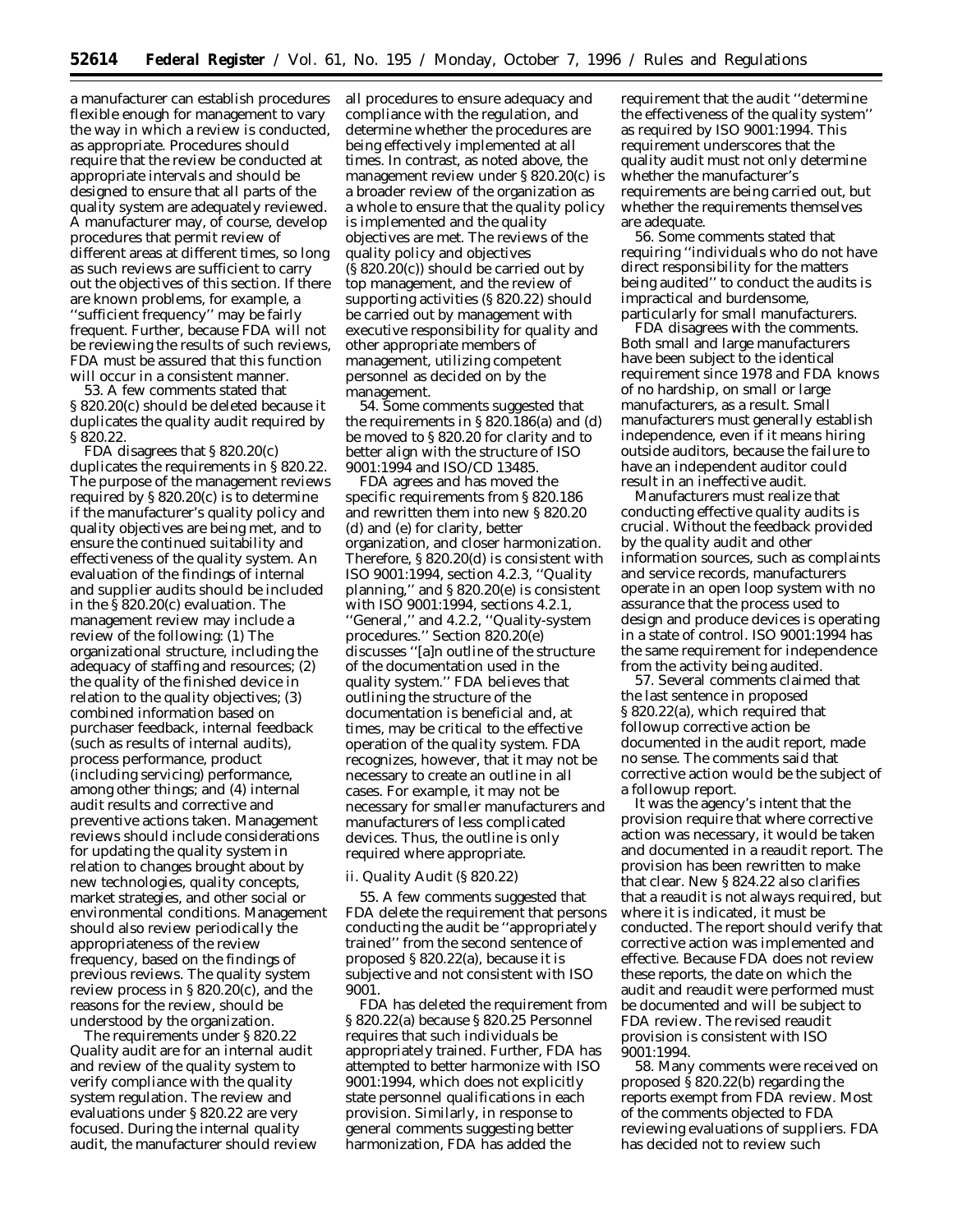a manufacturer can establish procedures flexible enough for management to vary the way in which a review is conducted, as appropriate. Procedures should require that the review be conducted at appropriate intervals and should be designed to ensure that all parts of the quality system are adequately reviewed. A manufacturer may, of course, develop procedures that permit review of different areas at different times, so long as such reviews are sufficient to carry out the objectives of this section. If there are known problems, for example, a ''sufficient frequency'' may be fairly frequent. Further, because FDA will not be reviewing the results of such reviews, FDA must be assured that this function will occur in a consistent manner.

53. A few comments stated that § 820.20(c) should be deleted because it duplicates the quality audit required by § 820.22.

FDA disagrees that § 820.20(c) duplicates the requirements in § 820.22. The purpose of the management reviews required by § 820.20(c) is to determine if the manufacturer's quality policy and quality objectives are being met, and to ensure the continued suitability and effectiveness of the quality system. An evaluation of the findings of internal and supplier audits should be included in the § 820.20(c) evaluation. The management review may include a review of the following: (1) The organizational structure, including the adequacy of staffing and resources; (2) the quality of the finished device in relation to the quality objectives; (3) combined information based on purchaser feedback, internal feedback (such as results of internal audits), process performance, product (including servicing) performance, among other things; and (4) internal audit results and corrective and preventive actions taken. Management reviews should include considerations for updating the quality system in relation to changes brought about by new technologies, quality concepts, market strategies, and other social or environmental conditions. Management should also review periodically the appropriateness of the review frequency, based on the findings of previous reviews. The quality system review process in § 820.20(c), and the reasons for the review, should be understood by the organization.

The requirements under § 820.22 *Quality audit* are for an internal audit and review of the quality system to verify compliance with the quality system regulation. The review and evaluations under § 820.22 are very focused. During the internal quality audit, the manufacturer should review all procedures to ensure adequacy and compliance with the regulation, and determine whether the procedures are being effectively implemented at all times. In contrast, as noted above, the management review under § 820.20(c) is a broader review of the organization as a whole to ensure that the quality policy is implemented and the quality objectives are met. The reviews of the quality policy and objectives  $(S 820.20(c))$  should be carried out by top management, and the review of supporting activities (§ 820.22) should be carried out by management with executive responsibility for quality and other appropriate members of management, utilizing competent personnel as decided on by the management.

54. Some comments suggested that the requirements in § 820.186(a) and (d) be moved to § 820.20 for clarity and to better align with the structure of ISO 9001:1994 and ISO/CD 13485.

FDA agrees and has moved the specific requirements from § 820.186 and rewritten them into new § 820.20 (d) and (e) for clarity, better organization, and closer harmonization. Therefore, § 820.20(d) is consistent with ISO 9001:1994, section 4.2.3, ''Quality planning,'' and § 820.20(e) is consistent with ISO 9001:1994, sections 4.2.1, ''General,'' and 4.2.2, ''Quality-system procedures.'' Section 820.20(e) discusses ''[a]n outline of the structure of the documentation used in the quality system.'' FDA believes that outlining the structure of the documentation is beneficial and, at times, may be critical to the effective operation of the quality system. FDA recognizes, however, that it may not be necessary to create an outline in all cases. For example, it may not be necessary for smaller manufacturers and manufacturers of less complicated devices. Thus, the outline is only required where appropriate.

## ii. Quality Audit (§ 820.22)

55. A few comments suggested that FDA delete the requirement that persons conducting the audit be ''appropriately trained'' from the second sentence of proposed § 820.22(a), because it is subjective and not consistent with ISO 9001.

FDA has deleted the requirement from § 820.22(a) because § 820.25 *Personnel* requires that such individuals be appropriately trained. Further, FDA has attempted to better harmonize with ISO 9001:1994, which does not explicitly state personnel qualifications in each provision. Similarly, in response to general comments suggesting better harmonization, FDA has added the

requirement that the audit ''determine the effectiveness of the quality system'' as required by ISO 9001:1994. This requirement underscores that the quality audit must not only determine whether the manufacturer's requirements are being carried out, but whether the requirements themselves are adequate.

56. Some comments stated that requiring ''individuals who do not have direct responsibility for the matters being audited'' to conduct the audits is impractical and burdensome, particularly for small manufacturers.

FDA disagrees with the comments. Both small and large manufacturers have been subject to the identical requirement since 1978 and FDA knows of no hardship, on small or large manufacturers, as a result. Small manufacturers must generally establish independence, even if it means hiring outside auditors, because the failure to have an independent auditor could result in an ineffective audit.

Manufacturers must realize that conducting effective quality audits is crucial. Without the feedback provided by the quality audit and other information sources, such as complaints and service records, manufacturers operate in an open loop system with no assurance that the process used to design and produce devices is operating in a state of control. ISO 9001:1994 has the same requirement for independence from the activity being audited.

57. Several comments claimed that the last sentence in proposed § 820.22(a), which required that followup corrective action be documented in the audit report, made no sense. The comments said that corrective action would be the subject of a followup report.

It was the agency's intent that the provision require that where corrective action was necessary, it would be taken and documented in a reaudit report. The provision has been rewritten to make that clear. New § 824.22 also clarifies that a reaudit is not always required, but where it is indicated, it must be conducted. The report should verify that corrective action was implemented and effective. Because FDA does not review these reports, the date on which the audit and reaudit were performed must be documented and will be subject to FDA review. The revised reaudit provision is consistent with ISO 9001:1994.

58. Many comments were received on proposed § 820.22(b) regarding the reports exempt from FDA review. Most of the comments objected to FDA reviewing evaluations of suppliers. FDA has decided not to review such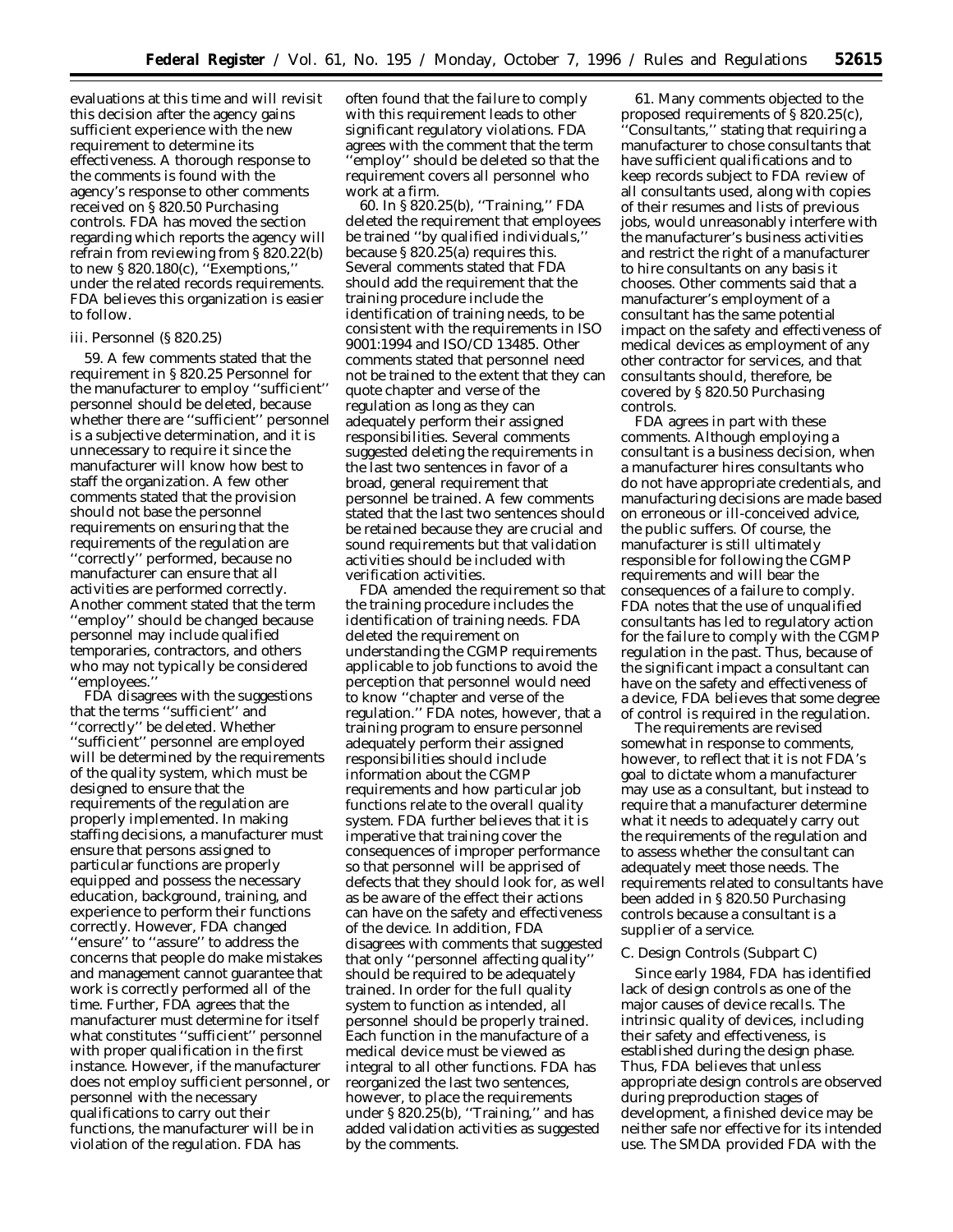evaluations at this time and will revisit this decision after the agency gains sufficient experience with the new requirement to determine its effectiveness. A thorough response to the comments is found with the agency's response to other comments received on § 820.50 *Purchasing controls.* FDA has moved the section regarding which reports the agency will refrain from reviewing from § 820.22(b) to new § 820.180(c), ''Exemptions,'' under the related records requirements. FDA believes this organization is easier to follow.

#### iii. Personnel (§ 820.25)

59. A few comments stated that the requirement in § 820.25 *Personnel* for the manufacturer to employ ''sufficient'' personnel should be deleted, because whether there are ''sufficient'' personnel is a subjective determination, and it is unnecessary to require it since the manufacturer will know how best to staff the organization. A few other comments stated that the provision should not base the personnel requirements on ensuring that the requirements of the regulation are ''correctly'' performed, because no manufacturer can ensure that all activities are performed correctly. Another comment stated that the term ''employ'' should be changed because personnel may include qualified temporaries, contractors, and others who may not typically be considered 'employees.'

FDA disagrees with the suggestions that the terms ''sufficient'' and ''correctly'' be deleted. Whether ''sufficient'' personnel are employed will be determined by the requirements of the quality system, which must be designed to ensure that the requirements of the regulation are properly implemented. In making staffing decisions, a manufacturer must ensure that persons assigned to particular functions are properly equipped and possess the necessary education, background, training, and experience to perform their functions correctly. However, FDA changed ''ensure'' to ''assure'' to address the concerns that people do make mistakes and management cannot guarantee that work is correctly performed all of the time. Further, FDA agrees that the manufacturer must determine for itself what constitutes ''sufficient'' personnel with proper qualification in the first instance. However, if the manufacturer does not employ sufficient personnel, or personnel with the necessary qualifications to carry out their functions, the manufacturer will be in violation of the regulation. FDA has

often found that the failure to comply with this requirement leads to other significant regulatory violations. FDA agrees with the comment that the term ''employ'' should be deleted so that the requirement covers all personnel who work at a firm.

60. In § 820.25(b), ''Training,'' FDA deleted the requirement that employees be trained ''by qualified individuals,'' because § 820.25(a) requires this. Several comments stated that FDA should add the requirement that the training procedure include the identification of training needs, to be consistent with the requirements in ISO 9001:1994 and ISO/CD 13485. Other comments stated that personnel need not be trained to the extent that they can quote chapter and verse of the regulation as long as they can adequately perform their assigned responsibilities. Several comments suggested deleting the requirements in the last two sentences in favor of a broad, general requirement that personnel be trained. A few comments stated that the last two sentences should be retained because they are crucial and sound requirements but that validation activities should be included with verification activities.

FDA amended the requirement so that the training procedure includes the identification of training needs. FDA deleted the requirement on understanding the CGMP requirements applicable to job functions to avoid the perception that personnel would need to know ''chapter and verse of the regulation.'' FDA notes, however, that a training program to ensure personnel adequately perform their assigned responsibilities should include information about the CGMP requirements and how particular job functions relate to the overall quality system. FDA further believes that it is imperative that training cover the consequences of improper performance so that personnel will be apprised of defects that they should look for, as well as be aware of the effect their actions can have on the safety and effectiveness of the device. In addition, FDA disagrees with comments that suggested that only ''personnel affecting quality'' should be required to be adequately trained. In order for the full quality system to function as intended, all personnel should be properly trained. Each function in the manufacture of a medical device must be viewed as integral to all other functions. FDA has reorganized the last two sentences, however, to place the requirements under § 820.25(b), ''Training,'' and has added validation activities as suggested by the comments.

61. Many comments objected to the proposed requirements of § 820.25(c), 'Consultants," stating that requiring a manufacturer to chose consultants that have sufficient qualifications and to keep records subject to FDA review of all consultants used, along with copies of their resumes and lists of previous jobs, would unreasonably interfere with the manufacturer's business activities and restrict the right of a manufacturer to hire consultants on any basis it chooses. Other comments said that a manufacturer's employment of a consultant has the same potential impact on the safety and effectiveness of medical devices as employment of any other contractor for services, and that consultants should, therefore, be covered by § 820.50 *Purchasing controls.*

FDA agrees in part with these comments. Although employing a consultant is a business decision, when a manufacturer hires consultants who do not have appropriate credentials, and manufacturing decisions are made based on erroneous or ill-conceived advice, the public suffers. Of course, the manufacturer is still ultimately responsible for following the CGMP requirements and will bear the consequences of a failure to comply. FDA notes that the use of unqualified consultants has led to regulatory action for the failure to comply with the CGMP regulation in the past. Thus, because of the significant impact a consultant can have on the safety and effectiveness of a device, FDA believes that some degree of control is required in the regulation.

The requirements are revised somewhat in response to comments, however, to reflect that it is not FDA's goal to dictate whom a manufacturer may use as a consultant, but instead to require that a manufacturer determine what it needs to adequately carry out the requirements of the regulation and to assess whether the consultant can adequately meet those needs. The requirements related to consultants have been added in § 820.50 *Purchasing controls* because a consultant is a supplier of a service.

#### *C. Design Controls (Subpart C)*

Since early 1984, FDA has identified lack of design controls as one of the major causes of device recalls. The intrinsic quality of devices, including their safety and effectiveness, is established during the design phase. Thus, FDA believes that unless appropriate design controls are observed during preproduction stages of development, a finished device may be neither safe nor effective for its intended use. The SMDA provided FDA with the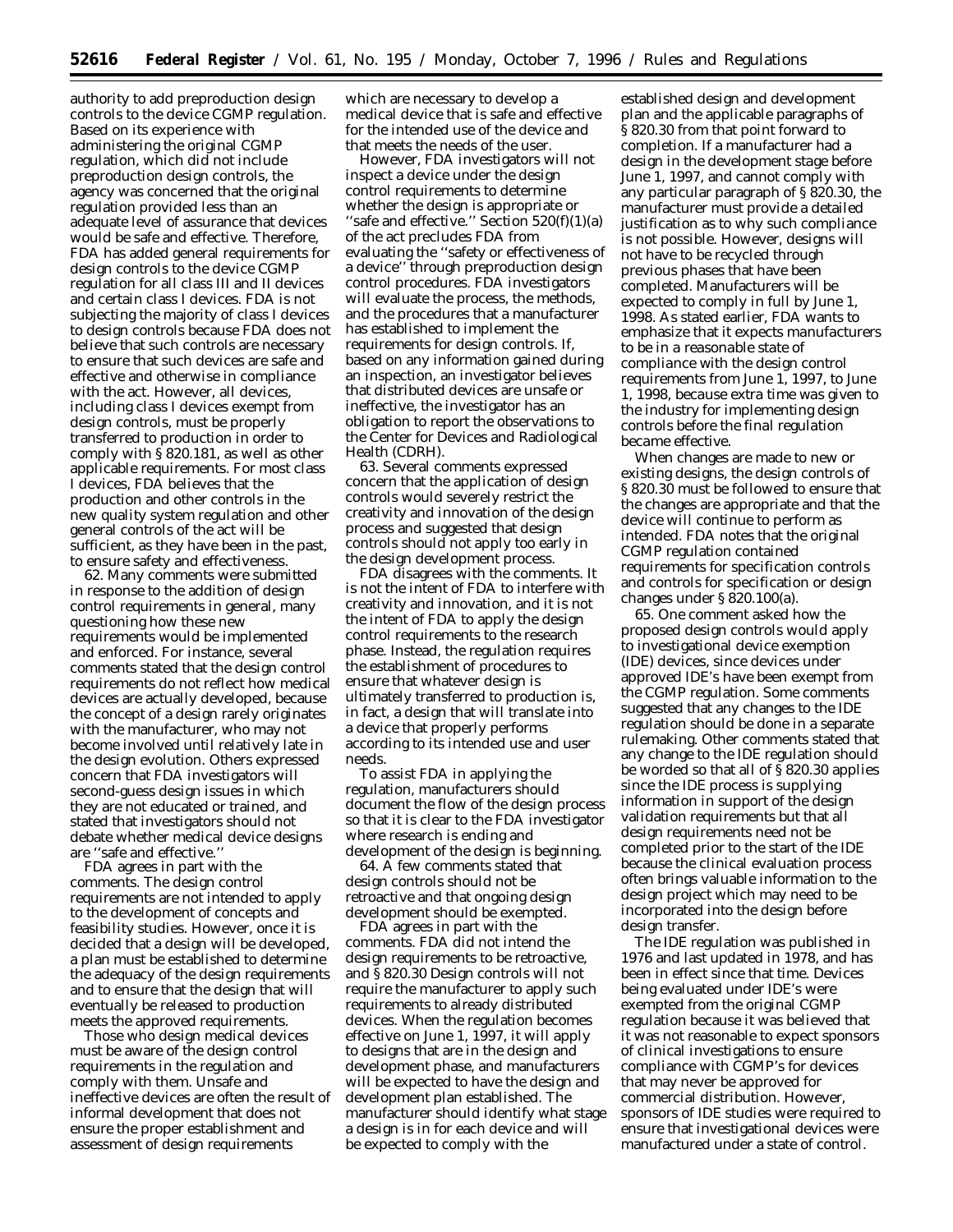authority to add preproduction design controls to the device CGMP regulation. Based on its experience with administering the original CGMP regulation, which did not include preproduction design controls, the agency was concerned that the original regulation provided less than an adequate level of assurance that devices would be safe and effective. Therefore, FDA has added general requirements for design controls to the device CGMP regulation for all class III and II devices and certain class I devices. FDA is not subjecting the majority of class I devices to design controls because FDA does not believe that such controls are necessary to ensure that such devices are safe and effective and otherwise in compliance with the act. However, all devices, including class I devices exempt from design controls, must be properly transferred to production in order to comply with § 820.181, as well as other applicable requirements. For most class I devices, FDA believes that the production and other controls in the new quality system regulation and other general controls of the act will be sufficient, as they have been in the past, to ensure safety and effectiveness.

62. Many comments were submitted in response to the addition of design control requirements in general, many questioning how these new requirements would be implemented and enforced. For instance, several comments stated that the design control requirements do not reflect how medical devices are actually developed, because the concept of a design rarely originates with the manufacturer, who may not become involved until relatively late in the design evolution. Others expressed concern that FDA investigators will second-guess design issues in which they are not educated or trained, and stated that investigators should not debate whether medical device designs are ''safe and effective.''

FDA agrees in part with the comments. The design control requirements are not intended to apply to the development of concepts and feasibility studies. However, once it is decided that a design will be developed, a plan must be established to determine the adequacy of the design requirements and to ensure that the design that will eventually be released to production meets the approved requirements.

Those who design medical devices must be aware of the design control requirements in the regulation and comply with them. Unsafe and ineffective devices are often the result of informal development that does not ensure the proper establishment and assessment of design requirements

which are necessary to develop a medical device that is safe and effective for the intended use of the device and that meets the needs of the user.

However, FDA investigators will not inspect a device under the design control requirements to determine whether the design is appropriate or 'safe and effective.'' Section  $520(f)(1)(a)$ of the act precludes FDA from evaluating the ''safety or effectiveness of a device'' through preproduction design control procedures. FDA investigators will evaluate the process, the methods, and the procedures that a manufacturer has established to implement the requirements for design controls. If, based on any information gained during an inspection, an investigator believes that distributed devices are unsafe or ineffective, the investigator has an obligation to report the observations to the Center for Devices and Radiological Health (CDRH).

63. Several comments expressed concern that the application of design controls would severely restrict the creativity and innovation of the design process and suggested that design controls should not apply too early in the design development process.

FDA disagrees with the comments. It is not the intent of FDA to interfere with creativity and innovation, and it is not the intent of FDA to apply the design control requirements to the research phase. Instead, the regulation requires the establishment of procedures to ensure that whatever design is ultimately transferred to production is, in fact, a design that will translate into a device that properly performs according to its intended use and user needs.

To assist FDA in applying the regulation, manufacturers should document the flow of the design process so that it is clear to the FDA investigator where research is ending and development of the design is beginning.

64. A few comments stated that design controls should not be retroactive and that ongoing design development should be exempted.

FDA agrees in part with the comments. FDA did not intend the design requirements to be retroactive, and § 820.30 *Design controls* will not require the manufacturer to apply such requirements to already distributed devices. When the regulation becomes effective on June 1, 1997, it will apply to designs that are in the design and development phase, and manufacturers will be expected to have the design and development plan established. The manufacturer should identify what stage a design is in for each device and will be expected to comply with the

established design and development plan and the applicable paragraphs of § 820.30 from that point forward to completion. If a manufacturer had a design in the *development stage* before June 1, 1997, and cannot comply with any particular paragraph of § 820.30, the manufacturer must provide a detailed justification as to why such compliance is not possible. However, designs will not have to be recycled through previous phases that have been completed. Manufacturers will be expected to comply in full by June 1, 1998. As stated earlier, FDA wants to emphasize that *it expects manufacturers to be in a reasonable state of compliance with the design control requirements from June 1, 1997, to June 1, 1998, because extra time was given to the industry for implementing design controls before the final regulation became effective.*

When changes are made to new or existing designs, the design controls of § 820.30 must be followed to ensure that the changes are appropriate and that the device will continue to perform as intended. FDA notes that the original CGMP regulation contained requirements for specification controls and controls for specification or design changes under § 820.100(a).

65. One comment asked how the proposed design controls would apply to investigational device exemption (IDE) devices, since devices under approved IDE's have been exempt from the CGMP regulation. Some comments suggested that any changes to the IDE regulation should be done in a separate rulemaking. Other comments stated that any change to the IDE regulation should be worded so that all of § 820.30 applies since the IDE process is supplying information in support of the design validation requirements but that all design requirements need not be completed prior to the start of the IDE because the clinical evaluation process often brings valuable information to the design project which may need to be incorporated into the design before design transfer.

The IDE regulation was published in 1976 and last updated in 1978, and has been in effect since that time. Devices being evaluated under IDE's were exempted from the original CGMP regulation because it was believed that it was not reasonable to expect sponsors of clinical investigations to ensure compliance with CGMP's for devices that may never be approved for commercial distribution. However, sponsors of IDE studies were required to ensure that investigational devices were manufactured under a state of control.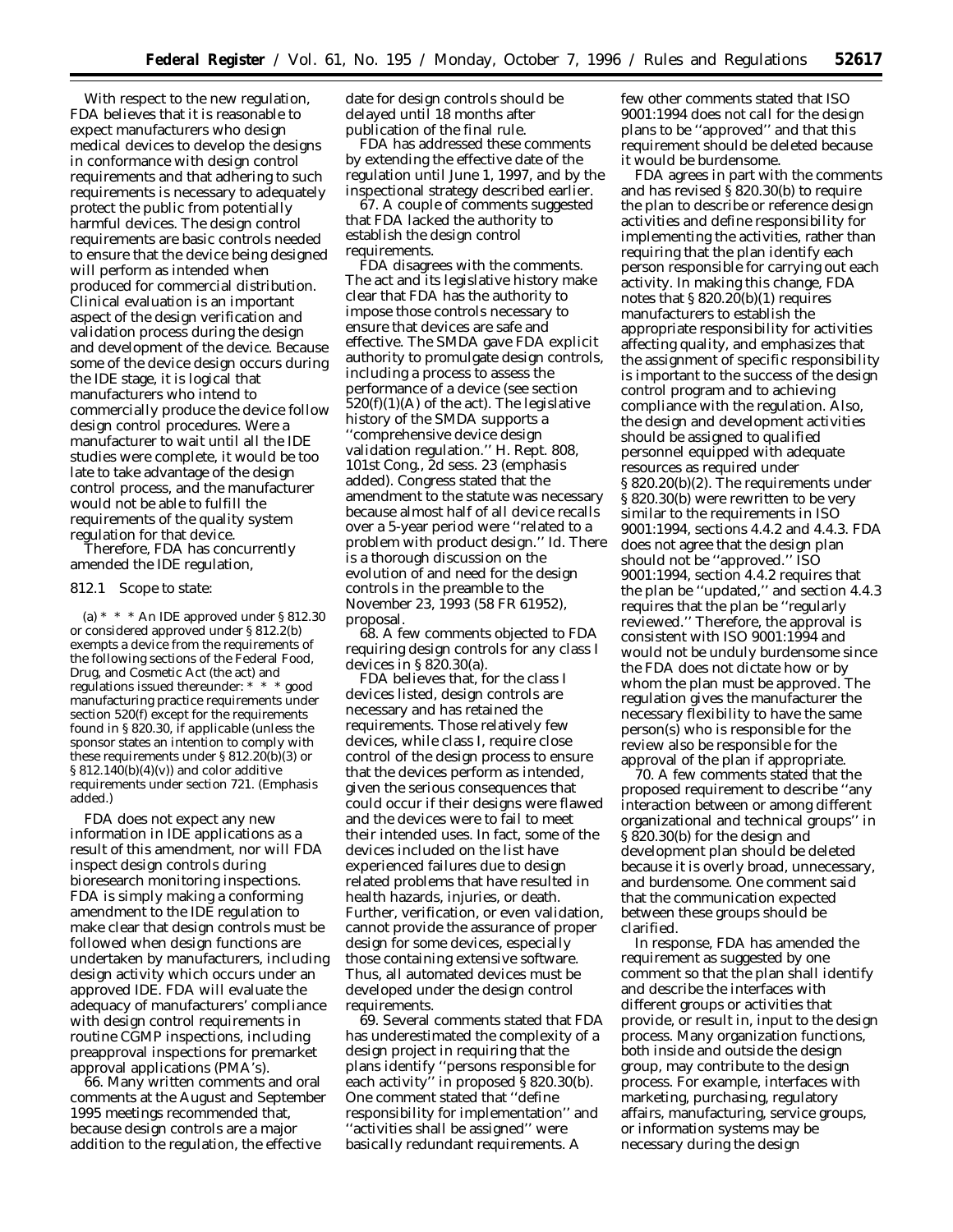With respect to the new regulation, FDA believes that it is reasonable to expect manufacturers who design medical devices to develop the designs in conformance with design control requirements and that adhering to such requirements is necessary to adequately protect the public from potentially harmful devices. The design control requirements are basic controls needed to ensure that the device being designed will perform as intended when produced for commercial distribution. Clinical evaluation is an important aspect of the design verification and validation process during the design and development of the device. Because some of the device design occurs during the IDE stage, it is logical that manufacturers who intend to commercially produce the device follow design control procedures. Were a manufacturer to wait until all the IDE studies were complete, it would be too late to take advantage of the design control process, and the manufacturer would not be able to fulfill the requirements of the quality system regulation for that device.

Therefore, FDA has concurrently amended the IDE regulation,

#### *812.1 Scope to state:*

(a)  $* * * An IDE approved under $812.30$ or considered approved under § 812.2(b) exempts a device from the requirements of the following sections of the Federal Food, Drug, and Cosmetic Act (the act) and regulations issued thereunder: \* \* \* good manufacturing practice requirements under section 520(f) *except for the requirements found in § 820.30, if applicable* (unless the sponsor states an intention to comply with these requirements under § 812.20(b)(3) or  $§ 812.140(b)(4)(v)$  and color additive requirements under section 721. (Emphasis added.)

FDA does not expect any new information in IDE applications as a result of this amendment, nor will FDA inspect design controls during bioresearch monitoring inspections. FDA is simply making a conforming amendment to the IDE regulation to make clear that design controls must be followed when design functions are undertaken by manufacturers, including design activity which occurs under an approved IDE. FDA will evaluate the adequacy of manufacturers' compliance with design control requirements in routine CGMP inspections, including preapproval inspections for premarket approval applications (PMA's).

66. Many written comments and oral comments at the August and September 1995 meetings recommended that, because design controls are a major addition to the regulation, the effective

date for design controls should be delayed until 18 months after publication of the final rule.

FDA has addressed these comments by extending the effective date of the regulation until June 1, 1997, and by the inspectional strategy described earlier.

67. A couple of comments suggested that FDA lacked the authority to establish the design control requirements.

FDA disagrees with the comments. The act and its legislative history make clear that FDA has the authority to impose those controls necessary to ensure that devices are safe and effective. The SMDA gave FDA explicit authority to promulgate design controls, including a process to assess the performance of a device (see section 520(f)(1)(A) of the act). The legislative history of the SMDA supports a ''*comprehensive* device design validation regulation.'' H. Rept. 808, 101st Cong., 2d sess. 23 (emphasis added). Congress stated that the amendment to the statute was necessary because almost half of all device recalls over a 5-year period were ''related to a problem with product design.'' Id. There is a thorough discussion on the evolution of and need for the design controls in the preamble to the November 23, 1993 (58 FR 61952), proposal.

68. A few comments objected to FDA requiring design controls for any class I devices in § 820.30(a).

FDA believes that, for the class I devices listed, design controls are necessary and has retained the requirements. Those relatively few devices, while class I, require close control of the design process to ensure that the devices perform as intended, given the serious consequences that could occur if their designs were flawed and the devices were to fail to meet their intended uses. In fact, some of the devices included on the list have experienced failures due to design related problems that have resulted in health hazards, injuries, or death. Further, verification, or even validation, cannot provide the assurance of proper design for some devices, especially those containing extensive software. Thus, all automated devices must be developed under the design control requirements.

69. Several comments stated that FDA has underestimated the complexity of a design project in requiring that the plans identify ''persons responsible for each activity'' in proposed § 820.30(b). One comment stated that ''define responsibility for implementation'' and ''activities shall be assigned'' were basically redundant requirements. A

few other comments stated that ISO 9001:1994 does not call for the design plans to be ''approved'' and that this requirement should be deleted because it would be burdensome.

FDA agrees in part with the comments and has revised § 820.30(b) to require the plan to describe or reference design activities and define responsibility for implementing the activities, rather than requiring that the plan identify each person responsible for carrying out each activity. In making this change, FDA notes that  $\S 820.20(b)(1)$  requires manufacturers to establish the appropriate responsibility for activities affecting quality, and emphasizes that the assignment of specific responsibility is important to the success of the design control program and to achieving compliance with the regulation. Also, the design and development activities should be assigned to qualified personnel equipped with adequate resources as required under § 820.20(b)(2). The requirements under § 820.30(b) were rewritten to be very similar to the requirements in ISO 9001:1994, sections 4.4.2 and 4.4.3. FDA does not agree that the design plan should not be ''approved.'' ISO 9001:1994, section 4.4.2 requires that the plan be ''updated,'' and section 4.4.3 requires that the plan be ''regularly reviewed.'' Therefore, the approval is consistent with ISO 9001:1994 and would not be unduly burdensome since the FDA does not dictate how or by whom the plan must be approved. The regulation gives the manufacturer the necessary flexibility to have the same person(s) who is responsible for the review also be responsible for the approval of the plan if appropriate.

70. A few comments stated that the proposed requirement to describe ''any interaction between or among different organizational and technical groups'' in § 820.30(b) for the design and development plan should be deleted because it is overly broad, unnecessary, and burdensome. One comment said that the communication expected between these groups should be clarified.

In response, FDA has amended the requirement as suggested by one comment so that the plan shall identify and describe the interfaces with different groups or activities that provide, or result in, input to the design process. Many organization functions, both inside and outside the design group, may contribute to the design process. For example, interfaces with marketing, purchasing, regulatory affairs, manufacturing, service groups, or information systems may be necessary during the design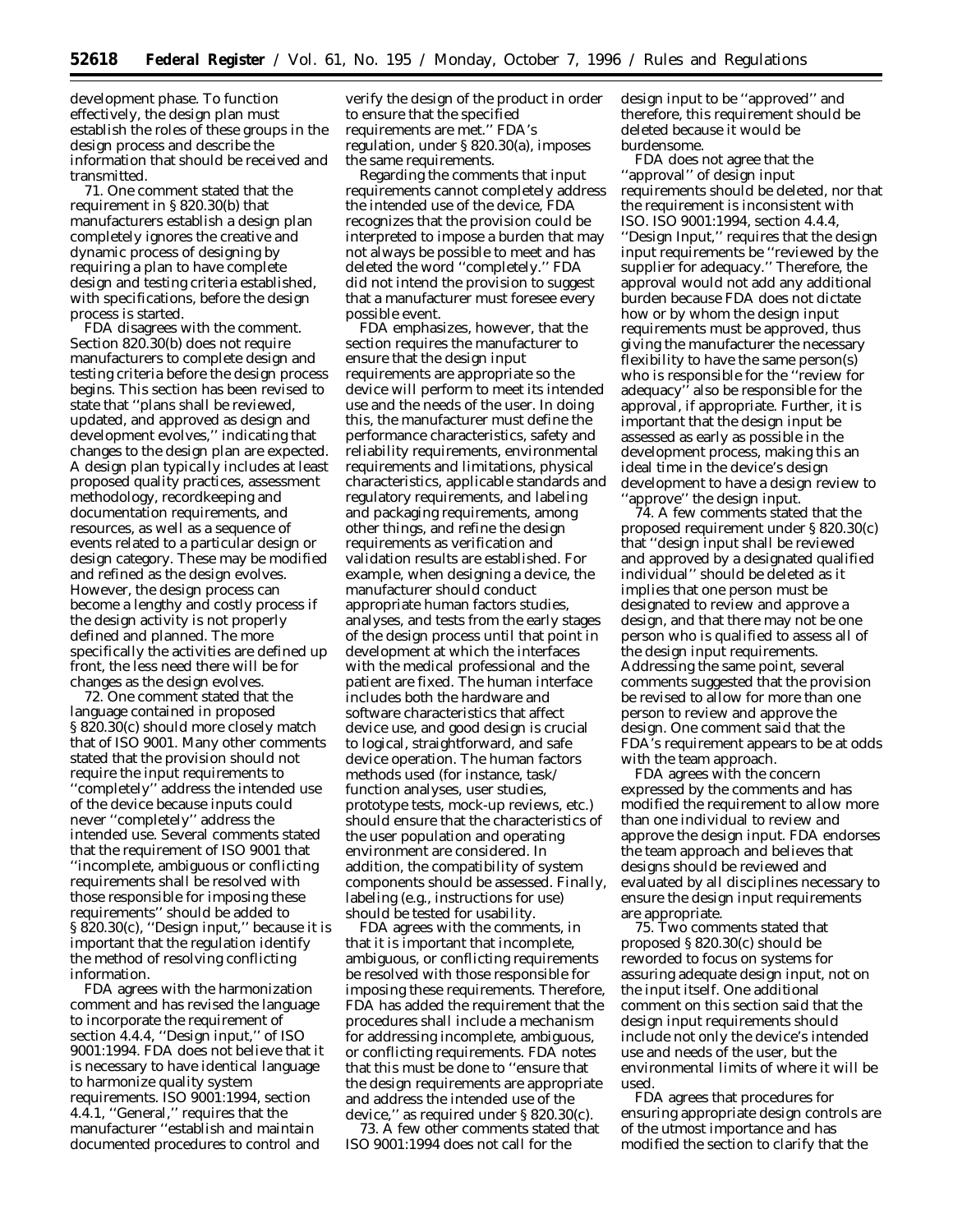development phase. To function effectively, the design plan must establish the roles of these groups in the design process and describe the information that should be received and transmitted.

71. One comment stated that the requirement in § 820.30(b) that manufacturers establish a design plan completely ignores the creative and dynamic process of designing by requiring a plan to have complete design and testing criteria established, with specifications, before the design process is started.

FDA disagrees with the comment. Section 820.30(b) does not require manufacturers to complete design and testing criteria before the design process begins. This section has been revised to state that ''plans shall be reviewed, updated, and approved as design and development evolves,'' indicating that changes to the design plan are expected. A design plan typically includes at least proposed quality practices, assessment methodology, recordkeeping and documentation requirements, and resources, as well as a sequence of events related to a particular design or design category. These may be modified and refined as the design evolves. However, the design process can become a lengthy and costly process if the design activity is not properly defined and planned. The more specifically the activities are defined up front, the less need there will be for changes as the design evolves.

72. One comment stated that the language contained in proposed § 820.30(c) should more closely match that of ISO 9001. Many other comments stated that the provision should not require the input requirements to ''completely'' address the intended use of the device because inputs could never ''completely'' address the intended use. Several comments stated that the requirement of ISO 9001 that ''incomplete, ambiguous or conflicting requirements shall be resolved with those responsible for imposing these requirements'' should be added to § 820.30(c), ''Design input,'' because it is important that the regulation identify the method of resolving conflicting information.

FDA agrees with the harmonization comment and has revised the language to incorporate the requirement of section 4.4.4, ''Design input,'' of ISO 9001:1994. FDA does not believe that it is necessary to have identical language to harmonize quality system requirements. ISO 9001:1994, section 4.4.1, ''General,'' requires that the manufacturer ''establish and maintain documented procedures to control and

verify the design of the product in order to ensure that the specified requirements are met.'' FDA's regulation, under § 820.30(a), imposes the same requirements.

Regarding the comments that input requirements cannot completely address the intended use of the device, FDA recognizes that the provision could be interpreted to impose a burden that may not always be possible to meet and has deleted the word ''completely.'' FDA did not intend the provision to suggest that a manufacturer must foresee every possible event.

FDA emphasizes, however, that the section requires the manufacturer to ensure that the design input requirements are appropriate so the device will perform to meet its intended use and the needs of the user. In doing this, the manufacturer must define the performance characteristics, safety and reliability requirements, environmental requirements and limitations, physical characteristics, applicable standards and regulatory requirements, and labeling and packaging requirements, among other things, and refine the design requirements as verification and validation results are established. For example, when designing a device, the manufacturer should conduct appropriate human factors studies, analyses, and tests from the early stages of the design process until that point in development at which the interfaces with the medical professional and the patient are fixed. The human interface includes both the hardware and software characteristics that affect device use, and good design is crucial to logical, straightforward, and safe device operation. The human factors methods used (for instance, task/ function analyses, user studies, prototype tests, mock-up reviews, etc.) should ensure that the characteristics of the user population and operating environment are considered. In addition, the compatibility of system components should be assessed. Finally, labeling (e.g., instructions for use) should be tested for usability.

FDA agrees with the comments, in that it is important that incomplete, ambiguous, or conflicting requirements be resolved with those responsible for imposing these requirements. Therefore, FDA has added the requirement that the procedures shall include a mechanism for addressing incomplete, ambiguous, or conflicting requirements. FDA notes that this must be done to ''ensure that the design requirements are appropriate and address the intended use of the device,'' as required under § 820.30(c).

73. A few other comments stated that ISO 9001:1994 does not call for the

design input to be ''approved'' and therefore, this requirement should be deleted because it would be burdensome.

FDA does not agree that the ''approval'' of design input requirements should be deleted, nor that the requirement is inconsistent with ISO. ISO 9001:1994, section 4.4.4, ''Design Input,'' requires that the design input requirements be ''reviewed by the supplier for adequacy.'' Therefore, the approval would not add any additional burden because FDA does not dictate how or by whom the design input requirements must be approved, thus giving the manufacturer the necessary flexibility to have the same person(s) who is responsible for the ''review for adequacy'' also be responsible for the approval, if appropriate. Further, it is important that the design input be assessed as early as possible in the development process, making this an ideal time in the device's design development to have a design review to ''approve'' the design input.

74. A few comments stated that the proposed requirement under § 820.30(c) that ''design input shall be reviewed and approved by a designated qualified individual'' should be deleted as it implies that one person must be designated to review and approve a design, and that there may not be one person who is qualified to assess all of the design input requirements. Addressing the same point, several comments suggested that the provision be revised to allow for more than one person to review and approve the design. One comment said that the FDA's requirement appears to be at odds with the team approach.

FDA agrees with the concern expressed by the comments and has modified the requirement to allow more than one individual to review and approve the design input. FDA endorses the team approach and believes that designs should be reviewed and evaluated by all disciplines necessary to ensure the design input requirements are appropriate.

75. Two comments stated that proposed § 820.30(c) should be reworded to focus on systems for assuring adequate design input, not on the input itself. One additional comment on this section said that the design input requirements should include not only the device's intended use and needs of the user, but the environmental limits of where it will be used.

FDA agrees that procedures for ensuring appropriate design controls are of the utmost importance and has modified the section to clarify that the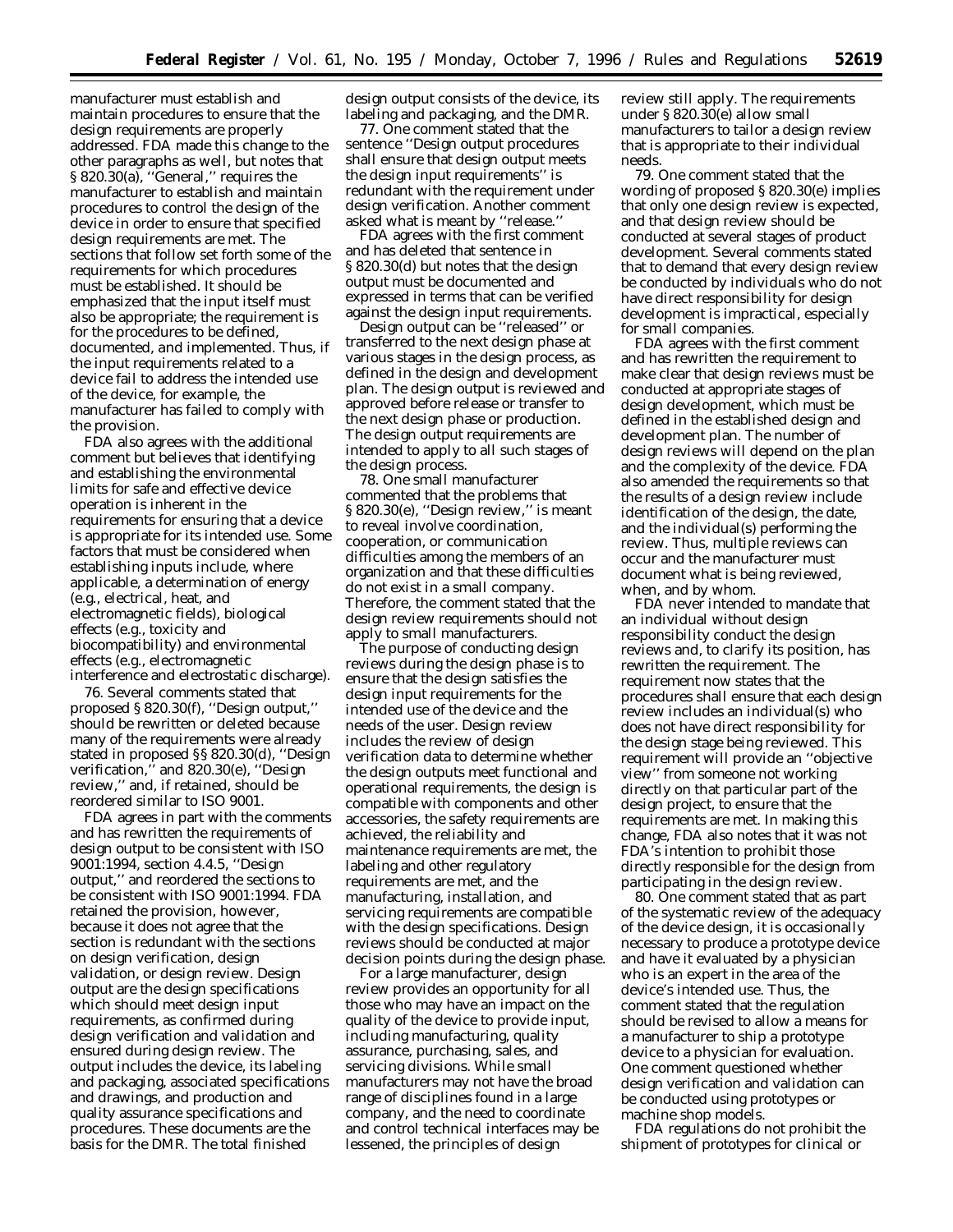manufacturer must establish and maintain procedures to ensure that the design requirements are properly addressed. FDA made this change to the other paragraphs as well, but notes that § 820.30(a), "General," requires the manufacturer to establish and maintain procedures to control the design of the device in order to ensure that specified design requirements are met. The sections that follow set forth some of the requirements for which procedures must be established. It should be emphasized that the input itself must also be appropriate; the requirement is for the procedures to be defined, documented, *and implemented.* Thus, if the input requirements related to a device fail to address the intended use of the device, for example, the manufacturer has failed to comply with the provision.

FDA also agrees with the additional comment but believes that identifying and establishing the environmental limits for safe and effective device operation is inherent in the requirements for ensuring that a device is appropriate for its intended use. Some factors that must be considered when establishing inputs include, where applicable, a determination of energy (e.g., electrical, heat, and electromagnetic fields), biological effects (e.g., toxicity and biocompatibility) and environmental effects (e.g., electromagnetic interference and electrostatic discharge).

76. Several comments stated that proposed § 820.30(f), ''Design output,'' should be rewritten or deleted because many of the requirements were already stated in proposed §§ 820.30(d), ''Design verification,'' and 820.30(e), ''Design review,'' and, if retained, should be reordered similar to ISO 9001.

FDA agrees in part with the comments and has rewritten the requirements of design output to be consistent with ISO 9001:1994, section 4.4.5, ''Design output,'' and reordered the sections to be consistent with ISO 9001:1994. FDA retained the provision, however, because it does not agree that the section is redundant with the sections on design verification, design validation, or design review. Design output are the design specifications which should meet design input requirements, as confirmed during design verification and validation and ensured during design review. The output includes the device, its labeling and packaging, associated specifications and drawings, and production and quality assurance specifications and procedures. These documents are the basis for the DMR. The total finished

design output consists of the device, its labeling and packaging, and the DMR.

77. One comment stated that the sentence ''Design output procedures shall ensure that design output meets the design input requirements'' is redundant with the requirement under design verification. Another comment asked what is meant by ''release.''

FDA agrees with the first comment and has deleted that sentence in § 820.30(d) but notes that the design output must be documented and expressed *in terms that can be verified* against the design input requirements.

Design output can be ''released'' or transferred to the next design phase at various stages in the design process, as defined in the design and development plan. The design output is reviewed and approved before release or transfer to the next design phase or production. The design output requirements are intended to apply to all such stages of the design process.

78. One small manufacturer commented that the problems that § 820.30(e), ''Design review,'' is meant to reveal involve coordination, cooperation, or communication difficulties among the members of an organization and that these difficulties do not exist in a small company. Therefore, the comment stated that the design review requirements should not apply to small manufacturers.

The purpose of conducting design reviews during the design phase is to ensure that the design satisfies the design input requirements for the intended use of the device and the needs of the user. Design review includes the review of design verification data to determine whether the design outputs meet functional and operational requirements, the design is compatible with components and other accessories, the safety requirements are achieved, the reliability and maintenance requirements are met, the labeling and other regulatory requirements are met, and the manufacturing, installation, and servicing requirements are compatible with the design specifications. Design reviews should be conducted at major decision points during the design phase.

For a large manufacturer, design review provides an opportunity for all those who may have an impact on the quality of the device to provide input, including manufacturing, quality assurance, purchasing, sales, and servicing divisions. While small manufacturers may not have the broad range of disciplines found in a large company, and the need to coordinate and control technical interfaces may be lessened, the principles of design

review still apply. The requirements under § 820.30(e) allow small manufacturers to tailor a design review that is appropriate to their individual needs.

79. One comment stated that the wording of proposed § 820.30(e) implies that only one design review is expected, and that design review should be conducted at several stages of product development. Several comments stated that to demand that every design review be conducted by individuals who do not have direct responsibility for design development is impractical, especially for small companies.

FDA agrees with the first comment and has rewritten the requirement to make clear that design reviews must be conducted at appropriate stages of design development, which must be defined in the established design and development plan. The number of design reviews will depend on the plan and the complexity of the device. FDA also amended the requirements so that the results of a design review include identification of the design, the date, and the individual(s) performing the review. Thus, multiple reviews can occur and the manufacturer must document what is being reviewed, when, and by whom.

FDA never intended to mandate that an individual without design responsibility conduct the design reviews and, to clarify its position, has rewritten the requirement. The requirement now states that the procedures shall ensure that each design review includes an individual(s) who does not have direct responsibility for the design stage being reviewed. This requirement will provide an ''objective view'' from someone not working directly on that particular part of the design project, to ensure that the requirements are met. In making this change, FDA also notes that it was not FDA's intention to prohibit those directly responsible for the design from *participating* in the design review.

80. One comment stated that as part of the systematic review of the adequacy of the device design, it is occasionally necessary to produce a prototype device and have it evaluated by a physician who is an expert in the area of the device's intended use. Thus, the comment stated that the regulation should be revised to allow a means for a manufacturer to ship a prototype device to a physician for evaluation. One comment questioned whether design verification and validation can be conducted using prototypes or machine shop models.

FDA regulations do not prohibit the shipment of prototypes for clinical or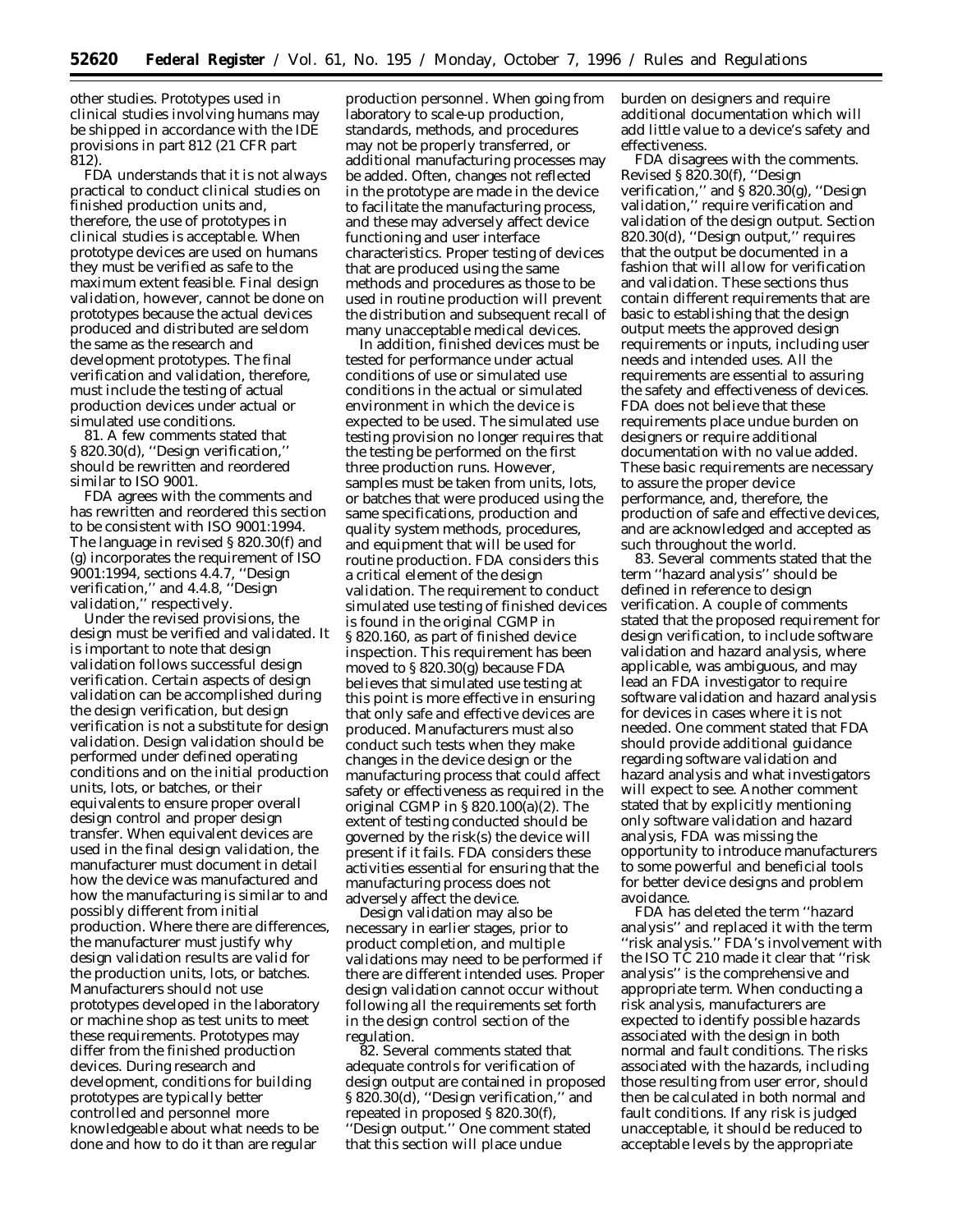other studies. Prototypes used in clinical studies involving humans may be shipped in accordance with the IDE provisions in part 812 (21 CFR part 812).

FDA understands that it is not always practical to conduct clinical studies on finished production units and, therefore, the use of prototypes in clinical studies is acceptable. When prototype devices are used on humans they must be verified as safe to the maximum extent feasible. Final design validation, however, cannot be done on prototypes because the actual devices produced and distributed are seldom the same as the research and development prototypes. The final verification and validation, therefore, must include the testing of actual production devices under actual or simulated use conditions.

81. A few comments stated that § 820.30(d), ''Design verification,'' should be rewritten and reordered similar to ISO 9001.

FDA agrees with the comments and has rewritten and reordered this section to be consistent with ISO 9001:1994. The language in revised § 820.30(f) and (g) incorporates the requirement of ISO 9001:1994, sections 4.4.7, ''Design verification,'' and 4.4.8, ''Design validation,'' respectively.

Under the revised provisions, the design must be verified and validated. It is important to note that design validation follows successful design verification. Certain aspects of design validation can be accomplished during the design verification, but design verification is not a substitute for design validation. Design validation should be performed under defined operating conditions and on the initial production units, lots, or batches, or their equivalents to ensure proper overall design control and proper design transfer. When equivalent devices are used in the final design validation, the manufacturer must document in detail how the device was manufactured and how the manufacturing is similar to and possibly different from initial production. Where there are differences, the manufacturer must justify why design validation results are valid for the production units, lots, or batches. Manufacturers should not use prototypes developed in the laboratory or machine shop as test units to meet these requirements. Prototypes may differ from the finished production devices. During research and development, conditions for building prototypes are typically better controlled and personnel more knowledgeable about what needs to be done and how to do it than are regular

production personnel. When going from laboratory to scale-up production, standards, methods, and procedures may not be properly transferred, or additional manufacturing processes may be added. Often, changes not reflected in the prototype are made in the device to facilitate the manufacturing process, and these may adversely affect device functioning and user interface characteristics. Proper testing of devices that are produced using the same methods and procedures as those to be used in routine production will prevent the distribution and subsequent recall of many unacceptable medical devices.

In addition, finished devices must be tested for performance under actual conditions of use or simulated use conditions in the actual or simulated environment in which the device is expected to be used. The simulated use testing provision no longer requires that the testing be performed on the *first three* production runs. However, samples must be taken from units, lots, or batches that were produced using the same specifications, production and quality system methods, procedures, and equipment that will be used for routine production. FDA considers this a critical element of the design validation. The requirement to conduct simulated use testing of finished devices is found in the original CGMP in § 820.160, as part of finished device inspection. This requirement has been moved to § 820.30(g) because FDA believes that simulated use testing at this point is more effective in ensuring that only safe and effective devices are produced. Manufacturers must also conduct such tests when they make changes in the device design or the manufacturing process that could affect safety or effectiveness as required in the original CGMP in § 820.100(a)(2). The extent of testing conducted should be governed by the risk(s) the device will present if it fails. FDA considers these activities essential for ensuring that the manufacturing process does not adversely affect the device.

Design validation may also be necessary in earlier stages, prior to product completion, and multiple validations may need to be performed if there are different intended uses. Proper design validation cannot occur without following all the requirements set forth in the design control section of the regulation.

82. Several comments stated that adequate controls for verification of design output are contained in proposed § 820.30(d), "Design verification," and repeated in proposed § 820.30(f), ''Design output.'' One comment stated that this section will place undue

burden on designers and require additional documentation which will add little value to a device's safety and effectiveness.

FDA disagrees with the comments. Revised § 820.30(f), ''Design verification,'' and § 820.30(g), ''Design validation,'' require verification and validation of the design output. Section 820.30(d), ''Design output,'' requires that the output be documented in a fashion that will allow for verification and validation. These sections thus contain different requirements that are basic to establishing that the design output meets the approved design requirements or inputs, including user needs and intended uses. All the requirements are essential to assuring the safety and effectiveness of devices. FDA does not believe that these requirements place undue burden on designers or require additional documentation with no value added. These basic requirements are necessary to assure the proper device performance, and, therefore, the production of safe and effective devices, and are acknowledged and accepted as such throughout the world.

83. Several comments stated that the term ''hazard analysis'' should be defined in reference to design verification. A couple of comments stated that the proposed requirement for design verification, to include software validation and hazard analysis, where applicable, was ambiguous, and may lead an FDA investigator to require software validation and hazard analysis for devices in cases where it is not needed. One comment stated that FDA should provide additional guidance regarding software validation and hazard analysis and what investigators will expect to see. Another comment stated that by explicitly mentioning only software validation and hazard analysis, FDA was missing the opportunity to introduce manufacturers to some powerful and beneficial tools for better device designs and problem avoidance.

FDA has deleted the term ''hazard analysis'' and replaced it with the term ''risk analysis.'' FDA's involvement with the ISO TC 210 made it clear that ''risk analysis'' is the comprehensive and appropriate term. When conducting a risk analysis, manufacturers are expected to identify possible hazards associated with the design in both normal and fault conditions. The risks associated with the hazards, including those resulting from user error, should then be calculated in both normal and fault conditions. If any risk is judged unacceptable, it should be reduced to acceptable levels by the appropriate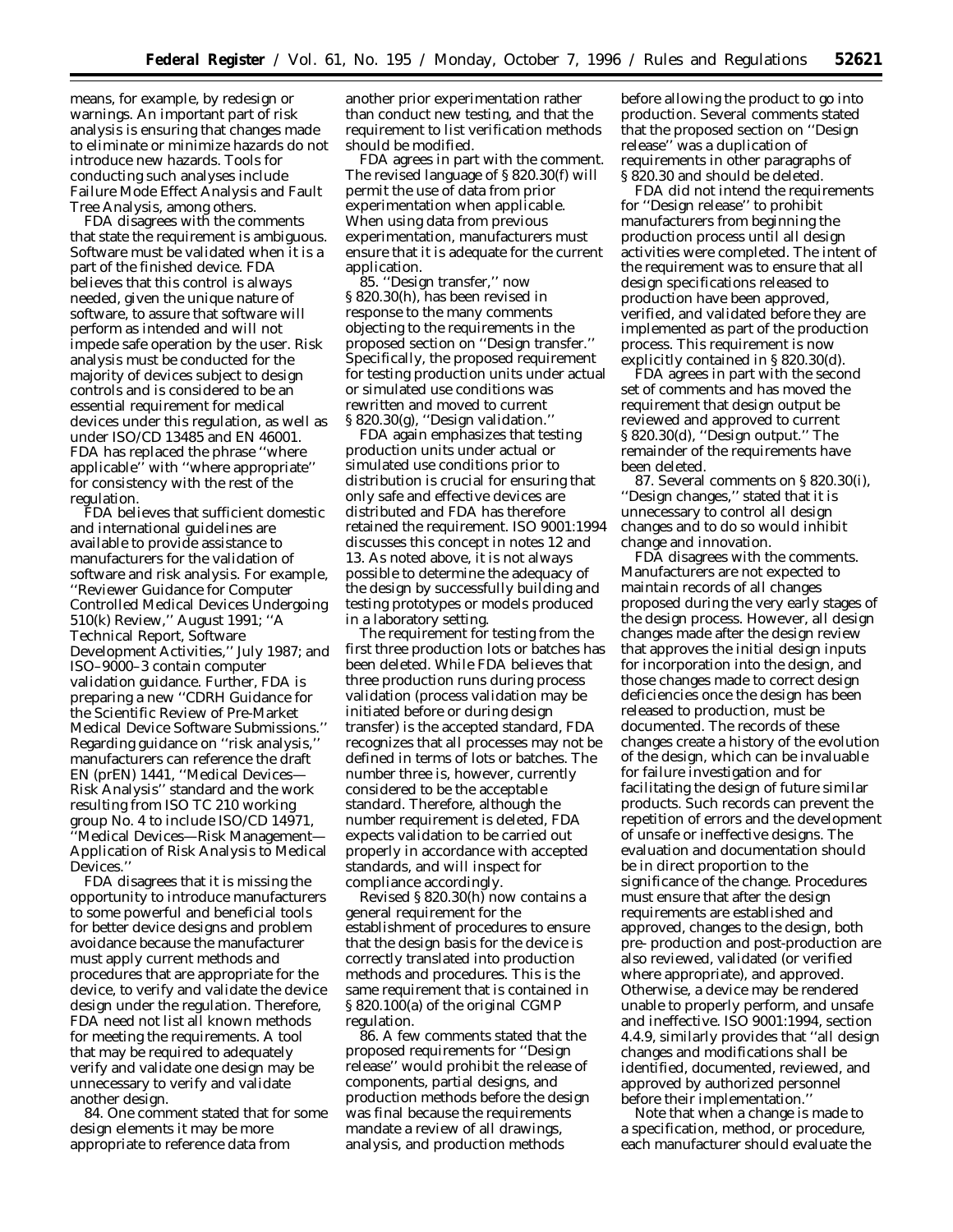means, for example, by redesign or warnings. An important part of risk analysis is ensuring that changes made to eliminate or minimize hazards do not introduce new hazards. Tools for conducting such analyses include Failure Mode Effect Analysis and Fault Tree Analysis, among others.

FDA disagrees with the comments that state the requirement is ambiguous. Software must be validated when it is a part of the finished device. FDA believes that this control is always needed, given the unique nature of software, to assure that software will perform as intended and will not impede safe operation by the user. Risk analysis must be conducted for the majority of devices subject to design controls and is considered to be an essential requirement for medical devices under this regulation, as well as under ISO/CD 13485 and EN 46001. FDA has replaced the phrase ''where applicable'' with ''where appropriate'' for consistency with the rest of the regulation.

FDA believes that sufficient domestic and international guidelines are available to provide assistance to manufacturers for the validation of software and risk analysis. For example, ''Reviewer Guidance for Computer Controlled Medical Devices Undergoing 510(k) Review,'' August 1991; ''A Technical Report, Software Development Activities,'' July 1987; and ISO–9000–3 contain computer validation guidance. Further, FDA is preparing a new ''CDRH Guidance for the Scientific Review of Pre-Market Medical Device Software Submissions.'' Regarding guidance on ''risk analysis,'' manufacturers can reference the draft EN (prEN) 1441, ''Medical Devices— Risk Analysis'' standard and the work resulting from ISO TC 210 working group No. 4 to include ISO/CD 14971, ''Medical Devices—Risk Management— Application of Risk Analysis to Medical Devices.''

FDA disagrees that it is missing the opportunity to introduce manufacturers to some powerful and beneficial tools for better device designs and problem avoidance because the manufacturer must apply current methods and procedures that are appropriate for the device, to verify and validate the device design under the regulation. Therefore, FDA need not list all known methods for meeting the requirements. A tool that may be required to adequately verify and validate one design may be unnecessary to verify and validate another design.

84. One comment stated that for some design elements it may be more appropriate to reference data from

another prior experimentation rather than conduct new testing, and that the requirement to list verification methods should be modified.

FDA agrees in part with the comment. The revised language of § 820.30(f) will permit the use of data from prior experimentation when applicable. When using data from previous experimentation, manufacturers must ensure that it is adequate for the current application.

85. ''Design transfer,'' now § 820.30(h), has been revised in response to the many comments objecting to the requirements in the proposed section on ''Design transfer.'' Specifically, the proposed requirement for testing production units under actual or simulated use conditions was rewritten and moved to current § 820.30(g), ''Design validation.''

FDA again emphasizes that testing production units under actual or simulated use conditions prior to distribution is crucial for ensuring that only safe and effective devices are distributed and FDA has therefore retained the requirement. ISO 9001:1994 discusses this concept in notes 12 and 13. As noted above, it is not always possible to determine the adequacy of the design by successfully building and testing prototypes or models produced in a laboratory setting.

The requirement for testing from the first three production lots or batches has been deleted. While FDA believes that three production runs during process validation (process validation may be initiated before or during design transfer) is the accepted standard, FDA recognizes that all processes may not be defined in terms of lots or batches. The number three is, however, currently considered to be the acceptable standard. Therefore, although the number requirement is deleted, FDA expects validation to be carried out properly in accordance with accepted standards, and will inspect for compliance accordingly.

Revised § 820.30(h) now contains a general requirement for the establishment of procedures to ensure that the design basis for the device is correctly translated into production methods and procedures. This is the same requirement that is contained in § 820.100(a) of the original CGMP regulation.

86. A few comments stated that the proposed requirements for ''Design release'' would prohibit the release of components, partial designs, and production methods before the design was final because the requirements mandate a review of all drawings, analysis, and production methods

before allowing the product to go into production. Several comments stated that the proposed section on ''Design release'' was a duplication of requirements in other paragraphs of § 820.30 and should be deleted.

FDA did not intend the requirements for ''Design release'' to prohibit manufacturers from beginning the production process until all design activities were completed. The intent of the requirement was to ensure that all design specifications released to production have been approved, verified, and validated before they are implemented as part of the production process. This requirement is now explicitly contained in § 820.30(d).

FDA agrees in part with the second set of comments and has moved the requirement that design output be reviewed and approved to current § 820.30(d), ''Design output.'' The remainder of the requirements have been deleted.

87. Several comments on § 820.30(i), ''Design changes,'' stated that it is unnecessary to control all design changes and to do so would inhibit change and innovation.

FDA disagrees with the comments. Manufacturers are not expected to maintain records of all changes proposed during the very early stages of the design process. However, all design changes made after the design review that approves the initial design inputs for incorporation into the design, and those changes made to correct design deficiencies once the design has been released to production, must be documented. The records of these changes create a history of the evolution of the design, which can be invaluable for failure investigation and for facilitating the design of future similar products. Such records can prevent the repetition of errors and the development of unsafe or ineffective designs. The evaluation and documentation should be in direct proportion to the significance of the change. Procedures must ensure that after the design requirements are established and approved, changes to the design, both pre- production and post-production are also reviewed, validated (or verified where appropriate), and approved. Otherwise, a device may be rendered unable to properly perform, and unsafe and ineffective. ISO 9001:1994, section 4.4.9, similarly provides that ''all design changes and modifications shall be identified, documented, reviewed, and approved by authorized personnel before their implementation.''

Note that when a change is made to a specification, method, or procedure, each manufacturer should evaluate the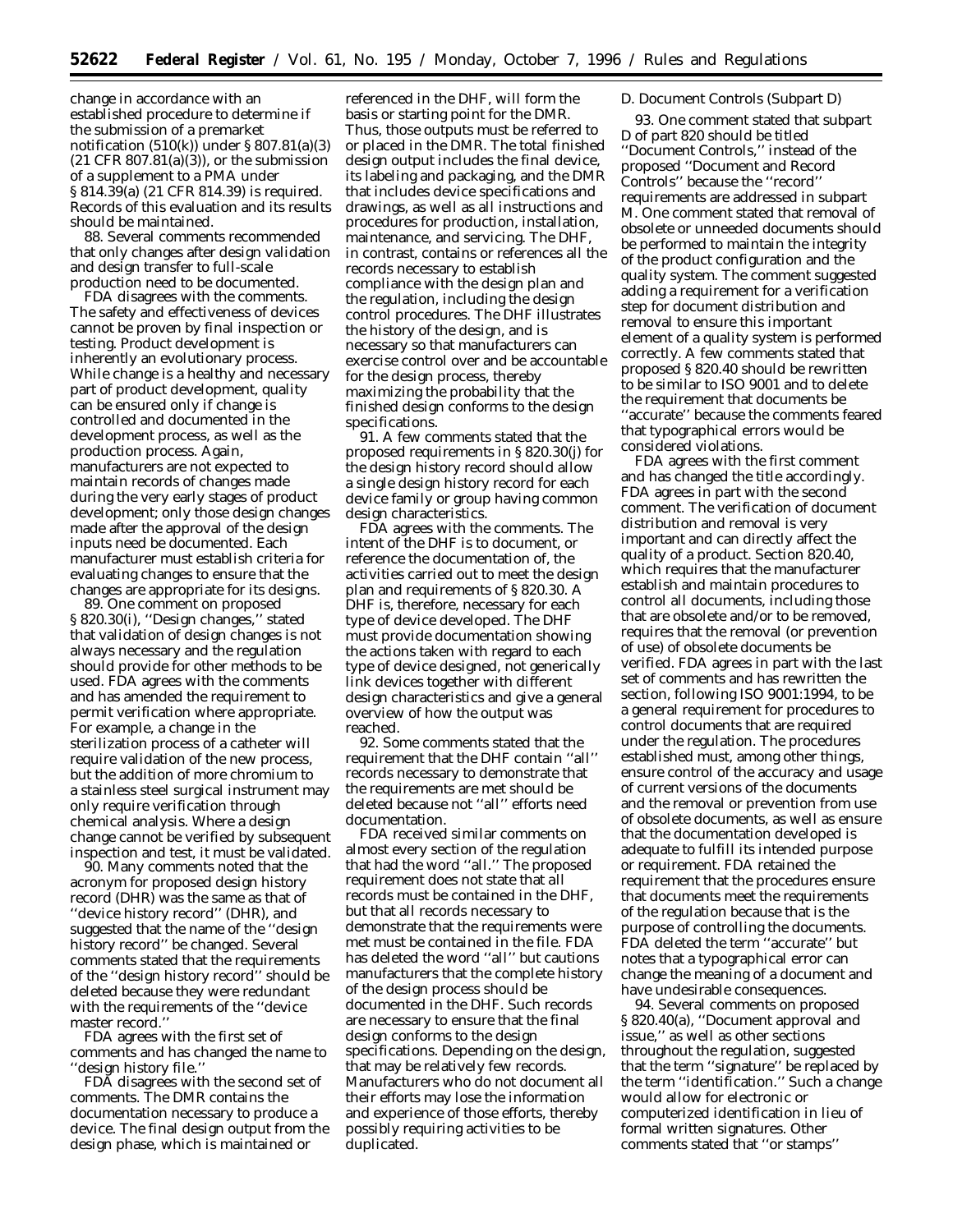change in accordance with an established procedure to determine if the submission of a premarket notification  $(510(k))$  under  $\S 807.81(a)(3)$  $(21$  CFR 807.81(a)(3)), or the submission of a supplement to a PMA under § 814.39(a) (21 CFR 814.39) is required. Records of this evaluation and its results should be maintained.

88. Several comments recommended that only changes after design validation and design transfer to full-scale production need to be documented.

FDA disagrees with the comments. The safety and effectiveness of devices cannot be proven by final inspection or testing. Product development is inherently an evolutionary process. While change is a healthy and necessary part of product development, quality can be ensured only if change is controlled and documented in the development process, as well as the production process. Again, manufacturers are not expected to maintain records of changes made during the very early stages of product development; only those design changes made after the approval of the design inputs need be documented. Each manufacturer must establish criteria for evaluating changes to ensure that the changes are appropriate for its designs.

89. One comment on proposed § 820.30(i), ''Design changes,'' stated that validation of design changes is not always necessary and the regulation should provide for other methods to be used. FDA agrees with the comments and has amended the requirement to permit verification where appropriate. For example, a change in the sterilization process of a catheter will require validation of the new process, but the addition of more chromium to a stainless steel surgical instrument may only require verification through chemical analysis. Where a design change cannot be verified by subsequent inspection and test, it must be validated.

90. Many comments noted that the acronym for proposed design history record (DHR) was the same as that of ''device history record'' (DHR), and suggested that the name of the ''design history record'' be changed. Several comments stated that the requirements of the ''design history record'' should be deleted because they were redundant with the requirements of the ''device master record.''

FDA agrees with the first set of comments and has changed the name to 'design history file.'

FDA disagrees with the second set of comments. The DMR contains the documentation necessary to produce a device. The final design output from the design phase, which is maintained or

referenced in the DHF, will form the basis or starting point for the DMR. Thus, those outputs must be referred to or placed in the DMR. The total finished design output includes the final device, its labeling and packaging, and the DMR that includes device specifications and drawings, as well as all instructions and procedures for production, installation, maintenance, and servicing. The DHF, in contrast, contains or references all the records necessary to establish compliance with the design plan and the regulation, including the design control procedures. The DHF illustrates the history of the design, and is necessary so that manufacturers can exercise control over and be accountable for the design process, thereby maximizing the probability that the finished design conforms to the design specifications.

91. A few comments stated that the proposed requirements in § 820.30(j) for the design history record should allow a single design history record for each device family or group having common design characteristics.

FDA agrees with the comments. The intent of the DHF is to document, or reference the documentation of, the activities carried out to meet the design plan and requirements of § 820.30. A DHF is, therefore, necessary for each type of device developed. The DHF must provide documentation showing the actions taken with regard to each type of device designed, not generically link devices together with different design characteristics and give a general overview of how the output was reached.

92. Some comments stated that the requirement that the DHF contain ''all'' records necessary to demonstrate that the requirements are met should be deleted because not ''all'' efforts need documentation.

FDA received similar comments on almost every section of the regulation that had the word ''all.'' The proposed requirement does not state that *all* records must be contained in the DHF, but that all records necessary to demonstrate that the requirements were met must be contained in the file. FDA has deleted the word ''all'' but cautions manufacturers that the complete history of the design process should be documented in the DHF. Such records are necessary to ensure that the final design conforms to the design specifications. Depending on the design, that may be relatively few records. Manufacturers who do not document all their efforts may lose the information and experience of those efforts, thereby possibly requiring activities to be duplicated.

#### *D. Document Controls (Subpart D)*

93. One comment stated that subpart D of part 820 should be titled ''Document Controls,'' instead of the proposed ''Document and Record Controls'' because the ''record'' requirements are addressed in subpart M. One comment stated that removal of obsolete or unneeded documents should be performed to maintain the integrity of the product configuration and the quality system. The comment suggested adding a requirement for a verification step for document distribution and removal to ensure this important element of a quality system is performed correctly. A few comments stated that proposed § 820.40 should be rewritten to be similar to ISO 9001 and to delete the requirement that documents be ''accurate'' because the comments feared that typographical errors would be considered violations.

FDA agrees with the first comment and has changed the title accordingly. FDA agrees in part with the second comment. The verification of document distribution and removal is very important and can directly affect the quality of a product. Section 820.40, which requires that the manufacturer establish and maintain procedures to control all documents, including those that are obsolete and/or to be removed, requires that the removal (or prevention of use) of obsolete documents be verified. FDA agrees in part with the last set of comments and has rewritten the section, following ISO 9001:1994, to be a general requirement for procedures to control documents that are required under the regulation. The procedures established must, among other things, ensure control of the accuracy and usage of current versions of the documents and the removal or prevention from use of obsolete documents, as well as ensure that the documentation developed is adequate to fulfill its intended purpose or requirement. FDA retained the requirement that the procedures ensure that documents meet the requirements of the regulation because that is the purpose of controlling the documents. FDA deleted the term ''accurate'' but notes that a typographical error can change the meaning of a document and have undesirable consequences.

94. Several comments on proposed § 820.40(a), ''Document approval and issue,'' as well as other sections throughout the regulation, suggested that the term ''signature'' be replaced by the term ''identification.'' Such a change would allow for electronic or computerized identification in lieu of formal written signatures. Other comments stated that ''or stamps''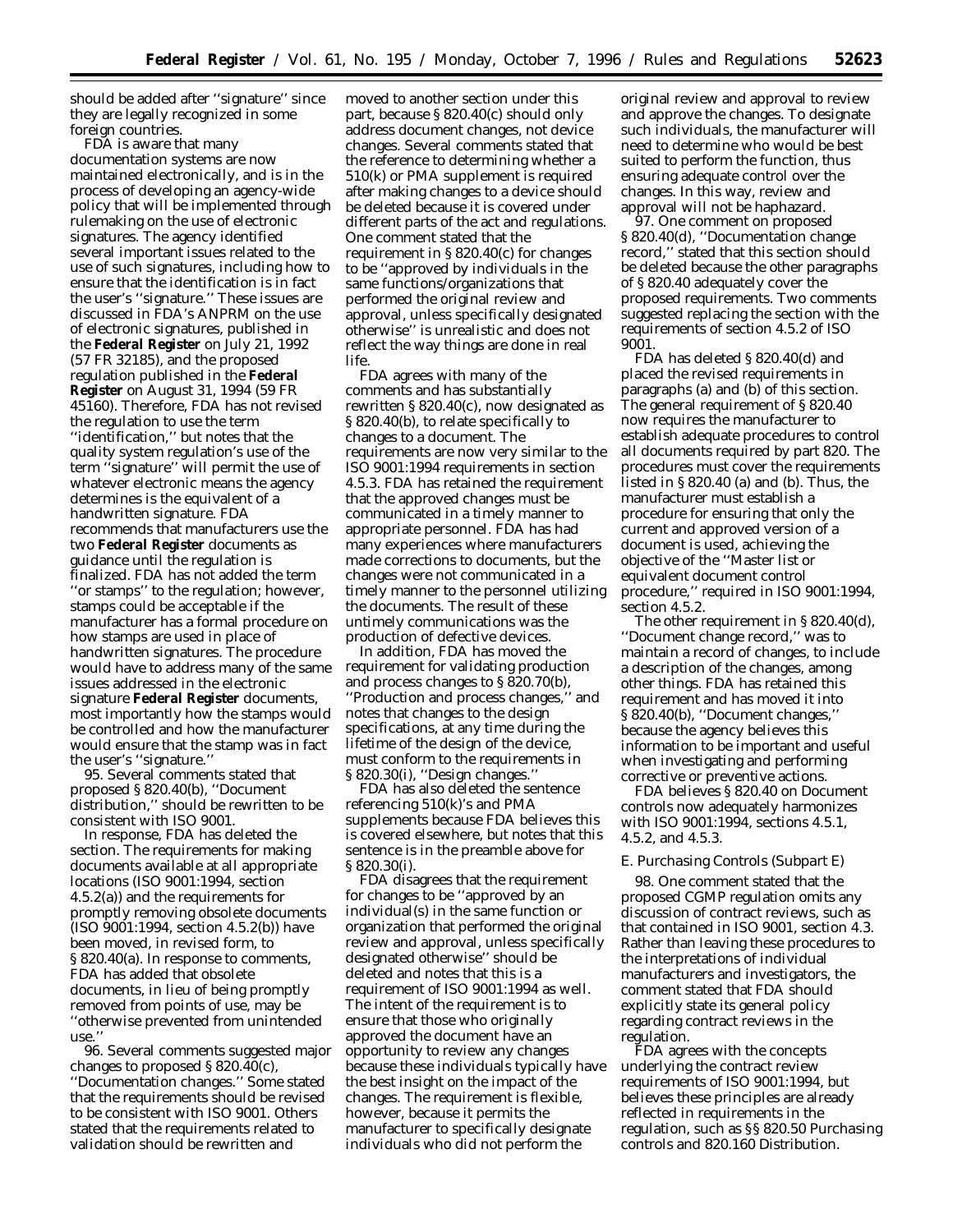should be added after ''signature'' since they are legally recognized in some foreign countries.

FDA is aware that many documentation systems are now maintained electronically, and is in the process of developing an agency-wide policy that will be implemented through rulemaking on the use of electronic signatures. The agency identified several important issues related to the use of such signatures, including how to ensure that the identification is in fact the user's ''signature.'' These issues are discussed in FDA's ANPRM on the use of electronic signatures, published in the **Federal Register** on July 21, 1992 (57 FR 32185), and the proposed regulation published in the **Federal Register** on August 31, 1994 (59 FR 45160). Therefore, FDA has not revised the regulation to use the term ''identification,'' but notes that the quality system regulation's use of the term ''signature'' will permit the use of whatever electronic means the agency determines is the equivalent of a handwritten signature. FDA recommends that manufacturers use the two **Federal Register** documents as guidance until the regulation is finalized. FDA has not added the term ''or stamps'' to the regulation; however, stamps could be acceptable if the manufacturer has a formal procedure on how stamps are used in place of handwritten signatures. The procedure would have to address many of the same issues addressed in the electronic signature **Federal Register** documents, most importantly how the stamps would be controlled and how the manufacturer would ensure that the stamp was in fact the user's ''signature.''

95. Several comments stated that proposed § 820.40(b), ''Document distribution,'' should be rewritten to be consistent with ISO 9001.

In response, FDA has deleted the section. The requirements for making documents available at all appropriate locations (ISO 9001:1994, section 4.5.2(a)) and the requirements for promptly removing obsolete documents (ISO 9001:1994, section 4.5.2(b)) have been moved, in revised form, to § 820.40(a). In response to comments, FDA has added that obsolete documents, in lieu of being promptly removed from points of use, may be ''otherwise prevented from unintended use.''

96. Several comments suggested major changes to proposed § 820.40(c), ''Documentation changes.'' Some stated that the requirements should be revised to be consistent with ISO 9001. Others stated that the requirements related to validation should be rewritten and

moved to another section under this part, because § 820.40(c) should only address document changes, not device changes. Several comments stated that the reference to determining whether a 510(k) or PMA supplement is required after making changes to a device should be deleted because it is covered under different parts of the act and regulations. One comment stated that the requirement in § 820.40(c) for changes to be ''approved by individuals in the same functions/organizations that performed the original review and approval, unless specifically designated otherwise'' is unrealistic and does not reflect the way things are done in real life.

FDA agrees with many of the comments and has substantially rewritten § 820.40(c), now designated as § 820.40(b), to relate specifically to changes to a document. The requirements are now very similar to the ISO 9001:1994 requirements in section 4.5.3. FDA has retained the requirement that the approved changes must be communicated in a timely manner to appropriate personnel. FDA has had many experiences where manufacturers made corrections to documents, but the changes were not communicated in a timely manner to the personnel utilizing the documents. The result of these untimely communications was the production of defective devices.

In addition, FDA has moved the requirement for validating production and process changes to § 820.70(b), ''Production and process changes,'' and notes that changes to the design specifications, at any time during the lifetime of the design of the device, must conform to the requirements in § 820.30(i), ''Design changes.''

FDA has also deleted the sentence referencing 510(k)'s and PMA supplements because FDA believes this is covered elsewhere, but notes that this sentence is in the preamble above for § 820.30(i).

FDA disagrees that the requirement for changes to be ''approved by an individual(s) in the same function or organization that performed the original review and approval, unless specifically designated otherwise'' should be deleted and notes that this is a requirement of ISO 9001:1994 as well. The intent of the requirement is to ensure that those who originally approved the document have an opportunity to review any changes because these individuals typically have the best insight on the impact of the changes. The requirement is flexible, however, because it permits the manufacturer to specifically designate individuals who did not perform the

original review and approval to review and approve the changes. To designate such individuals, the manufacturer will need to determine who would be best suited to perform the function, thus ensuring adequate control over the changes. In this way, review and approval will not be haphazard.

97. One comment on proposed § 820.40(d), ''Documentation change record,'' stated that this section should be deleted because the other paragraphs of § 820.40 adequately cover the proposed requirements. Two comments suggested replacing the section with the requirements of section 4.5.2 of ISO 9001.

FDA has deleted § 820.40(d) and placed the revised requirements in paragraphs (a) and (b) of this section. The general requirement of § 820.40 now requires the manufacturer to establish adequate procedures to control all documents required by part 820. The procedures must cover the requirements listed in § 820.40 (a) and (b). Thus, the manufacturer must establish a procedure for ensuring that only the current and approved version of a document is used, achieving the objective of the ''Master list or equivalent document control procedure,'' required in ISO 9001:1994, section 4.5.2.

The other requirement in § 820.40(d), ''Document change record,'' was to maintain a record of changes, to include a description of the changes, among other things. FDA has retained this requirement and has moved it into § 820.40(b), ''Document changes,'' because the agency believes this information to be important and useful when investigating and performing corrective or preventive actions.

FDA believes § 820.40 on *Document controls* now adequately harmonizes with ISO 9001:1994, sections 4.5.1, 4.5.2, and 4.5.3.

## *E. Purchasing Controls (Subpart E)*

98. One comment stated that the proposed CGMP regulation omits any discussion of contract reviews, such as that contained in ISO 9001, section 4.3. Rather than leaving these procedures to the interpretations of individual manufacturers and investigators, the comment stated that FDA should explicitly state its general policy regarding contract reviews in the regulation.

FDA agrees with the concepts underlying the contract review requirements of ISO 9001:1994, but believes these principles are already reflected in requirements in the regulation, such as §§ 820.50 *Purchasing controls* and 820.160 *Distribution.*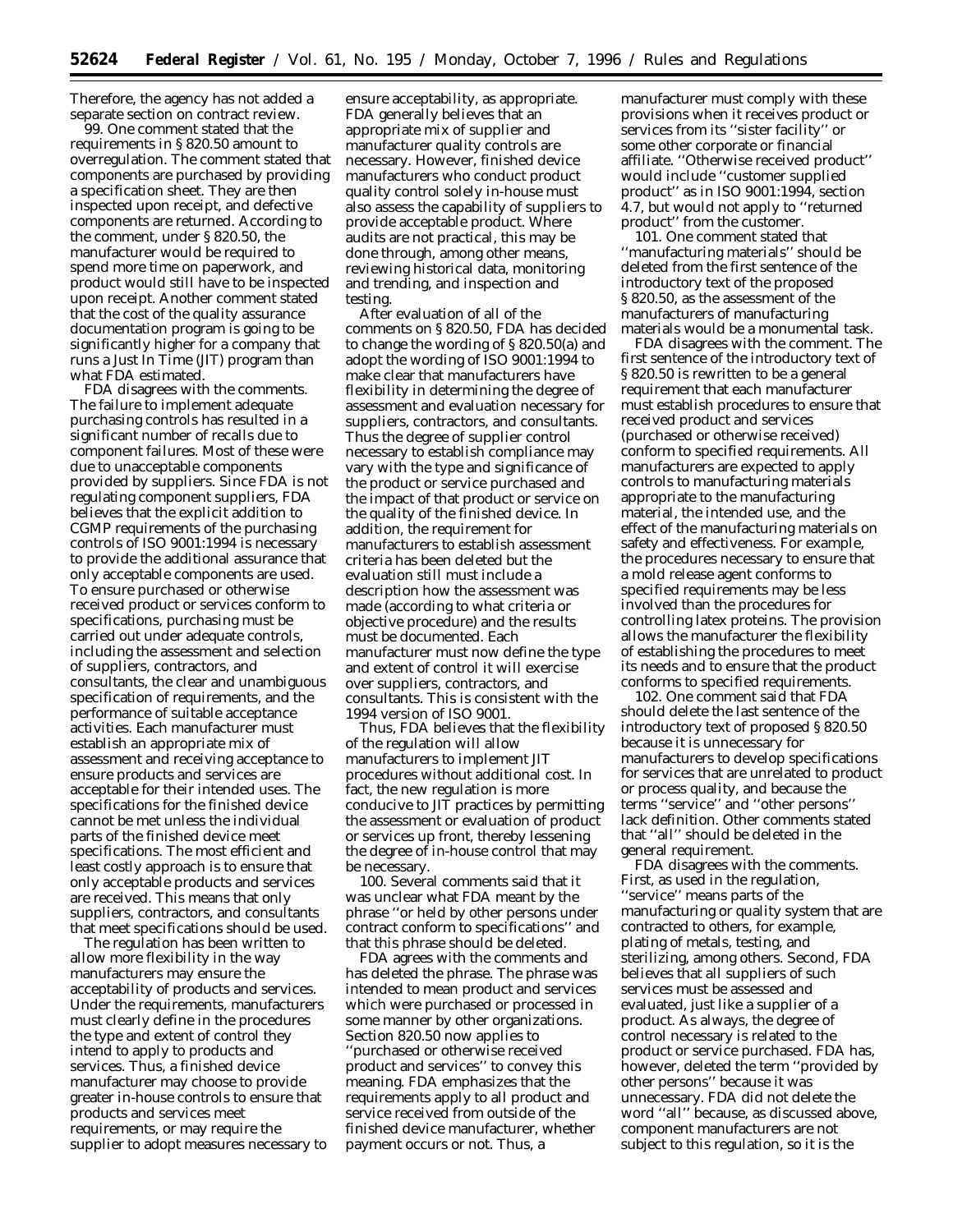Therefore, the agency has not added a separate section on contract review.

99. One comment stated that the requirements in § 820.50 amount to overregulation. The comment stated that components are purchased by providing a specification sheet. They are then inspected upon receipt, and defective components are returned. According to the comment, under § 820.50, the manufacturer would be required to spend more time on paperwork, and product would still have to be inspected upon receipt. Another comment stated that the cost of the quality assurance documentation program is going to be significantly higher for a company that runs a Just In Time (JIT) program than what FDA estimated.

FDA disagrees with the comments. The failure to implement adequate purchasing controls has resulted in a significant number of recalls due to component failures. Most of these were due to unacceptable components provided by suppliers. Since FDA is not regulating component suppliers, FDA believes that the explicit addition to CGMP requirements of the purchasing controls of ISO 9001:1994 is necessary to provide the additional assurance that only acceptable components are used. To ensure purchased or otherwise received product or services conform to specifications, purchasing must be carried out under adequate controls, including the assessment and selection of suppliers, contractors, and consultants, the clear and unambiguous specification of requirements, and the performance of suitable acceptance activities. Each manufacturer must establish an appropriate mix of assessment and receiving acceptance to ensure products and services are acceptable for their intended uses. The specifications for the finished device cannot be met unless the individual parts of the finished device meet specifications. The most efficient and least costly approach is to ensure that only acceptable products and services are received. This means that only suppliers, contractors, and consultants that meet specifications should be used.

The regulation has been written to allow more flexibility in the way manufacturers may ensure the acceptability of products and services. Under the requirements, manufacturers must clearly define in the procedures the type and extent of control they intend to apply to products and services. Thus, a finished device manufacturer may choose to provide greater in-house controls to ensure that products and services meet requirements, or may require the supplier to adopt measures necessary to

ensure acceptability, as appropriate. FDA generally believes that an appropriate mix of supplier and manufacturer quality controls are necessary. However, finished device manufacturers who conduct product quality control solely in-house must also assess the capability of suppliers to provide acceptable product. Where audits are not practical, this may be done through, among other means, reviewing historical data, monitoring and trending, and inspection and testing.

After evaluation of all of the comments on § 820.50, FDA has decided to change the wording of § 820.50(a) and adopt the wording of ISO 9001:1994 to make clear that manufacturers have flexibility in determining the degree of assessment and evaluation necessary for suppliers, contractors, and consultants. Thus the degree of supplier control necessary to establish compliance may vary with the type and significance of the product or service purchased and the impact of that product or service on the quality of the finished device. In addition, the requirement for manufacturers to establish assessment criteria has been deleted but the evaluation still must include a description how the assessment was made (according to what criteria or objective procedure) and the results must be documented. Each manufacturer must now define the type and extent of control it will exercise over suppliers, contractors, and consultants. This is consistent with the 1994 version of ISO 9001.

Thus, FDA believes that the flexibility of the regulation will allow manufacturers to implement JIT procedures without additional cost. In fact, the new regulation is more conducive to JIT practices by permitting the assessment or evaluation of product or services up front, thereby lessening the degree of in-house control that may be necessary.

100. Several comments said that it was unclear what FDA meant by the phrase ''or held by other persons under contract conform to specifications'' and that this phrase should be deleted.

FDA agrees with the comments and has deleted the phrase. The phrase was intended to mean product and services which were purchased or processed in some manner by other organizations. Section 820.50 now applies to 'purchased or otherwise received product and services'' to convey this meaning. FDA emphasizes that the requirements apply to all product and service received from outside of the finished device manufacturer, whether payment occurs or not. Thus, a

manufacturer must comply with these provisions when it receives product or services from its ''sister facility'' or some other corporate or financial affiliate. ''Otherwise received product'' would include ''customer supplied product'' as in ISO 9001:1994, section 4.7, but would not apply to ''returned product'' from the customer.

101. One comment stated that ''manufacturing materials'' should be deleted from the first sentence of the introductory text of the proposed § 820.50, as the assessment of the manufacturers of manufacturing materials would be a monumental task.

FDA disagrees with the comment. The first sentence of the introductory text of § 820.50 is rewritten to be a general requirement that each manufacturer must establish procedures to ensure that received product and services (purchased or otherwise received) conform to specified requirements. All manufacturers are expected to apply controls to manufacturing materials appropriate to the manufacturing material, the intended use, and the effect of the manufacturing materials on safety and effectiveness. For example, the procedures necessary to ensure that a mold release agent conforms to specified requirements may be less involved than the procedures for controlling latex proteins. The provision allows the manufacturer the flexibility of establishing the procedures to meet its needs and to ensure that the product conforms to specified requirements.

102. One comment said that FDA should delete the last sentence of the introductory text of proposed § 820.50 because it is unnecessary for manufacturers to develop specifications for services that are unrelated to product or process quality, and because the terms ''service'' and ''other persons'' lack definition. Other comments stated that ''all'' should be deleted in the general requirement.

FDA disagrees with the comments. First, as used in the regulation, ''service'' means parts of the manufacturing or quality system that are contracted to others, for example, plating of metals, testing, and sterilizing, among others. Second, FDA believes that all suppliers of such services must be assessed and evaluated, just like a supplier of a product. As always, the degree of control necessary is related to the product or service purchased. FDA has, however, deleted the term ''provided by other persons'' because it was unnecessary. FDA did not delete the word ''all'' because, as discussed above, component manufacturers are not subject to this regulation, so it is the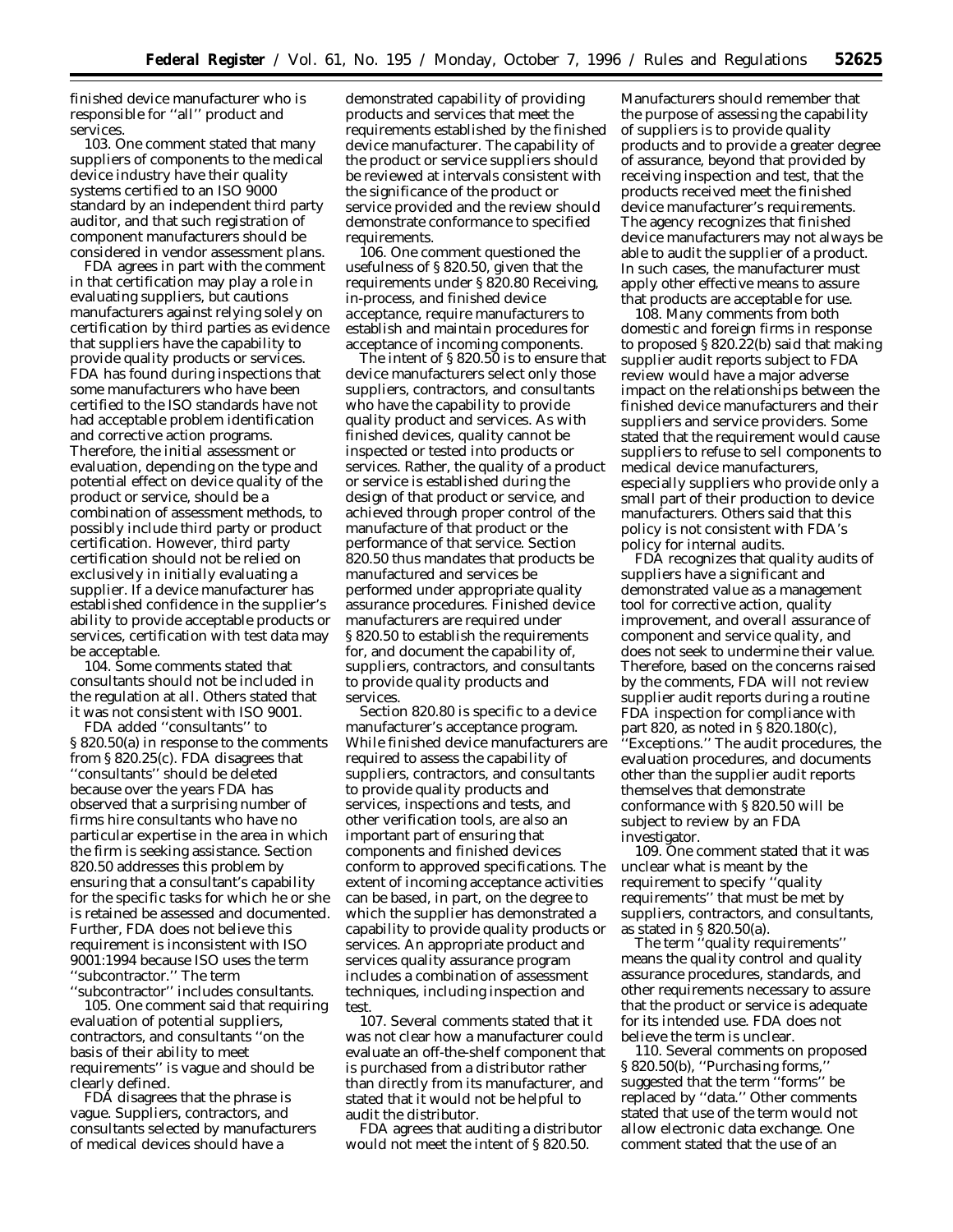finished device manufacturer who is responsible for ''all'' product and services.

103. One comment stated that many suppliers of components to the medical device industry have their quality systems certified to an ISO 9000 standard by an independent third party auditor, and that such registration of component manufacturers should be considered in vendor assessment plans.

FDA agrees in part with the comment in that certification may play a role in evaluating suppliers, but cautions manufacturers against relying solely on certification by third parties as evidence that suppliers have the capability to provide quality products or services. FDA has found during inspections that some manufacturers who have been certified to the ISO standards have not had acceptable problem identification and corrective action programs. Therefore, the initial assessment or evaluation, depending on the type and potential effect on device quality of the product or service, should be a combination of assessment methods, to possibly include third party or product certification. However, third party certification should not be relied on exclusively in initially evaluating a supplier. If a device manufacturer has established confidence in the supplier's ability to provide acceptable products or services, certification with test data may be acceptable.

104. Some comments stated that consultants should not be included in the regulation at all. Others stated that it was not consistent with ISO 9001.

FDA added ''consultants'' to § 820.50(a) in response to the comments from § 820.25(c). FDA disagrees that ''consultants'' should be deleted because over the years FDA has observed that a surprising number of firms hire consultants who have no particular expertise in the area in which the firm is seeking assistance. Section 820.50 addresses this problem by ensuring that a consultant's capability for the specific tasks for which he or she is retained be assessed and documented. Further, FDA does not believe this requirement is inconsistent with ISO 9001:1994 because ISO uses the term ''subcontractor.'' The term ''subcontractor'' includes consultants.

105. One comment said that requiring evaluation of potential suppliers, contractors, and consultants ''on the basis of their ability to meet requirements'' is vague and should be clearly defined.

FDA disagrees that the phrase is vague. Suppliers, contractors, and consultants selected by manufacturers of medical devices should have a

demonstrated capability of providing products and services that meet the requirements established by the finished device manufacturer. The capability of the product or service suppliers should be reviewed at intervals consistent with the significance of the product or service provided and the review should demonstrate conformance to specified requirements.

106. One comment questioned the usefulness of § 820.50, given that the requirements under § 820.80 *Receiving, in-process, and finished device acceptance,* require manufacturers to establish and maintain procedures for acceptance of incoming components.

The intent of § 820.50 is to ensure that device manufacturers select only those suppliers, contractors, and consultants who have the capability to provide quality product and services. As with finished devices, quality cannot be inspected or tested into products or services. Rather, the quality of a product or service is established during the design of that product or service, and achieved through proper control of the manufacture of that product or the performance of that service. Section 820.50 thus mandates that products be manufactured and services be performed under appropriate quality assurance procedures. Finished device manufacturers are required under § 820.50 to establish the requirements for, and document the capability of, suppliers, contractors, and consultants to provide quality products and services.

Section 820.80 is specific to a device manufacturer's acceptance program. While finished device manufacturers are required to assess the capability of suppliers, contractors, and consultants to provide quality products and services, inspections and tests, and other verification tools, are also an important part of ensuring that components and finished devices conform to approved specifications. The extent of incoming acceptance activities can be based, in part, on the degree to which the supplier has demonstrated a capability to provide quality products or services. An appropriate product and services quality assurance program includes a combination of assessment techniques, including inspection and test.

107. Several comments stated that it was not clear how a manufacturer could evaluate an off-the-shelf component that is purchased from a distributor rather than directly from its manufacturer, and stated that it would not be helpful to audit the distributor.

FDA agrees that auditing a distributor would not meet the intent of § 820.50.

Manufacturers should remember that the purpose of assessing the capability of suppliers is to provide quality products and to provide a greater degree of assurance, beyond that provided by receiving inspection and test, that the products received meet the finished device manufacturer's requirements. The agency recognizes that finished device manufacturers may not always be able to audit the supplier of a product. In such cases, the manufacturer must apply other effective means to assure that products are acceptable for use.

108. Many comments from both domestic and foreign firms in response to proposed § 820.22(b) said that making supplier audit reports subject to FDA review would have a major adverse impact on the relationships between the finished device manufacturers and their suppliers and service providers. Some stated that the requirement would cause suppliers to refuse to sell components to medical device manufacturers, especially suppliers who provide only a small part of their production to device manufacturers. Others said that this policy is not consistent with FDA's policy for internal audits.

FDA recognizes that quality audits of suppliers have a significant and demonstrated value as a management tool for corrective action, quality improvement, and overall assurance of component and service quality, and does not seek to undermine their value. Therefore, based on the concerns raised by the comments, FDA will not review supplier audit reports during a routine FDA inspection for compliance with part 820, as noted in § 820.180(c), ''Exceptions.'' The audit procedures, the evaluation procedures, and documents other than the supplier audit reports themselves that demonstrate conformance with § 820.50 will be subject to review by an FDA investigator.

109. One comment stated that it was unclear what is meant by the requirement to specify ''quality requirements'' that must be met by suppliers, contractors, and consultants, as stated in § 820.50(a).

The term ''quality requirements'' means the quality control and quality assurance procedures, standards, and other requirements necessary to assure that the product or service is adequate for its intended use. FDA does not believe the term is unclear.

110. Several comments on proposed § 820.50(b), "Purchasing forms, suggested that the term ''forms'' be replaced by ''data.'' Other comments stated that use of the term would not allow electronic data exchange. One comment stated that the use of an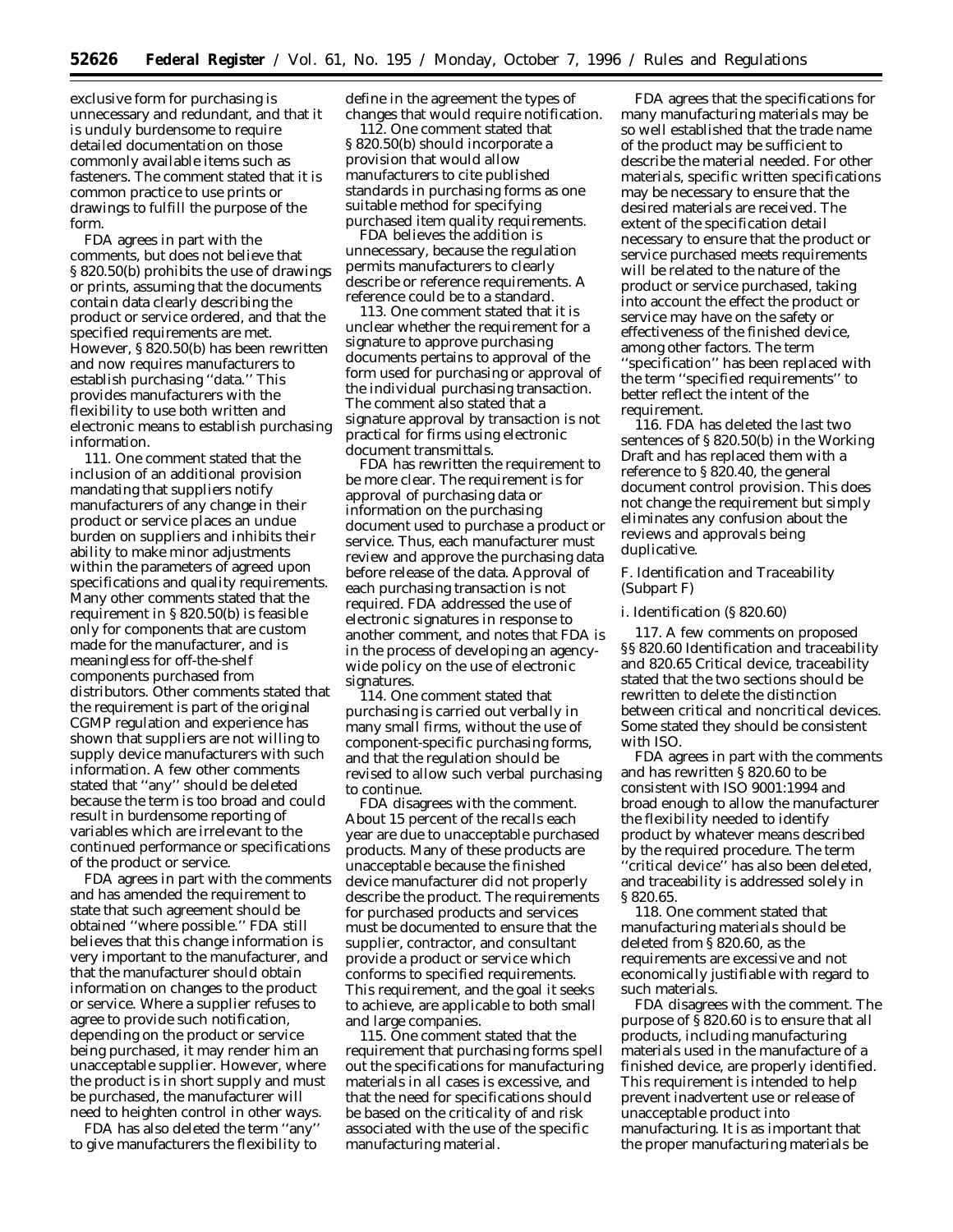exclusive form for purchasing is unnecessary and redundant, and that it is unduly burdensome to require detailed documentation on those commonly available items such as fasteners. The comment stated that it is common practice to use prints or drawings to fulfill the purpose of the form.

FDA agrees in part with the comments, but does not believe that § 820.50(b) prohibits the use of drawings or prints, assuming that the documents contain data clearly describing the product or service ordered, and that the specified requirements are met. However, § 820.50(b) has been rewritten and now requires manufacturers to establish purchasing ''data.'' This provides manufacturers with the flexibility to use both written and electronic means to establish purchasing information.

111. One comment stated that the inclusion of an additional provision mandating that suppliers notify manufacturers of any change in their product or service places an undue burden on suppliers and inhibits their ability to make minor adjustments within the parameters of agreed upon specifications and quality requirements. Many other comments stated that the requirement in § 820.50(b) is feasible only for components that are custom made for the manufacturer, and is meaningless for off-the-shelf components purchased from distributors. Other comments stated that the requirement is part of the original CGMP regulation and experience has shown that suppliers are not willing to supply device manufacturers with such information. A few other comments stated that ''any'' should be deleted because the term is too broad and could result in burdensome reporting of variables which are irrelevant to the continued performance or specifications of the product or service.

FDA agrees in part with the comments and has amended the requirement to state that such agreement should be obtained ''where possible.'' FDA still believes that this change information is very important to the manufacturer, and that the manufacturer should obtain information on changes to the product or service. Where a supplier refuses to agree to provide such notification, depending on the product or service being purchased, it may render him an unacceptable supplier. However, where the product is in short supply and must be purchased, the manufacturer will need to heighten control in other ways.

FDA has also deleted the term ''any'' to give manufacturers the flexibility to

define in the agreement the types of changes that would require notification.

112. One comment stated that § 820.50(b) should incorporate a provision that would allow manufacturers to cite published standards in purchasing forms as one suitable method for specifying purchased item quality requirements.

FDA believes the addition is unnecessary, because the regulation permits manufacturers to clearly describe or reference requirements. A reference could be to a standard.

113. One comment stated that it is unclear whether the requirement for a signature to approve purchasing documents pertains to approval of the form used for purchasing or approval of the individual purchasing transaction. The comment also stated that a signature approval by transaction is not practical for firms using electronic document transmittals.

FDA has rewritten the requirement to be more clear. The requirement is for approval of purchasing data or information on the purchasing document used to purchase a product or service. Thus, each manufacturer must review and approve the purchasing data before release of the data. Approval of each purchasing transaction is not required. FDA addressed the use of electronic signatures in response to another comment, and notes that FDA is in the process of developing an agencywide policy on the use of electronic signatures.

114. One comment stated that purchasing is carried out verbally in many small firms, without the use of component-specific purchasing forms, and that the regulation should be revised to allow such verbal purchasing to continue.

FDA disagrees with the comment. About 15 percent of the recalls each year are due to unacceptable purchased products. Many of these products are unacceptable because the finished device manufacturer did not properly describe the product. The requirements for purchased products and services must be documented to ensure that the supplier, contractor, and consultant provide a product or service which conforms to specified requirements. This requirement, and the goal it seeks to achieve, are applicable to both small and large companies.

115. One comment stated that the requirement that purchasing forms spell out the specifications for manufacturing materials in all cases is excessive, and that the need for specifications should be based on the criticality of and risk associated with the use of the specific manufacturing material.

FDA agrees that the specifications for many manufacturing materials may be so well established that the trade name of the product may be sufficient to describe the material needed. For other materials, specific written specifications may be necessary to ensure that the desired materials are received. The extent of the specification detail necessary to ensure that the product or service purchased meets requirements will be related to the nature of the product or service purchased, taking into account the effect the product or service may have on the safety or effectiveness of the finished device, among other factors. The term ''specification'' has been replaced with the term ''specified requirements'' to better reflect the intent of the requirement.

116. FDA has deleted the last two sentences of § 820.50(b) in the Working Draft and has replaced them with a reference to § 820.40, the general document control provision. This does not change the requirement but simply eliminates any confusion about the reviews and approvals being duplicative.

## *F. Identification and Traceability (Subpart F)*

#### i. Identification (§ 820.60)

117. A few comments on proposed §§ 820.60 *Identification and traceability* and 820.65 *Critical device, traceability* stated that the two sections should be rewritten to delete the distinction between critical and noncritical devices. Some stated they should be consistent with ISO.

FDA agrees in part with the comments and has rewritten § 820.60 to be consistent with ISO 9001:1994 and broad enough to allow the manufacturer the flexibility needed to identify product by whatever means described by the required procedure. The term ''critical device'' has also been deleted, and traceability is addressed solely in § 820.65.

118. One comment stated that manufacturing materials should be deleted from § 820.60, as the requirements are excessive and not economically justifiable with regard to such materials.

FDA disagrees with the comment. The purpose of § 820.60 is to ensure that all products, including manufacturing materials used in the manufacture of a finished device, are properly identified. This requirement is intended to help prevent inadvertent use or release of unacceptable product into manufacturing. It is as important that the proper manufacturing materials be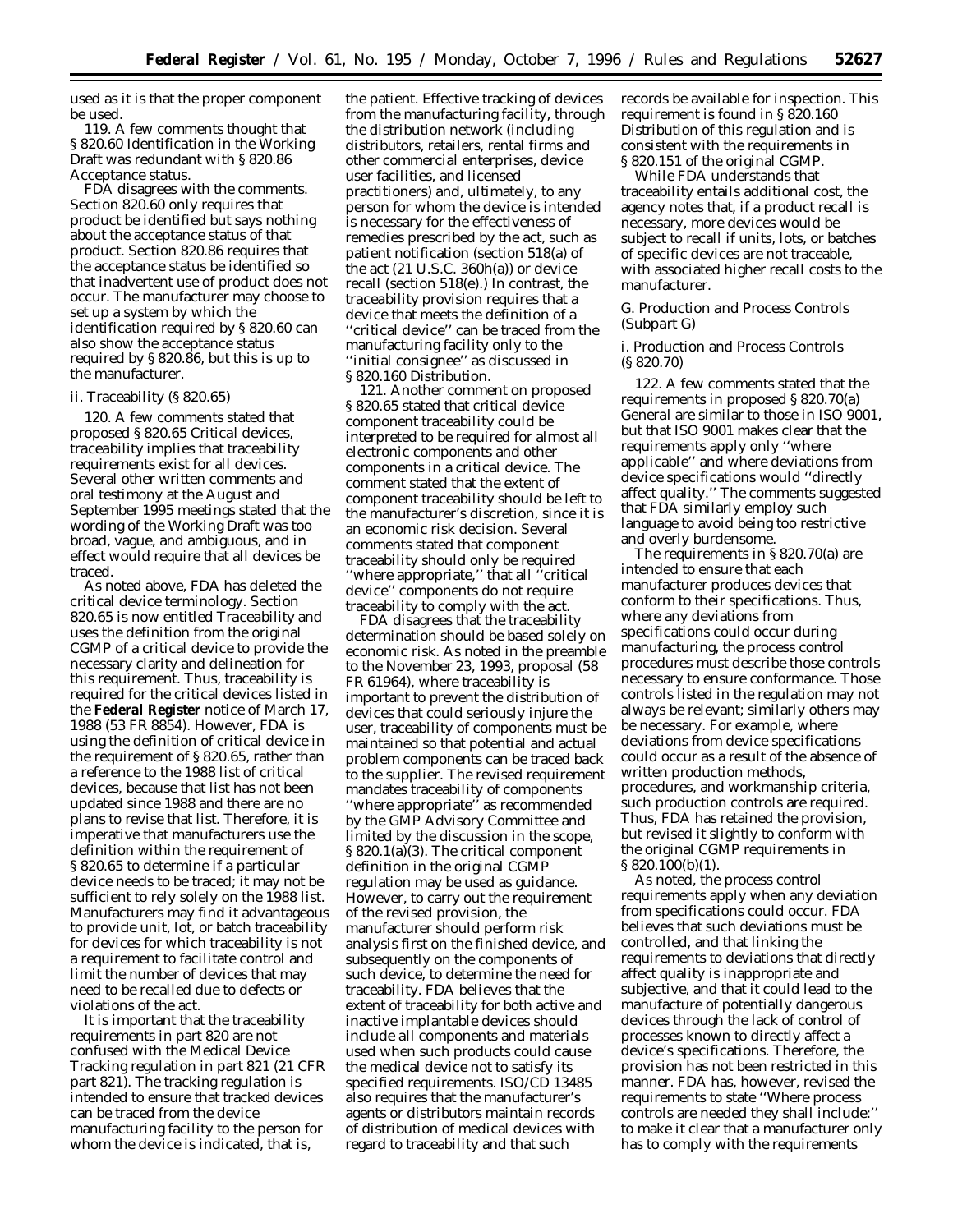used as it is that the proper component be used.

119. A few comments thought that § 820.60 *Identification* in the Working Draft was redundant with § 820.86 *Acceptance status.*

FDA disagrees with the comments. Section 820.60 only requires that product be identified but says nothing about the acceptance status of that product. Section 820.86 requires that the acceptance status be identified so that inadvertent use of product does not occur. The manufacturer may choose to set up a system by which the identification required by § 820.60 can also show the acceptance status required by § 820.86, but this is up to the manufacturer.

#### ii. Traceability (§ 820.65)

120. A few comments stated that proposed § 820.65 *Critical devices, traceability* implies that traceability requirements exist for all devices. Several other written comments and oral testimony at the August and September 1995 meetings stated that the wording of the Working Draft was too broad, vague, and ambiguous, and in effect would require that all devices be traced.

As noted above, FDA has deleted the critical device terminology. Section 820.65 is now entitled *Traceability* and uses the definition from the original CGMP of a critical device to provide the necessary clarity and delineation for this requirement. Thus, traceability is required for the critical devices listed in the **Federal Register** notice of March 17, 1988 (53 FR 8854). However, FDA is using the definition of critical device in the requirement of § 820.65, rather than a reference to the 1988 list of critical devices, because that list has not been updated since 1988 and there are no plans to revise that list. Therefore, it is imperative that manufacturers use the definition within the requirement of § 820.65 to determine if a particular device needs to be traced; it may not be sufficient to rely solely on the 1988 list. Manufacturers may find it advantageous to provide unit, lot, or batch traceability for devices for which traceability is not a requirement to facilitate control and limit the number of devices that may need to be recalled due to defects or violations of the act.

It is important that the traceability requirements in part 820 are not confused with the Medical Device Tracking regulation in part 821 (21 CFR part 821). The *tracking regulation* is intended to ensure that tracked devices can be traced from the device manufacturing facility to the person for whom the device is indicated, that is,

the patient. Effective tracking of devices from the manufacturing facility, through the distribution network (including distributors, retailers, rental firms and other commercial enterprises, device user facilities, and licensed practitioners) and, ultimately, to any person for whom the device is intended is necessary for the effectiveness of remedies prescribed by the act, such as patient notification (section 518(a) of the act (21 U.S.C. 360h(a)) or device recall (section 518(e).) In contrast, the *traceability provision* requires that a device that meets the definition of a ''critical device'' can be traced from the manufacturing facility only to the ''initial consignee'' as discussed in § 820.160 *Distribution.*

121. Another comment on proposed § 820.65 stated that critical device component traceability could be interpreted to be required for almost all electronic components and other components in a critical device. The comment stated that the extent of component traceability should be left to the manufacturer's discretion, since it is an economic risk decision. Several comments stated that component traceability should only be required ''where appropriate,'' that all ''critical device'' components do not require traceability to comply with the act.

FDA disagrees that the traceability determination should be based solely on economic risk. As noted in the preamble to the November 23, 1993, proposal (58 FR 61964), where traceability is important to prevent the distribution of devices that could seriously injure the user, traceability of components must be maintained so that potential and actual problem components can be traced back to the supplier. The revised requirement mandates traceability of components ''where appropriate'' as recommended by the GMP Advisory Committee and limited by the discussion in the scope, § 820.1(a)(3). The critical component definition in the original CGMP regulation may be used as guidance. However, to carry out the requirement of the revised provision, the manufacturer should perform risk analysis first on the finished device, and subsequently on the components of such device, to determine the need for traceability. FDA believes that the extent of traceability for both active and inactive implantable devices should include *all* components and materials used when such products could cause the medical device not to satisfy its specified requirements. ISO/CD 13485 also requires that the manufacturer's agents or distributors maintain records of distribution of medical devices with regard to traceability and that such

records be available for inspection. This requirement is found in § 820.160 *Distribution* of this regulation and is consistent with the requirements in § 820.151 of the original CGMP.

While FDA understands that traceability entails additional cost, the agency notes that, if a product recall is necessary, more devices would be subject to recall if units, lots, or batches of specific devices are not traceable, with associated higher recall costs to the manufacturer.

## *G. Production and Process Controls (Subpart G)*

## i. Production and Process Controls (§ 820.70)

122. A few comments stated that the requirements in proposed § 820.70(a) *General* are similar to those in ISO 9001, but that ISO 9001 makes clear that the requirements apply only ''where applicable'' and where deviations from device specifications would ''directly affect quality.'' The comments suggested that FDA similarly employ such language to avoid being too restrictive and overly burdensome.

The requirements in § 820.70(a) are intended to ensure that each manufacturer produces devices that conform to their specifications. Thus, where any deviations from specifications could occur during manufacturing, the process control procedures must describe those controls necessary to ensure conformance. Those controls listed in the regulation may not always be relevant; similarly others may be necessary. For example, where deviations from device specifications could occur as a result of the absence of written production methods, procedures, and workmanship criteria, such production controls are required. Thus, FDA has retained the provision, but revised it slightly to conform with the original CGMP requirements in § 820.100(b)(1).

As noted, the process control requirements apply when any deviation from specifications could occur. FDA believes that such deviations must be controlled, and that linking the requirements to deviations that directly affect quality is inappropriate and subjective, and that it could lead to the manufacture of potentially dangerous devices through the lack of control of processes known to directly affect a device's specifications. Therefore, the provision has not been restricted in this manner. FDA has, however, revised the requirements to state ''Where process controls are needed they shall include:'' to make it clear that a manufacturer only has to comply with the requirements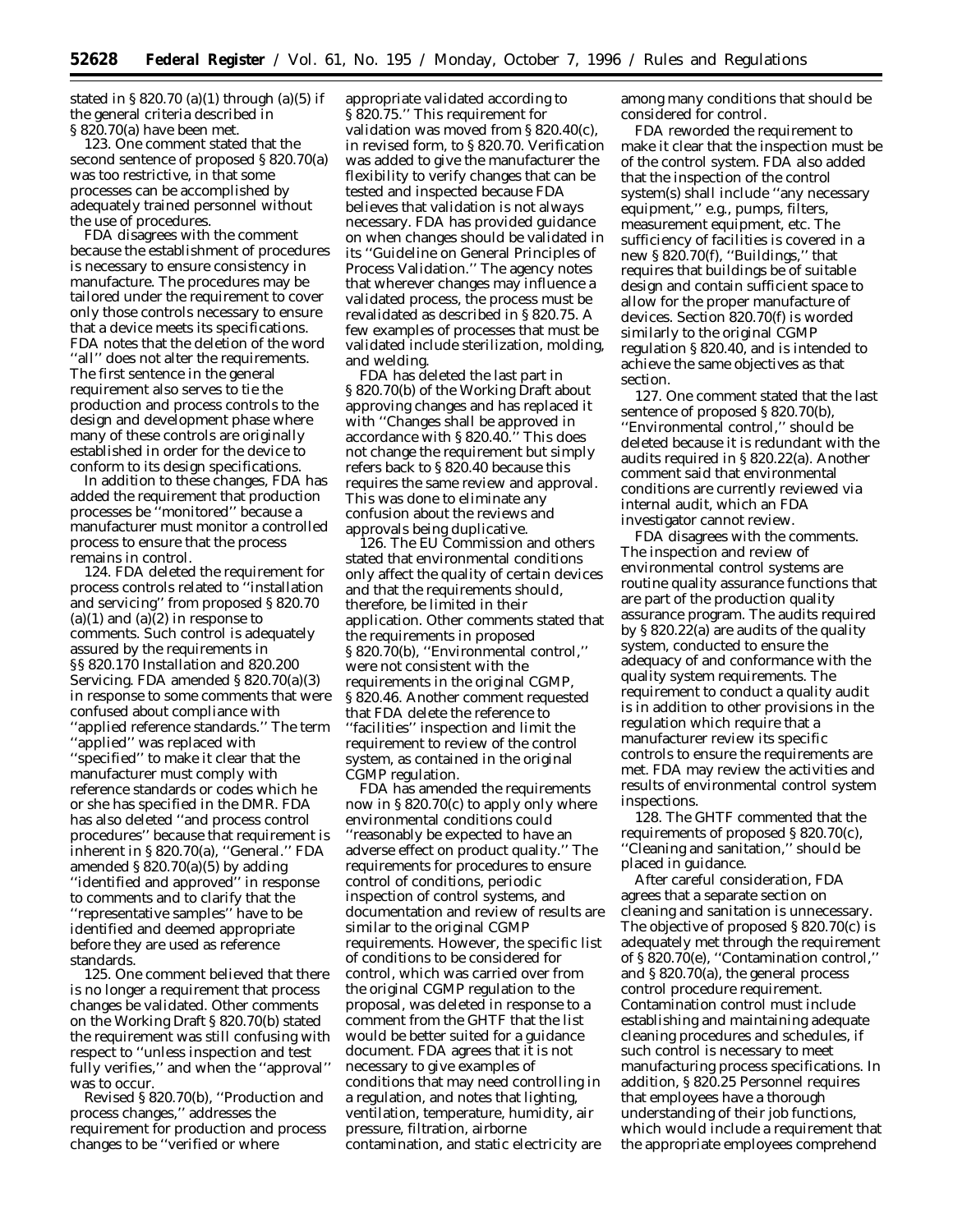stated in § 820.70 (a)(1) through (a)(5) if the general criteria described in § 820.70(a) have been met.

123. One comment stated that the second sentence of proposed § 820.70(a) was too restrictive, in that some processes can be accomplished by adequately trained personnel without the use of procedures.

FDA disagrees with the comment because the establishment of procedures is necessary to ensure consistency in manufacture. The procedures may be tailored under the requirement to cover only those controls necessary to ensure that a device meets its specifications. FDA notes that the deletion of the word ''all'' does not alter the requirements. The first sentence in the general requirement also serves to tie the production and process controls to the design and development phase where many of these controls are originally established in order for the device to conform to its design specifications.

In addition to these changes, FDA has added the requirement that production processes be ''monitored'' because a manufacturer must monitor a controlled process to ensure that the process remains in control.

124. FDA deleted the requirement for process controls related to ''installation and servicing'' from proposed § 820.70  $(a)(1)$  and  $(a)(2)$  in response to comments. Such control is adequately assured by the requirements in §§ 820.170 *Installation* and 820.200 *Servicing.* FDA amended § 820.70(a)(3) in response to some comments that were confused about compliance with ''applied reference standards.'' The term ''applied'' was replaced with ''specified'' to make it clear that the manufacturer must comply with reference standards or codes which he or she has specified in the DMR. FDA has also deleted ''and process control procedures'' because that requirement is inherent in § 820.70(a), ''General.'' FDA amended  $$820.70(a)(5)$  by adding ''identified and approved'' in response to comments and to clarify that the ''representative samples'' have to be identified and deemed appropriate before they are used as reference standards.

125. One comment believed that there is no longer a requirement that process changes be validated. Other comments on the Working Draft § 820.70(b) stated the requirement was still confusing with respect to ''unless inspection and test fully verifies,'' and when the ''approval'' was to occur.

Revised § 820.70(b), ''Production and process changes,'' addresses the requirement for production and process changes to be ''verified or where

appropriate validated according to § 820.75.'' This requirement for validation was moved from § 820.40(c), in revised form, to § 820.70. Verification was added to give the manufacturer the flexibility to verify changes that can be tested and inspected because FDA believes that validation is not always necessary. FDA has provided guidance on when changes should be validated in its ''Guideline on General Principles of Process Validation.'' The agency notes that wherever changes may influence a validated process, the process must be revalidated as described in § 820.75. A few examples of processes that must be validated include sterilization, molding, and welding.

FDA has deleted the last part in § 820.70(b) of the Working Draft about approving changes and has replaced it with ''Changes shall be approved in accordance with § 820.40.'' This does not change the requirement but simply refers back to § 820.40 because this requires the same review and approval. This was done to eliminate any confusion about the reviews and approvals being duplicative.

126. The EU Commission and others stated that environmental conditions only affect the quality of certain devices and that the requirements should, therefore, be limited in their application. Other comments stated that the requirements in proposed § 820.70(b), ''Environmental control,'' were not consistent with the requirements in the original CGMP, § 820.46. Another comment requested that FDA delete the reference to ''facilities'' inspection and limit the requirement to review of the control system, as contained in the original CGMP regulation.

FDA has amended the requirements now in § 820.70(c) to apply only where environmental conditions could ''reasonably be expected to have an adverse effect on product quality.'' The requirements for procedures to ensure control of conditions, periodic inspection of control systems, and documentation and review of results are similar to the original CGMP requirements. However, the specific list of conditions to be considered for control, which was carried over from the original CGMP regulation to the proposal, was deleted in response to a comment from the GHTF that the list would be better suited for a guidance document. FDA agrees that it is not necessary to give examples of conditions that may need controlling in a regulation, and notes that lighting, ventilation, temperature, humidity, air pressure, filtration, airborne contamination, and static electricity are

among many conditions that should be considered for control.

FDA reworded the requirement to make it clear that the inspection must be of the control system. FDA also added that the inspection of the control system(s) shall include ''any necessary equipment,'' e.g., pumps, filters, measurement equipment, etc. The sufficiency of facilities is covered in a new § 820.70(f), ''Buildings,'' that requires that buildings be of suitable design and contain sufficient space to allow for the proper manufacture of devices. Section 820.70(f) is worded similarly to the original CGMP regulation § 820.40, and is intended to achieve the same objectives as that section.

127. One comment stated that the last sentence of proposed § 820.70(b), ''Environmental control,'' should be deleted because it is redundant with the audits required in § 820.22(a). Another comment said that environmental conditions are currently reviewed via internal audit, which an FDA investigator cannot review.

FDA disagrees with the comments. The inspection and review of environmental control systems are routine quality assurance functions that are part of the production quality assurance program. The audits required by § 820.22(a) are audits of the quality system, conducted to ensure the adequacy of and conformance with the quality system requirements. The requirement to conduct a quality audit is in addition to other provisions in the regulation which require that a manufacturer review its specific controls to ensure the requirements are met. FDA may review the activities and results of environmental control system inspections.

128. The GHTF commented that the requirements of proposed § 820.70(c), ''Cleaning and sanitation,'' should be placed in guidance.

After careful consideration, FDA agrees that a separate section on cleaning and sanitation is unnecessary. The objective of proposed § 820.70(c) is adequately met through the requirement of § 820.70(e), ''Contamination control,'' and § 820.70(a), the general process control procedure requirement. Contamination control must include establishing and maintaining adequate cleaning procedures and schedules, if such control is necessary to meet manufacturing process specifications. In addition, § 820.25 *Personnel* requires that employees have a thorough understanding of their job functions, which would include a requirement that the appropriate employees comprehend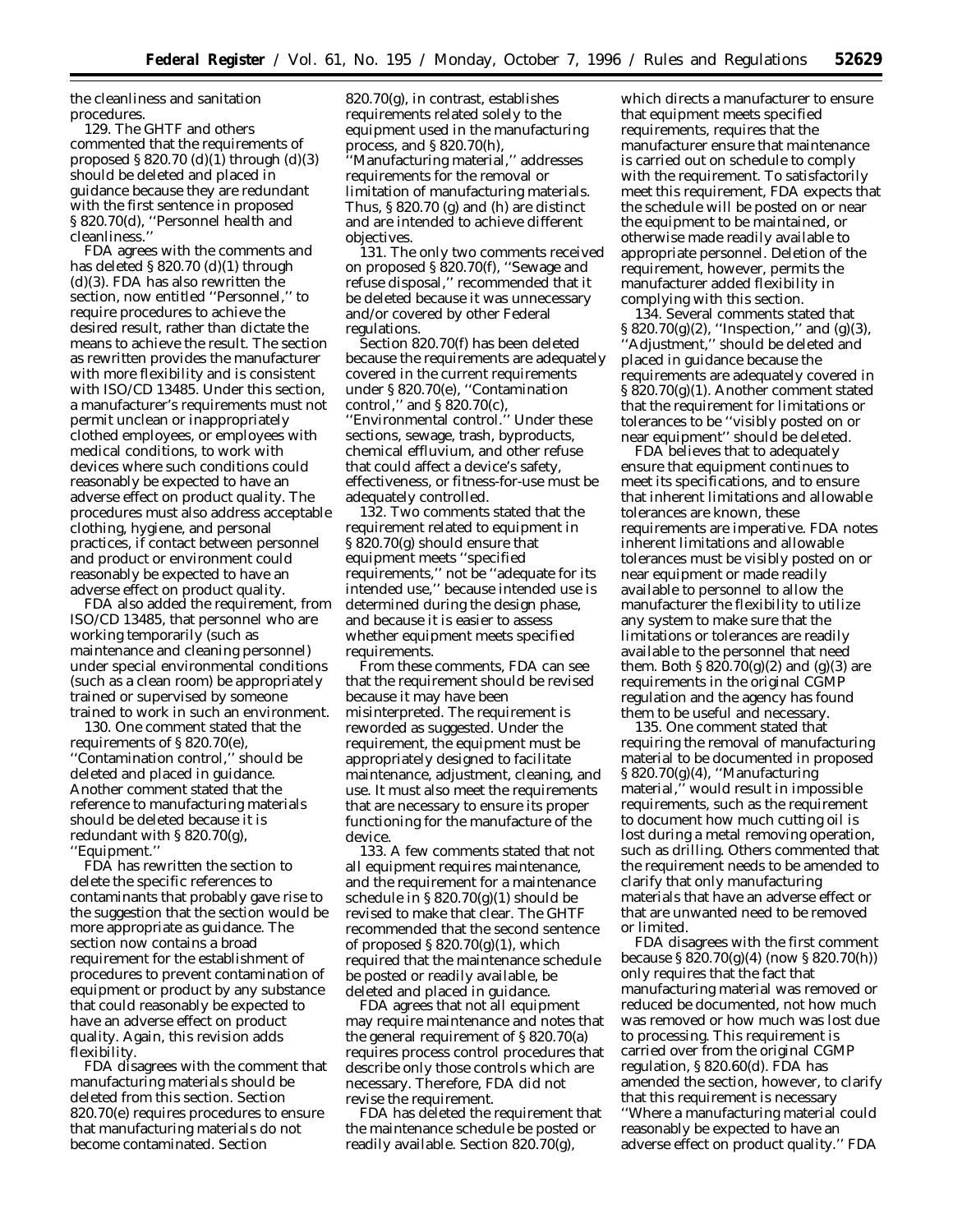the cleanliness and sanitation procedures.

129. The GHTF and others commented that the requirements of proposed § 820.70 (d)(1) through (d)(3) should be deleted and placed in guidance because they are redundant with the first sentence in proposed § 820.70(d), ''Personnel health and cleanliness.

FDA agrees with the comments and has deleted § 820.70 (d)(1) through (d)(3). FDA has also rewritten the section, now entitled ''Personnel,'' to require procedures to achieve the desired result, rather than dictate the means to achieve the result. The section as rewritten provides the manufacturer with more flexibility and is consistent with ISO/CD 13485. Under this section, a manufacturer's requirements must not permit unclean or inappropriately clothed employees, or employees with medical conditions, to work with devices where such conditions could reasonably be expected to have an adverse effect on product quality. The procedures must also address acceptable clothing, hygiene, and personal practices, if contact between personnel and product or environment could reasonably be expected to have an adverse effect on product quality.

FDA also added the requirement, from ISO/CD 13485, that personnel who are working temporarily (such as maintenance and cleaning personnel) under special environmental conditions (such as a clean room) be appropriately trained or supervised by someone trained to work in such an environment.

130. One comment stated that the requirements of § 820.70(e), ''Contamination control,'' should be deleted and placed in guidance. Another comment stated that the reference to manufacturing materials should be deleted because it is redundant with § 820.70(g), ''Equipment.''

FDA has rewritten the section to delete the specific references to contaminants that probably gave rise to the suggestion that the section would be more appropriate as guidance. The section now contains a broad requirement for the establishment of procedures to prevent contamination of equipment or product by any substance that could reasonably be expected to have an adverse effect on product quality. Again, this revision adds flexibility.

FDA disagrees with the comment that manufacturing materials should be deleted from this section. Section 820.70(e) requires procedures to ensure that manufacturing materials do not become contaminated. Section

820.70(g), in contrast, establishes requirements related solely to the equipment used in the manufacturing process, and § 820.70(h), ''Manufacturing material,'' addresses requirements for the removal or limitation of manufacturing materials. Thus, § 820.70 (g) and (h) are distinct and are intended to achieve different objectives.

131. The only two comments received on proposed § 820.70(f), ''Sewage and refuse disposal,'' recommended that it be deleted because it was unnecessary and/or covered by other Federal regulations.

Section 820.70(f) has been deleted because the requirements are adequately covered in the current requirements under § 820.70(e), ''Contamination control,'' and § 820.70(c), ''Environmental control.'' Under these sections, sewage, trash, byproducts, chemical effluvium, and other refuse that could affect a device's safety, effectiveness, or fitness-for-use must be adequately controlled.

132. Two comments stated that the requirement related to equipment in § 820.70(g) should ensure that equipment meets ''specified requirements,'' not be ''adequate for its intended use,'' because intended use is determined during the design phase, and because it is easier to assess whether equipment meets specified requirements.

From these comments, FDA can see that the requirement should be revised because it may have been misinterpreted. The requirement is reworded as suggested. Under the requirement, the equipment must be appropriately designed to facilitate maintenance, adjustment, cleaning, and use. It must also meet the requirements that are necessary to ensure its proper functioning for the manufacture of the device.

133. A few comments stated that not all equipment requires maintenance, and the requirement for a maintenance schedule in § 820.70(g)(1) should be revised to make that clear. The GHTF recommended that the second sentence of proposed  $\S 820.70(g)(1)$ , which required that the maintenance schedule be posted or readily available, be deleted and placed in guidance.

FDA agrees that not all equipment may require maintenance and notes that the general requirement of § 820.70(a) requires process control procedures that describe only those controls which are necessary. Therefore, FDA did not revise the requirement.

FDA has deleted the requirement that the maintenance schedule be posted or readily available. Section 820.70(g),

which directs a manufacturer to ensure that equipment meets specified requirements, requires that the manufacturer ensure that maintenance is carried out on schedule to comply with the requirement. To satisfactorily meet this requirement, FDA expects that the schedule will be posted on or near the equipment to be maintained, or otherwise made readily available to appropriate personnel. Deletion of the requirement, however, permits the manufacturer added flexibility in complying with this section.

134. Several comments stated that § 820.70(g)(2), ''Inspection,'' and (g)(3), ''Adjustment,'' should be deleted and placed in guidance because the requirements are adequately covered in § 820.70(g)(1). Another comment stated that the requirement for limitations or tolerances to be ''visibly posted on or near equipment'' should be deleted.

FDA believes that to adequately ensure that equipment continues to meet its specifications, and to ensure that inherent limitations and allowable tolerances are known, these requirements are imperative. FDA notes inherent limitations and allowable tolerances must be visibly posted on or near equipment *or* made readily available to personnel to allow the manufacturer the flexibility to utilize any system to make sure that the limitations or tolerances are readily available to the personnel that need them. Both  $\S 820.70(g)(2)$  and  $(g)(3)$  are requirements in the original CGMP regulation and the agency has found them to be useful and necessary.

135. One comment stated that requiring the removal of manufacturing material to be documented in proposed § 820.70(g)(4), ''Manufacturing material,'' would result in impossible requirements, such as the requirement to document how much cutting oil is lost during a metal removing operation, such as drilling. Others commented that the requirement needs to be amended to clarify that only manufacturing materials that have an adverse effect or that are unwanted need to be removed or limited.

FDA disagrees with the first comment because § 820.70(g)(4) (now § 820.70(h)) only requires that the fact that manufacturing material was removed or reduced be documented, not how much was removed or how much was lost due to processing. This requirement is carried over from the original CGMP regulation, § 820.60(d). FDA has amended the section, however, to clarify that this requirement is necessary ''Where a manufacturing material could reasonably be expected to have an adverse effect on product quality.'' FDA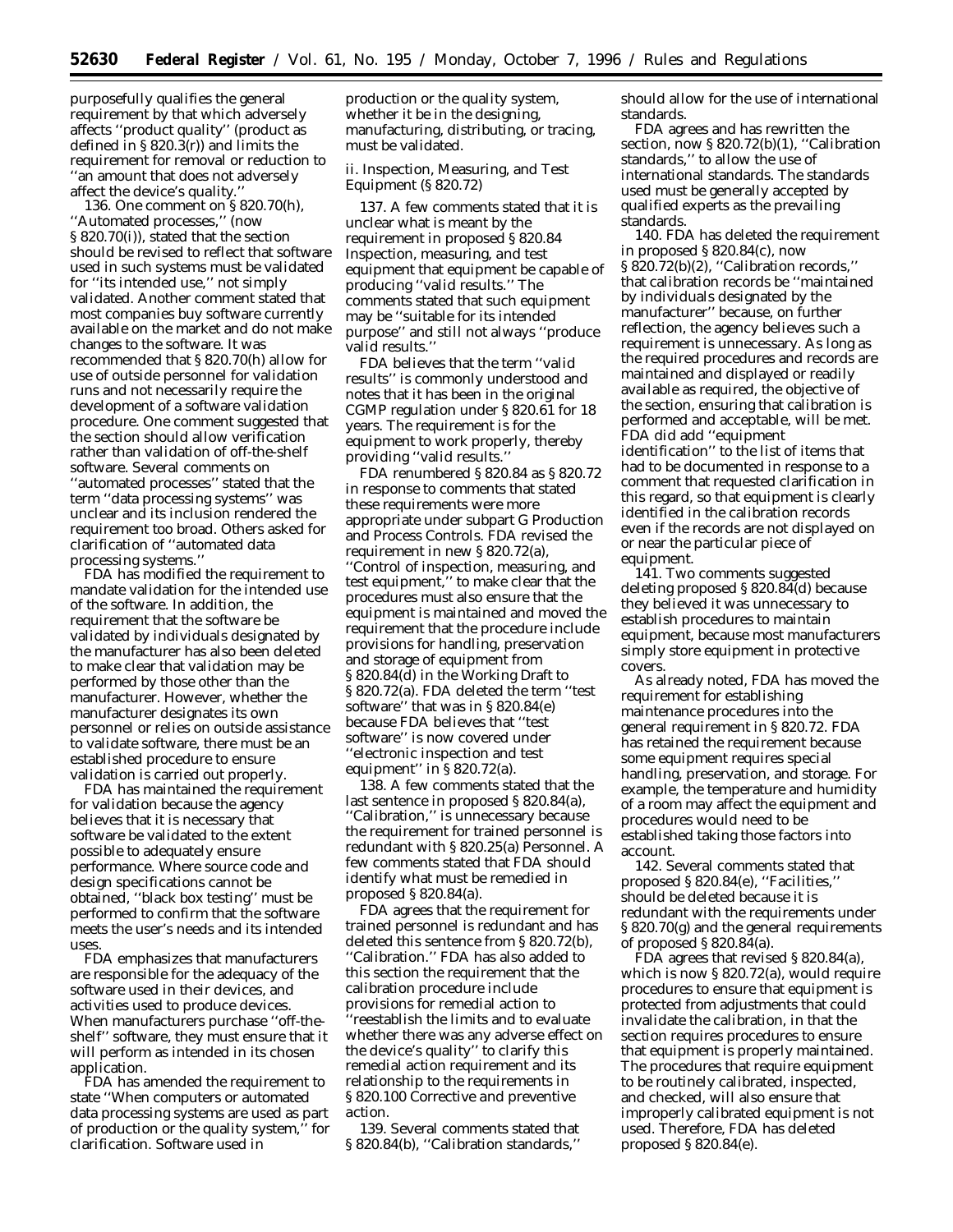purposefully qualifies the general requirement by that which adversely affects ''*product quality*'' (product as defined in  $\S 820.3(r)$  and limits the requirement for removal or reduction to ''an amount that does not adversely affect the *device's quality.*''

136. One comment on § 820.70(h), ''Automated processes,'' (now § 820.70(i)), stated that the section should be revised to reflect that software used in such systems must be validated for ''its intended use,'' not simply validated. Another comment stated that most companies buy software currently available on the market and do not make changes to the software. It was recommended that § 820.70(h) allow for use of outside personnel for validation runs and not necessarily require the development of a software validation procedure. One comment suggested that the section should allow verification rather than validation of off-the-shelf software. Several comments on ''automated processes'' stated that the term ''data processing systems'' was unclear and its inclusion rendered the requirement too broad. Others asked for clarification of ''automated data processing systems.''

FDA has modified the requirement to mandate validation for the intended use of the software. In addition, the requirement that the software be validated by individuals designated by the manufacturer has also been deleted to make clear that validation may be performed by those other than the manufacturer. However, whether the manufacturer designates its own personnel or relies on outside assistance to validate software, there must be an established procedure to ensure validation is carried out properly.

FDA has maintained the requirement for validation because the agency believes that it is necessary that software be validated to the extent possible to adequately ensure performance. Where source code and design specifications cannot be obtained, ''black box testing'' must be performed to confirm that the software meets the user's needs and its intended uses.

FDA emphasizes that manufacturers are responsible for the adequacy of the software used in their devices, and activities used to produce devices. When manufacturers purchase ''off-theshelf'' software, they must ensure that it will perform as intended in its chosen application.

FDA has amended the requirement to state ''When computers or automated data processing systems are used as part of production or the quality system,'' for clarification. Software used in

production or the quality system, whether it be in the designing, manufacturing, distributing, or tracing, must be validated.

ii. Inspection, Measuring, and Test Equipment (§ 820.72)

137. A few comments stated that it is unclear what is meant by the requirement in proposed § 820.84 *Inspection, measuring, and test equipment* that equipment be capable of producing ''valid results.'' The comments stated that such equipment may be ''suitable for its intended purpose'' and still not always ''produce valid results.''

FDA believes that the term ''valid results'' is commonly understood and notes that it has been in the original CGMP regulation under § 820.61 for 18 years. The requirement is for the equipment to work properly, thereby providing ''valid results.''

FDA renumbered § 820.84 as § 820.72 in response to comments that stated these requirements were more appropriate under subpart G Production and Process Controls. FDA revised the requirement in new § 820.72(a),

''Control of inspection, measuring, and test equipment,'' to make clear that the procedures must also ensure that the equipment is maintained and moved the requirement that the procedure include provisions for handling, preservation and storage of equipment from § 820.84(d) in the Working Draft to § 820.72(a). FDA deleted the term ''test software'' that was in § 820.84(e) because FDA believes that ''test software'' is now covered under ''electronic inspection and test equipment" in  $\S$ 820.72(a).

138. A few comments stated that the last sentence in proposed § 820.84(a), ''Calibration,'' is unnecessary because the requirement for trained personnel is redundant with § 820.25(a) *Personnel.* A few comments stated that FDA should identify what must be remedied in proposed § 820.84(a).

FDA agrees that the requirement for trained personnel is redundant and has deleted this sentence from § 820.72(b), ''Calibration.'' FDA has also added to this section the requirement that the calibration procedure include provisions for remedial action to 'reestablish the limits and to evaluate whether there was any adverse effect on the device's quality'' to clarify this remedial action requirement and its relationship to the requirements in § 820.100 *Corrective and preventive action.*

139. Several comments stated that § 820.84(b), "Calibration standards,"

should allow for the use of international standards.

FDA agrees and has rewritten the section, now § 820.72(b)(1), "Calibration standards,'' to allow the use of international standards. The standards used must be generally accepted by qualified experts as the prevailing standards.

140. FDA has deleted the requirement in proposed § 820.84(c), now § 820.72(b)(2), "Calibration records," that calibration records be ''maintained by individuals designated by the manufacturer'' because, on further reflection, the agency believes such a requirement is unnecessary. As long as the required procedures and records are maintained and displayed or readily available as required, the objective of the section, ensuring that calibration is performed and acceptable, will be met. FDA did add ''equipment identification'' to the list of items that had to be documented in response to a comment that requested clarification in this regard, so that equipment is clearly identified in the calibration records even if the records are not displayed on or near the particular piece of equipment.

141. Two comments suggested deleting proposed § 820.84(d) because they believed it was unnecessary to establish procedures to maintain equipment, because most manufacturers simply store equipment in protective covers.

As already noted, FDA has moved the requirement for establishing maintenance procedures into the general requirement in § 820.72. FDA has retained the requirement because some equipment requires special handling, preservation, and storage. For example, the temperature and humidity of a room may affect the equipment and procedures would need to be established taking those factors into account.

142. Several comments stated that proposed § 820.84(e), ''Facilities,'' should be deleted because it is redundant with the requirements under § 820.70(g) and the general requirements of proposed § 820.84(a).

FDA agrees that revised § 820.84(a), which is now § 820.72(a), would require procedures to ensure that equipment is protected from adjustments that could invalidate the calibration, in that the section requires procedures to ensure that equipment is properly maintained. The procedures that require equipment to be routinely calibrated, inspected, and checked, will also ensure that improperly calibrated equipment is not used. Therefore, FDA has deleted proposed § 820.84(e).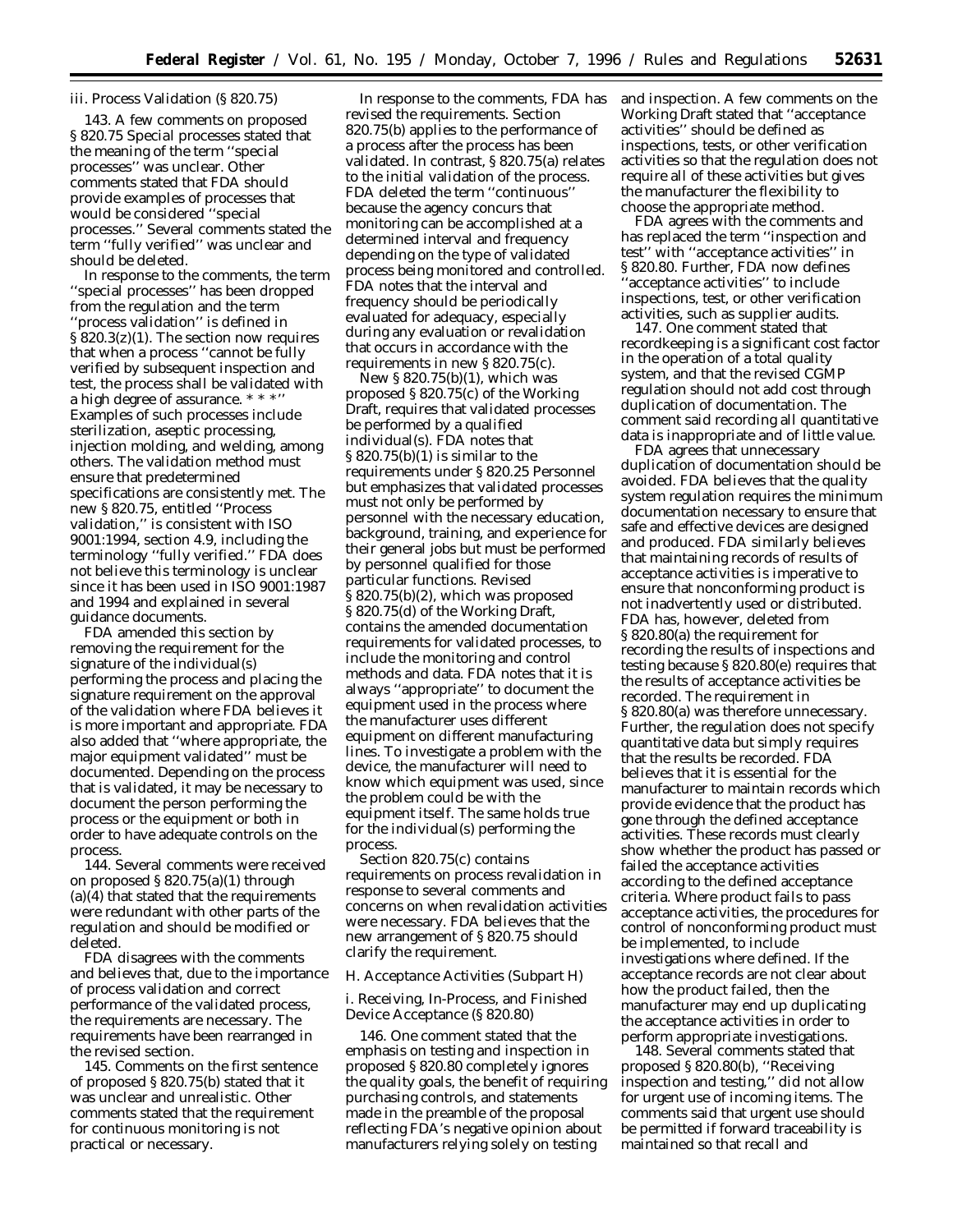## iii. Process Validation (§ 820.75)

143. A few comments on proposed § 820.75 *Special processes* stated that the meaning of the term ''special processes'' was unclear. Other comments stated that FDA should provide examples of processes that would be considered ''special processes.'' Several comments stated the term ''fully verified'' was unclear and should be deleted.

In response to the comments, the term ''special processes'' has been dropped from the regulation and the term ''process validation'' is defined in § 820.3(z)(1). The section now requires that when a process ''cannot be fully verified by subsequent inspection and test, the process shall be validated with a high degree of assurance. \* \* \*'' Examples of such processes include sterilization, aseptic processing, injection molding, and welding, among others. The validation method must ensure that predetermined specifications are consistently met. The new § 820.75, entitled ''Process validation,'' is consistent with ISO 9001:1994, section 4.9, including the terminology ''fully verified.'' FDA does not believe this terminology is unclear since it has been used in ISO 9001:1987 and 1994 and explained in several guidance documents.

FDA amended this section by removing the requirement for the signature of the individual(s) performing the process and placing the signature requirement on the approval of the validation where FDA believes it is more important and appropriate. FDA also added that ''where appropriate, the major equipment validated'' must be documented. Depending on the process that is validated, it may be necessary to document the person performing the process or the equipment or both in order to have adequate controls on the process.

144. Several comments were received on proposed § 820.75(a)(1) through (a)(4) that stated that the requirements were redundant with other parts of the regulation and should be modified or deleted.

FDA disagrees with the comments and believes that, due to the importance of process validation and correct performance of the validated process, the requirements are necessary. The requirements have been rearranged in the revised section.

145. Comments on the first sentence of proposed § 820.75(b) stated that it was unclear and unrealistic. Other comments stated that the requirement for continuous monitoring is not practical or necessary.

In response to the comments, FDA has revised the requirements. Section 820.75(b) applies to the performance of a process *after* the process has been validated. In contrast, § 820.75(a) relates to the initial validation of the process. FDA deleted the term ''continuous'' because the agency concurs that monitoring can be accomplished at a determined interval and frequency depending on the type of validated process being monitored and controlled. FDA notes that the interval and frequency should be periodically evaluated for adequacy, especially during any evaluation or revalidation that occurs in accordance with the requirements in new § 820.75(c).

New § 820.75(b)(1), which was proposed § 820.75(c) of the Working Draft, requires that validated processes be performed by a qualified individual(s). FDA notes that § 820.75(b)(1) is similar to the requirements under § 820.25 *Personnel* but emphasizes that validated processes must not only be performed by personnel with the necessary education, background, training, and experience for their general jobs but must be performed by personnel qualified for those particular functions. Revised § 820.75(b)(2), which was proposed § 820.75(d) of the Working Draft, contains the amended documentation requirements for validated processes, to include the monitoring and control methods and data. FDA notes that it is always ''appropriate'' to document the equipment used in the process where the manufacturer uses different equipment on different manufacturing lines. To investigate a problem with the device, the manufacturer will need to know which equipment was used, since the problem could be with the equipment itself. The same holds true for the individual(s) performing the process.

Section 820.75(c) contains requirements on process revalidation in response to several comments and concerns on when revalidation activities were necessary. FDA believes that the new arrangement of § 820.75 should clarify the requirement.

#### *H. Acceptance Activities (Subpart H)*

i. Receiving, In-Process, and Finished Device Acceptance (§ 820.80)

146. One comment stated that the emphasis on testing and inspection in proposed § 820.80 completely ignores the quality goals, the benefit of requiring purchasing controls, and statements made in the preamble of the proposal reflecting FDA's negative opinion about manufacturers relying solely on testing

and inspection. A few comments on the Working Draft stated that ''acceptance activities'' should be defined as inspections, tests, or other verification activities so that the regulation does not require all of these activities but gives the manufacturer the flexibility to choose the appropriate method.

FDA agrees with the comments and has replaced the term ''inspection and test'' with ''acceptance activities'' in § 820.80. Further, FDA now defines ''acceptance activities'' to include inspections, test, or other verification activities, such as supplier audits.

147. One comment stated that recordkeeping is a significant cost factor in the operation of a total quality system, and that the revised CGMP regulation should not add cost through duplication of documentation. The comment said recording all quantitative data is inappropriate and of little value.

FDA agrees that unnecessary duplication of documentation should be avoided. FDA believes that the quality system regulation requires the minimum documentation necessary to ensure that safe and effective devices are designed and produced. FDA similarly believes that maintaining records of results of acceptance activities is imperative to ensure that nonconforming product is not inadvertently used or distributed. FDA has, however, deleted from § 820.80(a) the requirement for recording the results of inspections and testing because § 820.80(e) requires that the results of acceptance activities be recorded. The requirement in § 820.80(a) was therefore unnecessary. Further, the regulation does not specify quantitative data but simply requires that the results be recorded. FDA believes that it is essential for the manufacturer to maintain records which provide evidence that the product has gone through the defined acceptance activities. These records must clearly show whether the product has passed or failed the acceptance activities according to the defined acceptance criteria. Where product fails to pass acceptance activities, the procedures for control of nonconforming product must be implemented, to include investigations where defined. If the acceptance records are not clear about how the product failed, then the manufacturer may end up duplicating the acceptance activities in order to perform appropriate investigations.

148. Several comments stated that proposed § 820.80(b), ''Receiving inspection and testing,'' did not allow for urgent use of incoming items. The comments said that urgent use should be permitted if forward traceability is maintained so that recall and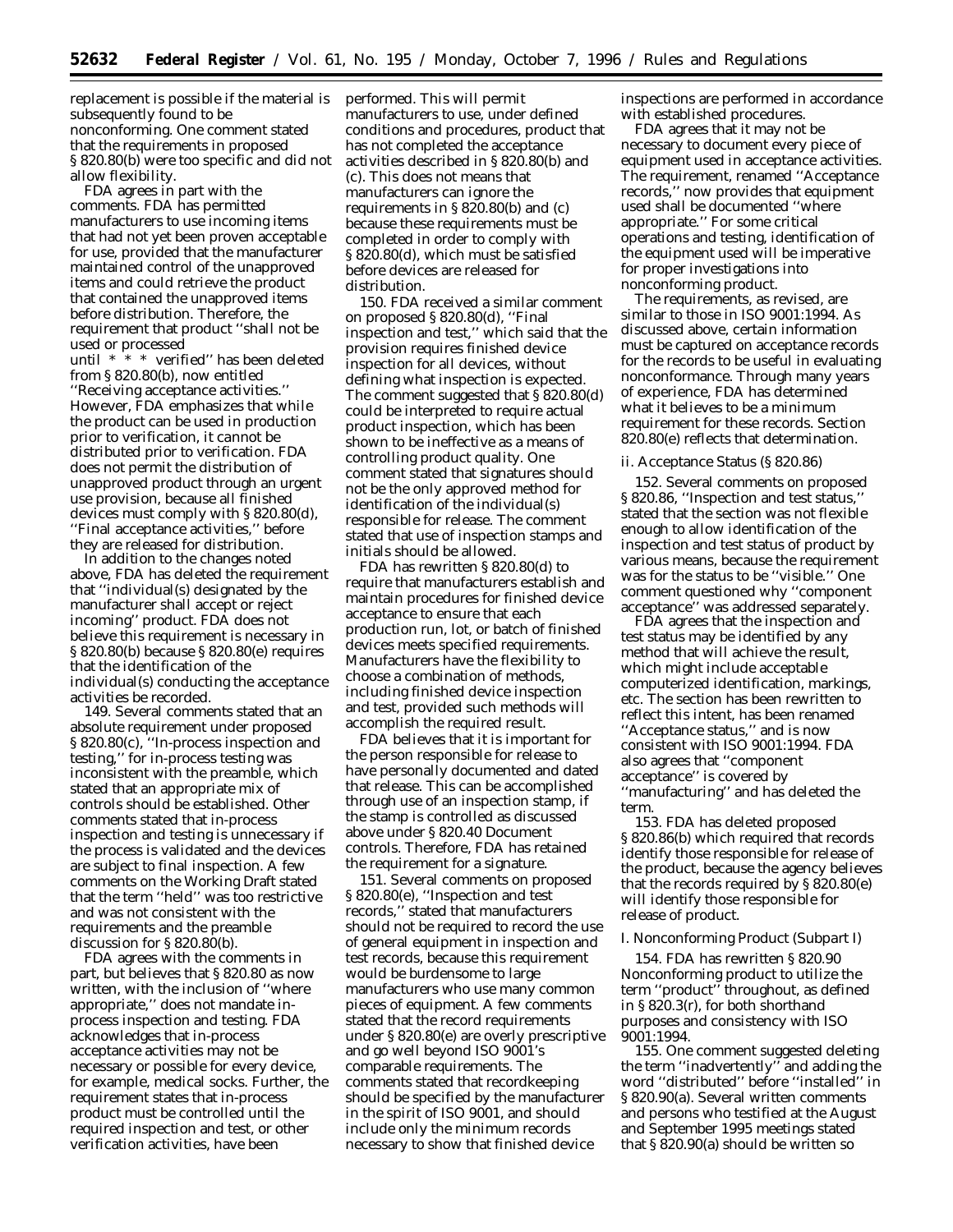replacement is possible if the material is subsequently found to be nonconforming. One comment stated that the requirements in proposed § 820.80(b) were too specific and did not allow flexibility.

FDA agrees in part with the comments. FDA has permitted manufacturers to use incoming items that had not yet been proven acceptable for use, provided that the manufacturer maintained control of the unapproved items and could retrieve the product that contained the unapproved items *before* distribution. Therefore, the requirement that product ''shall not be used or processed until \* \* \* verified'' has been deleted from § 820.80(b), now entitled ''Receiving acceptance activities.'' However, FDA emphasizes that while the product can be used in production prior to verification, it *cannot* be distributed prior to verification. FDA does not permit the distribution of unapproved product through an urgent use provision, because all finished devices must comply with § 820.80(d), ''Final acceptance activities,'' before

In addition to the changes noted above, FDA has deleted the requirement that ''individual(s) designated by the manufacturer shall accept or reject incoming'' product. FDA does not believe this requirement is necessary in § 820.80(b) because § 820.80(e) requires that the identification of the individual(s) conducting the acceptance activities be recorded.

they are released for distribution.

149. Several comments stated that an absolute requirement under proposed § 820.80(c), ''In-process inspection and testing,'' for in-process testing was inconsistent with the preamble, which stated that an appropriate mix of controls should be established. Other comments stated that in-process inspection and testing is unnecessary if the process is validated and the devices are subject to final inspection. A few comments on the Working Draft stated that the term ''held'' was too restrictive and was not consistent with the requirements and the preamble discussion for § 820.80(b).

FDA agrees with the comments in part, but believes that § 820.80 as now written, with the inclusion of ''where appropriate,'' does not mandate inprocess inspection and testing. FDA acknowledges that in-process acceptance activities may not be necessary or possible for every device, for example, medical socks. Further, the requirement states that in-process product must be *controlled* until the required inspection and test, or other verification activities, have been

performed. This will permit manufacturers to use, under defined conditions and procedures, product that has not *completed* the acceptance activities described in § 820.80(b) and (c). This does not means that manufacturers can ignore the requirements in § 820.80(b) and (c) because these requirements must be completed in order to comply with § 820.80(d), which must be satisfied before devices are released for distribution.

150. FDA received a similar comment on proposed § 820.80(d), ''Final inspection and test,'' which said that the provision requires finished device inspection for all devices, without defining what inspection is expected. The comment suggested that § 820.80(d) could be interpreted to require actual product inspection, which has been shown to be ineffective as a means of controlling product quality. One comment stated that signatures should not be the only approved method for identification of the individual(s) responsible for release. The comment stated that use of inspection stamps and initials should be allowed.

FDA has rewritten § 820.80(d) to require that manufacturers establish and maintain procedures for finished device acceptance to ensure that each production run, lot, or batch of finished devices meets specified requirements. Manufacturers have the flexibility to choose a combination of methods, including finished device inspection and test, provided such methods will accomplish the required result.

FDA believes that it is important for the person responsible for release to have personally documented and dated that release. This can be accomplished through use of an inspection stamp, if the stamp is controlled as discussed above under § 820.40 *Document controls.* Therefore, FDA has retained the requirement for a signature.

151. Several comments on proposed § 820.80(e), "Inspection and test records,'' stated that manufacturers should not be required to record the use of general equipment in inspection and test records, because this requirement would be burdensome to large manufacturers who use many common pieces of equipment. A few comments stated that the record requirements under § 820.80(e) are overly prescriptive and go well beyond ISO 9001's comparable requirements. The comments stated that recordkeeping should be specified by the manufacturer in the spirit of ISO 9001, and should include only the minimum records necessary to show that finished device

inspections are performed in accordance with established procedures.

FDA agrees that it may not be necessary to document every piece of equipment used in acceptance activities. The requirement, renamed ''Acceptance records,'' now provides that equipment used shall be documented ''where appropriate.'' For some critical operations and testing, identification of the equipment used will be imperative for proper investigations into nonconforming product.

The requirements, as revised, are similar to those in ISO 9001:1994. As discussed above, certain information must be captured on acceptance records for the records to be useful in evaluating nonconformance. Through many years of experience, FDA has determined what it believes to be a minimum requirement for these records. Section 820.80(e) reflects that determination.

#### ii. Acceptance Status (§ 820.86)

152. Several comments on proposed § 820.86, ''Inspection and test status,'' stated that the section was not flexible enough to allow identification of the inspection and test status of product by various means, because the requirement was for the status to be ''visible.'' One comment questioned why ''component acceptance'' was addressed separately.

FDA agrees that the inspection and test status may be identified by any method that will achieve the result, which might include acceptable computerized identification, markings, etc. The section has been rewritten to reflect this intent, has been renamed ''Acceptance status,'' and is now consistent with ISO 9001:1994. FDA also agrees that ''component acceptance'' is covered by ''manufacturing'' and has deleted the term.

153. FDA has deleted proposed § 820.86(b) which required that records identify those responsible for release of the product, because the agency believes that the records required by § 820.80(e) will identify those responsible for release of product.

## *I. Nonconforming Product (Subpart I)*

154. FDA has rewritten § 820.90 *Nonconforming product* to utilize the term ''product'' throughout, as defined in § 820.3(r), for both shorthand purposes and consistency with ISO 9001:1994.

155. One comment suggested deleting the term ''inadvertently'' and adding the word ''distributed'' before ''installed'' in § 820.90(a). Several written comments and persons who testified at the August and September 1995 meetings stated that § 820.90(a) should be written so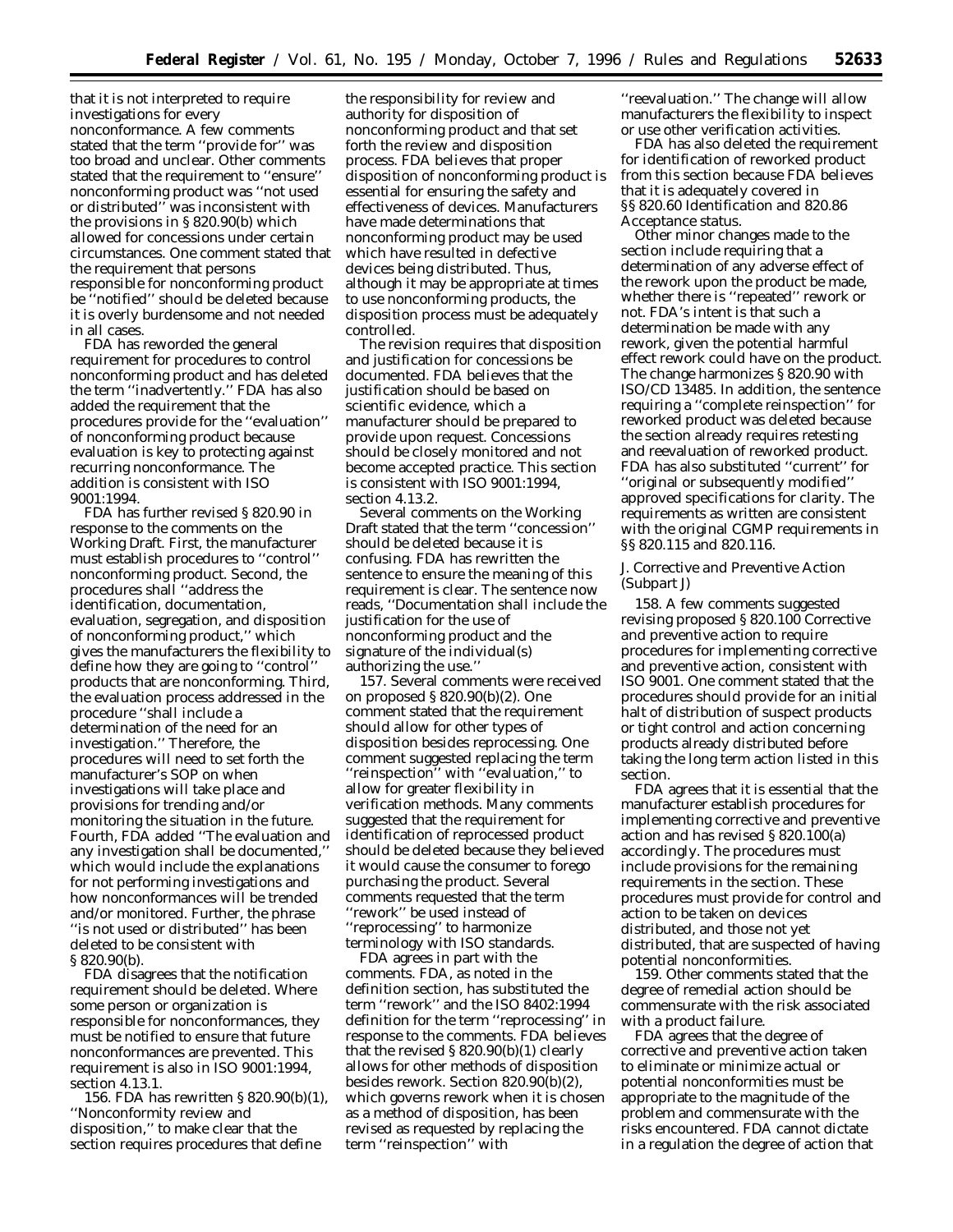that it is not interpreted to require investigations for every nonconformance. A few comments stated that the term ''provide for'' was too broad and unclear. Other comments stated that the requirement to ''ensure'' nonconforming product was ''not used or distributed'' was inconsistent with the provisions in § 820.90(b) which allowed for concessions under certain circumstances. One comment stated that the requirement that persons responsible for nonconforming product be ''notified'' should be deleted because it is overly burdensome and not needed in all cases.

FDA has reworded the general requirement for procedures to control nonconforming product and has deleted the term ''inadvertently.'' FDA has also added the requirement that the procedures provide for the ''evaluation'' of nonconforming product because evaluation is key to protecting against recurring nonconformance. The addition is consistent with ISO 9001:1994.

FDA has further revised § 820.90 in response to the comments on the Working Draft. First, the manufacturer must establish procedures to ''control'' nonconforming product. Second, the procedures shall ''*address* the identification, documentation, evaluation, segregation, and disposition of nonconforming product,'' which gives the manufacturers the flexibility to define how they are going to ''control'' products that are nonconforming. Third, the evaluation process addressed in the procedure ''shall include a determination of the need for an investigation.'' Therefore, the procedures will need to set forth the manufacturer's SOP on when investigations will take place and provisions for trending and/or monitoring the situation in the future. Fourth, FDA added "The evaluation and any investigation shall be documented,'' which would include the explanations for not performing investigations and how nonconformances will be trended and/or monitored. Further, the phrase ''is not used or distributed'' has been deleted to be consistent with § 820.90(b).

FDA disagrees that the notification requirement should be deleted. Where some person or organization is responsible for nonconformances, they must be notified to ensure that future nonconformances are prevented. This requirement is also in ISO 9001:1994, section 4.13.1.

156. FDA has rewritten § 820.90(b)(1), ''Nonconformity review and disposition,'' to make clear that the section requires procedures that define

the responsibility for review and authority for disposition of nonconforming product and that set forth the review and disposition process. FDA believes that proper disposition of nonconforming product is essential for ensuring the safety and effectiveness of devices. Manufacturers have made determinations that nonconforming product may be used which have resulted in defective devices being distributed. Thus, although it may be appropriate at times to use nonconforming products, the disposition process must be adequately controlled.

The revision requires that disposition and justification for concessions be documented. FDA believes that the justification should be based on scientific evidence, which a manufacturer should be prepared to provide upon request. Concessions should be closely monitored and not become accepted practice. This section is consistent with ISO 9001:1994, section 4.13.2.

Several comments on the Working Draft stated that the term ''concession'' should be deleted because it is confusing. FDA has rewritten the sentence to ensure the meaning of this requirement is clear. The sentence now reads, ''Documentation shall include the justification for the use of nonconforming product and the signature of the individual(s) authorizing the use.''

157. Several comments were received on proposed § 820.90(b)(2). One comment stated that the requirement should allow for other types of disposition besides reprocessing. One comment suggested replacing the term ''reinspection'' with ''evaluation,'' to allow for greater flexibility in verification methods. Many comments suggested that the requirement for identification of reprocessed product should be deleted because they believed it would cause the consumer to forego purchasing the product. Several comments requested that the term ''rework'' be used instead of ''reprocessing'' to harmonize terminology with ISO standards.

FDA agrees in part with the comments. FDA, as noted in the definition section, has substituted the term ''rework'' and the ISO 8402:1994 definition for the term ''reprocessing'' in response to the comments. FDA believes that the revised § 820.90(b)(1) clearly allows for other methods of disposition besides rework. Section 820.90(b)(2), which governs rework when it is chosen as a method of disposition, has been revised as requested by replacing the term ''reinspection'' with

''reevaluation.'' The change will allow manufacturers the flexibility to inspect or use other verification activities.

FDA has also deleted the requirement for identification of reworked product from this section because FDA believes that it is adequately covered in §§ 820.60 *Identification* and 820.86 *Acceptance status*.

Other minor changes made to the section include requiring that a determination of any adverse effect of the rework upon the product be made, whether there is ''repeated'' rework or not. FDA's intent is that such a determination be made with any rework, given the potential harmful effect rework could have on the product. The change harmonizes § 820.90 with ISO/CD 13485. In addition, the sentence requiring a ''complete reinspection'' for reworked product was deleted because the section already requires retesting and reevaluation of reworked product. FDA has also substituted ''current'' for ''original or subsequently modified'' approved specifications for clarity. The requirements as written are consistent with the original CGMP requirements in §§ 820.115 and 820.116.

## *J. Corrective and Preventive Action (Subpart J)*

158. A few comments suggested revising proposed § 820.100 *Corrective and preventive action* to require procedures for implementing corrective and preventive action, consistent with ISO 9001. One comment stated that the procedures should provide for an initial halt of distribution of suspect products or tight control and action concerning products already distributed before taking the long term action listed in this section.

FDA agrees that it is essential that the manufacturer establish procedures for implementing corrective and preventive action and has revised § 820.100(a) accordingly. The procedures must include provisions for the remaining requirements in the section. These procedures must provide for control and action to be taken on devices distributed, and those not yet distributed, that are suspected of having potential nonconformities.

159. Other comments stated that the degree of remedial action should be commensurate with the risk associated with a product failure.

FDA agrees that the degree of corrective and preventive action taken to eliminate or minimize actual or potential nonconformities must be appropriate to the magnitude of the problem and commensurate with the risks encountered. FDA cannot dictate in a regulation the degree of action that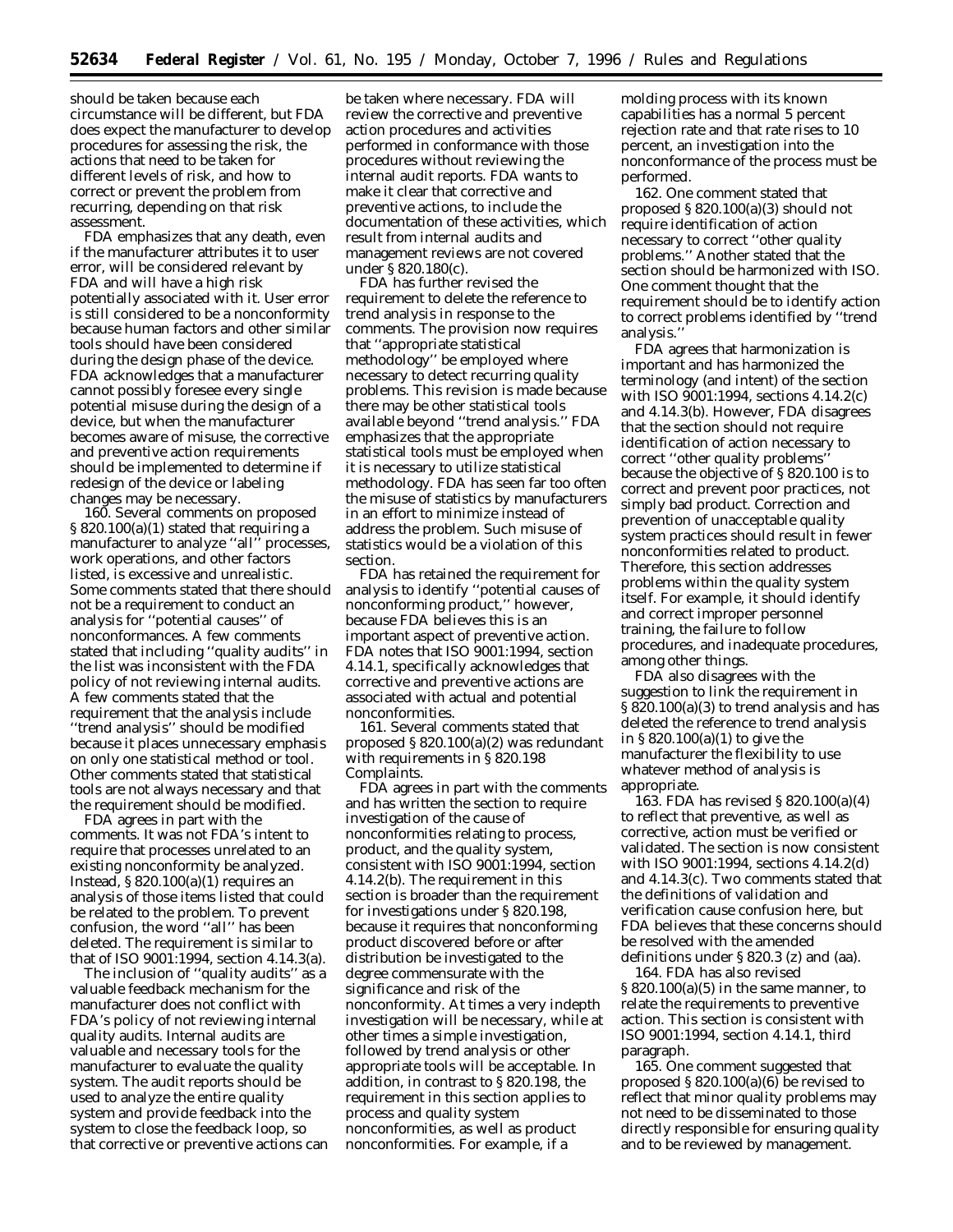should be taken because each circumstance will be different, but FDA does expect the manufacturer to develop procedures for assessing the risk, the actions that need to be taken for different levels of risk, and how to correct or prevent the problem from recurring, depending on that risk assessment.

FDA emphasizes that any death, even if the manufacturer attributes it to user error, will be considered relevant by FDA and will have a high risk potentially associated with it. User error is still considered to be a nonconformity because human factors and other similar tools should have been considered during the design phase of the device. FDA acknowledges that a manufacturer cannot possibly foresee every single potential misuse during the design of a device, but when the manufacturer becomes aware of misuse, the corrective and preventive action requirements should be implemented to determine if redesign of the device or labeling changes may be necessary.

160. Several comments on proposed § 820.100(a)(1) stated that requiring a manufacturer to analyze ''all'' processes, work operations, and other factors listed, is excessive and unrealistic. Some comments stated that there should not be a requirement to conduct an analysis for ''potential causes'' of nonconformances. A few comments stated that including ''quality audits'' in the list was inconsistent with the FDA policy of not reviewing internal audits. A few comments stated that the requirement that the analysis include ''trend analysis'' should be modified because it places unnecessary emphasis on only one statistical method or tool. Other comments stated that statistical tools are not always necessary and that the requirement should be modified.

FDA agrees in part with the comments. It was not FDA's intent to require that processes unrelated to an existing nonconformity be analyzed. Instead,  $$820.100(a)(1)$  requires an analysis of those items listed that could be related to the problem. To prevent confusion, the word ''all'' has been deleted. The requirement is similar to that of ISO 9001:1994, section 4.14.3(a).

The inclusion of ''quality audits'' as a valuable feedback mechanism for the manufacturer does not conflict with FDA's policy of not reviewing internal quality audits. Internal audits are valuable and necessary tools for the manufacturer to evaluate the quality system. The audit reports should be used to analyze the entire quality system and provide feedback into the system to close the feedback loop, so that corrective or preventive actions can

be taken where necessary. FDA will review the corrective and preventive action procedures and activities performed in conformance with those procedures without reviewing the internal audit reports. FDA wants to make it clear that corrective and preventive actions, to include the documentation of these activities, which result from internal audits and management reviews are not covered under § 820.180(c).

FDA has further revised the requirement to delete the reference to trend analysis in response to the comments. The provision now requires that ''appropriate statistical methodology'' be employed where necessary to detect recurring quality problems. This revision is made because there may be other statistical tools available beyond ''trend analysis.'' FDA emphasizes that the *appropriate* statistical tools must be employed when it is necessary to utilize statistical methodology. FDA has seen far too often the misuse of statistics by manufacturers in an effort to minimize instead of address the problem. Such misuse of statistics would be a violation of this section.

FDA has retained the requirement for analysis to identify ''potential causes of nonconforming product,'' however, because FDA believes this is an important aspect of preventive action. FDA notes that ISO 9001:1994, section 4.14.1, specifically acknowledges that corrective and preventive actions are associated with actual and *potential* nonconformities.

161. Several comments stated that proposed § 820.100(a)(2) was redundant with requirements in § 820.198 *Complaints*.

FDA agrees in part with the comments and has written the section to require investigation of the cause of nonconformities relating to process, product, and the quality system, consistent with ISO 9001:1994, section 4.14.2(b). The requirement in this section is broader than the requirement for investigations under § 820.198, because it requires that nonconforming product discovered before or after distribution be investigated to the degree commensurate with the significance and risk of the nonconformity. At times a very indepth investigation will be necessary, while at other times a simple investigation, followed by trend analysis or other appropriate tools will be acceptable. In addition, in contrast to § 820.198, the requirement in this section applies to process and quality system nonconformities, as well as product nonconformities. For example, if a

molding process with its known capabilities has a normal 5 percent rejection rate and that rate rises to 10 percent, an investigation into the nonconformance of the process must be performed.

162. One comment stated that proposed § 820.100(a)(3) should not require identification of action necessary to correct ''other quality problems.'' Another stated that the section should be harmonized with ISO. One comment thought that the requirement should be to identify action to correct problems identified by ''trend analysis.''

FDA agrees that harmonization is important and has harmonized the terminology (and intent) of the section with ISO 9001:1994, sections 4.14.2(c) and 4.14.3(b). However, FDA disagrees that the section should not require identification of action necessary to correct ''other quality problems'' because the objective of § 820.100 is to correct and prevent poor practices, not simply bad product. Correction and prevention of unacceptable quality system practices should result in fewer nonconformities related to product. Therefore, this section addresses problems within the quality system itself. For example, it should identify and correct improper personnel training, the failure to follow procedures, and inadequate procedures, among other things.

FDA also disagrees with the suggestion to link the requirement in § 820.100(a)(3) to trend analysis and has deleted the reference to trend analysis in § 820.100(a)(1) to give the manufacturer the flexibility to use whatever method of analysis is appropriate.

163. FDA has revised § 820.100(a)(4) to reflect that preventive, as well as corrective, action must be verified or validated. The section is now consistent with ISO 9001:1994, sections 4.14.2(d) and 4.14.3(c). Two comments stated that the definitions of validation and verification cause confusion here, but FDA believes that these concerns should be resolved with the amended definitions under § 820.3 (z) and (aa).

164. FDA has also revised § 820.100(a)(5) in the same manner, to relate the requirements to preventive action. This section is consistent with ISO 9001:1994, section 4.14.1, third paragraph.

165. One comment suggested that proposed  $\S 820.100(a)(6)$  be revised to reflect that minor quality problems may not need to be disseminated to those directly responsible for ensuring quality and to be reviewed by management.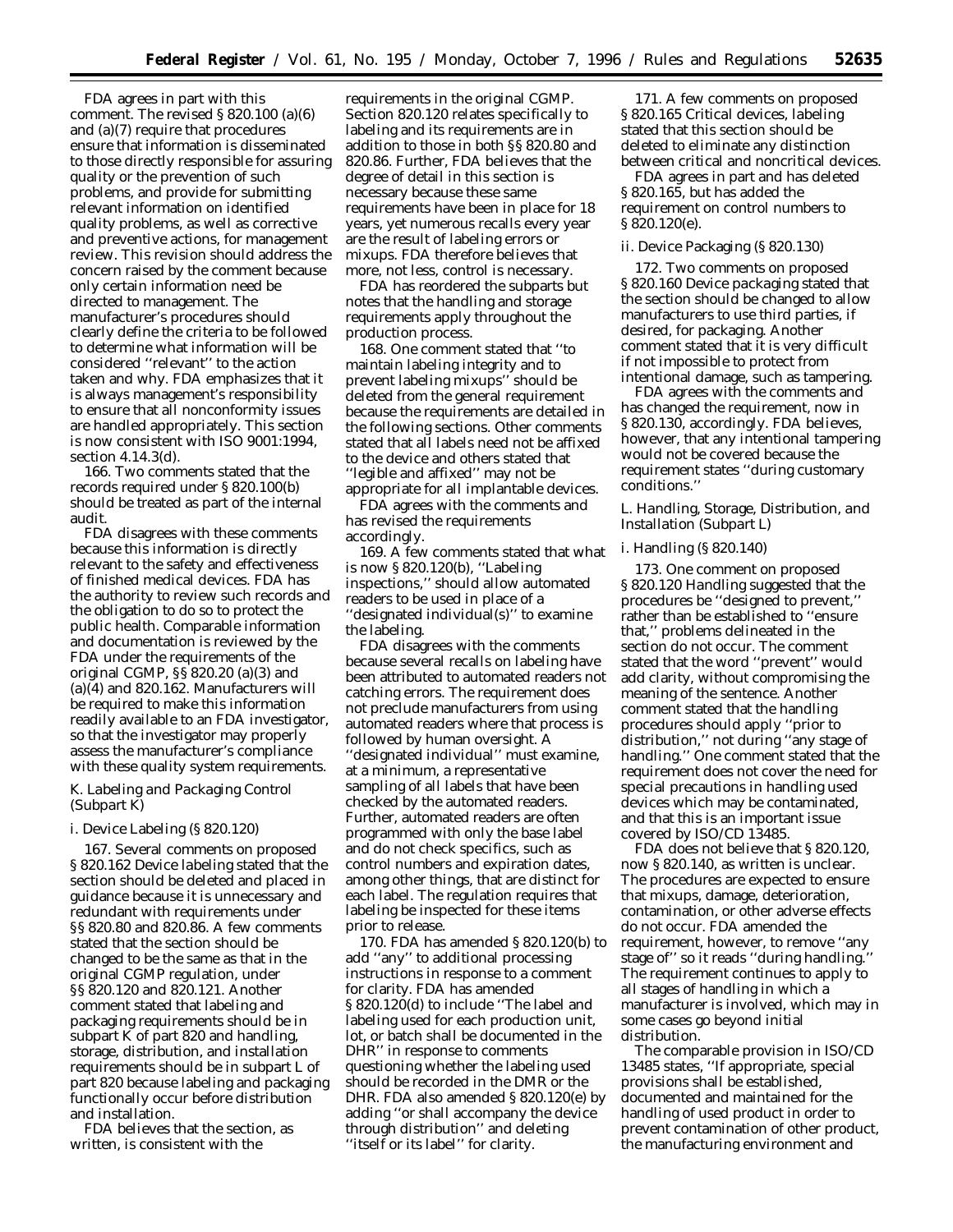FDA agrees in part with this comment. The revised  $\S 820.100$  (a)(6) and (a)(7) require that procedures ensure that information is disseminated to those directly responsible for assuring quality or the prevention of such problems, and provide for submitting relevant information on identified quality problems, as well as corrective and preventive actions, for management review. This revision should address the concern raised by the comment because only certain information need be directed to management. The manufacturer's procedures should clearly define the criteria to be followed to determine what information will be considered ''relevant'' to the action taken and why. FDA emphasizes that it is always management's responsibility to ensure that all nonconformity issues are handled appropriately. This section is now consistent with ISO 9001:1994, section 4.14.3(d).

166. Two comments stated that the records required under § 820.100(b) should be treated as part of the internal audit.

FDA disagrees with these comments because this information is directly relevant to the safety and effectiveness of finished medical devices. FDA has the authority to review such records and the obligation to do so to protect the public health. Comparable information and documentation is reviewed by the FDA under the requirements of the original CGMP, §§ 820.20 (a)(3) and (a)(4) and 820.162. Manufacturers will be required to make this information readily available to an FDA investigator, so that the investigator may properly assess the manufacturer's compliance with these quality system requirements.

## *K. Labeling and Packaging Control (Subpart K)*

#### i. Device Labeling (§ 820.120)

167. Several comments on proposed § 820.162 *Device labeling* stated that the section should be deleted and placed in guidance because it is unnecessary and redundant with requirements under §§ 820.80 and 820.86. A few comments stated that the section should be changed to be the same as that in the original CGMP regulation, under §§ 820.120 and 820.121. Another comment stated that labeling and packaging requirements should be in subpart K of part 820 and handling, storage, distribution, and installation requirements should be in subpart L of part 820 because labeling and packaging functionally occur before distribution and installation.

FDA believes that the section, as written, is consistent with the

requirements in the original CGMP. Section 820.120 relates specifically to labeling and its requirements are in addition to those in both §§ 820.80 and 820.86. Further, FDA believes that the degree of detail in this section is necessary because these same requirements have been in place for 18 years, yet numerous recalls every year are the result of labeling errors or mixups. FDA therefore believes that more, not less, control is necessary.

FDA has reordered the subparts but notes that the handling and storage requirements apply throughout the production process.

168. One comment stated that ''to maintain labeling integrity and to prevent labeling mixups'' should be deleted from the general requirement because the requirements are detailed in the following sections. Other comments stated that all labels need not be affixed to the device and others stated that ''legible and affixed'' may not be appropriate for all implantable devices.

FDA agrees with the comments and has revised the requirements accordingly.

169. A few comments stated that what is now § 820.120(b), ''Labeling inspections,'' should allow automated readers to be used in place of a ''designated individual(s)'' to examine the labeling.

FDA disagrees with the comments because several recalls on labeling have been attributed to automated readers not catching errors. The requirement does not preclude manufacturers from using automated readers where that process is followed by human oversight. A ''designated individual'' must examine, at a minimum, a representative sampling of all labels that have been checked by the automated readers. Further, automated readers are often programmed with only the base label and do not check specifics, such as control numbers and expiration dates, among other things, that are distinct for each label. The regulation requires that labeling be inspected for these items prior to release.

170. FDA has amended § 820.120(b) to add ''any'' to additional processing instructions in response to a comment for clarity. FDA has amended § 820.120(d) to include ''The label and labeling used for each production unit, lot, or batch shall be documented in the DHR'' in response to comments questioning whether the labeling used should be recorded in the DMR or the DHR. FDA also amended § 820.120(e) by adding ''or shall accompany the device through distribution'' and deleting ''itself or its label'' for clarity.

171. A few comments on proposed § 820.165 *Critical devices, labeling* stated that this section should be deleted to eliminate any distinction between critical and noncritical devices.

FDA agrees in part and has deleted § 820.165, but has added the requirement on control numbers to § 820.120(e).

#### ii. Device Packaging (§ 820.130)

172. Two comments on proposed § 820.160 *Device packaging* stated that the section should be changed to allow manufacturers to use third parties, if desired, for packaging. Another comment stated that it is very difficult if not impossible to protect from intentional damage, such as tampering.

FDA agrees with the comments and has changed the requirement, now in § 820.130, accordingly. FDA believes, however, that any intentional tampering would not be covered because the requirement states ''during customary conditions.''

## *L. Handling, Storage, Distribution, and Installation (Subpart L)*

## i. Handling (§ 820.140)

173. One comment on proposed § 820.120 *Handling* suggested that the procedures be ''designed to prevent,'' rather than be established to ''ensure that,'' problems delineated in the section do not occur. The comment stated that the word ''prevent'' would add clarity, without compromising the meaning of the sentence. Another comment stated that the handling procedures should apply ''prior to distribution,'' not during ''any stage of handling.'' One comment stated that the requirement does not cover the need for special precautions in handling used devices which may be contaminated, and that this is an important issue covered by ISO/CD 13485.

FDA does not believe that § 820.120, now § 820.140, as written is unclear. The procedures are expected to ensure that mixups, damage, deterioration, contamination, or other adverse effects do not occur. FDA amended the requirement, however, to remove ''any stage of'' so it reads ''during handling.'' The requirement continues to apply to all stages of handling in which a manufacturer is involved, which may in some cases go beyond initial distribution.

The comparable provision in ISO/CD 13485 states, ''If appropriate, special provisions shall be established, documented and maintained for the handling of used product in order to prevent contamination of other product, the manufacturing environment and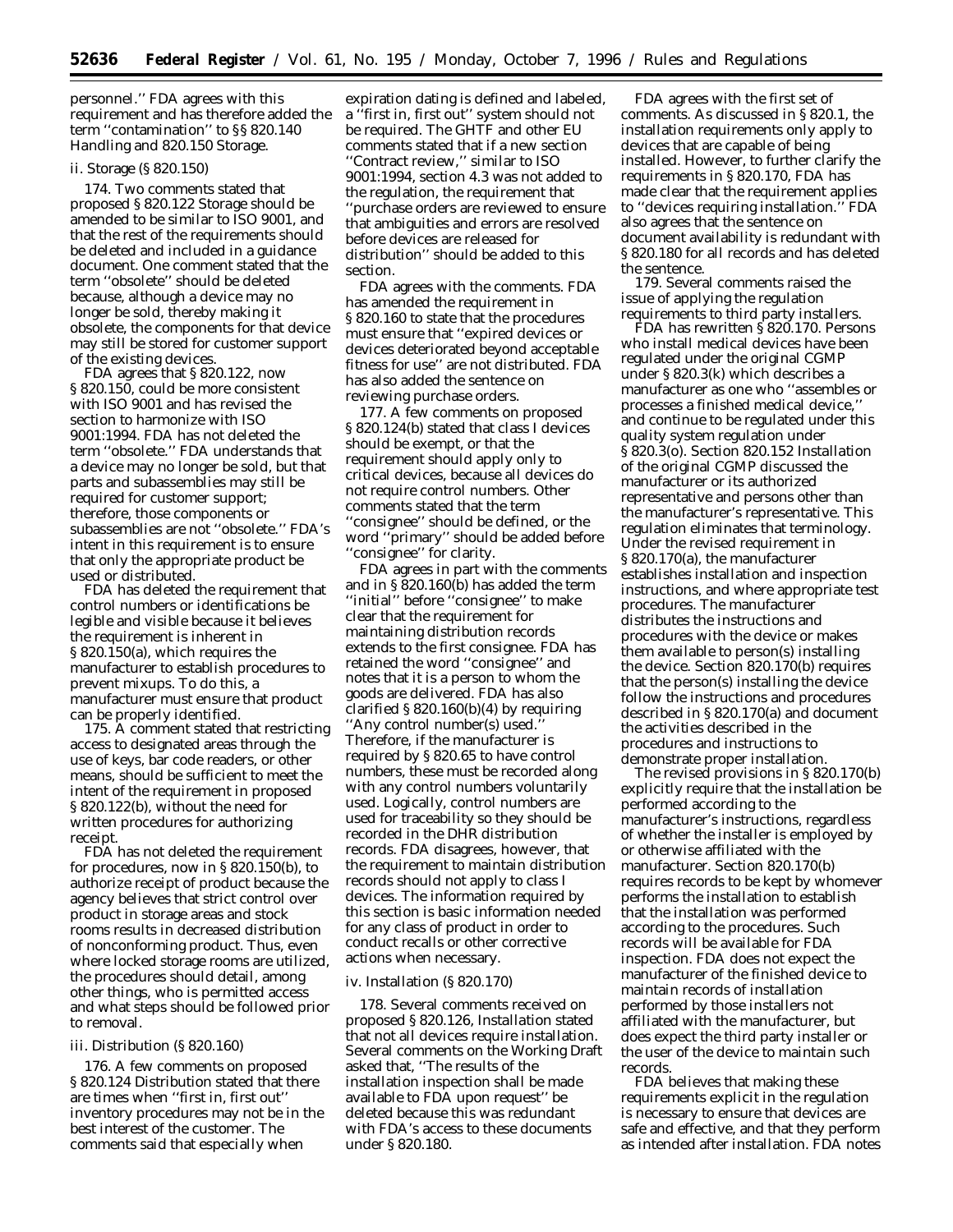personnel.'' FDA agrees with this requirement and has therefore added the term ''contamination'' to §§ 820.140 *Handling* and 820.150 *Storage.*

## ii. Storage (§ 820.150)

174. Two comments stated that proposed § 820.122 *Storage* should be amended to be similar to ISO 9001, and that the rest of the requirements should be deleted and included in a guidance document. One comment stated that the term ''obsolete'' should be deleted because, although a device may no longer be sold, thereby making it obsolete, the components for that device may still be stored for customer support of the existing devices.

FDA agrees that § 820.122, now § 820.150, could be more consistent with ISO 9001 and has revised the section to harmonize with ISO 9001:1994. FDA has not deleted the term ''obsolete.'' FDA understands that a device may no longer be sold, but that parts and subassemblies may still be required for customer support; therefore, those components or subassemblies are not ''obsolete.'' FDA's intent in this requirement is to ensure that only the appropriate product be used or distributed.

FDA has deleted the requirement that control numbers or identifications be legible and visible because it believes the requirement is inherent in § 820.150(a), which requires the manufacturer to establish procedures to prevent mixups. To do this, a manufacturer must ensure that product can be properly identified.

175. A comment stated that restricting access to designated areas through the use of keys, bar code readers, or other means, should be sufficient to meet the intent of the requirement in proposed § 820.122(b), without the need for written procedures for authorizing receipt.

FDA has not deleted the requirement for procedures, now in § 820.150(b), to authorize receipt of product because the agency believes that strict control over product in storage areas and stock rooms results in decreased distribution of nonconforming product. Thus, even where locked storage rooms are utilized, the procedures should detail, among other things, who is permitted access and what steps should be followed prior to removal.

#### iii. Distribution (§ 820.160)

176. A few comments on proposed § 820.124 *Distribution* stated that there are times when ''first in, first out'' inventory procedures may not be in the best interest of the customer. The comments said that especially when

expiration dating is defined and labeled, a ''first in, first out'' system should not be required. The GHTF and other EU comments stated that if a new section ''Contract review,'' similar to ISO 9001:1994, section 4.3 was not added to the regulation, the requirement that ''purchase orders are reviewed to ensure that ambiguities and errors are resolved before devices are released for distribution'' should be added to this section.

FDA agrees with the comments. FDA has amended the requirement in § 820.160 to state that the procedures must ensure that ''expired devices or devices deteriorated beyond acceptable fitness for use'' are not distributed. FDA has also added the sentence on reviewing purchase orders.

177. A few comments on proposed § 820.124(b) stated that class I devices should be exempt, or that the requirement should apply only to critical devices, because all devices do not require control numbers. Other comments stated that the term ''consignee'' should be defined, or the word ''primary'' should be added before ''consignee'' for clarity.

FDA agrees in part with the comments and in § 820.160(b) has added the term ''initial'' before ''consignee'' to make clear that the requirement for maintaining distribution records extends to the first consignee. FDA has retained the word ''consignee'' and notes that it is a person to whom the goods are delivered. FDA has also clarified § 820.160(b)(4) by requiring ''Any control number(s) used.'' Therefore, if the manufacturer is required by § 820.65 to have control numbers, these must be recorded along with any control numbers voluntarily used. Logically, control numbers are used for traceability so they should be recorded in the DHR distribution records. FDA disagrees, however, that the requirement to maintain distribution records should not apply to class I devices. The information required by this section is basic information needed for any class of product in order to conduct recalls or other corrective actions when necessary.

## iv. Installation (§ 820.170)

178. Several comments received on proposed § 820.126, *Installation* stated that not all devices require installation. Several comments on the Working Draft asked that, ''The results of the installation inspection shall be made available to FDA upon request'' be deleted because this was redundant with FDA's access to these documents under § 820.180.

FDA agrees with the first set of comments. As discussed in § 820.1, the installation requirements only apply to devices that are capable of being installed. However, to further clarify the requirements in § 820.170, FDA has made clear that the requirement applies to ''devices requiring installation.'' FDA also agrees that the sentence on document availability is redundant with § 820.180 for all records and has deleted the sentence.

179. Several comments raised the issue of applying the regulation requirements to third party installers.

FDA has rewritten § 820.170. Persons who install medical devices have been regulated under the original CGMP under § 820.3(k) which describes a manufacturer as one who ''assembles or processes a finished medical device,'' and continue to be regulated under this quality system regulation under § 820.3(o). Section 820.152 *Installation* of the original CGMP discussed the manufacturer or its authorized representative and persons other than the manufacturer's representative. This regulation eliminates that terminology. Under the revised requirement in § 820.170(a), the manufacturer establishes installation and inspection instructions, and where appropriate test procedures. The manufacturer distributes the instructions and procedures with the device or makes them available to person(s) installing the device. Section 820.170(b) requires that the person(s) installing the device follow the instructions and procedures described in § 820.170(a) and document the activities described in the procedures and instructions to demonstrate proper installation.

The revised provisions in § 820.170(b) explicitly require that the installation be performed according to the manufacturer's instructions, regardless of whether the installer is employed by or otherwise affiliated with the manufacturer. Section 820.170(b) requires records to be kept by whomever performs the installation to establish that the installation was performed according to the procedures. Such records will be available for FDA inspection. FDA does not expect the manufacturer of the finished device to maintain records of installation performed by those installers not affiliated with the manufacturer, but does expect the third party installer or the user of the device to maintain such records.

FDA believes that making these requirements explicit in the regulation is necessary to ensure that devices are safe and effective, and that they perform as intended after installation. FDA notes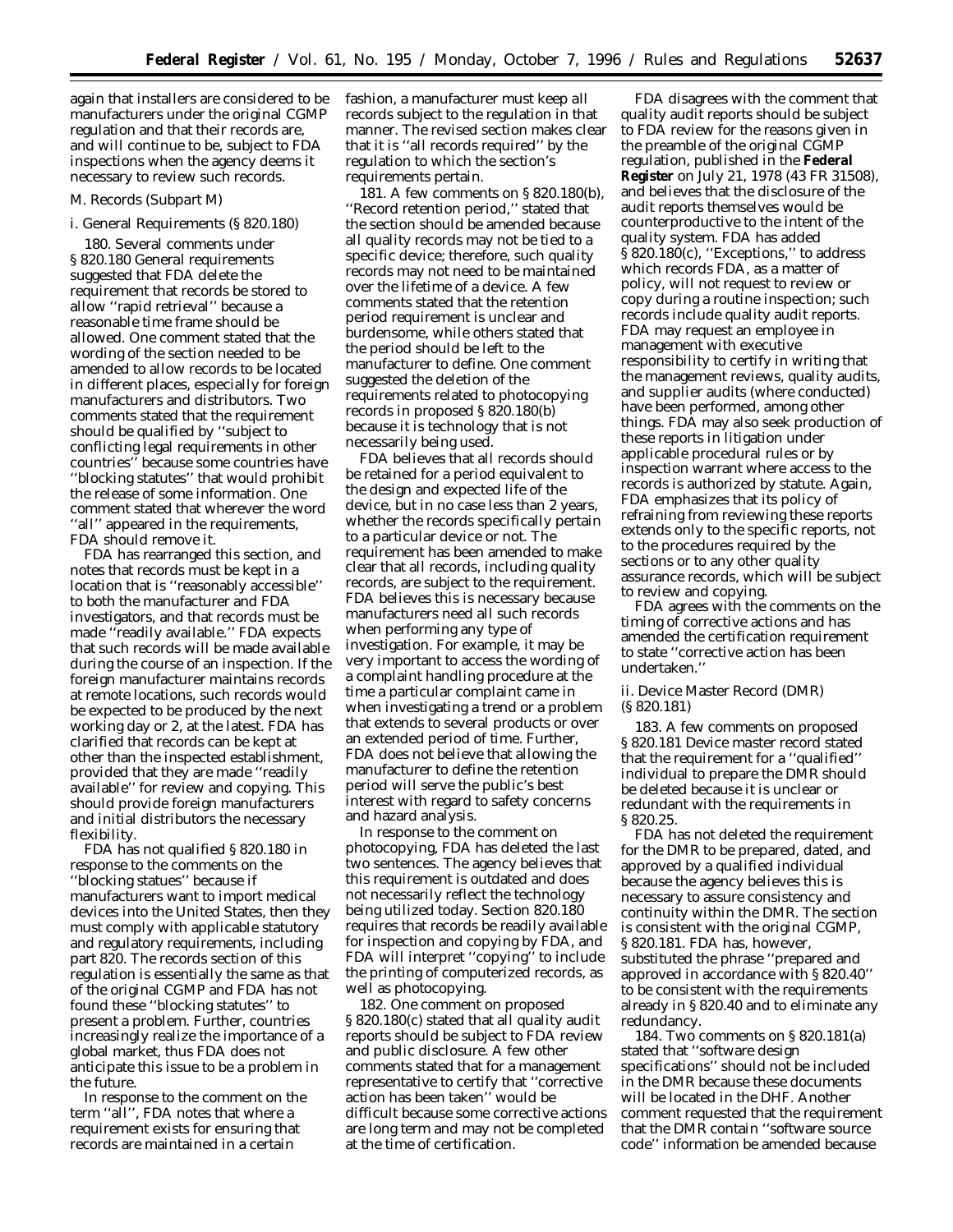again that installers are considered to be manufacturers under the original CGMP regulation and that their records are, and will continue to be, subject to FDA inspections when the agency deems it necessary to review such records.

#### *M. Records (Subpart M)*

#### i. General Requirements (§ 820.180)

180. Several comments under § 820.180 *General requirements* suggested that FDA delete the requirement that records be stored to allow ''rapid retrieval'' because a reasonable time frame should be allowed. One comment stated that the wording of the section needed to be amended to allow records to be located in different places, especially for foreign manufacturers and distributors. Two comments stated that the requirement should be qualified by ''subject to conflicting legal requirements in other countries'' because some countries have ''blocking statutes'' that would prohibit the release of some information. One comment stated that wherever the word ''all'' appeared in the requirements, FDA should remove it.

FDA has rearranged this section, and notes that records must be kept in a location that is ''reasonably accessible'' to both the manufacturer and FDA investigators, and that records must be made ''readily available.'' FDA expects that such records will be made available during the course of an inspection. If the foreign manufacturer maintains records at remote locations, such records would be expected to be produced by the next working day or 2, at the latest. FDA has clarified that records can be kept at other than the inspected establishment, provided that they are made ''readily available'' for review and copying. This should provide foreign manufacturers and initial distributors the necessary flexibility.

FDA has not qualified § 820.180 in response to the comments on the ''blocking statues'' because if manufacturers want to import medical devices into the United States, then they must comply with applicable statutory and regulatory requirements, including part 820. The records section of this regulation is essentially the same as that of the original CGMP and FDA has not found these ''blocking statutes'' to present a problem. Further, countries increasingly realize the importance of a global market, thus FDA does not anticipate this issue to be a problem in the future.

In response to the comment on the term ''all'', FDA notes that where a requirement exists for ensuring that records are maintained in a certain

fashion, a manufacturer must keep *all* records subject to the regulation in that manner. The revised section makes clear that it is ''all records required'' by the regulation to which the section's requirements pertain.

181. A few comments on § 820.180(b), ''Record retention period,'' stated that the section should be amended because all quality records may not be tied to a specific device; therefore, such quality records may not need to be maintained over the lifetime of a device. A few comments stated that the retention period requirement is unclear and burdensome, while others stated that the period should be left to the manufacturer to define. One comment suggested the deletion of the requirements related to photocopying records in proposed § 820.180(b) because it is technology that is not necessarily being used.

FDA believes that all records should be retained for a period equivalent to the design and expected life of the device, but in no case less than 2 years, whether the records specifically pertain to a particular device or not. The requirement has been amended to make clear that all records, including quality records, are subject to the requirement. FDA believes this is necessary because manufacturers need all such records when performing any type of investigation. For example, it may be very important to access the wording of a complaint handling procedure at the time a particular complaint came in when investigating a trend or a problem that extends to several products or over an extended period of time. Further, FDA does not believe that allowing the manufacturer to define the retention period will serve the public's best interest with regard to safety concerns and hazard analysis.

In response to the comment on photocopying, FDA has deleted the last two sentences. The agency believes that this requirement is outdated and does not necessarily reflect the technology being utilized today. Section 820.180 requires that records be readily available for inspection and copying by FDA, and FDA will interpret ''copying'' to include the printing of computerized records, as well as photocopying.

182. One comment on proposed § 820.180(c) stated that all quality audit reports should be subject to FDA review and public disclosure. A few other comments stated that for a management representative to certify that ''corrective action has been taken'' would be difficult because some corrective actions are long term and may not be completed at the time of certification.

FDA disagrees with the comment that quality audit reports should be subject to FDA review for the reasons given in the preamble of the original CGMP regulation, published in the **Federal Register** on July 21, 1978 (43 FR 31508), and believes that the disclosure of the audit reports themselves would be counterproductive to the intent of the quality system. FDA has added § 820.180(c), "Exceptions," to address which records FDA, as a matter of policy, will not request to review or copy during a routine inspection; such records include quality audit reports. FDA may request an employee in management with executive responsibility to certify in writing that the management reviews, quality audits, and supplier audits (where conducted) have been performed, among other things. FDA may also seek production of these reports in litigation under applicable procedural rules or by inspection warrant where access to the records is authorized by statute. Again, FDA emphasizes that its policy of refraining from reviewing these reports extends only to the specific reports, not to the procedures required by the sections or to any other quality assurance records, which will be subject to review and copying.

FDA agrees with the comments on the timing of corrective actions and has amended the certification requirement to state ''corrective action has been undertaken.''

## ii. Device Master Record (DMR) (§ 820.181)

183. A few comments on proposed § 820.181 *Device master record* stated that the requirement for a ''qualified'' individual to prepare the DMR should be deleted because it is unclear or redundant with the requirements in § 820.25.

FDA has not deleted the requirement for the DMR to be prepared, dated, and approved by a qualified individual because the agency believes this is necessary to assure consistency and continuity within the DMR. The section is consistent with the original CGMP, § 820.181. FDA has, however, substituted the phrase ''prepared and approved in accordance with § 820.40'' to be consistent with the requirements already in § 820.40 and to eliminate any redundancy.

184. Two comments on § 820.181(a) stated that ''software design specifications'' should not be included in the DMR because these documents will be located in the DHF. Another comment requested that the requirement that the DMR contain ''software source code'' information be amended because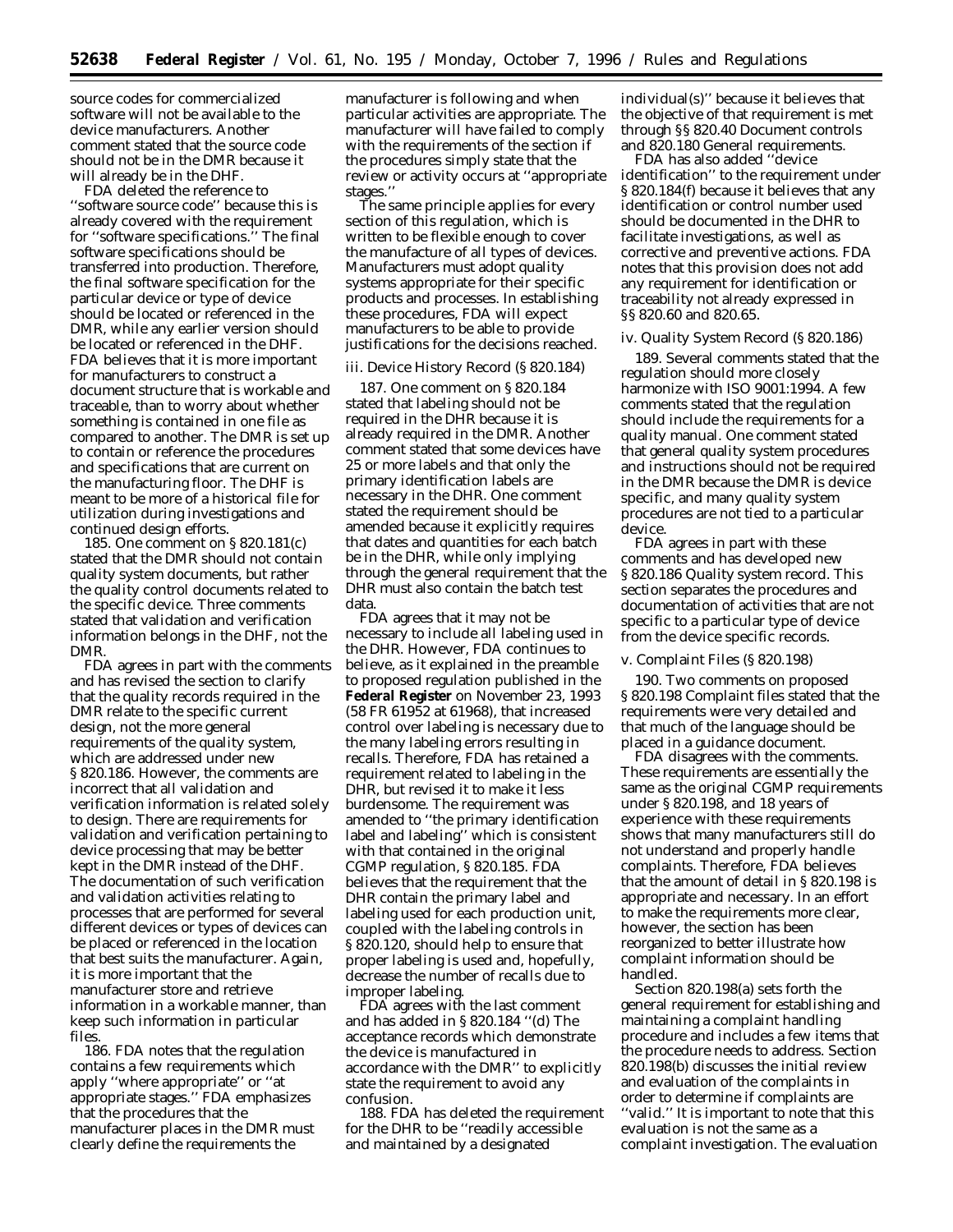source codes for commercialized software will not be available to the device manufacturers. Another comment stated that the source code should not be in the DMR because it will already be in the DHF.

FDA deleted the reference to ''software source code'' because this is already covered with the requirement for ''software specifications.'' The final software specifications should be transferred into production. Therefore, the final software specification for the particular device or type of device should be located or referenced in the DMR, while any earlier version should be located or referenced in the DHF. FDA believes that it is more important for manufacturers to construct a document structure that is workable and traceable, than to worry about whether something is contained in one file as compared to another. The DMR is set up to contain or reference the procedures and specifications that are current on the manufacturing floor. The DHF is meant to be more of a historical file for utilization during investigations and continued design efforts.

185. One comment on § 820.181(c) stated that the DMR should not contain quality system documents, but rather the quality control documents related to the specific device. Three comments stated that validation and verification information belongs in the DHF, not the DMR.

FDA agrees in part with the comments and has revised the section to clarify that the quality records required in the DMR relate to the specific current design, not the more general requirements of the quality system, which are addressed under new § 820.186. However, the comments are incorrect that all validation and verification information is related solely to design. There are requirements for validation and verification pertaining to device processing that may be better kept in the DMR instead of the DHF. The documentation of such verification and validation activities relating to processes that are performed for several different devices or types of devices can be placed or referenced in the location that best suits the manufacturer. Again, it is more important that the manufacturer store and retrieve information in a workable manner, than keep such information in particular files.

186. FDA notes that the regulation contains a few requirements which apply ''where appropriate'' or ''at appropriate stages.'' FDA emphasizes that the procedures that the manufacturer places in the DMR must clearly define the requirements the

manufacturer is following and when particular activities are appropriate. The manufacturer will have failed to comply with the requirements of the section if the procedures simply state that the review or activity occurs at ''appropriate stages.''

The same principle applies for every section of this regulation, which is written to be flexible enough to cover the manufacture of all types of devices. Manufacturers must adopt quality systems appropriate for their specific products and processes. In establishing these procedures, FDA will expect manufacturers to be able to provide justifications for the decisions reached.

## iii. Device History Record (§ 820.184)

187. One comment on § 820.184 stated that labeling should not be required in the DHR because it is already required in the DMR. Another comment stated that some devices have 25 or more labels and that only the primary identification labels are necessary in the DHR. One comment stated the requirement should be amended because it explicitly requires that dates and quantities for each batch be in the DHR, while only implying through the general requirement that the DHR must also contain the batch test data.

FDA agrees that it may not be necessary to include all labeling used in the DHR. However, FDA continues to believe, as it explained in the preamble to proposed regulation published in the **Federal Register** on November 23, 1993 (58 FR 61952 at 61968), that increased control over labeling is necessary due to the many labeling errors resulting in recalls. Therefore, FDA has retained a requirement related to labeling in the DHR, but revised it to make it less burdensome. The requirement was amended to ''the primary identification label and labeling'' which is consistent with that contained in the original CGMP regulation, § 820.185. FDA believes that the requirement that the DHR contain the primary label and labeling used for each production unit, coupled with the labeling controls in § 820.120, should help to ensure that proper labeling is used and, hopefully, decrease the number of recalls due to improper labeling.

FDA agrees with the last comment and has added in § 820.184 ''(d) The acceptance records which demonstrate the device is manufactured in accordance with the DMR'' to explicitly state the requirement to avoid any confusion.

188. FDA has deleted the requirement for the DHR to be ''readily accessible and maintained by a designated

individual(s)'' because it believes that the objective of that requirement is met through §§ 820.40 *Document controls* and 820.180 *General requirements.*

FDA has also added ''device identification'' to the requirement under § 820.184(f) because it believes that any identification or control number used should be documented in the DHR to facilitate investigations, as well as corrective and preventive actions. FDA notes that this provision does not add any requirement for identification or traceability not already expressed in §§ 820.60 and 820.65.

#### iv. Quality System Record (§ 820.186)

189. Several comments stated that the regulation should more closely harmonize with ISO 9001:1994. A few comments stated that the regulation should include the requirements for a quality manual. One comment stated that general quality system procedures and instructions should not be required in the DMR because the DMR is device specific, and many quality system procedures are not tied to a particular device.

FDA agrees in part with these comments and has developed new § 820.186 *Quality system record.* This section separates the procedures and documentation of activities that are not specific to a particular type of device from the device specific records.

## v. Complaint Files (§ 820.198)

190. Two comments on proposed § 820.198 *Complaint files* stated that the requirements were very detailed and that much of the language should be placed in a guidance document.

FDA disagrees with the comments. These requirements are essentially the same as the original CGMP requirements under § 820.198, and 18 years of experience with these requirements shows that many manufacturers still do not understand and properly handle complaints. Therefore, FDA believes that the amount of detail in § 820.198 is appropriate and necessary. In an effort to make the requirements more clear, however, the section has been reorganized to better illustrate how complaint information should be handled.

Section 820.198(a) sets forth the general requirement for establishing and maintaining a complaint handling procedure and includes a few items that the procedure needs to address. Section 820.198(b) discusses the initial review and evaluation of the complaints in order to determine if complaints are ''valid.'' It is important to note that this evaluation is not the same as a complaint investigation. The evaluation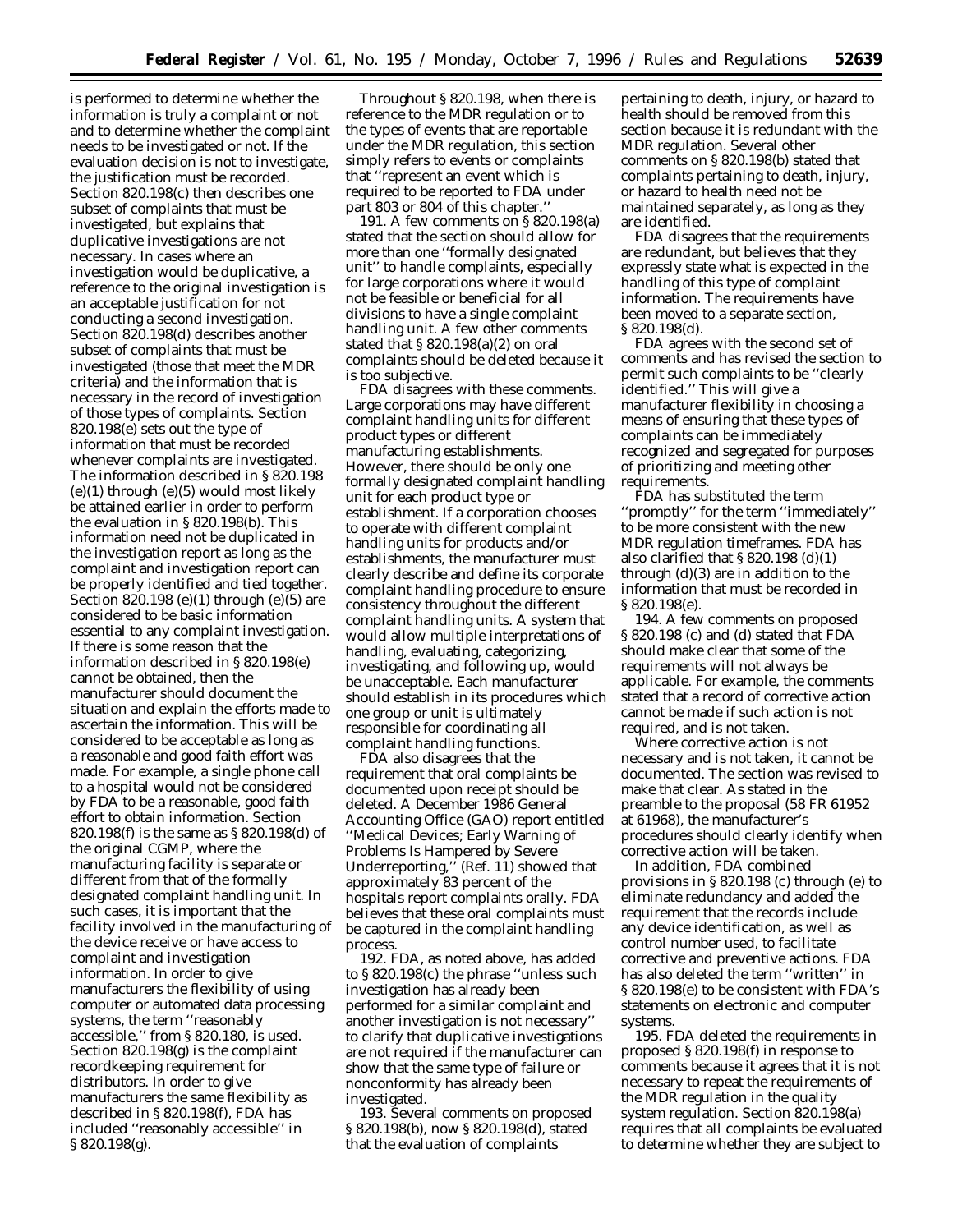is performed to determine whether the information is truly a complaint or not and to determine whether the complaint needs to be investigated or not. If the evaluation decision is not to investigate, the justification must be recorded. Section 820.198(c) then describes one subset of complaints that must be investigated, but explains that duplicative investigations are not necessary. In cases where an investigation would be duplicative, a reference to the original investigation is an acceptable justification for not conducting a second investigation. Section 820.198(d) describes another subset of complaints that must be investigated (those that meet the MDR criteria) and the information that is necessary in the record of investigation of those types of complaints. Section 820.198(e) sets out the type of information that must be recorded whenever complaints are investigated. The information described in § 820.198 (e)(1) through (e)(5) would most likely be attained earlier in order to perform the evaluation in § 820.198(b). This information need not be duplicated in the investigation report as long as the complaint and investigation report can be properly identified and tied together. Section 820.198 (e)(1) through (e)(5) are considered to be basic information essential to any complaint investigation. If there is some reason that the information described in § 820.198(e) cannot be obtained, then the manufacturer should document the situation and explain the efforts made to ascertain the information. This will be considered to be acceptable as long as a reasonable and good faith effort was made. For example, a single phone call to a hospital would not be considered by FDA to be a reasonable, good faith effort to obtain information. Section 820.198(f) is the same as § 820.198(d) of the original CGMP, where the manufacturing facility is separate or different from that of the formally designated complaint handling unit. In such cases, it is important that the facility involved in the manufacturing of the device receive or have access to complaint and investigation information. In order to give manufacturers the flexibility of using computer or automated data processing systems, the term ''reasonably accessible,'' from § 820.180, is used. Section 820.198(g) is the complaint recordkeeping requirement for distributors. In order to give manufacturers the same flexibility as described in § 820.198(f), FDA has included ''reasonably accessible'' in § 820.198(g).

Throughout § 820.198, when there is reference to the MDR regulation or to the types of events that are reportable under the MDR regulation, this section simply refers to events or complaints that ''represent an event which is required to be reported to FDA under part 803 or 804 of this chapter.''

191. A few comments on § 820.198(a) stated that the section should allow for more than one ''formally designated unit'' to handle complaints, especially for large corporations where it would not be feasible or beneficial for all divisions to have a single complaint handling unit. A few other comments stated that § 820.198(a)(2) on oral complaints should be deleted because it is too subjective.

FDA disagrees with these comments. Large corporations may have different complaint handling units for different product types or different manufacturing establishments. However, there should be only one formally designated complaint handling unit for each product type or establishment. If a corporation chooses to operate with different complaint handling units for products and/or establishments, the manufacturer must clearly describe and define its corporate complaint handling procedure to ensure consistency throughout the different complaint handling units. A system that would allow multiple interpretations of handling, evaluating, categorizing, investigating, and following up, would be unacceptable. Each manufacturer should establish in its procedures which one group or unit is ultimately responsible for coordinating all complaint handling functions.

FDA also disagrees that the requirement that oral complaints be documented upon receipt should be deleted. A December 1986 General Accounting Office (GAO) report entitled ''Medical Devices; Early Warning of Problems Is Hampered by Severe Underreporting,'' (Ref. 11) showed that approximately 83 percent of the hospitals report complaints orally. FDA believes that these oral complaints must be captured in the complaint handling process.

192. FDA, as noted above, has added to § 820.198(c) the phrase ''unless such investigation has already been performed for a similar complaint and another investigation is not necessary'' to clarify that duplicative investigations are not required if the manufacturer can show that the same type of failure or nonconformity has already been investigated.

193. Several comments on proposed § 820.198(b), now § 820.198(d), stated that the evaluation of complaints

pertaining to death, injury, or hazard to health should be removed from this section because it is redundant with the MDR regulation. Several other comments on § 820.198(b) stated that complaints pertaining to death, injury, or hazard to health need not be maintained separately, as long as they are identified.

FDA disagrees that the requirements are redundant, but believes that they expressly state what is expected in the handling of this type of complaint information. The requirements have been moved to a separate section, § 820.198(d).

FDA agrees with the second set of comments and has revised the section to permit such complaints to be ''clearly identified.'' This will give a manufacturer flexibility in choosing a means of ensuring that these types of complaints can be immediately recognized and segregated for purposes of prioritizing and meeting other requirements.

FDA has substituted the term ''promptly'' for the term ''immediately'' to be more consistent with the new MDR regulation timeframes. FDA has also clarified that § 820.198 (d)(1) through (d)(3) are in addition to the information that must be recorded in § 820.198(e).

194. A few comments on proposed § 820.198 (c) and (d) stated that FDA should make clear that some of the requirements will not always be applicable. For example, the comments stated that a record of corrective action cannot be made if such action is not required, and is not taken.

Where corrective action is not necessary and is not taken, it cannot be documented. The section was revised to make that clear. As stated in the preamble to the proposal (58 FR 61952 at 61968), the manufacturer's procedures should clearly identify when corrective action will be taken.

In addition, FDA combined provisions in § 820.198 (c) through (e) to eliminate redundancy and added the requirement that the records include any device identification, as well as control number used, to facilitate corrective and preventive actions. FDA has also deleted the term ''written'' in § 820.198(e) to be consistent with FDA's statements on electronic and computer systems.

195. FDA deleted the requirements in proposed § 820.198(f) in response to comments because it agrees that it is not necessary to repeat the requirements of the MDR regulation in the quality system regulation. Section 820.198(a) requires that all complaints be evaluated to determine whether they are subject to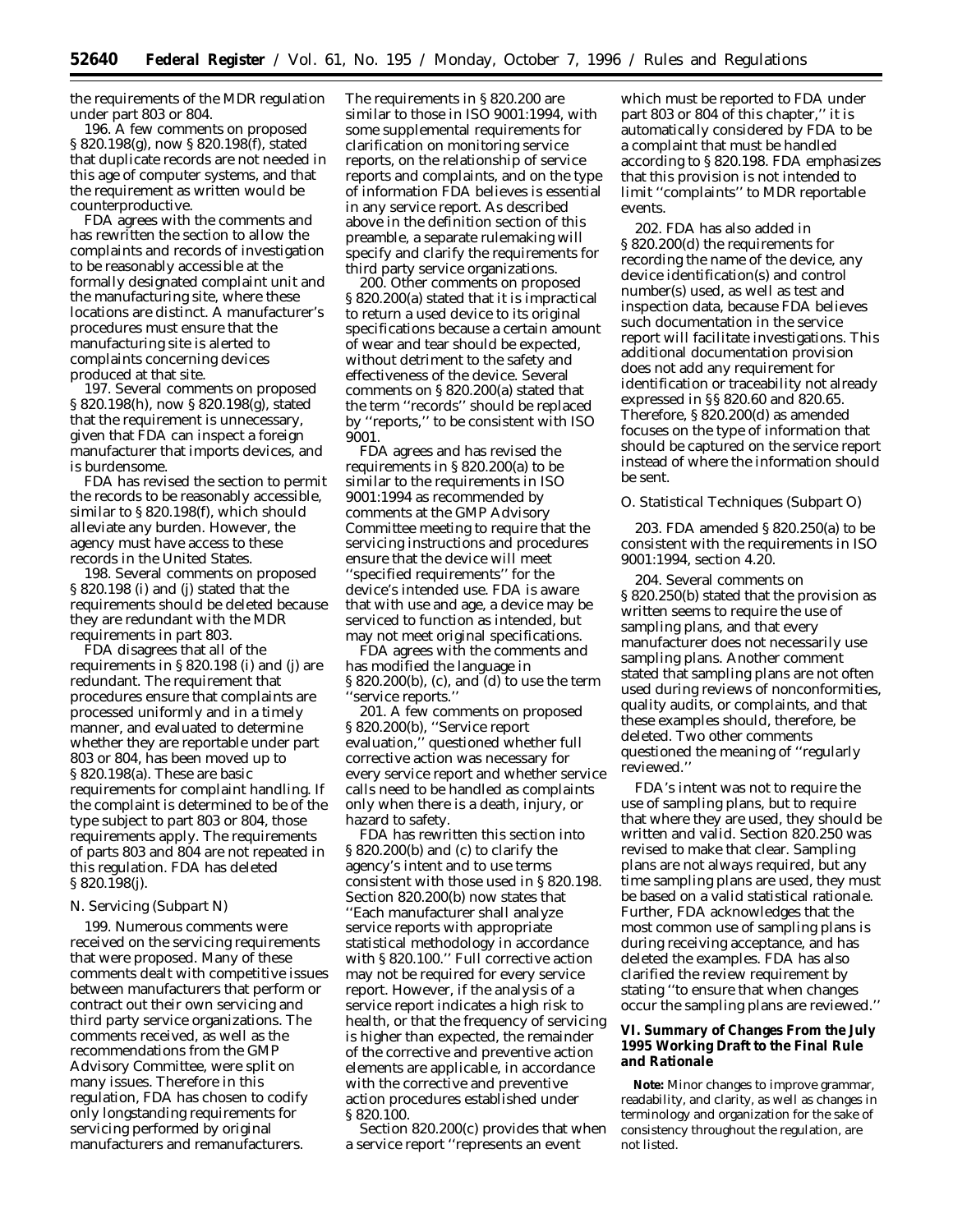the requirements of the MDR regulation under part 803 or 804.

196. A few comments on proposed § 820.198(g), now § 820.198(f), stated that duplicate records are not needed in this age of computer systems, and that the requirement as written would be counterproductive.

FDA agrees with the comments and has rewritten the section to allow the complaints and records of investigation to be reasonably accessible at the formally designated complaint unit and the manufacturing site, where these locations are distinct. A manufacturer's procedures must ensure that the manufacturing site is alerted to complaints concerning devices produced at that site.

197. Several comments on proposed § 820.198(h), now § 820.198(g), stated that the requirement is unnecessary, given that FDA can inspect a foreign manufacturer that imports devices, and is burdensome.

FDA has revised the section to permit the records to be reasonably accessible, similar to § 820.198(f), which should alleviate any burden. However, the agency must have access to these records in the United States.

198. Several comments on proposed § 820.198 (i) and (j) stated that the requirements should be deleted because they are redundant with the MDR requirements in part 803.

FDA disagrees that all of the requirements in § 820.198 (i) and (j) are redundant. The requirement that procedures ensure that complaints are processed uniformly and in a timely manner, and evaluated to determine whether they are reportable under part 803 or 804, has been moved up to § 820.198(a). These are basic requirements for complaint handling. If the complaint is determined to be of the type subject to part 803 or 804, those requirements apply. The requirements of parts 803 and 804 are not repeated in this regulation. FDA has deleted § 820.198(j).

### *N. Servicing (Subpart N)*

199. Numerous comments were received on the servicing requirements that were proposed. Many of these comments dealt with competitive issues between manufacturers that perform or contract out their own servicing and third party service organizations. The comments received, as well as the recommendations from the GMP Advisory Committee, were split on many issues. Therefore in this regulation, FDA has chosen to codify only longstanding requirements for servicing performed by original manufacturers and remanufacturers.

The requirements in § 820.200 are similar to those in ISO 9001:1994, with some supplemental requirements for clarification on monitoring service reports, on the relationship of service reports and complaints, and on the type of information FDA believes is essential in any service report. As described above in the definition section of this preamble, a separate rulemaking will specify and clarify the requirements for third party service organizations.

200. Other comments on proposed § 820.200(a) stated that it is impractical to return a used device to its original specifications because a certain amount of wear and tear should be expected, without detriment to the safety and effectiveness of the device. Several comments on § 820.200(a) stated that the term ''records'' should be replaced by ''reports,'' to be consistent with ISO 9001.

FDA agrees and has revised the requirements in § 820.200(a) to be similar to the requirements in ISO 9001:1994 as recommended by comments at the GMP Advisory Committee meeting to require that the servicing instructions and procedures ensure that the device will meet ''specified requirements'' for the device's intended use. FDA is aware that with use and age, a device may be serviced to function as intended, but may not meet original specifications.

FDA agrees with the comments and has modified the language in § 820.200(b), (c), and (d) to use the term 'service reports.

201. A few comments on proposed § 820.200(b), "Service report evaluation,'' questioned whether full corrective action was necessary for every service report and whether service calls need to be handled as complaints only when there is a death, injury, or hazard to safety.

FDA has rewritten this section into § 820.200(b) and (c) to clarify the agency's intent and to use terms consistent with those used in § 820.198. Section 820.200(b) now states that ''Each manufacturer shall analyze service reports with appropriate statistical methodology in accordance with § 820.100." Full corrective action may not be required for every service report. However, if the analysis of a service report indicates a high risk to health, or that the frequency of servicing is higher than expected, the remainder of the corrective and preventive action elements are applicable, in accordance with the corrective and preventive action procedures established under § 820.100.

Section 820.200(c) provides that when a service report ''represents an event

which must be reported to FDA under part 803 or 804 of this chapter,'' it is automatically considered by FDA to be a complaint that must be handled according to § 820.198. FDA emphasizes that this provision is not intended to limit ''complaints'' to MDR reportable events.

202. FDA has also added in § 820.200(d) the requirements for recording the name of the device, any device identification(s) and control number(s) used, as well as test and inspection data, because FDA believes such documentation in the service report will facilitate investigations. This additional documentation provision does not add any requirement for identification or traceability not already expressed in §§ 820.60 and 820.65. Therefore, § 820.200(d) as amended focuses on the type of information that should be captured on the service report instead of where the information should be sent.

#### *O. Statistical Techniques (Subpart O)*

203. FDA amended § 820.250(a) to be consistent with the requirements in ISO 9001:1994, section 4.20.

204. Several comments on § 820.250(b) stated that the provision as written seems to require the use of sampling plans, and that every manufacturer does not necessarily use sampling plans. Another comment stated that sampling plans are not often used during reviews of nonconformities, quality audits, or complaints, and that these examples should, therefore, be deleted. Two other comments questioned the meaning of ''regularly reviewed.''

FDA's intent was not to require the use of sampling plans, but to require that where they are used, they should be written and valid. Section 820.250 was revised to make that clear. Sampling plans are not always required, but any time sampling plans are used, they must be based on a valid statistical rationale. Further, FDA acknowledges that the most common use of sampling plans is during receiving acceptance, and has deleted the examples. FDA has also clarified the review requirement by stating ''to ensure that when changes occur the sampling plans are reviewed.''

**VI. Summary of Changes From the July 1995 Working Draft to the Final Rule and Rationale**

**Note:** Minor changes to improve grammar, readability, and clarity, as well as changes in terminology and organization for the sake of consistency throughout the regulation, are not listed.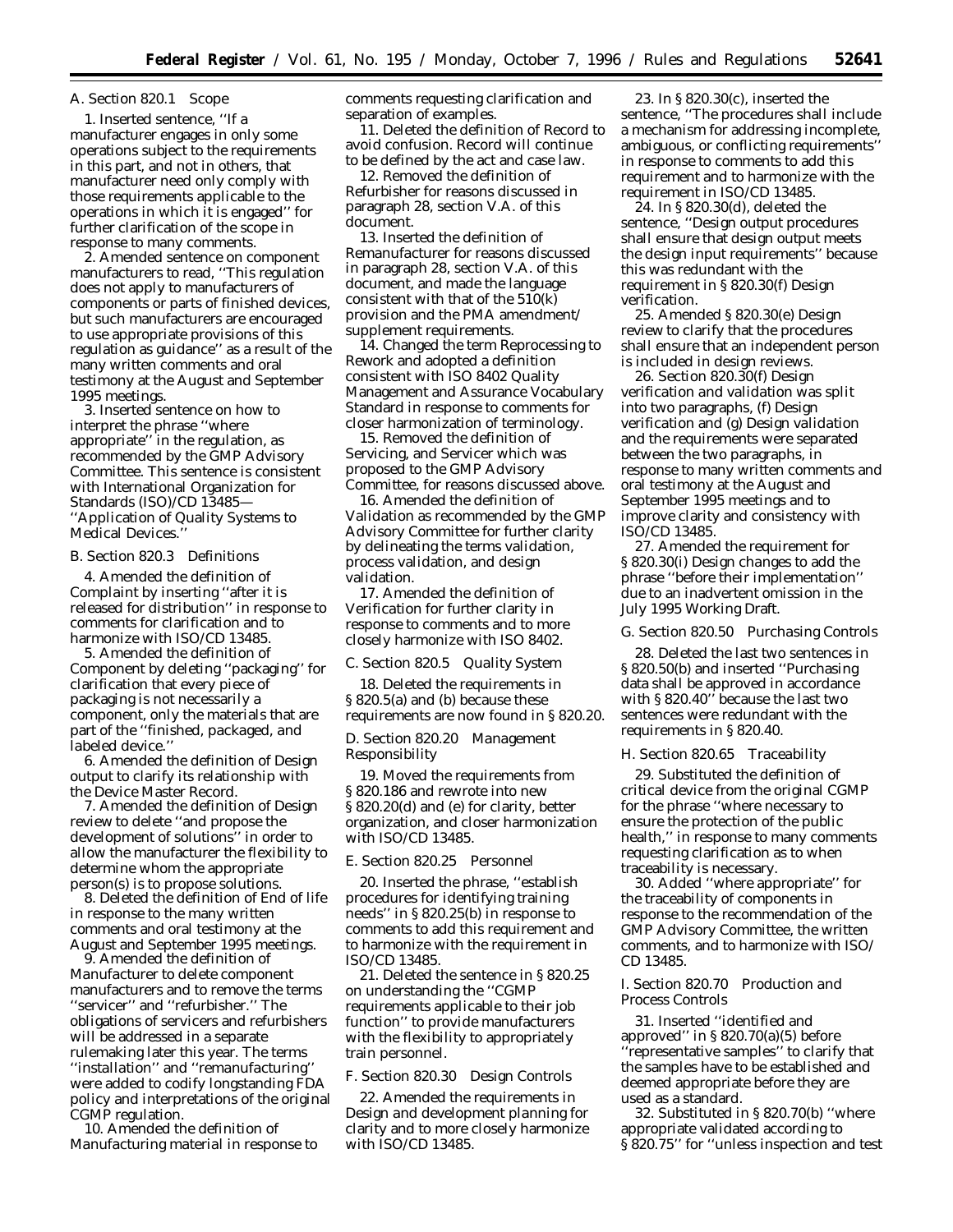## *A. Section 820.1 Scope*

1. Inserted sentence, ''If a manufacturer engages in only some operations subject to the requirements in this part, and not in others, that manufacturer need only comply with those requirements applicable to the operations in which it is engaged'' for further clarification of the scope in response to many comments.

2. Amended sentence on component manufacturers to read, ''This regulation does not apply to manufacturers of components or parts of finished devices, but such manufacturers are encouraged to use appropriate provisions of this regulation as guidance'' as a result of the many written comments and oral testimony at the August and September 1995 meetings.

3. Inserted sentence on how to interpret the phrase ''where appropriate'' in the regulation, as recommended by the GMP Advisory Committee. This sentence is consistent with International Organization for Standards (ISO)/CD 13485— ''Application of Quality Systems to Medical Devices.''

## *B. Section 820.3 Definitions*

4. Amended the definition of *Complaint* by inserting ''after it is released for distribution'' in response to comments for clarification and to harmonize with ISO/CD 13485.

5. Amended the definition of *Component* by deleting ''packaging'' for clarification that every piece of packaging is not necessarily a component, only the materials that are part of the ''*finished, packaged, and labeled device*.''

6. Amended the definition of *Design output* to clarify its relationship with the Device Master Record.

7. Amended the definition of *Design review* to delete ''and propose the development of solutions'' in order to allow the manufacturer the flexibility to determine whom the appropriate person(s) is to propose solutions.

8. Deleted the definition of *End of life* in response to the many written comments and oral testimony at the August and September 1995 meetings.

9. Amended the definition of *Manufacturer* to delete component manufacturers and to remove the terms ''*servicer*'' and ''*refurbisher*.'' The obligations of servicers and refurbishers will be addressed in a separate rulemaking later this year. The terms ''*installation*'' and ''*remanufacturing*'' were added to codify longstanding FDA policy and interpretations of the original CGMP regulation.

10. Amended the definition of *Manufacturing material* in response to comments requesting clarification and separation of examples.

11. Deleted the definition of *Record* to avoid confusion. *Record* will continue to be defined by the act and case law.

12. Removed the definition of *Refurbisher* for reasons discussed in paragraph 28, section V.A. of this document.

13. Inserted the definition of *Remanufacturer* for reasons discussed in paragraph 28, section V.A. of this document, and made the language consistent with that of the 510(k) provision and the PMA amendment/ supplement requirements.

14. Changed the term *Reprocessing* to *Rework* and adopted a definition consistent with ISO 8402 Quality Management and Assurance Vocabulary Standard in response to comments for closer harmonization of terminology.

15. Removed the definition of *Servicing*, and *Servicer* which was proposed to the GMP Advisory Committee, for reasons discussed above.

16. Amended the definition of *Validation* as recommended by the GMP Advisory Committee for further clarity by delineating the terms validation, process validation, and design validation.

17. Amended the definition of *Verification* for further clarity in response to comments and to more closely harmonize with ISO 8402.

#### *C. Section 820.5 Quality System*

18. Deleted the requirements in § 820.5(a) and (b) because these requirements are now found in § 820.20.

## *D. Section 820.20 Management Responsibility*

19. Moved the requirements from § 820.186 and rewrote into new § 820.20(d) and (e) for clarity, better organization, and closer harmonization with ISO/CD 13485.

## *E. Section 820.25 Personnel*

20. Inserted the phrase, ''establish procedures for identifying training needs'' in § 820.25(b) in response to comments to add this requirement and to harmonize with the requirement in ISO/CD 13485.

21. Deleted the sentence in § 820.25 on understanding the ''CGMP requirements applicable to their job function'' to provide manufacturers with the flexibility to appropriately train personnel.

## *F. Section 820.30 Design Controls*

22. Amended the requirements in *Design and development planning* for clarity and to more closely harmonize with ISO/CD 13485.

23. In § 820.30(c), inserted the sentence, ''The procedures shall include a mechanism for addressing incomplete, ambiguous, or conflicting requirements'' in response to comments to add this requirement and to harmonize with the requirement in ISO/CD 13485.

24. In § 820.30(d), deleted the sentence, ''Design output procedures shall ensure that design output meets the design input requirements'' because this was redundant with the requirement in § 820.30(f) *Design verification*.

25. Amended § 820.30(e) *Design review* to clarify that the procedures shall ensure that an independent person is included in design reviews.

26. Section 820.30(f) *Design verification and validation* was split into two paragraphs, (f) *Design verification* and (g) *Design validation* and the requirements were separated between the two paragraphs, in response to many written comments and oral testimony at the August and September 1995 meetings and to improve clarity and consistency with ISO/CD 13485.

27. Amended the requirement for § 820.30(i) *Design changes* to add the phrase ''before their implementation'' due to an inadvertent omission in the July 1995 Working Draft.

#### *G. Section 820.50 Purchasing Controls*

28. Deleted the last two sentences in § 820.50(b) and inserted ''Purchasing data shall be approved in accordance with *§ 820.40*'' because the last two sentences were redundant with the requirements in § 820.40.

#### *H. Section 820.65 Traceability*

29. Substituted the definition of critical device from the original CGMP for the phrase ''where necessary to ensure the protection of the public health,'' in response to many comments requesting clarification as to when traceability is necessary.

30. Added ''where appropriate'' for the traceability of components in response to the recommendation of the GMP Advisory Committee, the written comments, and to harmonize with ISO/ CD 13485.

## *I. Section 820.70 Production and Process Controls*

31. Inserted ''identified and approved" in  $\S 820.70(a)(5)$  before ''representative samples'' to clarify that the samples have to be established and deemed appropriate before they are used as a standard.

32. Substituted in § 820.70(b) ''where appropriate validated according to § 820.75" for "unless inspection and test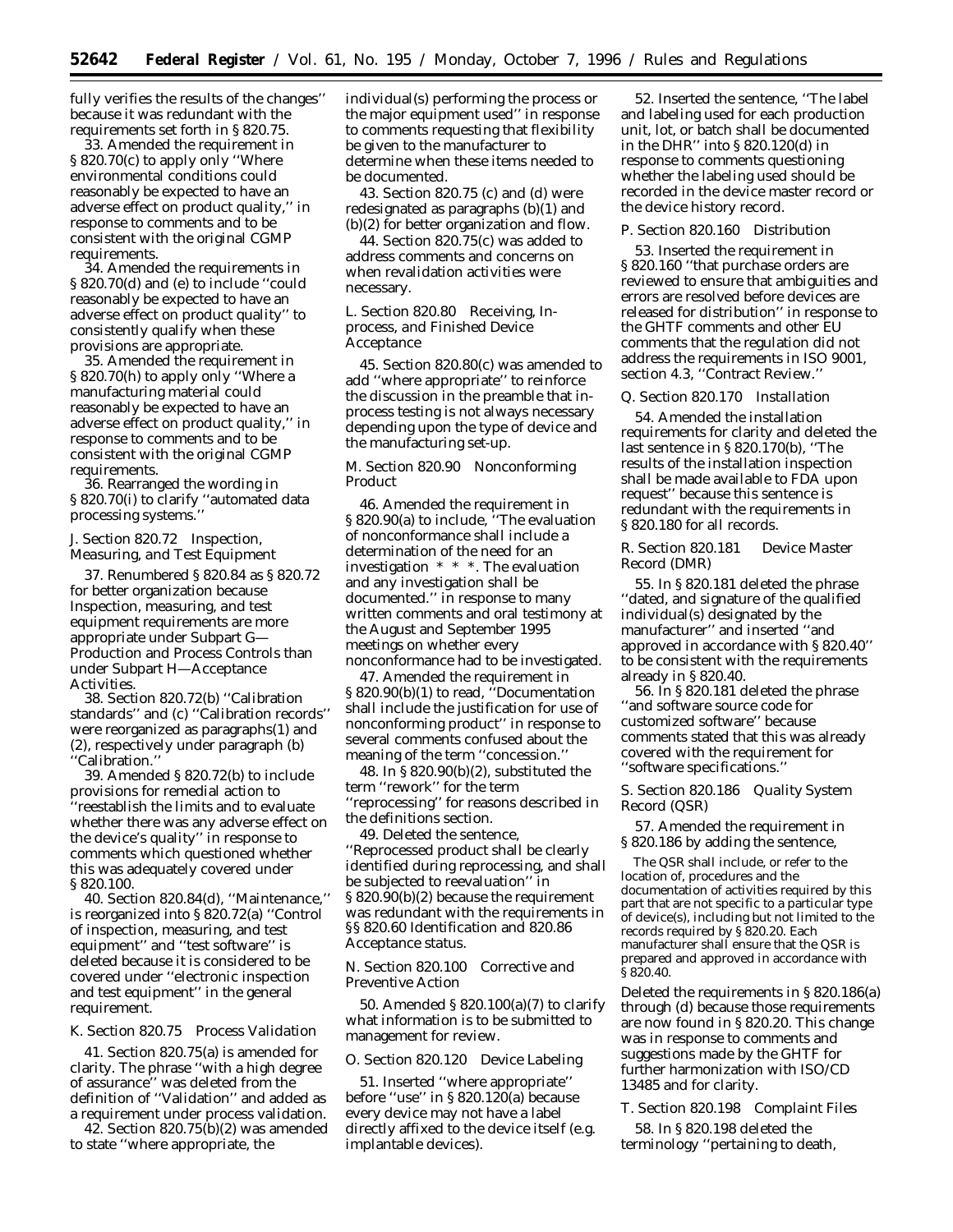fully verifies the results of the changes'' because it was redundant with the requirements set forth in § 820.75.

33. Amended the requirement in § 820.70(c) to apply only ''Where environmental conditions could reasonably be expected to have an adverse effect on product quality,'' in response to comments and to be consistent with the original CGMP requirements.

34. Amended the requirements in § 820.70(d) and (e) to include ''could reasonably be expected to have an adverse effect on product quality'' to consistently qualify when these provisions are appropriate.

35. Amended the requirement in § 820.70(h) to apply only ''Where a manufacturing material could reasonably be expected to have an adverse effect on product quality,'' in response to comments and to be consistent with the original CGMP requirements.

36. Rearranged the wording in § 820.70(i) to clarify "automated data processing systems.''

## *J. Section 820.72 Inspection, Measuring, and Test Equipment*

37. Renumbered § 820.84 as § 820.72 for better organization because *Inspection, measuring, and test equipment* requirements are more appropriate under Subpart G— Production and Process Controls than under Subpart H—Acceptance Activities.

38. Section 820.72(b) ''Calibration standards'' and (c) ''Calibration records'' were reorganized as paragraphs(1) and (2), respectively under paragraph (b) ''Calibration.''

39. Amended § 820.72(b) to include provisions for remedial action to ''reestablish the limits and to evaluate whether there was any adverse effect on the device's quality'' in response to comments which questioned whether this was adequately covered under § 820.100.

40. Section 820.84(d), ''Maintenance,'' is reorganized into § 820.72(a) ''Control of inspection, measuring, and test equipment'' and ''test software'' is deleted because it is considered to be covered under ''electronic inspection and test equipment'' in the general requirement.

#### *K. Section 820.75 Process Validation*

41. Section 820.75(a) is amended for clarity. The phrase ''with a high degree of assurance'' was deleted from the definition of ''Validation'' and added as a requirement under process validation.

42. Section  $820.75(b)(2)$  was amended to state ''where appropriate, the

individual(s) performing the process or the major equipment used'' in response to comments requesting that flexibility be given to the manufacturer to determine when these items needed to be documented.

43. Section 820.75 (c) and (d) were redesignated as paragraphs (b)(1) and (b)(2) for better organization and flow.

44. Section 820.75(c) was added to address comments and concerns on when revalidation activities were necessary.

## *L. Section 820.80 Receiving, Inprocess, and Finished Device Acceptance*

45. Section 820.80(c) was amended to add ''where appropriate'' to reinforce the discussion in the preamble that inprocess testing is not always necessary depending upon the type of device and the manufacturing set-up.

## *M. Section 820.90 Nonconforming Product*

46. Amended the requirement in § 820.90(a) to include, ''The evaluation of nonconformance shall include a determination of the need for an investigation \* \* \*. The evaluation and any investigation shall be documented.'' in response to many written comments and oral testimony at the August and September 1995 meetings on whether every nonconformance had to be investigated.

47. Amended the requirement in § 820.90(b)(1) to read, "Documentation shall include the justification for use of nonconforming product'' in response to several comments confused about the meaning of the term ''concession.''

48. In § 820.90(b)(2), substituted the term ''rework'' for the term ''reprocessing'' for reasons described in the definitions section.

49. Deleted the sentence, ''Reprocessed product shall be clearly identified during reprocessing, and shall be subjected to reevaluation'' in § 820.90(b)(2) because the requirement was redundant with the requirements in §§ 820.60 *Identification* and 820.86 *Acceptance status*.

## *N. Section 820.100 Corrective and Preventive Action*

50. Amended § 820.100(a)(7) to clarify what information is to be submitted to management for review.

### *O. Section 820.120 Device Labeling*

51. Inserted ''where appropriate'' before ''use'' in § 820.120(a) because every device may not have a label directly affixed to the device itself (e.g. implantable devices).

52. Inserted the sentence, ''The label and labeling used for each production unit, lot, or batch shall be documented in the DHR'' into § 820.120(d) in response to comments questioning whether the labeling used should be recorded in the device master record or the device history record.

## *P. Section 820.160 Distribution*

53. Inserted the requirement in § 820.160 "that purchase orders are reviewed to ensure that ambiguities and errors are resolved before devices are released for distribution'' in response to the GHTF comments and other EU comments that the regulation did not address the requirements in ISO 9001, section 4.3, ''Contract Review.''

#### *Q. Section 820.170 Installation*

54. Amended the installation requirements for clarity and deleted the last sentence in § 820.170(b), ''The results of the installation inspection shall be made available to FDA upon request'' because this sentence is redundant with the requirements in § 820.180 for all records.

## *R. Section 820.181 Device Master Record (DMR)*

55. In § 820.181 deleted the phrase ''dated, and signature of the qualified individual(s) designated by the manufacturer'' and inserted ''and approved in accordance with § 820.40'' to be consistent with the requirements already in § 820.40.

56. In § 820.181 deleted the phrase ''and software source code for customized software'' because comments stated that this was already covered with the requirement for ''software specifications.''

#### *S. Section 820.186 Quality System Record (QSR)*

57. Amended the requirement in § 820.186 by adding the sentence,

The QSR shall include, or refer to the location of, procedures and the documentation of activities required by this part that are not specific to a particular type of device(s), including but not limited to the records required by § 820.20. Each manufacturer shall ensure that the QSR is prepared and approved in accordance with  $\S 820.40.$ 

Deleted the requirements in § 820.186(a) through (d) because those requirements are now found in § 820.20. This change was in response to comments and suggestions made by the GHTF for further harmonization with ISO/CD 13485 and for clarity.

## *T. Section 820.198 Complaint Files*

58. In § 820.198 deleted the terminology ''pertaining to death,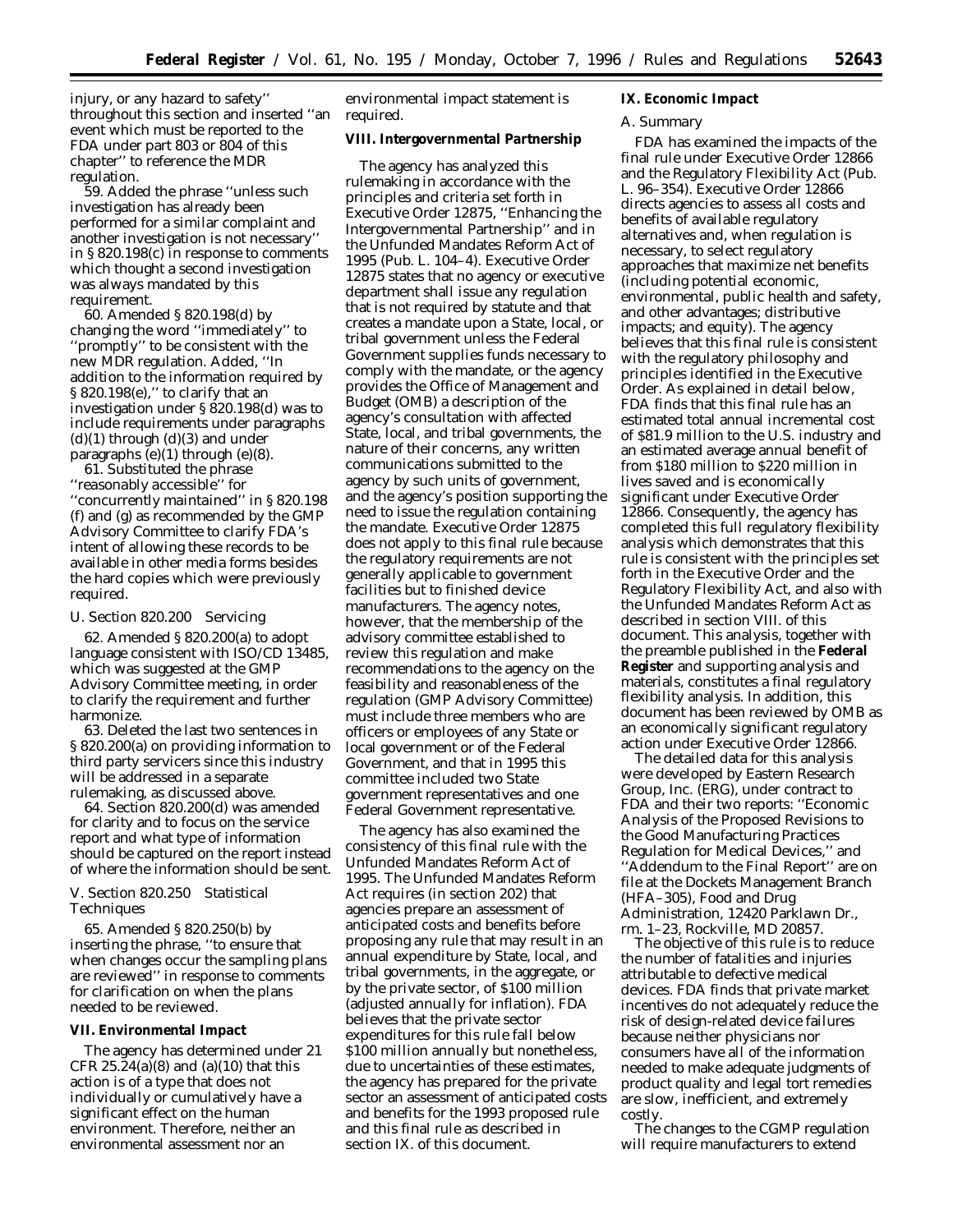injury, or any hazard to safety'' throughout this section and inserted ''an event which must be reported to the FDA under part 803 or 804 of this chapter'' to reference the MDR regulation.

59. Added the phrase ''unless such investigation has already been performed for a similar complaint and another investigation is not necessary'' in § 820.198(c) in response to comments which thought a second investigation was always mandated by this requirement.

60. Amended § 820.198(d) by changing the word ''immediately'' to ''promptly'' to be consistent with the new MDR regulation. Added, ''In addition to the information required by § 820.198(e)," to clarify that an investigation under § 820.198(d) was to include requirements under paragraphs  $(d)(1)$  through  $(d)(3)$  and under paragraphs  $(e)(1)$  through  $(e)(8)$ .

61. Substituted the phrase ''*reasonably accessible*'' for ''*concurrently maintained*'' in § 820.198 (f) and (g) as recommended by the GMP Advisory Committee to clarify FDA's intent of allowing these records to be available in other media forms besides the hard copies which were previously required.

#### *U. Section 820.200 Servicing*

62. Amended § 820.200(a) to adopt language consistent with ISO/CD 13485, which was suggested at the GMP Advisory Committee meeting, in order to clarify the requirement and further harmonize.

63. Deleted the last two sentences in § 820.200(a) on providing information to third party servicers since this industry will be addressed in a separate rulemaking, as discussed above.

64. Section 820.200(d) was amended for clarity and to focus on the service report and what type of information should be captured on the report instead of where the information should be sent.

## *V. Section 820.250 Statistical Techniques*

65. Amended § 820.250(b) by inserting the phrase, ''to ensure that when changes occur the sampling plans are reviewed'' in response to comments for clarification on when the plans needed to be reviewed.

#### **VII. Environmental Impact**

The agency has determined under 21 CFR  $25.\overline{24(a)}(8)$  and (a)(10) that this action is of a type that does not individually or cumulatively have a significant effect on the human environment. Therefore, neither an environmental assessment nor an

environmental impact statement is required.

## **VIII. Intergovernmental Partnership**

The agency has analyzed this rulemaking in accordance with the principles and criteria set forth in Executive Order 12875, ''Enhancing the Intergovernmental Partnership'' and in the Unfunded Mandates Reform Act of 1995 (Pub. L. 104–4). Executive Order 12875 states that no agency or executive department shall issue any regulation that is not required by statute and that creates a mandate upon a State, local, or tribal government unless the Federal Government supplies funds necessary to comply with the mandate, or the agency provides the Office of Management and Budget (OMB) a description of the agency's consultation with affected State, local, and tribal governments, the nature of their concerns, any written communications submitted to the agency by such units of government, and the agency's position supporting the need to issue the regulation containing the mandate. Executive Order 12875 does not apply to this final rule because the regulatory requirements are not generally applicable to government facilities but to finished device manufacturers. The agency notes, however, that the membership of the advisory committee established to review this regulation and make recommendations to the agency on the feasibility and reasonableness of the regulation (GMP Advisory Committee) must include three members who are officers or employees of any State or local government or of the Federal Government, and that in 1995 this committee included two State government representatives and one Federal Government representative.

The agency has also examined the consistency of this final rule with the Unfunded Mandates Reform Act of 1995. The Unfunded Mandates Reform Act requires (in section 202) that agencies prepare an assessment of anticipated costs and benefits before proposing any rule that may result in an annual expenditure by State, local, and tribal governments, in the aggregate, or by the private sector, of \$100 million (adjusted annually for inflation). FDA believes that the private sector expenditures for this rule fall below \$100 million annually but nonetheless, due to uncertainties of these estimates, the agency has prepared for the private sector an assessment of anticipated costs and benefits for the 1993 proposed rule and this final rule as described in section IX. of this document.

## **IX. Economic Impact**

#### *A. Summary*

FDA has examined the impacts of the final rule under Executive Order 12866 and the Regulatory Flexibility Act (Pub. L. 96–354). Executive Order 12866 directs agencies to assess all costs and benefits of available regulatory alternatives and, when regulation is necessary, to select regulatory approaches that maximize net benefits (including potential economic, environmental, public health and safety, and other advantages; distributive impacts; and equity). The agency believes that this final rule is consistent with the regulatory philosophy and principles identified in the Executive Order. As explained in detail below, FDA finds that this final rule has an estimated total annual incremental cost of \$81.9 million to the U.S. industry and an estimated average annual benefit of from \$180 million to \$220 million in lives saved and is economically significant under Executive Order 12866. Consequently, the agency has completed this full regulatory flexibility analysis which demonstrates that this rule is consistent with the principles set forth in the Executive Order and the Regulatory Flexibility Act, and also with the Unfunded Mandates Reform Act as described in section VIII. of this document. This analysis, together with the preamble published in the **Federal Register** and supporting analysis and materials, constitutes a final regulatory flexibility analysis. In addition, this document has been reviewed by OMB as an economically significant regulatory action under Executive Order 12866.

The detailed data for this analysis were developed by Eastern Research Group, Inc. (ERG), under contract to FDA and their two reports: ''Economic Analysis of the Proposed Revisions to the Good Manufacturing Practices Regulation for Medical Devices,'' and ''Addendum to the Final Report'' are on file at the Dockets Management Branch (HFA–305), Food and Drug Administration, 12420 Parklawn Dr., rm. 1–23, Rockville, MD 20857.

The objective of this rule is to reduce the number of fatalities and injuries attributable to defective medical devices. FDA finds that private market incentives do not adequately reduce the risk of design-related device failures because neither physicians nor consumers have all of the information needed to make adequate judgments of product quality and legal tort remedies are slow, inefficient, and extremely costly.

The changes to the CGMP regulation will require manufacturers to extend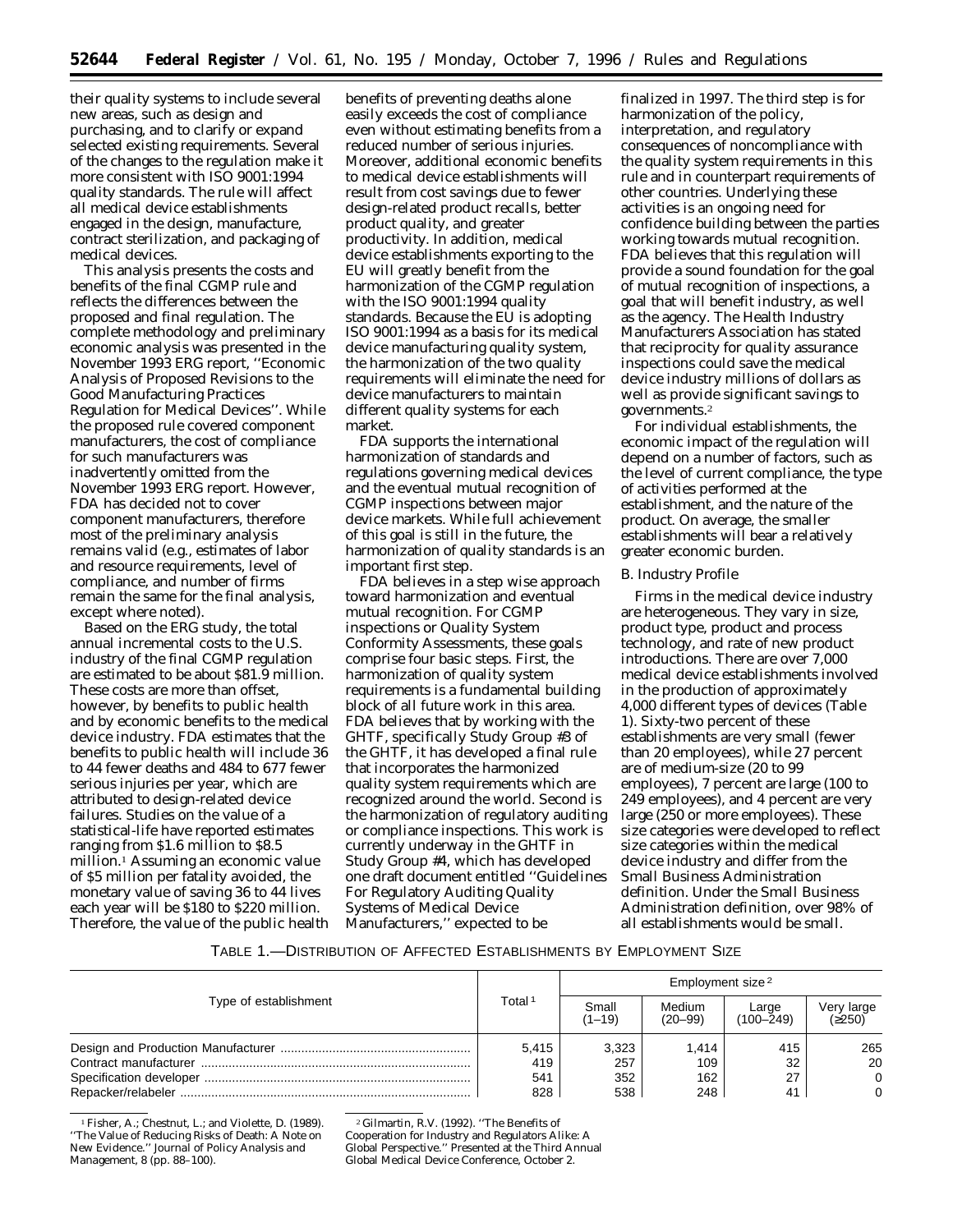their quality systems to include several new areas, such as design and purchasing, and to clarify or expand selected existing requirements. Several of the changes to the regulation make it more consistent with ISO 9001:1994 quality standards. The rule will affect all medical device establishments engaged in the design, manufacture, contract sterilization, and packaging of medical devices.

This analysis presents the costs and benefits of the final CGMP rule and reflects the differences between the proposed and final regulation. The complete methodology and preliminary economic analysis was presented in the November 1993 ERG report, ''Economic Analysis of Proposed Revisions to the Good Manufacturing Practices Regulation for Medical Devices''. While the proposed rule covered component manufacturers, the cost of compliance for such manufacturers was inadvertently omitted from the November 1993 ERG report. However, FDA has decided not to cover component manufacturers, therefore most of the preliminary analysis remains valid (e.g., estimates of labor and resource requirements, level of compliance, and number of firms remain the same for the final analysis, except where noted).

Based on the ERG study, the total annual incremental costs to the U.S. industry of the final CGMP regulation are estimated to be about \$81.9 million. These costs are more than offset, however, by benefits to public health and by economic benefits to the medical device industry. FDA estimates that the benefits to public health will include 36 to 44 fewer deaths and 484 to 677 fewer serious injuries per year, which are attributed to design-related device failures. Studies on the value of a statistical-life have reported estimates ranging from \$1.6 million to \$8.5 million.1 Assuming an economic value of \$5 million per fatality avoided, the monetary value of saving 36 to 44 lives each year will be \$180 to \$220 million. Therefore, the value of the public health benefits of preventing deaths alone easily exceeds the cost of compliance even without estimating benefits from a reduced number of serious injuries. Moreover, additional economic benefits to medical device establishments will result from cost savings due to fewer design-related product recalls, better product quality, and greater productivity. In addition, medical device establishments exporting to the EU will greatly benefit from the harmonization of the CGMP regulation with the ISO 9001:1994 quality standards. Because the EU is adopting ISO 9001:1994 as a basis for its medical device manufacturing quality system, the harmonization of the two quality requirements will eliminate the need for device manufacturers to maintain different quality systems for each market.

FDA supports the international harmonization of standards and regulations governing medical devices and the eventual mutual recognition of CGMP inspections between major device markets. While full achievement of this goal is still in the future, the harmonization of quality standards is an important first step.

FDA believes in a step wise approach toward harmonization and eventual mutual recognition. For CGMP inspections or Quality System Conformity Assessments, these goals comprise four basic steps. First, the harmonization of quality system requirements is a fundamental building block of all future work in this area. FDA believes that by working with the GHTF, specifically Study Group #3 of the GHTF, it has developed a final rule that incorporates the harmonized quality system requirements which are recognized around the world. Second is the harmonization of regulatory auditing or compliance inspections. This work is currently underway in the GHTF in Study Group #4, which has developed one draft document entitled ''Guidelines For Regulatory Auditing Quality Systems of Medical Device Manufacturers,'' expected to be

finalized in 1997. The third step is for harmonization of the policy, interpretation, and regulatory consequences of noncompliance with the quality system requirements in this rule and in counterpart requirements of other countries. Underlying these activities is an ongoing need for confidence building between the parties working towards mutual recognition. FDA believes that this regulation will provide a sound foundation for the goal of mutual recognition of inspections, a goal that will benefit industry, as well as the agency. The Health Industry Manufacturers Association has stated that reciprocity for quality assurance inspections could save the medical device industry millions of dollars as well as provide significant savings to governments.2

For individual establishments, the economic impact of the regulation will depend on a number of factors, such as the level of current compliance, the type of activities performed at the establishment, and the nature of the product. On average, the smaller establishments will bear a relatively greater economic burden.

## *B. Industry Profile*

Firms in the medical device industry are heterogeneous. They vary in size, product type, product and process technology, and rate of new product introductions. There are over 7,000 medical device establishments involved in the production of approximately 4,000 different types of devices (Table 1). Sixty-two percent of these establishments are very small (fewer than 20 employees), while 27 percent are of medium-size (20 to 99 employees), 7 percent are large (100 to 249 employees), and 4 percent are very large (250 or more employees). These size categories were developed to reflect size categories within the medical device industry and differ from the Small Business Administration definition. Under the Small Business Administration definition, over 98% of all establishments would be small.

## TABLE 1.—DISTRIBUTION OF AFFECTED ESTABLISHMENTS BY EMPLOYMENT SIZE

|                       |                    | Employment size <sup>2</sup> |                       |                        |                      |
|-----------------------|--------------------|------------------------------|-----------------------|------------------------|----------------------|
| Type of establishment | Total <sup>1</sup> | Small<br>$(1 - 19)$          | Medium<br>$(20 - 99)$ | Large<br>$(100 - 249)$ | Very large<br>(2250) |
|                       | 5.415              | 3,323                        | 1.414                 | 415                    | 265                  |
|                       | 419                | 257                          | 109                   | 32                     | 20                   |
|                       | 541                | 352                          | 162                   | 27                     |                      |
|                       | 828                | 538                          | 248                   | 41                     |                      |

1Fisher, A.; Chestnut, L.; and Violette, D. (1989). ''The Value of Reducing Risks of Death: A Note on New Evidence.'' *Journal of Policy Analysis and Management, 8* (pp. 88–100).

2 Gilmartin, R.V. (1992). ''The Benefits of

Cooperation for Industry and Regulators Alike: A Global Perspective.'' Presented at the Third Annual Global Medical Device Conference, October 2.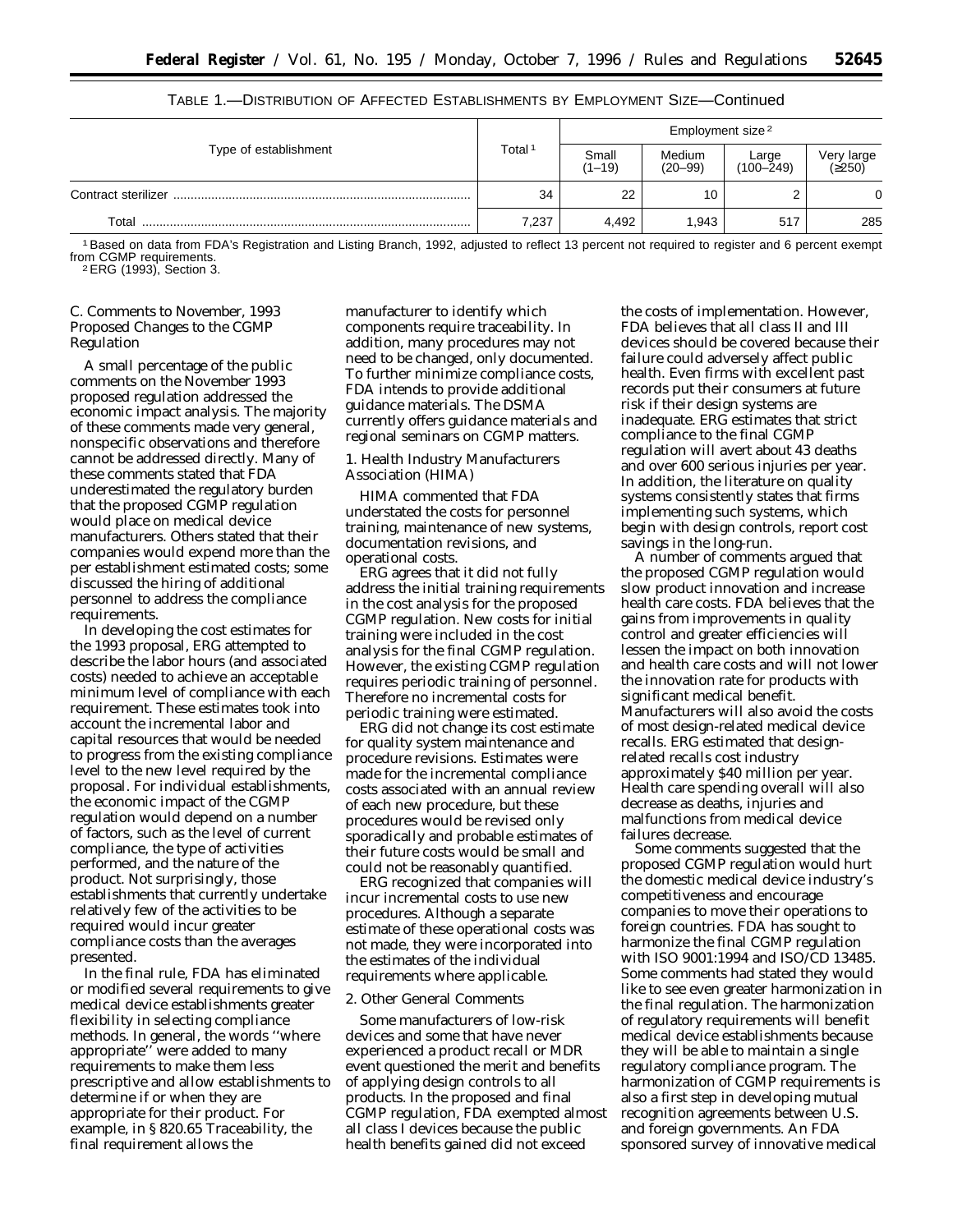|                       |                    | Employment size <sup>2</sup> |                       |                    |                      |  |
|-----------------------|--------------------|------------------------------|-----------------------|--------------------|----------------------|--|
| Type of establishment | Total <sup>1</sup> | Small<br>$(1 - 19)$          | Medium<br>$(20 - 99)$ | Large<br>(100–249) | Very large<br>(≥250) |  |
| Contract sterilizer   | 34                 | 22                           | 10                    |                    |                      |  |
| Total                 | 7,237              | 4.492                        | 1,943                 | 517                | 285                  |  |

## TABLE 1.—DISTRIBUTION OF AFFECTED ESTABLISHMENTS BY EMPLOYMENT SIZE—Continued

1Based on data from FDA's Registration and Listing Branch, 1992, adjusted to reflect 13 percent not required to register and 6 percent exempt from CGMP requirements. 2ERG (1993), Section 3.

## *C. Comments to November, 1993 Proposed Changes to the CGMP Regulation*

A small percentage of the public comments on the November 1993 proposed regulation addressed the economic impact analysis. The majority of these comments made very general, nonspecific observations and therefore cannot be addressed directly. Many of these comments stated that FDA underestimated the regulatory burden that the proposed CGMP regulation would place on medical device manufacturers. Others stated that their companies would expend more than the per establishment estimated costs; some discussed the hiring of additional personnel to address the compliance requirements.

In developing the cost estimates for the 1993 proposal, ERG attempted to describe the labor hours (and associated costs) needed to achieve an acceptable minimum level of compliance with each requirement. These estimates took into account the incremental labor and capital resources that would be needed to progress from the existing compliance level to the new level required by the proposal. For individual establishments, the economic impact of the CGMP regulation would depend on a number of factors, such as the level of current compliance, the type of activities performed, and the nature of the product. Not surprisingly, those establishments that currently undertake relatively few of the activities to be required would incur greater compliance costs than the averages presented.

In the final rule, FDA has eliminated or modified several requirements to give medical device establishments greater flexibility in selecting compliance methods. In general, the words ''where appropriate'' were added to many requirements to make them less prescriptive and allow establishments to determine if or when they are appropriate for their product. For example, in § 820.65 *Traceability,* the final requirement allows the

manufacturer to identify which components require traceability. In addition, many procedures may not need to be changed, only documented. To further minimize compliance costs, FDA intends to provide additional guidance materials. The DSMA currently offers guidance materials and regional seminars on CGMP matters.

## 1. Health Industry Manufacturers Association (HIMA)

HIMA commented that FDA understated the costs for personnel training, maintenance of new systems, documentation revisions, and operational costs.

ERG agrees that it did not fully address the initial training requirements in the cost analysis for the proposed CGMP regulation. New costs for initial training were included in the cost analysis for the final CGMP regulation. However, the existing CGMP regulation requires periodic training of personnel. Therefore no incremental costs for periodic training were estimated.

ERG did not change its cost estimate for quality system maintenance and procedure revisions. Estimates were made for the incremental compliance costs associated with an annual review of each new procedure, but these procedures would be revised only sporadically and probable estimates of their future costs would be small and could not be reasonably quantified.

ERG recognized that companies will incur incremental costs to use new procedures. Although a separate estimate of these operational costs was not made, they were incorporated into the estimates of the individual requirements where applicable.

## 2. Other General Comments

Some manufacturers of low-risk devices and some that have never experienced a product recall or MDR event questioned the merit and benefits of applying design controls to all products. In the proposed and final CGMP regulation, FDA exempted almost all class I devices because the public health benefits gained did not exceed

the costs of implementation. However, FDA believes that all class II and III devices should be covered because their failure could adversely affect public health. Even firms with excellent past records put their consumers at future risk if their design systems are inadequate. ERG estimates that strict compliance to the final CGMP regulation will avert about 43 deaths and over 600 serious injuries per year. In addition, the literature on quality systems consistently states that firms implementing such systems, which begin with design controls, report cost savings in the long-run.

A number of comments argued that the proposed CGMP regulation would slow product innovation and increase health care costs. FDA believes that the gains from improvements in quality control and greater efficiencies will lessen the impact on both innovation and health care costs and will not lower the innovation rate for products with significant medical benefit. Manufacturers will also avoid the costs of most design-related medical device recalls. ERG estimated that designrelated recalls cost industry approximately \$40 million per year. Health care spending overall will also decrease as deaths, injuries and malfunctions from medical device failures decrease.

Some comments suggested that the proposed CGMP regulation would hurt the domestic medical device industry's competitiveness and encourage companies to move their operations to foreign countries. FDA has sought to harmonize the final CGMP regulation with ISO 9001:1994 and ISO/CD 13485. Some comments had stated they would like to see even greater harmonization in the final regulation. The harmonization of regulatory requirements will benefit medical device establishments because they will be able to maintain a single regulatory compliance program. The harmonization of CGMP requirements is also a first step in developing mutual recognition agreements between U.S. and foreign governments. An FDA sponsored survey of innovative medical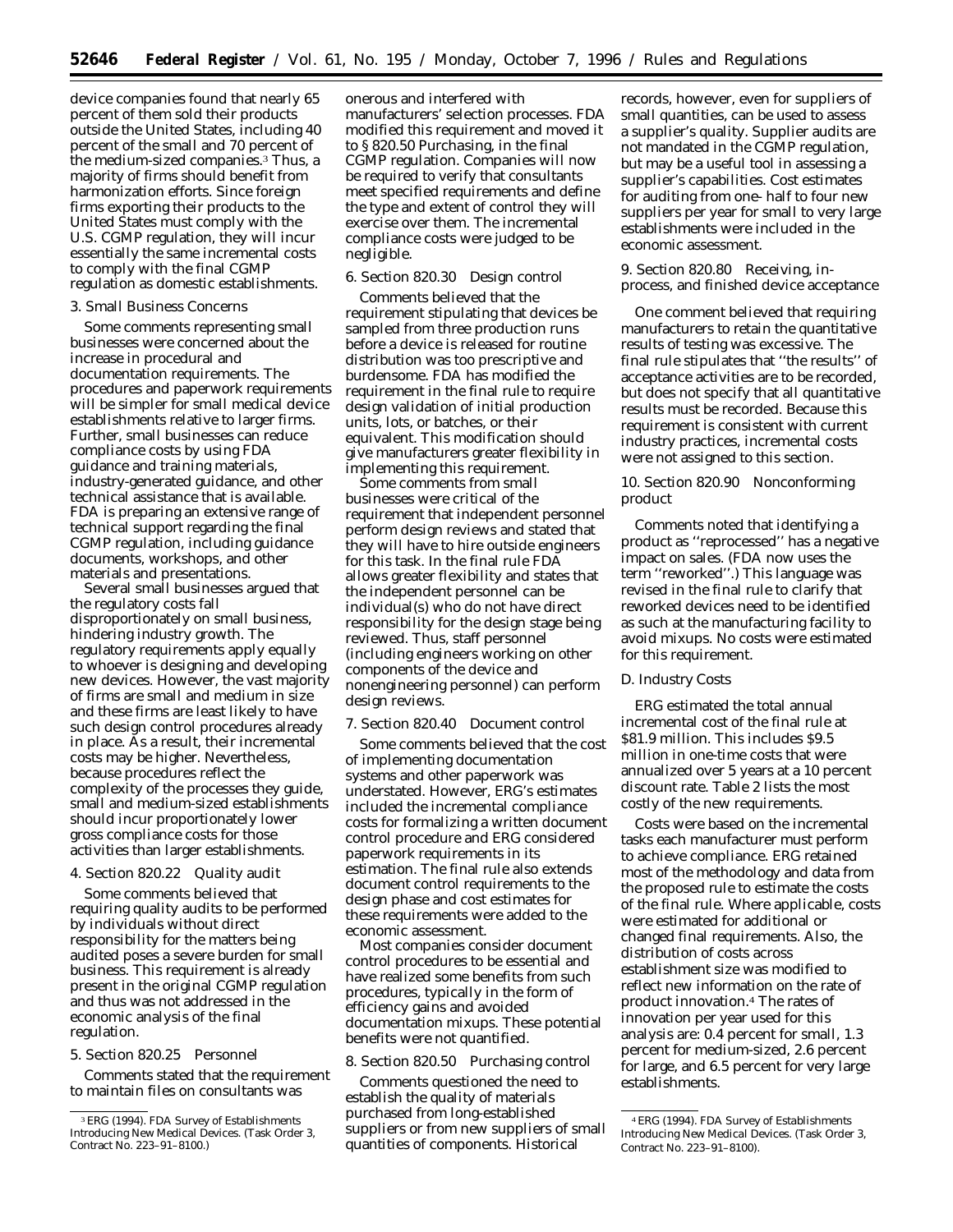device companies found that nearly 65 percent of them sold their products outside the United States, including 40 percent of the small and 70 percent of the medium-sized companies.3 Thus, a majority of firms should benefit from harmonization efforts. Since foreign firms exporting their products to the United States must comply with the U.S. CGMP regulation, they will incur essentially the same incremental costs to comply with the final CGMP regulation as domestic establishments.

## 3. Small Business Concerns

Some comments representing small businesses were concerned about the increase in procedural and documentation requirements. The procedures and paperwork requirements will be simpler for small medical device establishments relative to larger firms. Further, small businesses can reduce compliance costs by using FDA guidance and training materials, industry-generated guidance, and other technical assistance that is available. FDA is preparing an extensive range of technical support regarding the final CGMP regulation, including guidance documents, workshops, and other materials and presentations.

Several small businesses argued that the regulatory costs fall disproportionately on small business, hindering industry growth. The regulatory requirements apply equally to whoever is designing and developing new devices. However, the vast majority of firms are small and medium in size and these firms are least likely to have such design control procedures already in place. As a result, their incremental costs may be higher. Nevertheless, because procedures reflect the complexity of the processes they guide, small and medium-sized establishments should incur proportionately lower gross compliance costs for those activities than larger establishments.

## 4. Section 820.22 Quality audit

Some comments believed that requiring quality audits to be performed by individuals without direct responsibility for the matters being audited poses a severe burden for small business. This requirement is already present in the original CGMP regulation and thus was not addressed in the economic analysis of the final regulation.

5. Section 820.25 Personnel

Comments stated that the requirement to maintain files on consultants was

onerous and interfered with manufacturers' selection processes. FDA modified this requirement and moved it to § 820.50 *Purchasing,* in the final CGMP regulation. Companies will now be required to verify that consultants meet specified requirements and define the type and extent of control they will exercise over them. The incremental compliance costs were judged to be negligible.

## 6. Section 820.30 Design control

Comments believed that the requirement stipulating that devices be sampled from three production runs before a device is released for routine distribution was too prescriptive and burdensome. FDA has modified the requirement in the final rule to require design validation of initial production units, lots, or batches, or their equivalent. This modification should give manufacturers greater flexibility in implementing this requirement.

Some comments from small businesses were critical of the requirement that independent personnel perform design reviews and stated that they will have to hire outside engineers for this task. In the final rule FDA allows greater flexibility and states that the independent personnel can be individual(s) who do not have direct responsibility for the design stage being reviewed. Thus, staff personnel (including engineers working on other components of the device and nonengineering personnel) can perform design reviews.

## 7. Section 820.40 Document control

Some comments believed that the cost of implementing documentation systems and other paperwork was understated. However, ERG's estimates included the incremental compliance costs for formalizing a written document control procedure and ERG considered paperwork requirements in its estimation. The final rule also extends document control requirements to the design phase and cost estimates for these requirements were added to the economic assessment.

Most companies consider document control procedures to be essential and have realized some benefits from such procedures, typically in the form of efficiency gains and avoided documentation mixups. These potential benefits were not quantified.

#### 8. Section 820.50 Purchasing control

Comments questioned the need to establish the quality of materials purchased from long-established suppliers or from new suppliers of small quantities of components. Historical

records, however, even for suppliers of small quantities, can be used to assess a supplier's quality. Supplier audits are not mandated in the CGMP regulation, but may be a useful tool in assessing a supplier's capabilities. Cost estimates for auditing from one- half to four new suppliers per year for small to very large establishments were included in the economic assessment.

9. Section 820.80 Receiving, inprocess, and finished device acceptance

One comment believed that requiring manufacturers to retain the quantitative results of testing was excessive. The final rule stipulates that ''the results'' of acceptance activities are to be recorded, but does not specify that all quantitative results must be recorded. Because this requirement is consistent with current industry practices, incremental costs were not assigned to this section.

## 10. Section 820.90 Nonconforming product

Comments noted that identifying a product as ''reprocessed'' has a negative impact on sales. (FDA now uses the term ''reworked''.) This language was revised in the final rule to clarify that reworked devices need to be identified as such at the manufacturing facility to avoid mixups. No costs were estimated for this requirement.

#### *D. Industry Costs*

ERG estimated the total annual incremental cost of the final rule at \$81.9 million. This includes \$9.5 million in one-time costs that were annualized over 5 years at a 10 percent discount rate. Table 2 lists the most costly of the new requirements.

Costs were based on the incremental tasks each manufacturer must perform to achieve compliance. ERG retained most of the methodology and data from the proposed rule to estimate the costs of the final rule. Where applicable, costs were estimated for additional or changed final requirements. Also, the distribution of costs across establishment size was modified to reflect new information on the rate of product innovation.4 The rates of innovation per year used for this analysis are: 0.4 percent for small, 1.3 percent for medium-sized, 2.6 percent for large, and 6.5 percent for very large establishments.

<sup>3</sup>ERG (1994). *FDA Survey of Establishments Introducing New Medical Devices.* (Task Order 3, Contract No. 223–91–8100.)

<sup>4</sup>ERG (1994). *FDA Survey of Establishments Introducing New Medical Devices.* (Task Order 3, Contract No. 223–91–8100).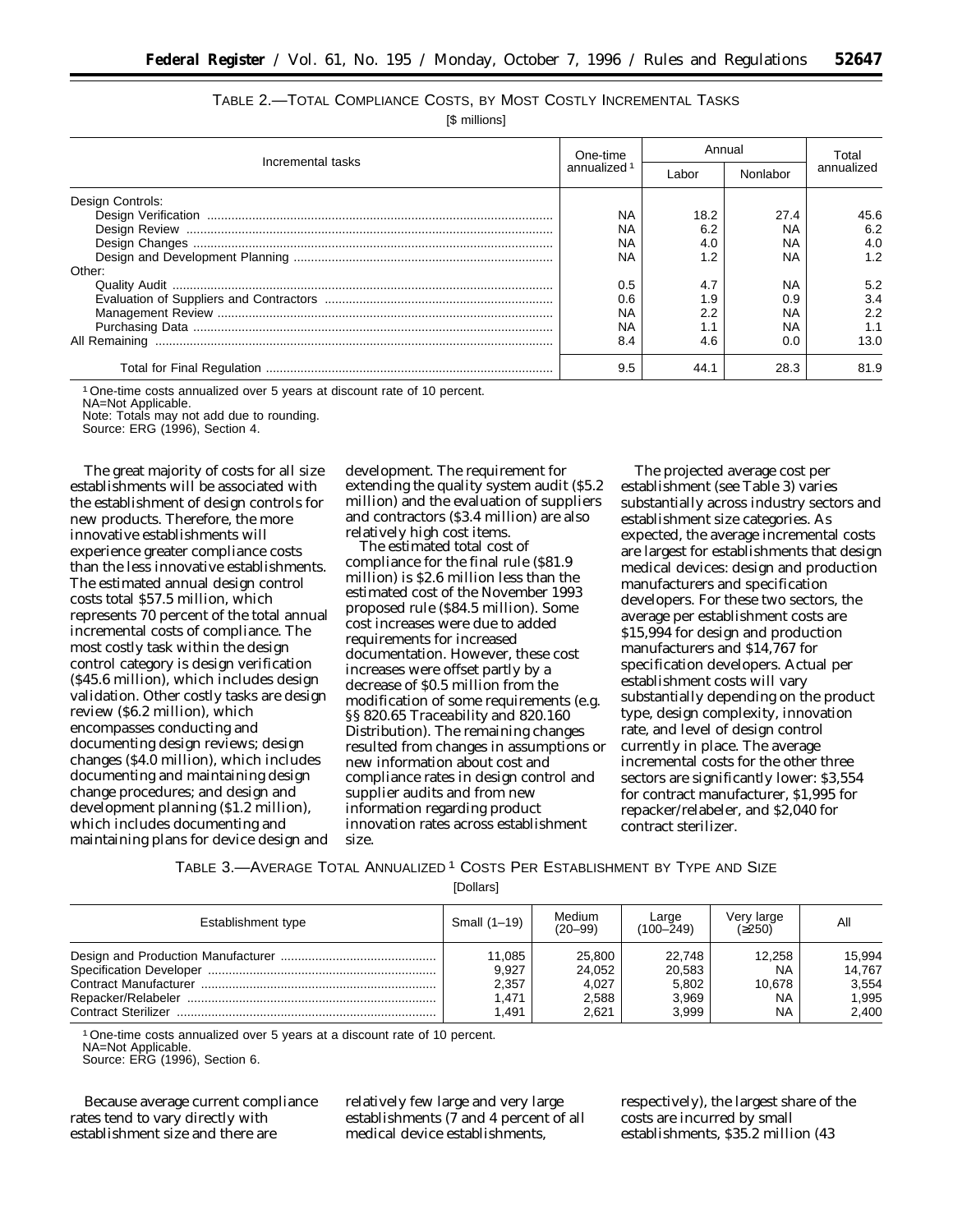| TABLE 2.-TOTAL COMPLIANCE COSTS, BY MOST COSTLY INCREMENTAL TASKS |  |
|-------------------------------------------------------------------|--|
|-------------------------------------------------------------------|--|

[\$ millions]

|                   |              |       | Annual   |            |
|-------------------|--------------|-------|----------|------------|
| Incremental tasks | annualized 1 | Labor | Nonlabor | annualized |
| Design Controls:  |              |       |          |            |
|                   | NA.          | 18.2  | 27.4     | 45.6       |
|                   | NA           | 6.2   | ΝA       | 6.2        |
|                   | NA           | 4.0   | NA       | 4.0        |
|                   | NA.          | 1.2   | NA       | 1.2        |
| Other:            |              |       |          |            |
|                   | 0.5          | 4.7   | ΝA       | 5.2        |
|                   | 0.6          | 1.9   | 0.9      | 3.4        |
|                   | NA           | 2.2   | NA       | 2.2        |
|                   | NA.          |       | NA       | 1.1        |
|                   | 8.4          | 4.6   | 0.0      | 13.0       |
|                   | 9.5          | 44.1  | 28.3     | 81.9       |

1One-time costs annualized over 5 years at discount rate of 10 percent.

NA=Not Applicable.

Note: Totals may not add due to rounding.

Source: ERG (1996), Section 4.

The great majority of costs for all size establishments will be associated with the establishment of design controls for new products. Therefore, the more innovative establishments will experience greater compliance costs than the less innovative establishments. The estimated annual design control costs total \$57.5 million, which represents 70 percent of the total annual incremental costs of compliance. The most costly task within the design control category is design verification (\$45.6 million), which includes design validation. Other costly tasks are design review (\$6.2 million), which encompasses conducting and documenting design reviews; design changes (\$4.0 million), which includes documenting and maintaining design change procedures; and design and development planning (\$1.2 million), which includes documenting and maintaining plans for device design and

development. The requirement for extending the quality system audit (\$5.2 million) and the evaluation of suppliers and contractors (\$3.4 million) are also relatively high cost items.

The estimated total cost of compliance for the final rule (\$81.9 million) is \$2.6 million less than the estimated cost of the November 1993 proposed rule (\$84.5 million). Some cost increases were due to added requirements for increased documentation. However, these cost increases were offset partly by a decrease of \$0.5 million from the modification of some requirements (e.g. §§ 820.65 *Traceability* and 820.160 *Distribution*). The remaining changes resulted from changes in assumptions or new information about cost and compliance rates in design control and supplier audits and from new information regarding product innovation rates across establishment size.

The projected average cost per establishment (see Table 3) varies substantially across industry sectors and establishment size categories. As expected, the average incremental costs are largest for establishments that design medical devices: design and production manufacturers and specification developers. For these two sectors, the average per establishment costs are \$15,994 for design and production manufacturers and \$14,767 for specification developers. Actual per establishment costs will vary substantially depending on the product type, design complexity, innovation rate, and level of design control currently in place. The average incremental costs for the other three sectors are significantly lower: \$3,554 for contract manufacturer, \$1,995 for repacker/relabeler, and \$2,040 for contract sterilizer.

TABLE 3.—AVERAGE TOTAL ANNUALIZED 1 COSTS PER ESTABLISHMENT BY TYPE AND SIZE

[Dollars]

| Establishment type | Small (1-19) | Medium<br>$(20 - 99)$ | Large<br>$(100 - 249)$ | Very large<br>(2250) | All    |
|--------------------|--------------|-----------------------|------------------------|----------------------|--------|
|                    | 11.085       | 25.800                | 22.748                 | 12,258               | 15,994 |
|                    | 9.927        | 24.052                | 20,583                 | <b>NA</b>            | 14.767 |
|                    | 2,357        | 4,027                 | 5.802                  | 10.678               | 3.554  |
|                    | 1.471        | 2.588                 | 3.969                  | <b>NA</b>            | 1.995  |
|                    | 1,491        | 2,621                 | 3.999                  | <b>NA</b>            | 2.400  |

1One-time costs annualized over 5 years at a discount rate of 10 percent.

NA=Not Applicable.

Source: ERG (1996), Section 6.

Because average current compliance rates tend to vary directly with establishment size and there are

relatively few large and very large establishments (7 and 4 percent of all medical device establishments,

respectively), the largest share of the costs are incurred by small establishments, \$35.2 million (43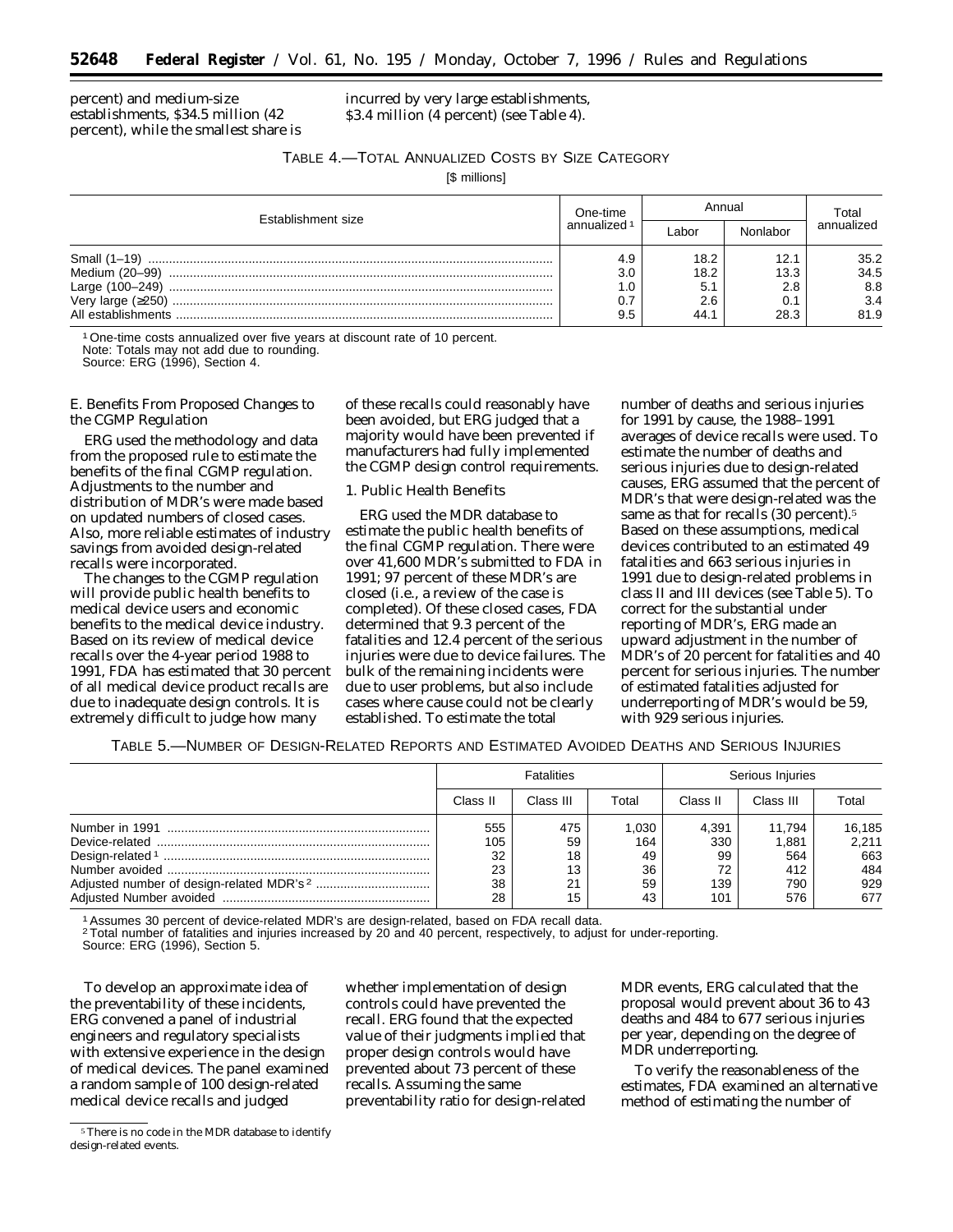percent) and medium-size establishments, \$34.5 million (42 percent), while the smallest share is incurred by very large establishments, \$3.4 million (4 percent) (see Table 4).

## TABLE 4.—TOTAL ANNUALIZED COSTS BY SIZE CATEGORY

[\$ millions]

| Establishment size<br>annualized <sup>1</sup> |     | Annual |          | Total      |  |
|-----------------------------------------------|-----|--------|----------|------------|--|
|                                               |     | Labor  | Nonlabor | annualized |  |
| Small (1-19)                                  | 4.9 | 18.2   | 12.1     | 35.2       |  |
| Medium (20-99)                                | 3.0 | 18.2   | 13.3     | 34.5       |  |
| Large (100-249)                               | I.C | 5.     | 2.8      | 8.8        |  |
| Very large $(≥250)$                           |     | 2.6    | 0.1      | 3.4        |  |
| All establishments                            | 9.5 | 44.1   | 28.3     | 81.9       |  |

1One-time costs annualized over five years at discount rate of 10 percent. Note: Totals may not add due to rounding.

Source: ERG (1996), Section 4.

## *E. Benefits From Proposed Changes to the CGMP Regulation*

ERG used the methodology and data from the proposed rule to estimate the benefits of the final CGMP regulation. Adjustments to the number and distribution of MDR's were made based on updated numbers of closed cases. Also, more reliable estimates of industry savings from avoided design-related recalls were incorporated.

The changes to the CGMP regulation will provide public health benefits to medical device users and economic benefits to the medical device industry. Based on its review of medical device recalls over the 4-year period 1988 to 1991, FDA has estimated that 30 percent of all medical device product recalls are due to inadequate design controls. It is extremely difficult to judge how many

of these recalls could reasonably have been avoided, but ERG judged that a majority would have been prevented if manufacturers had fully implemented the CGMP design control requirements.

1. Public Health Benefits

ERG used the MDR database to estimate the public health benefits of the final CGMP regulation. There were over 41,600 MDR's submitted to FDA in 1991; 97 percent of these MDR's are closed (i.e., a review of the case is completed). Of these closed cases, FDA determined that 9.3 percent of the fatalities and 12.4 percent of the serious injuries were due to device failures. The bulk of the remaining incidents were due to user problems, but also include cases where cause could not be clearly established. To estimate the total

number of deaths and serious injuries for 1991 by cause, the 1988–1991 averages of device recalls were used. To estimate the number of deaths and serious injuries due to design-related causes, ERG assumed that the percent of MDR's that were design-related was the same as that for recalls (30 percent).<sup>5</sup> Based on these assumptions, medical devices contributed to an estimated 49 fatalities and 663 serious injuries in 1991 due to design-related problems in class II and III devices (see Table 5). To correct for the substantial under reporting of MDR's, ERG made an upward adjustment in the number of MDR's of 20 percent for fatalities and 40 percent for serious injuries. The number of estimated fatalities adjusted for underreporting of MDR's would be 59, with 929 serious injuries.

TABLE 5.—NUMBER OF DESIGN-RELATED REPORTS AND ESTIMATED AVOIDED DEATHS AND SERIOUS INJURIES

| <b>Fatalities</b> |           |       | Serious Injuries |           |        |
|-------------------|-----------|-------|------------------|-----------|--------|
| Class II          | Class III | Total | Class II         | Class III | Total  |
| 555               | 475       | 1.030 | 4,391            | 11.794    | 16,185 |
| 105               | 59        | 164   | 330              | 1.881     | 2.211  |
| 32                | 18        | 49    | 99               | 564       | 663    |
| 23                | 13        | 36    | 72               | 412       | 484    |
| 38                | 21        | 59    | 139              | 790       | 929    |
| 28                | 15        | 43    | 101              | 576       | 677    |

1Assumes 30 percent of device-related MDR's are design-related, based on FDA recall data.

2Total number of fatalities and injuries increased by 20 and 40 percent, respectively, to adjust for under-reporting.

Source: ERG (1996), Section 5.

To develop an approximate idea of the preventability of these incidents, ERG convened a panel of industrial engineers and regulatory specialists with extensive experience in the design of medical devices. The panel examined a random sample of 100 design-related medical device recalls and judged

whether implementation of design controls could have prevented the recall. ERG found that the expected value of their judgments implied that proper design controls would have prevented about 73 percent of these recalls. Assuming the same preventability ratio for design-related MDR events, ERG calculated that the proposal would prevent about 36 to 43 deaths and 484 to 677 serious injuries per year, depending on the degree of MDR underreporting.

To verify the reasonableness of the estimates, FDA examined an alternative method of estimating the number of

<sup>5</sup>There is no code in the MDR database to identify design-related events.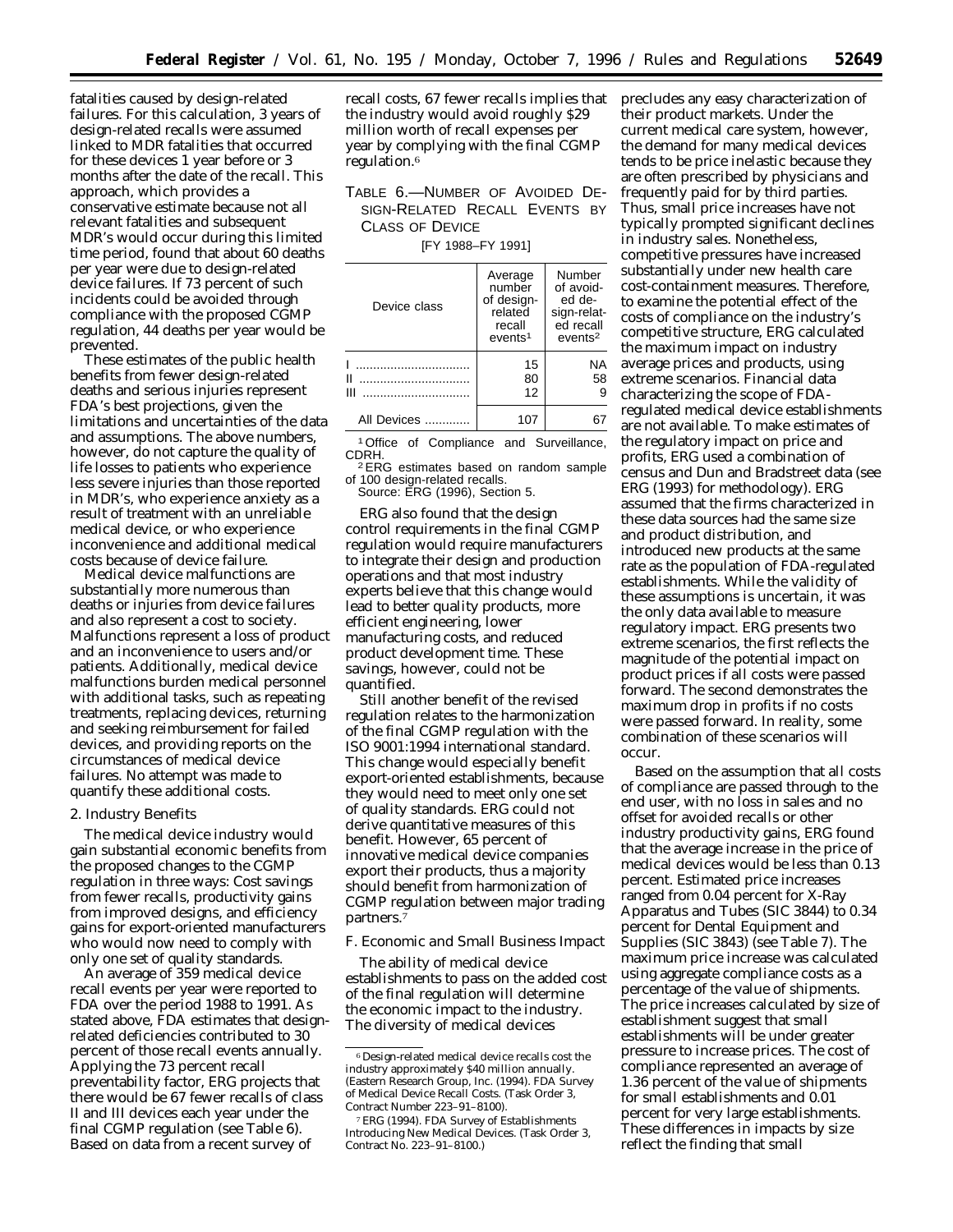fatalities caused by design-related failures. For this calculation, 3 years of design-related recalls were assumed linked to MDR fatalities that occurred for these devices 1 year before or 3 months after the date of the recall. This approach, which provides a conservative estimate because not all relevant fatalities and subsequent MDR's would occur during this limited time period, found that about 60 deaths per year were due to design-related device failures. If 73 percent of such incidents could be avoided through compliance with the proposed CGMP regulation, 44 deaths per year would be prevented.

These estimates of the public health benefits from fewer design-related deaths and serious injuries represent FDA's best projections, given the limitations and uncertainties of the data and assumptions. The above numbers, however, do not capture the quality of life losses to patients who experience less severe injuries than those reported in MDR's, who experience anxiety as a result of treatment with an unreliable medical device, or who experience inconvenience and additional medical costs because of device failure.

Medical device malfunctions are substantially more numerous than deaths or injuries from device failures and also represent a cost to society. Malfunctions represent a loss of product and an inconvenience to users and/or patients. Additionally, medical device malfunctions burden medical personnel with additional tasks, such as repeating treatments, replacing devices, returning and seeking reimbursement for failed devices, and providing reports on the circumstances of medical device failures. No attempt was made to quantify these additional costs.

#### 2. Industry Benefits

The medical device industry would gain substantial economic benefits from the proposed changes to the CGMP regulation in three ways: Cost savings from fewer recalls, productivity gains from improved designs, and efficiency gains for export-oriented manufacturers who would now need to comply with only one set of quality standards.

An average of 359 medical device recall events per year were reported to FDA over the period 1988 to 1991. As stated above, FDA estimates that designrelated deficiencies contributed to 30 percent of those recall events annually. Applying the 73 percent recall preventability factor, ERG projects that there would be 67 fewer recalls of class II and III devices each year under the final CGMP regulation (see Table 6). Based on data from a recent survey of

recall costs, 67 fewer recalls implies that the industry would avoid roughly \$29 million worth of recall expenses per year by complying with the final CGMP regulation.6

TABLE 6.—NUMBER OF AVOIDED DE-SIGN-RELATED RECALL EVENTS BY CLASS OF DEVICE

#### [FY 1988–FY 1991]

| Device class | Average<br>number<br>of design-<br>related<br>recall<br>events <sup>1</sup> | Number<br>of avoid-<br>ed de-<br>sign-relat-<br>ed recall<br>events <sup>2</sup> |
|--------------|-----------------------------------------------------------------------------|----------------------------------------------------------------------------------|
| Ш<br>ш       | 15<br>80<br>12                                                              | ΝA<br>58<br>9                                                                    |
| All Devices  | 107                                                                         |                                                                                  |

1Office of Compliance and Surveillance,

<sup>2</sup> ERG estimates based on random sample of 100 design-related recalls.

Source: ERG (1996), Section 5.

ERG also found that the design control requirements in the final CGMP regulation would require manufacturers to integrate their design and production operations and that most industry experts believe that this change would lead to better quality products, more efficient engineering, lower manufacturing costs, and reduced product development time. These savings, however, could not be quantified.

Still another benefit of the revised regulation relates to the harmonization of the final CGMP regulation with the ISO 9001:1994 international standard. This change would especially benefit export-oriented establishments, because they would need to meet only one set of quality standards. ERG could not derive quantitative measures of this benefit. However, 65 percent of innovative medical device companies export their products, thus a majority should benefit from harmonization of CGMP regulation between major trading partners.7

## *F. Economic and Small Business Impact*

The ability of medical device establishments to pass on the added cost of the final regulation will determine the economic impact to the industry. The diversity of medical devices

precludes any easy characterization of their product markets. Under the current medical care system, however, the demand for many medical devices tends to be price inelastic because they are often prescribed by physicians and frequently paid for by third parties. Thus, small price increases have not typically prompted significant declines in industry sales. Nonetheless, competitive pressures have increased substantially under new health care cost-containment measures. Therefore, to examine the potential effect of the costs of compliance on the industry's competitive structure, ERG calculated the maximum impact on industry average prices and products, using extreme scenarios. Financial data characterizing the scope of FDAregulated medical device establishments are not available. To make estimates of the regulatory impact on price and profits, ERG used a combination of census and Dun and Bradstreet data (see ERG (1993) for methodology). ERG assumed that the firms characterized in these data sources had the same size and product distribution, and introduced new products at the same rate as the population of FDA-regulated establishments. While the validity of these assumptions is uncertain, it was the only data available to measure regulatory impact. ERG presents two extreme scenarios, the first reflects the magnitude of the potential impact on product prices if all costs were passed forward. The second demonstrates the maximum drop in profits if no costs were passed forward. In reality, some combination of these scenarios will occur.

Based on the assumption that all costs of compliance are passed through to the end user, with no loss in sales and no offset for avoided recalls or other industry productivity gains, ERG found that the average increase in the price of medical devices would be less than 0.13 percent. Estimated price increases ranged from 0.04 percent for X-Ray Apparatus and Tubes (SIC 3844) to 0.34 percent for Dental Equipment and Supplies (SIC 3843) (see Table 7). The maximum price increase was calculated using aggregate compliance costs as a percentage of the value of shipments. The price increases calculated by size of establishment suggest that small establishments will be under greater pressure to increase prices. The cost of compliance represented an average of 1.36 percent of the value of shipments for small establishments and 0.01 percent for very large establishments. These differences in impacts by size reflect the finding that small

<sup>6</sup> Design-related medical device recalls cost the industry approximately \$40 million annually. (Eastern Research Group, Inc. (1994). *FDA Survey of Medical Device Recall Costs.* (Task Order 3, Contract Number 223–91–8100).

<sup>7</sup>ERG (1994). *FDA Survey of Establishments Introducing New Medical Devices.* (Task Order 3, Contract No. 223–91–8100.)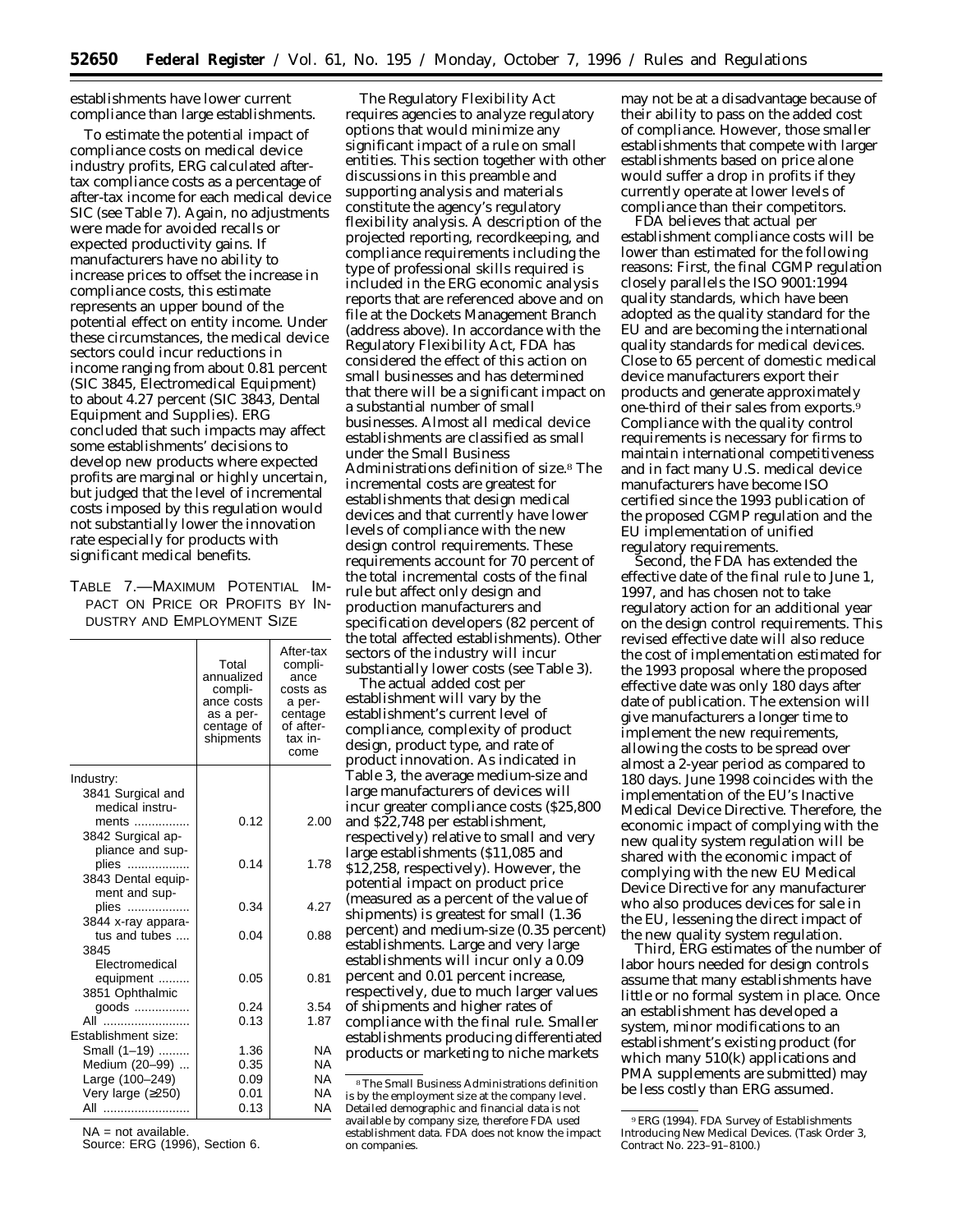establishments have lower current compliance than large establishments.

To estimate the potential impact of compliance costs on medical device industry profits, ERG calculated aftertax compliance costs as a percentage of after-tax income for each medical device SIC (see Table 7). Again, no adjustments were made for avoided recalls or expected productivity gains. If manufacturers have no ability to increase prices to offset the increase in compliance costs, this estimate represents an upper bound of the potential effect on entity income. Under these circumstances, the medical device sectors could incur reductions in income ranging from about 0.81 percent (SIC 3845, Electromedical Equipment) to about 4.27 percent (SIC 3843, Dental Equipment and Supplies). ERG concluded that such impacts may affect some establishments' decisions to develop new products where expected profits are marginal or highly uncertain, but judged that the level of incremental costs imposed by this regulation would not substantially lower the innovation rate especially for products with significant medical benefits.

TABLE 7.—MAXIMUM POTENTIAL IM-PACT ON PRICE OR PROFITS BY IN-DUSTRY AND EMPLOYMENT SIZE

|                             | Total<br>annualized<br>compli-<br>ance costs<br>as a per-<br>centage of<br>shipments | After-tax<br>compli-<br>ance<br>costs as<br>a per-<br>centage<br>of after-<br>tax in-<br>come |
|-----------------------------|--------------------------------------------------------------------------------------|-----------------------------------------------------------------------------------------------|
| Industry:                   |                                                                                      |                                                                                               |
| 3841 Surgical and           |                                                                                      |                                                                                               |
| medical instru-             |                                                                                      |                                                                                               |
| ments                       | 0.12                                                                                 | 2.00                                                                                          |
| 3842 Surgical ap-           |                                                                                      |                                                                                               |
| pliance and sup-            |                                                                                      |                                                                                               |
| plies<br>3843 Dental equip- | 0.14                                                                                 | 1.78                                                                                          |
| ment and sup-               |                                                                                      |                                                                                               |
| plies                       | 0.34                                                                                 | 4.27                                                                                          |
| 3844 x-ray appara-          |                                                                                      |                                                                                               |
| tus and tubes               | 0.04                                                                                 | 0.88                                                                                          |
| 3845                        |                                                                                      |                                                                                               |
| Electromedical              |                                                                                      |                                                                                               |
| equipment                   | 0.05                                                                                 | 0.81                                                                                          |
| 3851 Ophthalmic<br>goods    | 0.24                                                                                 | 3.54                                                                                          |
| All                         | 0.13                                                                                 | 1.87                                                                                          |
| Establishment size:         |                                                                                      |                                                                                               |
| Small (1-19)                | 1.36                                                                                 | <b>NA</b>                                                                                     |
| Medium (20-99)              | 0.35                                                                                 | <b>NA</b>                                                                                     |
| Large (100-249)             | 0.09                                                                                 | NA                                                                                            |
| Very large (≥250)           | 0.01                                                                                 | NA                                                                                            |
| All                         | 0.13                                                                                 | <b>NA</b>                                                                                     |

NA = not available.

Source: ERG (1996), Section 6.

The Regulatory Flexibility Act requires agencies to analyze regulatory options that would minimize any significant impact of a rule on small entities. This section together with other discussions in this preamble and supporting analysis and materials constitute the agency's regulatory flexibility analysis. A description of the projected reporting, recordkeeping, and compliance requirements including the type of professional skills required is included in the ERG economic analysis reports that are referenced above and on file at the Dockets Management Branch (address above). In accordance with the Regulatory Flexibility Act, FDA has considered the effect of this action on small businesses and has determined that there will be a significant impact on a substantial number of small businesses. Almost all medical device establishments are classified as small under the Small Business Administrations definition of size.8 The incremental costs are greatest for establishments that design medical devices and that currently have lower levels of compliance with the new design control requirements. These requirements account for 70 percent of the total incremental costs of the final rule but affect only design and production manufacturers and specification developers (82 percent of the total affected establishments). Other sectors of the industry will incur substantially lower costs (see Table 3).

The actual added cost per establishment will vary by the establishment's current level of compliance, complexity of product design, product type, and rate of product innovation. As indicated in Table 3, the average medium-size and large manufacturers of devices will incur greater compliance costs (\$25,800 and \$22,748 per establishment, respectively) relative to small and very large establishments (\$11,085 and \$12,258, respectively). However, the potential impact on product price (measured as a percent of the value of shipments) is greatest for small (1.36 percent) and medium-size (0.35 percent) establishments. Large and very large establishments will incur only a 0.09 percent and 0.01 percent increase, respectively, due to much larger values of shipments and higher rates of compliance with the final rule. Smaller establishments producing differentiated products or marketing to niche markets

may not be at a disadvantage because of their ability to pass on the added cost of compliance. However, those smaller establishments that compete with larger establishments based on price alone would suffer a drop in profits if they currently operate at lower levels of compliance than their competitors.

FDA believes that actual per establishment compliance costs will be lower than estimated for the following reasons: First, the final CGMP regulation closely parallels the ISO 9001:1994 quality standards, which have been adopted as the quality standard for the EU and are becoming the international quality standards for medical devices. Close to 65 percent of domestic medical device manufacturers export their products and generate approximately one-third of their sales from exports.9 Compliance with the quality control requirements is necessary for firms to maintain international competitiveness and in fact many U.S. medical device manufacturers have become ISO certified since the 1993 publication of the proposed CGMP regulation and the EU implementation of unified regulatory requirements.

Second, the FDA has extended the effective date of the final rule to June 1, 1997, and has chosen not to take regulatory action for an additional year on the design control requirements. This revised effective date will also reduce the cost of implementation estimated for the 1993 proposal where the proposed effective date was only 180 days after date of publication. The extension will give manufacturers a longer time to implement the new requirements, allowing the costs to be spread over almost a 2-year period as compared to 180 days. June 1998 coincides with the implementation of the EU's Inactive Medical Device Directive. Therefore, the economic impact of complying with the new quality system regulation will be shared with the economic impact of complying with the new EU Medical Device Directive for any manufacturer who also produces devices for sale in the EU, lessening the direct impact of the new quality system regulation.

Third, ERG estimates of the number of labor hours needed for design controls assume that many establishments have little or no formal system in place. Once an establishment has developed a system, minor modifications to an establishment's existing product (for which many 510(k) applications and PMA supplements are submitted) may be less costly than ERG assumed.

<sup>8</sup>The Small Business Administrations definition is by the employment size at the company level. Detailed demographic and financial data is not available by company size, therefore FDA used establishment data. FDA does not know the impact on companies.

<sup>9</sup>ERG (1994). *FDA Survey of Establishments Introducing New Medical Devices.* (Task Order 3, Contract No. 223–91–8100.)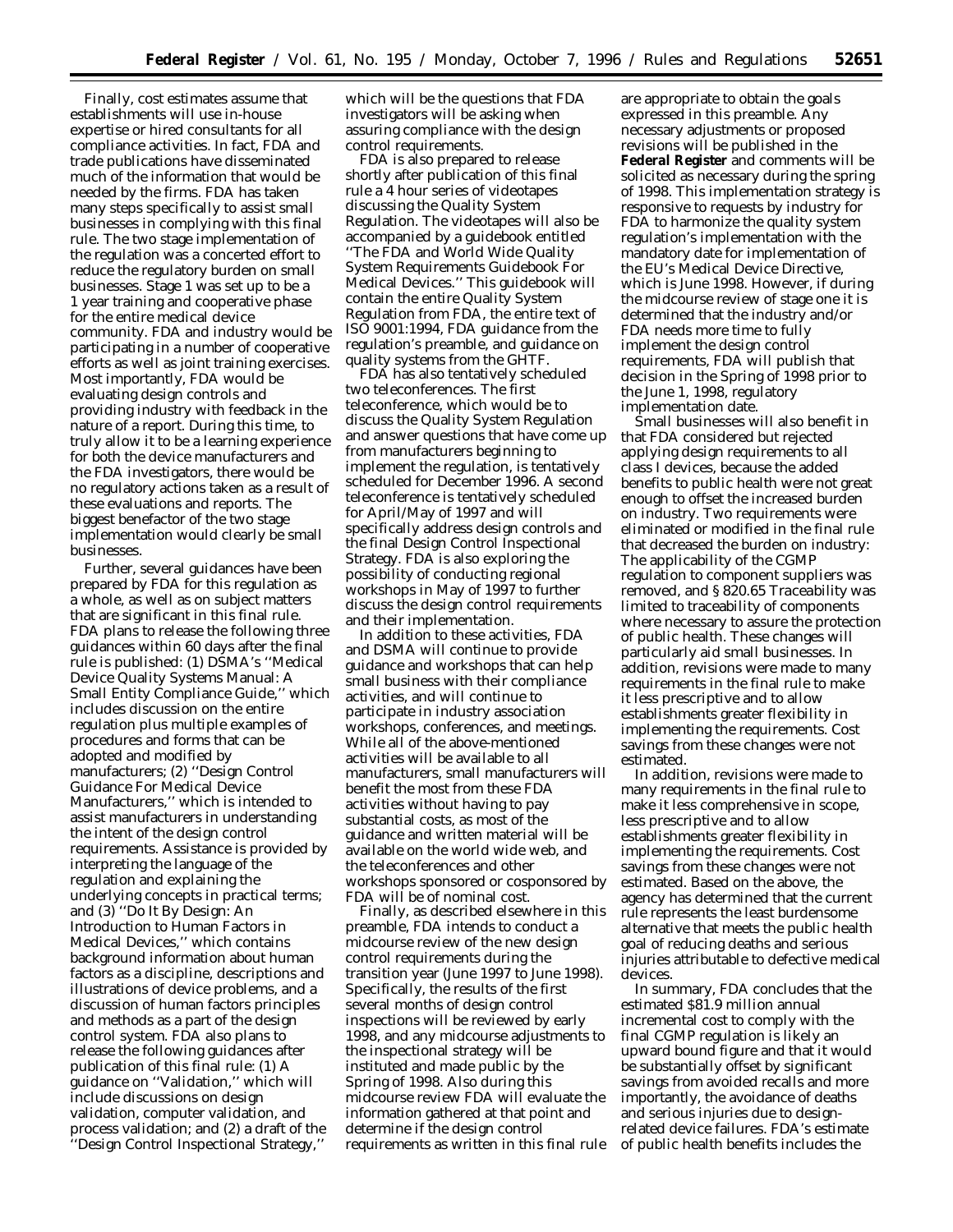Finally, cost estimates assume that establishments will use in-house expertise or hired consultants for all compliance activities. In fact, FDA and trade publications have disseminated much of the information that would be needed by the firms. FDA has taken many steps specifically to assist small businesses in complying with this final rule. The two stage implementation of the regulation was a concerted effort to reduce the regulatory burden on small businesses. Stage 1 was set up to be a 1 year training and cooperative phase for the entire medical device community. FDA and industry would be participating in a number of cooperative efforts as well as joint training exercises. Most importantly, FDA would be evaluating design controls and providing industry with feedback in the nature of a report. During this time, to truly allow it to be a learning experience for both the device manufacturers and the FDA investigators, there would be no regulatory actions taken as a result of these evaluations and reports. The biggest benefactor of the two stage implementation would clearly be small businesses.

Further, several guidances have been prepared by FDA for this regulation as a whole, as well as on subject matters that are significant in this final rule. FDA plans to release the following three guidances within 60 days after the final rule is published: (1) DSMA's ''Medical Device Quality Systems Manual: A Small Entity Compliance Guide,'' which includes discussion on the entire regulation plus multiple examples of procedures and forms that can be adopted and modified by manufacturers; (2) ''Design Control Guidance For Medical Device Manufacturers,'' which is intended to assist manufacturers in understanding the intent of the design control requirements. Assistance is provided by interpreting the language of the regulation and explaining the underlying concepts in practical terms; and (3) ''Do It By Design: An Introduction to Human Factors in Medical Devices,'' which contains background information about human factors as a discipline, descriptions and illustrations of device problems, and a discussion of human factors principles and methods as a part of the design control system. FDA also plans to release the following guidances after publication of this final rule: (1) A guidance on ''Validation,'' which will include discussions on design validation, computer validation, and process validation; and (2) a draft of the ''Design Control Inspectional Strategy,''

which will be the questions that FDA investigators will be asking when assuring compliance with the design control requirements.

FDA is also prepared to release shortly after publication of this final rule a 4 hour series of videotapes discussing the Quality System Regulation. The videotapes will also be accompanied by a guidebook entitled ''The FDA and World Wide Quality System Requirements Guidebook For Medical Devices.'' This guidebook will contain the entire Quality System Regulation from FDA, the entire text of ISO 9001:1994, FDA guidance from the regulation's preamble, and guidance on quality systems from the GHTF.

FDA has also tentatively scheduled two teleconferences. The first teleconference, which would be to discuss the Quality System Regulation and answer questions that have come up from manufacturers beginning to implement the regulation, is tentatively scheduled for December 1996. A second teleconference is tentatively scheduled for April/May of 1997 and will specifically address design controls and the final Design Control Inspectional Strategy. FDA is also exploring the possibility of conducting regional workshops in May of 1997 to further discuss the design control requirements and their implementation.

In addition to these activities, FDA and DSMA will continue to provide guidance and workshops that can help small business with their compliance activities, and will continue to participate in industry association workshops, conferences, and meetings. While all of the above-mentioned activities will be available to all manufacturers, small manufacturers will benefit the most from these FDA activities without having to pay substantial costs, as most of the guidance and written material will be available on the world wide web, and the teleconferences and other workshops sponsored or cosponsored by FDA will be of nominal cost.

Finally, as described elsewhere in this preamble, FDA intends to conduct a midcourse review of the new design control requirements during the transition year (June 1997 to June 1998). Specifically, the results of the first several months of design control inspections will be reviewed by early 1998, and any midcourse adjustments to the inspectional strategy will be instituted and made public by the Spring of 1998. Also during this midcourse review FDA will evaluate the information gathered at that point and determine if the design control requirements as written in this final rule are appropriate to obtain the goals expressed in this preamble. Any necessary adjustments or proposed revisions will be published in the **Federal Register** and comments will be solicited as necessary during the spring of 1998. This implementation strategy is responsive to requests by industry for FDA to harmonize the quality system regulation's implementation with the mandatory date for implementation of the EU's Medical Device Directive, which is June 1998. However, if during the midcourse review of stage one it is determined that the industry and/or FDA needs more time to fully implement the design control requirements, FDA will publish that decision in the Spring of 1998 prior to the June 1, 1998, regulatory implementation date.

Small businesses will also benefit in that FDA considered but rejected applying design requirements to all class I devices, because the added benefits to public health were not great enough to offset the increased burden on industry. Two requirements were eliminated or modified in the final rule that decreased the burden on industry: The applicability of the CGMP regulation to component suppliers was removed, and § 820.65 *Traceability* was limited to traceability of components where necessary to assure the protection of public health. These changes will particularly aid small businesses. In addition, revisions were made to many requirements in the final rule to make it less prescriptive and to allow establishments greater flexibility in implementing the requirements. Cost savings from these changes were not estimated.

In addition, revisions were made to many requirements in the final rule to make it less comprehensive in scope, less prescriptive and to allow establishments greater flexibility in implementing the requirements. Cost savings from these changes were not estimated. Based on the above, the agency has determined that the current rule represents the least burdensome alternative that meets the public health goal of reducing deaths and serious injuries attributable to defective medical devices.

In summary, FDA concludes that the estimated \$81.9 million annual incremental cost to comply with the final CGMP regulation is likely an upward bound figure and that it would be substantially offset by significant savings from avoided recalls and more importantly, the avoidance of deaths and serious injuries due to designrelated device failures. FDA's estimate of public health benefits includes the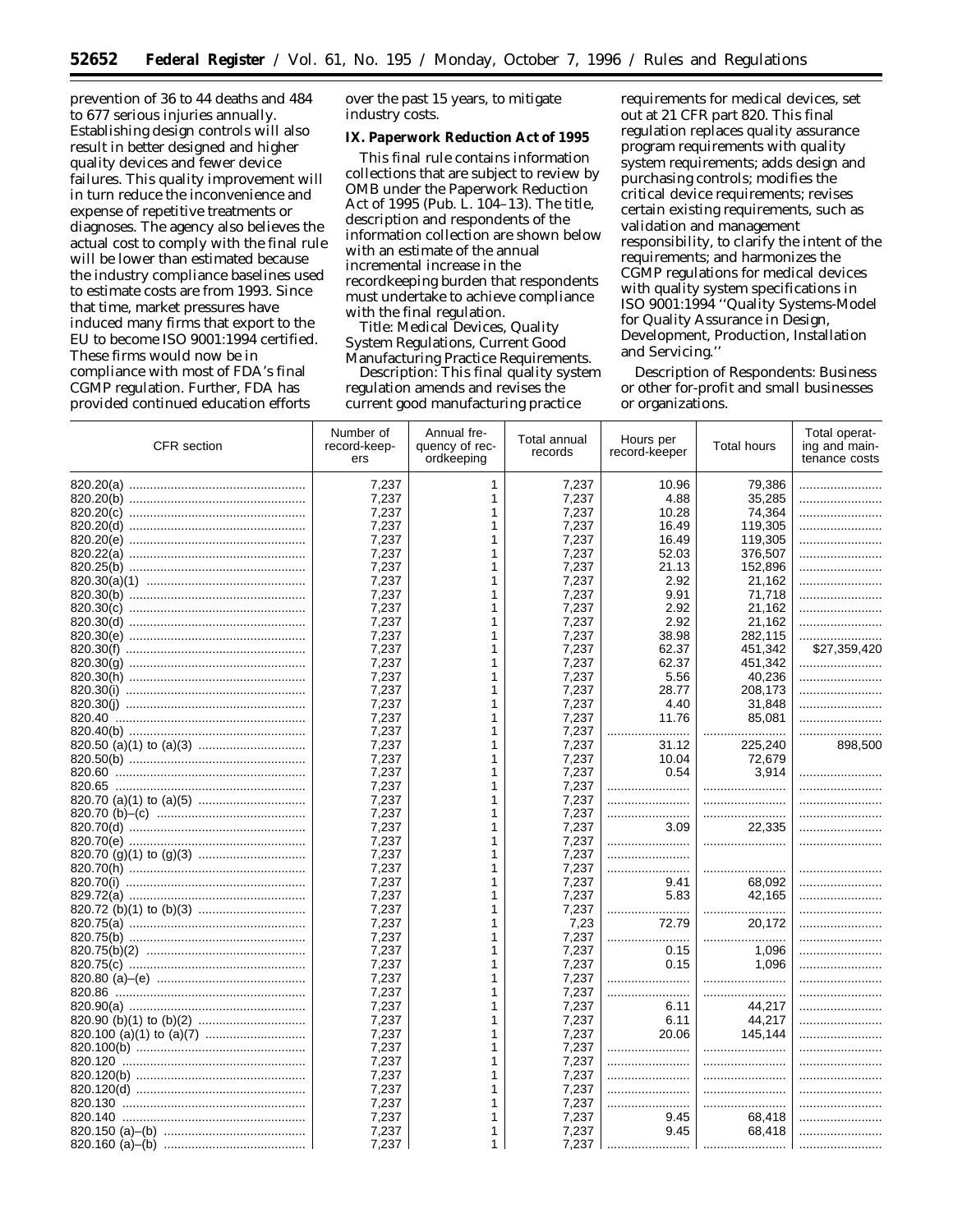prevention of 36 to 44 deaths and 484 to 677 serious injuries annually. Establishing design controls will also result in better designed and higher quality devices and fewer device failures. This quality improvement will in turn reduce the inconvenience and expense of repetitive treatments or diagnoses. The agency also believes the actual cost to comply with the final rule will be lower than estimated because the industry compliance baselines used to estimate costs are from 1993. Since that time, market pressures have induced many firms that export to the EU to become ISO 9001:1994 certified. These firms would now be in compliance with most of FDA's final CGMP regulation. Further, FDA has provided continued education efforts

over the past 15 years, to mitigate industry costs.

**IX. Paperwork Reduction Act of 1995**

This final rule contains information collections that are subject to review by OMB under the Paperwork Reduction Act of 1995 (Pub. L. 104–13). The title, description and respondents of the information collection are shown below with an estimate of the annual incremental increase in the recordkeeping burden that respondents must undertake to achieve compliance with the final regulation.

*Title:* Medical Devices, Quality System Regulations, Current Good Manufacturing Practice Requirements.

*Description:* This final quality system regulation amends and revises the current good manufacturing practice

requirements for medical devices, set out at 21 CFR part 820. This final regulation replaces quality assurance program requirements with quality system requirements; adds design and purchasing controls; modifies the critical device requirements; revises certain existing requirements, such as validation and management responsibility, to clarify the intent of the requirements; and harmonizes the CGMP regulations for medical devices with quality system specifications in ISO 9001:1994 ''Quality Systems-Model for Quality Assurance in Design, Development, Production, Installation and Servicing.''

*Description of Respondents:* Business or other for-profit and small businesses or organizations.

| <b>CFR</b> section | Number of<br>record-keep-<br>ers | Annual fre-<br>quency of rec-<br>ordkeeping | Total annual<br>records | Hours per<br>record-keeper | <b>Total hours</b> | Total operat-<br>ing and main-<br>tenance costs |
|--------------------|----------------------------------|---------------------------------------------|-------------------------|----------------------------|--------------------|-------------------------------------------------|
|                    | 7,237                            | $\mathbf{1}$                                | 7,237                   | 10.96                      | 79,386             |                                                 |
|                    | 7,237                            | 1                                           | 7,237                   | 4.88                       | 35,285             |                                                 |
|                    | 7,237                            | 1                                           | 7,237                   | 10.28                      | 74,364             |                                                 |
|                    | 7,237                            | $\mathbf{1}$                                | 7,237                   | 16.49                      | 119,305            |                                                 |
|                    | 7.237                            | 1                                           | 7.237                   | 16.49                      | 119.305            |                                                 |
|                    | 7,237                            | 1                                           | 7,237                   | 52.03                      | 376,507            |                                                 |
|                    | 7,237                            | 1                                           | 7,237                   | 21.13                      | 152,896            |                                                 |
|                    | 7,237                            | 1                                           | 7,237                   | 2.92                       | 21,162             |                                                 |
|                    | 7,237                            | $\mathbf{1}$                                | 7,237                   | 9.91                       | 71,718             |                                                 |
|                    | 7,237                            | $\mathbf{1}$                                | 7,237                   | 2.92                       | 21,162             |                                                 |
|                    | 7,237                            | 1                                           | 7,237                   | 2.92                       | 21,162             |                                                 |
|                    | 7,237                            | 1                                           | 7.237                   | 38.98                      | 282,115            |                                                 |
|                    | 7,237                            | 1                                           | 7,237                   | 62.37                      | 451,342            | \$27,359,420                                    |
|                    | 7,237                            | $\mathbf{1}$                                | 7,237                   | 62.37                      | 451,342            |                                                 |
|                    | 7,237                            | 1                                           | 7,237                   | 5.56                       | 40,236             |                                                 |
|                    | 7,237                            | 1                                           | 7,237                   | 28.77                      | 208,173            |                                                 |
|                    | 7,237                            | 1                                           | 7,237                   | 4.40                       | 31,848             |                                                 |
|                    | 7,237                            | 1                                           | 7,237                   | 11.76                      | 85,081             |                                                 |
|                    | 7.237                            | 1                                           | 7.237                   |                            | .<br>$\cdots$      |                                                 |
|                    | 7,237                            | 1                                           | 7,237                   | 31.12                      | 225,240            | 898,500                                         |
|                    | 7,237                            | 1                                           | 7,237                   | 10.04                      | 72,679             |                                                 |
|                    | 7,237                            | 1                                           | 7,237                   | 0.54                       | 3,914              |                                                 |
|                    | 7,237                            | 1                                           | 7,237                   |                            |                    |                                                 |
|                    | 7.237                            | 1                                           | 7.237                   |                            |                    |                                                 |
|                    | 7,237                            | 1                                           | 7,237                   |                            |                    |                                                 |
|                    | 7,237                            | 1                                           | 7,237                   | 3.09                       | 22,335             |                                                 |
|                    | 7,237                            | $\mathbf{1}$                                | 7,237                   |                            |                    |                                                 |
|                    | 7,237                            | 1                                           | 7,237                   |                            |                    |                                                 |
|                    | 7,237                            | 1                                           | 7,237                   |                            |                    |                                                 |
|                    | 7,237                            | 1                                           | 7,237                   | 9.41                       | <br>68,092         |                                                 |
|                    | 7.237                            | 1                                           | 7.237                   | 5.83                       | 42,165             |                                                 |
|                    | 7,237                            | 1                                           | 7,237                   |                            |                    |                                                 |
|                    | 7,237                            | 1                                           |                         | <br>72.79                  |                    |                                                 |
|                    |                                  | 1                                           | 7,23                    |                            | 20,172             |                                                 |
|                    | 7,237<br>7,237                   | 1                                           | 7,237<br>7,237          | 0.15                       | 1,096              |                                                 |
|                    |                                  | 1                                           |                         | 0.15                       | 1,096              |                                                 |
|                    | 7,237                            |                                             | 7,237                   |                            |                    |                                                 |
|                    | 7.237                            | 1                                           | 7,237                   |                            |                    |                                                 |
|                    | 7.237                            | 1                                           | 7,237                   |                            |                    |                                                 |
|                    | 7,237                            | 1                                           | 7,237                   | 6.11                       | 44,217             |                                                 |
|                    | 7,237                            | 1                                           | 7,237                   | 6.11                       | 44,217             |                                                 |
|                    | 7,237                            | 1                                           | 7,237                   | 20.06                      | 145,144            |                                                 |
|                    | 7,237                            | 1                                           | 7,237                   |                            |                    |                                                 |
|                    | 7,237                            | 1                                           | 7,237                   |                            |                    |                                                 |
|                    | 7,237                            | 1                                           | 7,237                   |                            |                    |                                                 |
|                    | 7,237                            | 1                                           | 7,237                   |                            |                    |                                                 |
|                    | 7,237                            | 1                                           | 7,237                   |                            |                    |                                                 |
|                    | 7,237                            | $\mathbf{1}$                                | 7,237                   | 9.45                       | 68,418             |                                                 |
|                    | 7,237                            | 1                                           | 7,237                   | 9.45                       | 68,418             |                                                 |
|                    | 7,237                            | $\mathbf{1}$                                | 7,237                   |                            |                    |                                                 |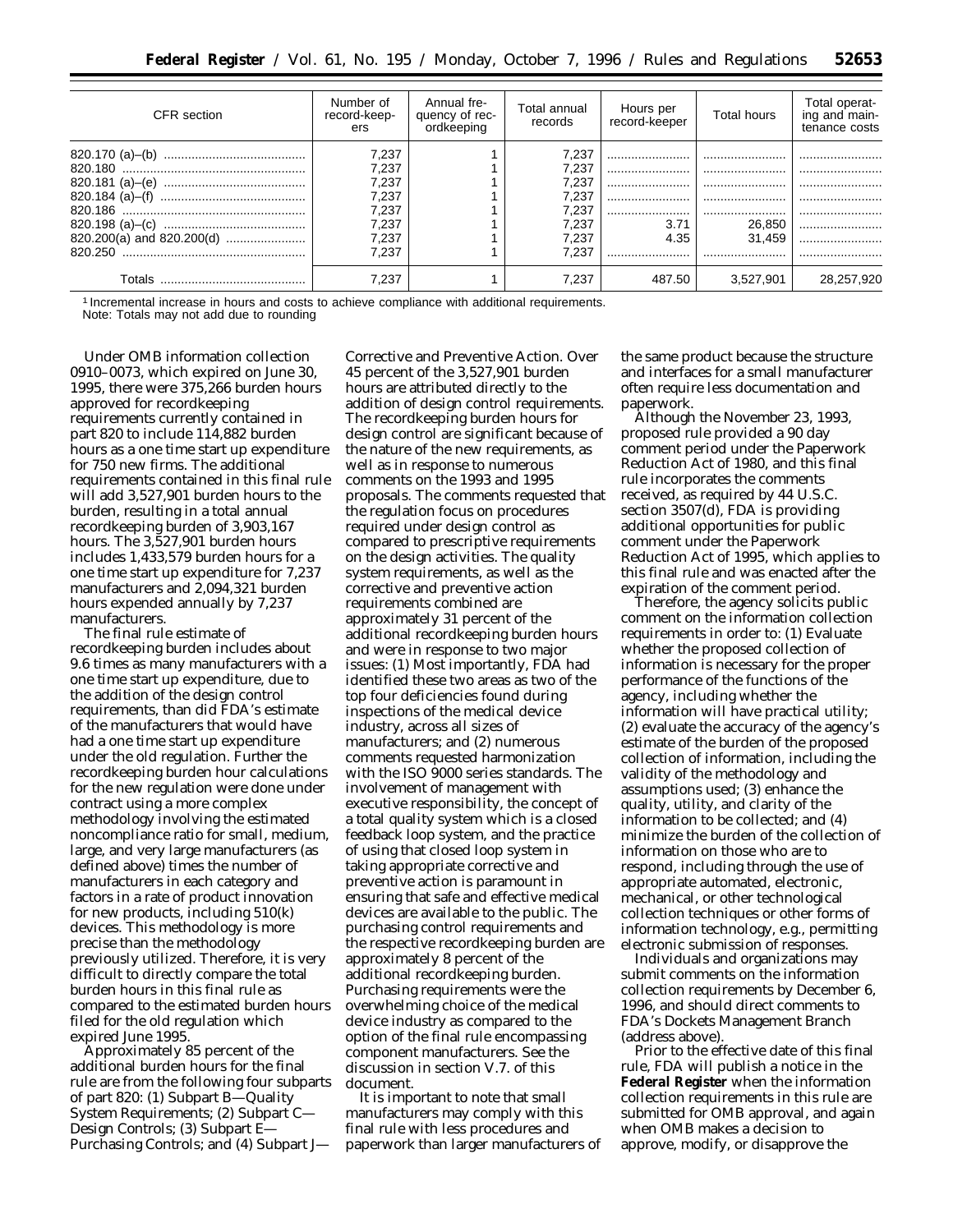| <b>CFR</b> section                   | Number of<br>record-keep-<br>ers                                     | Annual fre-<br>quency of rec-<br>ordkeeping | Total annual<br>records                                              | Hours per<br>record-keeper   | Total hours                              | Total operat-<br>ing and main-<br>tenance costs |
|--------------------------------------|----------------------------------------------------------------------|---------------------------------------------|----------------------------------------------------------------------|------------------------------|------------------------------------------|-------------------------------------------------|
| 820.200(a) and 820.200(d)<br>820.250 | 7,237<br>7.237<br>7,237<br>7,237<br>7,237<br>7,237<br>7,237<br>7.237 |                                             | 7.237<br>7.237<br>7.237<br>7.237<br>7.237<br>7.237<br>7.237<br>7.237 | <br><br><br><br>3.71<br>4.35 | <br><br><br><br><br>26,850<br>31.459<br> | <br><br><br><br><br>                            |
| Totals                               | 7.237                                                                |                                             | 7.237                                                                | 487.50                       | 3.527.901                                | 28.257.920                                      |

1 Incremental increase in hours and costs to achieve compliance with additional requirements.

Note: Totals may not add due to rounding

Under OMB information collection 0910–0073, which expired on June 30, 1995, there were 375,266 burden hours approved for recordkeeping requirements currently contained in part 820 to include 114,882 burden hours as a one time start up expenditure for 750 new firms. The additional requirements contained in this final rule will add 3,527,901 burden hours to the burden, resulting in a total annual recordkeeping burden of 3,903,167 hours. The 3,527,901 burden hours includes 1,433,579 burden hours for a one time start up expenditure for 7,237 manufacturers and 2,094,321 burden hours expended annually by 7,237 manufacturers.

The final rule estimate of recordkeeping burden includes about 9.6 times as many manufacturers with a one time start up expenditure, due to the addition of the design control requirements, than did FDA's estimate of the manufacturers that would have had a one time start up expenditure under the old regulation. Further the recordkeeping burden hour calculations for the new regulation were done under contract using a more complex methodology involving the estimated noncompliance ratio for small, medium, large, and very large manufacturers (as defined above) times the number of manufacturers in each category and factors in a rate of product innovation for new products, including 510(k) devices. This methodology is more precise than the methodology previously utilized. Therefore, it is very difficult to directly compare the total burden hours in this final rule as compared to the estimated burden hours filed for the old regulation which expired June 1995.

Approximately 85 percent of the additional burden hours for the final rule are from the following four subparts of part 820: (1) Subpart B—Quality System Requirements; (2) Subpart C— Design Controls; (3) Subpart E— Purchasing Controls; and (4) Subpart J—

Corrective and Preventive Action. Over 45 percent of the 3,527,901 burden hours are attributed directly to the addition of design control requirements. The recordkeeping burden hours for design control are significant because of the nature of the new requirements, as well as in response to numerous comments on the 1993 and 1995 proposals. The comments requested that the regulation focus on procedures required under design control as compared to prescriptive requirements on the design activities. The quality system requirements, as well as the corrective and preventive action requirements combined are approximately 31 percent of the additional recordkeeping burden hours and were in response to two major issues: (1) Most importantly, FDA had identified these two areas as two of the top four deficiencies found during inspections of the medical device industry, across all sizes of manufacturers; and (2) numerous comments requested harmonization with the ISO 9000 series standards. The involvement of management with executive responsibility, the concept of a total quality system which is a closed feedback loop system, and the practice of using that closed loop system in taking appropriate corrective and preventive action is paramount in ensuring that safe and effective medical devices are available to the public. The purchasing control requirements and the respective recordkeeping burden are approximately 8 percent of the additional recordkeeping burden. Purchasing requirements were the overwhelming choice of the medical device industry as compared to the option of the final rule encompassing component manufacturers. See the discussion in section V.7. of this document.

It is important to note that small manufacturers may comply with this final rule with less procedures and paperwork than larger manufacturers of

the same product because the structure and interfaces for a small manufacturer often require less documentation and paperwork.

Although the November 23, 1993, proposed rule provided a 90 day comment period under the Paperwork Reduction Act of 1980, and this final rule incorporates the comments received, as required by 44 U.S.C. section 3507(d), FDA is providing additional opportunities for public comment under the Paperwork Reduction Act of 1995, which applies to this final rule and was enacted after the expiration of the comment period.

Therefore, the agency solicits public comment on the information collection requirements in order to: (1) Evaluate whether the proposed collection of information is necessary for the proper performance of the functions of the agency, including whether the information will have practical utility; (2) evaluate the accuracy of the agency's estimate of the burden of the proposed collection of information, including the validity of the methodology and assumptions used; (3) enhance the quality, utility, and clarity of the information to be collected; and (4) minimize the burden of the collection of information on those who are to respond, including through the use of appropriate automated, electronic, mechanical, or other technological collection techniques or other forms of information technology, e.g., permitting electronic submission of responses.

Individuals and organizations may submit comments on the information collection requirements by December 6, 1996, and should direct comments to FDA's Dockets Management Branch (address above).

Prior to the effective date of this final rule, FDA will publish a notice in the **Federal Register** when the information collection requirements in this rule are submitted for OMB approval, and again when OMB makes a decision to approve, modify, or disapprove the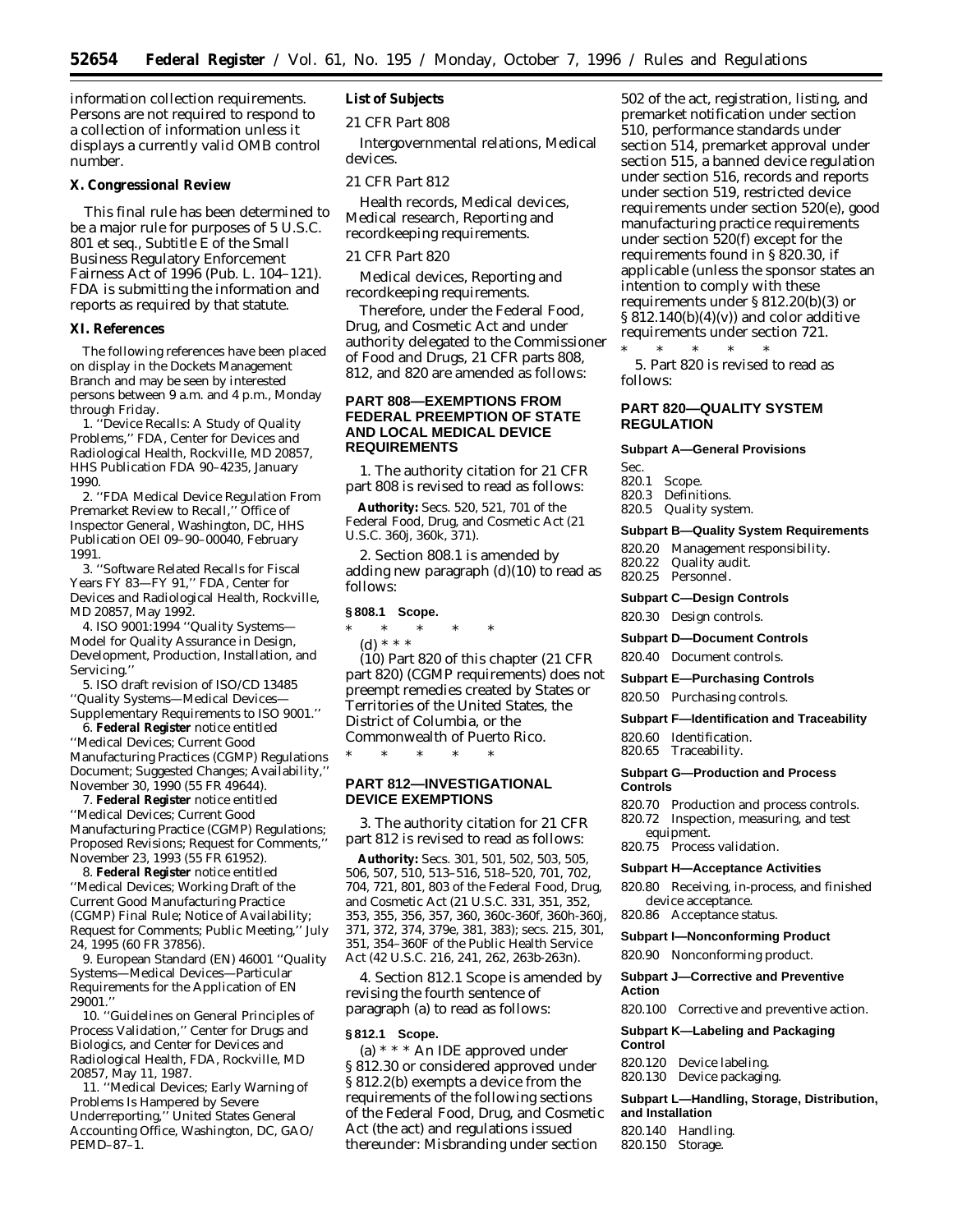information collection requirements. Persons are not required to respond to a collection of information unless it displays a currently valid OMB control number.

## **X. Congressional Review**

This final rule has been determined to be a major rule for purposes of 5 U.S.C. 801 *et seq.,* Subtitle E of the Small Business Regulatory Enforcement Fairness Act of 1996 (Pub. L. 104–121). FDA is submitting the information and reports as required by that statute.

#### **XI. References**

The following references have been placed on display in the Dockets Management Branch and may be seen by interested persons between 9 a.m. and 4 p.m., Monday through Friday.

1. ''Device Recalls: A Study of Quality Problems,'' FDA, Center for Devices and Radiological Health, Rockville, MD 20857, HHS Publication FDA 90–4235, January 1990.

2. ''FDA Medical Device Regulation From Premarket Review to Recall,'' Office of Inspector General, Washington, DC, HHS Publication OEI 09–90–00040, February 1991.

3. ''Software Related Recalls for Fiscal Years FY 83-FY 91," FDA, Center for Devices and Radiological Health, Rockville, MD 20857, May 1992.

4. ISO 9001:1994 ''Quality Systems— Model for Quality Assurance in Design, Development, Production, Installation, and Servicing.''

5. ISO draft revision of ISO/CD 13485 ''Quality Systems—Medical Devices— Supplementary Requirements to ISO 9001.''

6. **Federal Register** notice entitled ''Medical Devices; Current Good Manufacturing Practices (CGMP) Regulations Document; Suggested Changes; Availability,'' November 30, 1990 (55 FR 49644).

7. **Federal Register** notice entitled ''Medical Devices; Current Good Manufacturing Practice (CGMP) Regulations; Proposed Revisions; Request for Comments,'' November 23, 1993 (55 FR 61952).

8. **Federal Register** notice entitled ''Medical Devices; Working Draft of the Current Good Manufacturing Practice (CGMP) Final Rule; Notice of Availability; Request for Comments; Public Meeting,'' July 24, 1995 (60 FR 37856).

9. European Standard (EN) 46001 ''Quality Systems—Medical Devices—Particular Requirements for the Application of EN 29001.''

10. ''Guidelines on General Principles of Process Validation,'' Center for Drugs and Biologics, and Center for Devices and Radiological Health, FDA, Rockville, MD 20857, May 11, 1987.

11. ''Medical Devices; Early Warning of Problems Is Hampered by Severe Underreporting,'' United States General Accounting Office, Washington, DC, GAO/ PEMD–87–1.

## **List of Subjects**

*21 CFR Part 808*

Intergovernmental relations, Medical devices.

## *21 CFR Part 812*

Health records, Medical devices, Medical research, Reporting and recordkeeping requirements.

#### *21 CFR Part 820*

Medical devices, Reporting and recordkeeping requirements.

Therefore, under the Federal Food, Drug, and Cosmetic Act and under authority delegated to the Commissioner of Food and Drugs, 21 CFR parts 808, 812, and 820 are amended as follows:

## **PART 808—EXEMPTIONS FROM FEDERAL PREEMPTION OF STATE AND LOCAL MEDICAL DEVICE REQUIREMENTS**

1. The authority citation for 21 CFR part 808 is revised to read as follows:

**Authority:** Secs. 520, 521, 701 of the Federal Food, Drug, and Cosmetic Act (21 U.S.C. 360j, 360k, 371).

2. Section 808.1 is amended by adding new paragraph (d)(10) to read as follows:

## **§ 808.1 Scope.**

\* \* \* \* \*

(d) \* \* \* (10) Part 820 of this chapter (21 CFR part 820) (CGMP requirements) does not preempt remedies created by States or Territories of the United States, the District of Columbia, or the

Commonwealth of Puerto Rico. \* \* \* \* \*

## **PART 812—INVESTIGATIONAL DEVICE EXEMPTIONS**

3. The authority citation for 21 CFR part 812 is revised to read as follows:

**Authority:** Secs. 301, 501, 502, 503, 505, 506, 507, 510, 513–516, 518–520, 701, 702, 704, 721, 801, 803 of the Federal Food, Drug, and Cosmetic Act (21 U.S.C. 331, 351, 352, 353, 355, 356, 357, 360, 360c-360f, 360h-360j, 371, 372, 374, 379e, 381, 383); secs. 215, 301, 351, 354–360F of the Public Health Service Act (42 U.S.C. 216, 241, 262, 263b-263n).

4. Section 812.1 *Scope* is amended by revising the fourth sentence of paragraph (a) to read as follows:

#### **§ 812.1 Scope.**

(a) \* \* \* An IDE approved under § 812.30 or considered approved under § 812.2(b) exempts a device from the requirements of the following sections of the Federal Food, Drug, and Cosmetic Act (the act) and regulations issued thereunder: Misbranding under section

502 of the act, registration, listing, and premarket notification under section 510, performance standards under section 514, premarket approval under section 515, a banned device regulation under section 516, records and reports under section 519, restricted device requirements under section 520(e), good manufacturing practice requirements under section 520(f) except for the requirements found in § 820.30, if applicable (unless the sponsor states an intention to comply with these requirements under § 812.20(b)(3) or  $$812.140(b)(4)(v)$  and color additive requirements under section 721. \* \* \* \* \*

5. Part 820 is revised to read as follows:

## **PART 820—QUALITY SYSTEM REGULATION**

#### **Subpart A—General Provisions**

Sec.

- 820.1 Scope.
- 820.3 Definitions. 820.5 Quality system.

## **Subpart B—Quality System Requirements**

- 820.20 Management responsibility.<br>820.22 Quality audit.
- Quality audit.
- 820.25 Personnel.

### **Subpart C—Design Controls**

820.30 Design controls.

## **Subpart D—Document Controls**

820.40 Document controls.

#### **Subpart E—Purchasing Controls**

820.50 Purchasing controls.

#### **Subpart F—Identification and Traceability**

820.60 Identification.

## 820.65 Traceability.

## **Subpart G—Production and Process Controls**

- 820.70 Production and process controls.
- 820.72 Inspection, measuring, and test equipment.
- 820.75 Process validation.

## **Subpart H—Acceptance Activities**

820.80 Receiving, in-process, and finished device acceptance.

820.86 Acceptance status.

#### **Subpart I—Nonconforming Product**

820.90 Nonconforming product.

#### **Subpart J—Corrective and Preventive Action**

820.100 Corrective and preventive action.

## **Subpart K—Labeling and Packaging Control**

- 820.120 Device labeling.
- 820.130 Device packaging.

#### **Subpart L—Handling, Storage, Distribution, and Installation**

820.140 Handling.

820.150 Storage.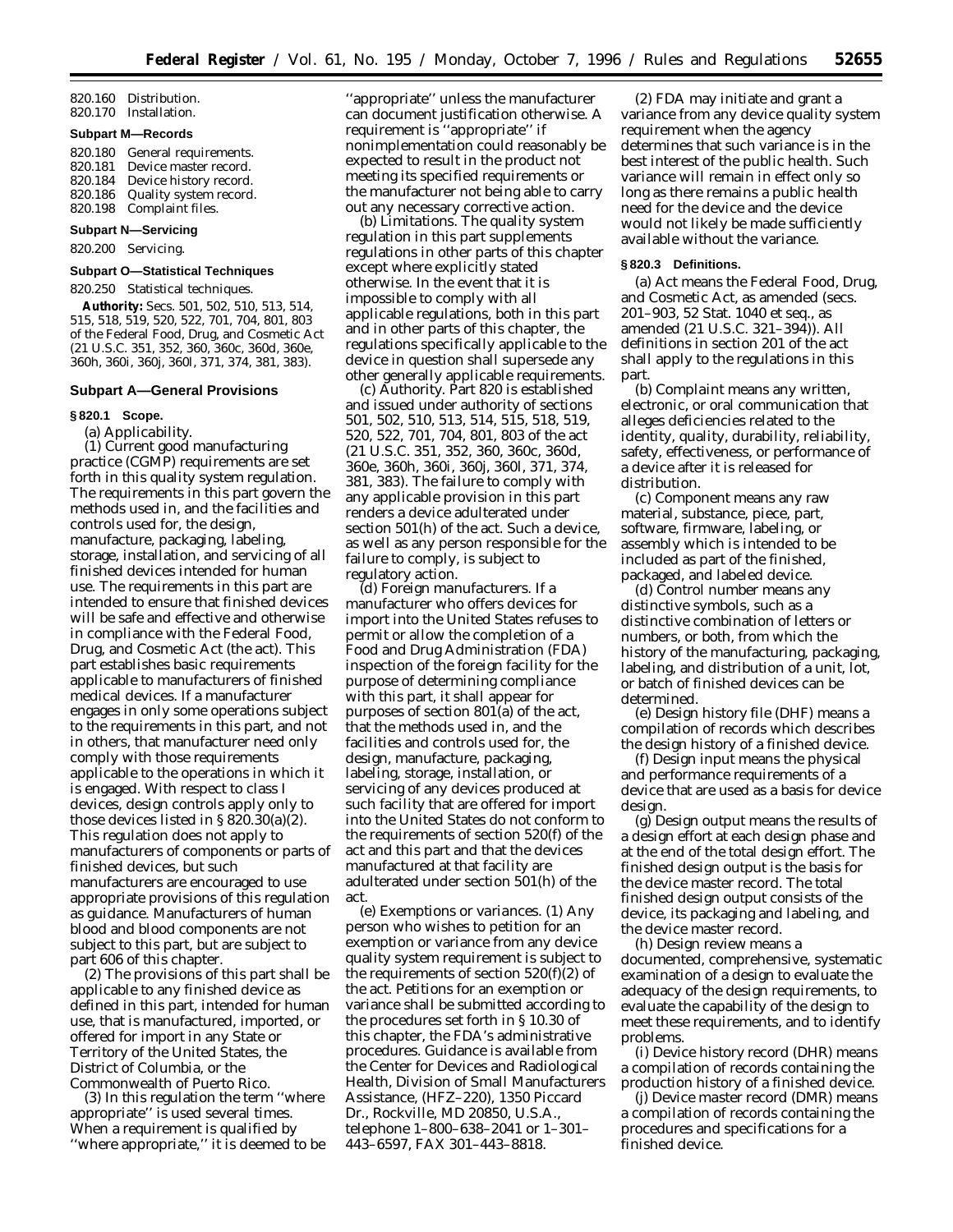820.160 Distribution. 820.170 Installation.

#### **Subpart M—Records**

820.180 General requirements. 820.181 Device master record.<br>820.184 Device history record. Device history record. 820.186 Quality system record. 820.198 Complaint files.

## **Subpart N—Servicing**

820.200 Servicing.

## **Subpart O—Statistical Techniques**

820.250 Statistical techniques.

**Authority:** Secs. 501, 502, 510, 513, 514, 515, 518, 519, 520, 522, 701, 704, 801, 803 of the Federal Food, Drug, and Cosmetic Act (21 U.S.C. 351, 352, 360, 360c, 360d, 360e, 360h, 360i, 360j, 360l, 371, 374, 381, 383).

## **Subpart A—General Provisions**

#### **§ 820.1 Scope.**

(a) *Applicability.*

(1) Current good manufacturing practice (CGMP) requirements are set forth in this quality system regulation. The requirements in this part govern the methods used in, and the facilities and controls used for, the design, manufacture, packaging, labeling, storage, installation, and servicing of all finished devices intended for human use. The requirements in this part are intended to ensure that finished devices will be safe and effective and otherwise in compliance with the Federal Food, Drug, and Cosmetic Act (the act). This part establishes basic requirements applicable to manufacturers of finished medical devices. If a manufacturer engages in only some operations subject to the requirements in this part, and not in others, that manufacturer need only comply with those requirements applicable to the operations in which it is engaged. With respect to class I devices, design controls apply only to those devices listed in  $\S 820.30(a)(2)$ . This regulation does not apply to manufacturers of components or parts of finished devices, but such manufacturers are encouraged to use appropriate provisions of this regulation as guidance. Manufacturers of human blood and blood components are not subject to this part, but are subject to part 606 of this chapter.

(2) The provisions of this part shall be applicable to any finished device as defined in this part, intended for human use, that is manufactured, imported, or offered for import in any State or Territory of the United States, the District of Columbia, or the Commonwealth of Puerto Rico.

(3) In this regulation the term ''where appropriate'' is used several times. When a requirement is qualified by ''where appropriate,'' it is deemed to be

''appropriate'' unless the manufacturer can document justification otherwise. A requirement is ''appropriate'' if nonimplementation could reasonably be expected to result in the product not meeting its specified requirements or the manufacturer not being able to carry out any necessary corrective action.

(b) *Limitations.* The quality system regulation in this part supplements regulations in other parts of this chapter except where explicitly stated otherwise. In the event that it is impossible to comply with all applicable regulations, both in this part and in other parts of this chapter, the regulations specifically applicable to the device in question shall supersede any other generally applicable requirements.

(c) *Authority.* Part 820 is established and issued under authority of sections 501, 502, 510, 513, 514, 515, 518, 519, 520, 522, 701, 704, 801, 803 of the act (21 U.S.C. 351, 352, 360, 360c, 360d, 360e, 360h, 360i, 360j, 360l, 371, 374, 381, 383). The failure to comply with any applicable provision in this part renders a device adulterated under section 501(h) of the act. Such a device, as well as any person responsible for the failure to comply, is subject to regulatory action.

(d) *Foreign manufacturers.* If a manufacturer who offers devices for import into the United States refuses to permit or allow the completion of a Food and Drug Administration (FDA) inspection of the foreign facility for the purpose of determining compliance with this part, it shall appear for purposes of section 801(a) of the act, that the methods used in, and the facilities and controls used for, the design, manufacture, packaging, labeling, storage, installation, or servicing of any devices produced at such facility that are offered for import into the United States do not conform to the requirements of section 520(f) of the act and this part and that the devices manufactured at that facility are adulterated under section 501(h) of the act.

(e) *Exemptions or variances.* (1) Any person who wishes to petition for an exemption or variance from any device quality system requirement is subject to the requirements of section  $520(f)(2)$  of the act. Petitions for an exemption or variance shall be submitted according to the procedures set forth in § 10.30 of this chapter, the FDA's administrative procedures. Guidance is available from the Center for Devices and Radiological Health, Division of Small Manufacturers Assistance, (HFZ–220), 1350 Piccard Dr., Rockville, MD 20850, U.S.A., telephone 1–800–638–2041 or 1–301– 443–6597, FAX 301–443–8818.

(2) FDA may initiate and grant a variance from any device quality system requirement when the agency determines that such variance is in the best interest of the public health. Such variance will remain in effect only so long as there remains a public health need for the device and the device would not likely be made sufficiently available without the variance.

#### **§ 820.3 Definitions.**

(a) *Act* means the Federal Food, Drug, and Cosmetic Act, as amended (secs. 201–903, 52 Stat. 1040 *et seq.,* as amended (21 U.S.C. 321–394)). All definitions in section 201 of the act shall apply to the regulations in this part.

(b) *Complaint* means any written, electronic, or oral communication that alleges deficiencies related to the identity, quality, durability, reliability, safety, effectiveness, or performance of a device after it is released for distribution.

(c) *Component* means any raw material, substance, piece, part, software, firmware, labeling, or assembly which is intended to be included as part of the finished, packaged, and labeled device.

(d) *Control number* means any distinctive symbols, such as a distinctive combination of letters or numbers, or both, from which the history of the manufacturing, packaging, labeling, and distribution of a unit, lot, or batch of finished devices can be determined.

(e) *Design history file (DHF)* means a compilation of records which describes the design history of a finished device.

(f) *Design input* means the physical and performance requirements of a device that are used as a basis for device design.

(g) *Design output* means the results of a design effort at each design phase and at the end of the total design effort. The finished design output is the basis for the device master record. The total finished design output consists of the device, its packaging and labeling, and the device master record.

(h) *Design review* means a documented, comprehensive, systematic examination of a design to evaluate the adequacy of the design requirements, to evaluate the capability of the design to meet these requirements, and to identify problems.

(i) *Device history record (DHR)* means a compilation of records containing the production history of a finished device.

(j) *Device master record (DMR)* means a compilation of records containing the procedures and specifications for a finished device.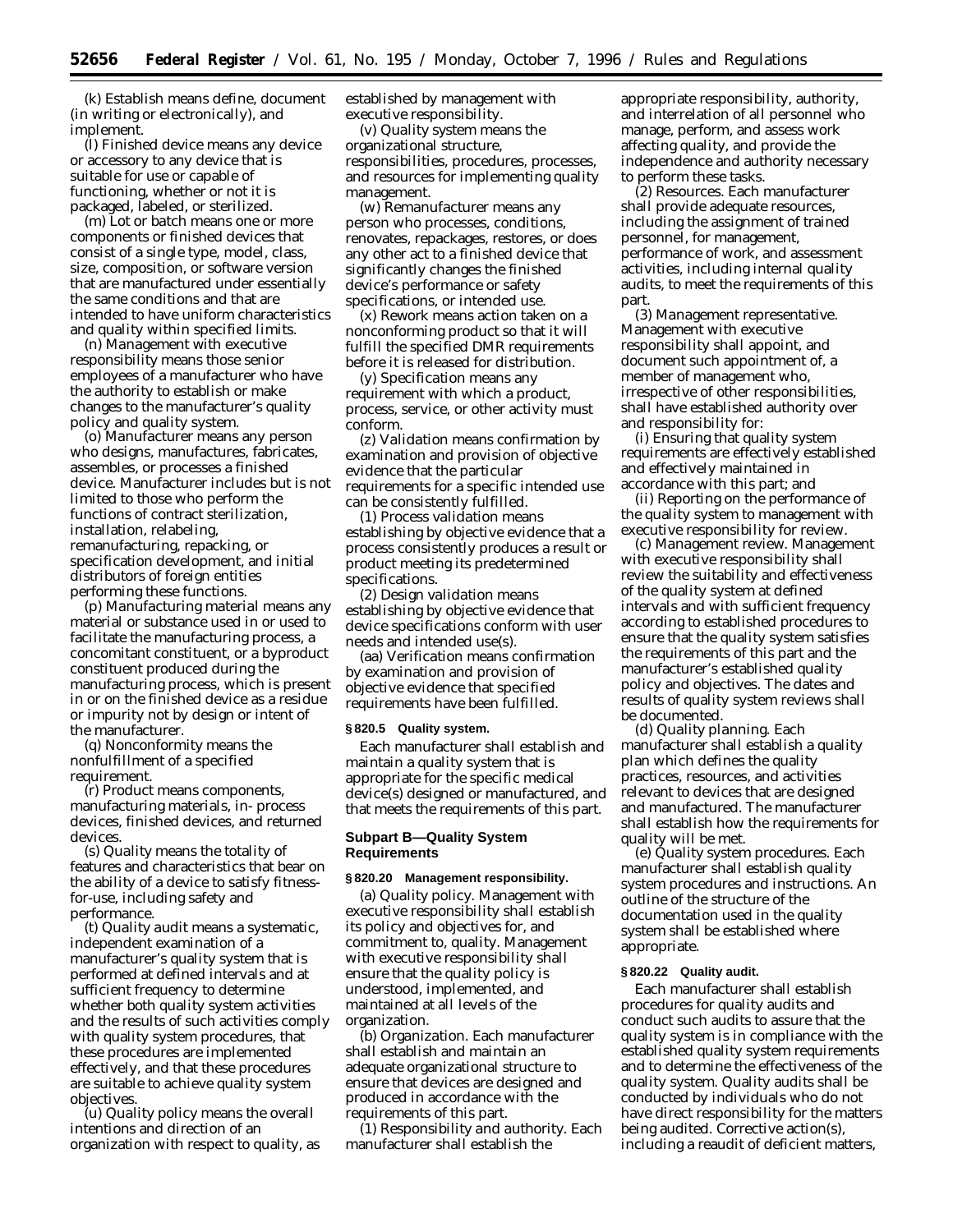(k) *Establish* means define, document (in writing or electronically), and implement.

(l) *Finished device* means any device or accessory to any device that is suitable for use or capable of functioning, whether or not it is packaged, labeled, or sterilized.

(m) *Lot or batch* means one or more components or finished devices that consist of a single type, model, class, size, composition, or software version that are manufactured under essentially the same conditions and that are intended to have uniform characteristics and quality within specified limits.

(n) *Management with executive responsibility* means those senior employees of a manufacturer who have the authority to establish or make changes to the manufacturer's quality policy and quality system.

(o) *Manufacturer* means any person who designs, manufactures, fabricates, assembles, or processes a finished device. Manufacturer includes but is not limited to those who perform the functions of contract sterilization, installation, relabeling, remanufacturing, repacking, or specification development, and initial distributors of foreign entities performing these functions.

(p) *Manufacturing material* means any material or substance used in or used to facilitate the manufacturing process, a concomitant constituent, or a byproduct constituent produced during the manufacturing process, which is present in or on the finished device as a residue or impurity not by design or intent of the manufacturer.

(q) *Nonconformity* means the nonfulfillment of a specified requirement.

(r) *Product* means components, manufacturing materials, in- process devices, finished devices, and returned devices.

(s) *Quality* means the totality of features and characteristics that bear on the ability of a device to satisfy fitnessfor-use, including safety and performance.

(t) *Quality audit* means a systematic, independent examination of a manufacturer's quality system that is performed at defined intervals and at sufficient frequency to determine whether both quality system activities and the results of such activities comply with quality system procedures, that these procedures are implemented effectively, and that these procedures are suitable to achieve quality system objectives.

(u) *Quality policy* means the overall intentions and direction of an organization with respect to quality, as established by management with executive responsibility.

(v) *Quality system* means the organizational structure, responsibilities, procedures, processes, and resources for implementing quality management.

(w) *Remanufacturer* means any person who processes, conditions, renovates, repackages, restores, or does any other act to a finished device that significantly changes the finished device's performance or safety specifications, or intended use.

(x) *Rework* means action taken on a nonconforming product so that it will fulfill the specified DMR requirements before it is released for distribution.

(y) *Specification* means any requirement with which a product, process, service, or other activity must conform.

(z) *Validation* means confirmation by examination and provision of objective evidence that the particular requirements for a specific intended use can be consistently fulfilled.

(1) *Process validation* means establishing by objective evidence that a process consistently produces a result or product meeting its predetermined specifications.

(2) *Design validation* means establishing by objective evidence that device specifications conform with user needs and intended use(s).

(aa) *Verification* means confirmation by examination and provision of objective evidence that specified requirements have been fulfilled.

#### **§ 820.5 Quality system.**

Each manufacturer shall establish and maintain a quality system that is appropriate for the specific medical device(s) designed or manufactured, and that meets the requirements of this part.

## **Subpart B—Quality System Requirements**

#### **§ 820.20 Management responsibility.**

(a) *Quality policy.* Management with executive responsibility shall establish its policy and objectives for, and commitment to, quality. Management with executive responsibility shall ensure that the quality policy is understood, implemented, and maintained at all levels of the organization.

(b) *Organization.* Each manufacturer shall establish and maintain an adequate organizational structure to ensure that devices are designed and produced in accordance with the requirements of this part.

(1) *Responsibility and authority.* Each manufacturer shall establish the

appropriate responsibility, authority, and interrelation of all personnel who manage, perform, and assess work affecting quality, and provide the independence and authority necessary to perform these tasks.

(2) *Resources.* Each manufacturer shall provide adequate resources, including the assignment of trained personnel, for management, performance of work, and assessment activities, including internal quality audits, to meet the requirements of this part.

(3) *Management representative.* Management with executive responsibility shall appoint, and document such appointment of, a member of management who, irrespective of other responsibilities, shall have established authority over and responsibility for:

(i) Ensuring that quality system requirements are effectively established and effectively maintained in accordance with this part; and

(ii) Reporting on the performance of the quality system to management with executive responsibility for review.

(c) *Management review.* Management with executive responsibility shall review the suitability and effectiveness of the quality system at defined intervals and with sufficient frequency according to established procedures to ensure that the quality system satisfies the requirements of this part and the manufacturer's established quality policy and objectives. The dates and results of quality system reviews shall be documented.

(d) *Quality planning.* Each manufacturer shall establish a quality plan which defines the quality practices, resources, and activities relevant to devices that are designed and manufactured. The manufacturer shall establish how the requirements for quality will be met.

(e) *Quality system procedures.* Each manufacturer shall establish quality system procedures and instructions. An outline of the structure of the documentation used in the quality system shall be established where appropriate.

#### **§ 820.22 Quality audit.**

Each manufacturer shall establish procedures for quality audits and conduct such audits to assure that the quality system is in compliance with the established quality system requirements and to determine the effectiveness of the quality system. Quality audits shall be conducted by individuals who do not have direct responsibility for the matters being audited. Corrective action(s), including a reaudit of deficient matters,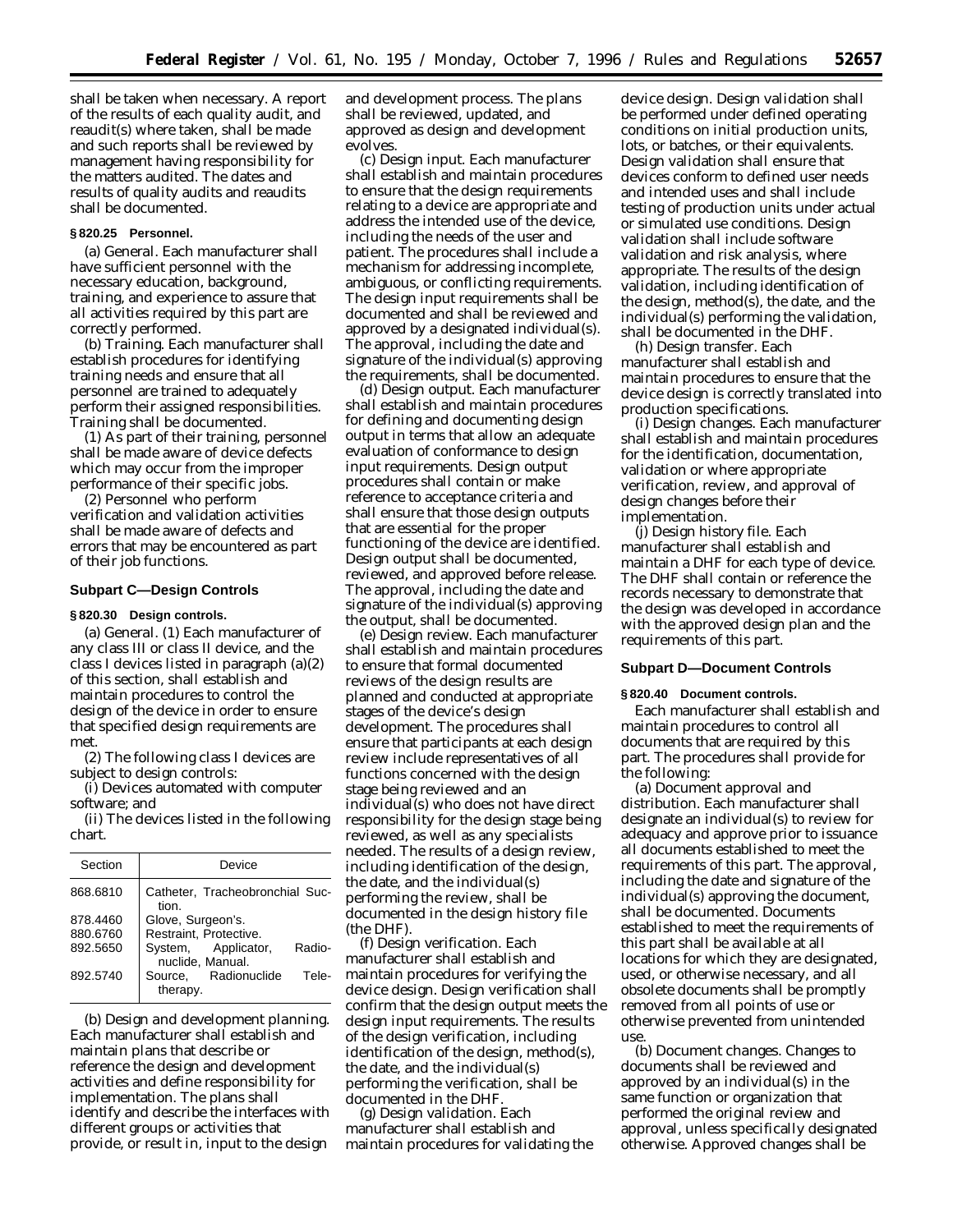shall be taken when necessary. A report of the results of each quality audit, and reaudit(s) where taken, shall be made and such reports shall be reviewed by management having responsibility for the matters audited. The dates and results of quality audits and reaudits shall be documented.

## **§ 820.25 Personnel.**

(a) *General.* Each manufacturer shall have sufficient personnel with the necessary education, background, training, and experience to assure that all activities required by this part are correctly performed.

(b) *Training.* Each manufacturer shall establish procedures for identifying training needs and ensure that all personnel are trained to adequately perform their assigned responsibilities. Training shall be documented.

(1) As part of their training, personnel shall be made aware of device defects which may occur from the improper performance of their specific jobs.

(2) Personnel who perform verification and validation activities shall be made aware of defects and errors that may be encountered as part of their job functions.

#### **Subpart C—Design Controls**

#### **§ 820.30 Design controls.**

(a) *General.* (1) Each manufacturer of any class III or class II device, and the class I devices listed in paragraph (a)(2) of this section, shall establish and maintain procedures to control the design of the device in order to ensure that specified design requirements are met.

(2) The following class I devices are subject to design controls:

(i) Devices automated with computer software; and

(ii) The devices listed in the following chart.

| Section  | Device                 |                                 |        |  |  |  |
|----------|------------------------|---------------------------------|--------|--|--|--|
| 868.6810 | tion.                  | Catheter, Tracheobronchial Suc- |        |  |  |  |
| 878.4460 | Glove, Surgeon's.      |                                 |        |  |  |  |
| 880.6760 | Restraint, Protective. |                                 |        |  |  |  |
| 892.5650 | nuclide. Manual.       | System, Applicator,             | Radio- |  |  |  |
| 892.5740 | therapy.               | Source, Radionuclide            | Tele-  |  |  |  |

(b) *Design and development planning.* Each manufacturer shall establish and maintain plans that describe or reference the design and development activities and define responsibility for implementation. The plans shall identify and describe the interfaces with different groups or activities that provide, or result in, input to the design

and development process. The plans shall be reviewed, updated, and approved as design and development evolves.

(c) *Design input.* Each manufacturer shall establish and maintain procedures to ensure that the design requirements relating to a device are appropriate and address the intended use of the device, including the needs of the user and patient. The procedures shall include a mechanism for addressing incomplete, ambiguous, or conflicting requirements. The design input requirements shall be documented and shall be reviewed and approved by a designated individual(s). The approval, including the date and signature of the individual(s) approving the requirements, shall be documented.

(d) *Design output.* Each manufacturer shall establish and maintain procedures for defining and documenting design output in terms that allow an adequate evaluation of conformance to design input requirements. Design output procedures shall contain or make reference to acceptance criteria and shall ensure that those design outputs that are essential for the proper functioning of the device are identified. Design output shall be documented, reviewed, and approved before release. The approval, including the date and signature of the individual(s) approving the output, shall be documented.

(e) *Design review.* Each manufacturer shall establish and maintain procedures to ensure that formal documented reviews of the design results are planned and conducted at appropriate stages of the device's design development. The procedures shall ensure that participants at each design review include representatives of all functions concerned with the design stage being reviewed and an individual(s) who does not have direct responsibility for the design stage being reviewed, as well as any specialists needed. The results of a design review, including identification of the design, the date, and the individual(s) performing the review, shall be documented in the design history file (the DHF).

(f) *Design verification.* Each manufacturer shall establish and maintain procedures for verifying the device design. Design verification shall confirm that the design output meets the design input requirements. The results of the design verification, including identification of the design, method(s), the date, and the individual(s) performing the verification, shall be documented in the DHF.

(g) *Design validation.* Each manufacturer shall establish and maintain procedures for validating the

device design. Design validation shall be performed under defined operating conditions on initial production units, lots, or batches, or their equivalents. Design validation shall ensure that devices conform to defined user needs and intended uses and shall include testing of production units under actual or simulated use conditions. Design validation shall include software validation and risk analysis, where appropriate. The results of the design validation, including identification of the design, method(s), the date, and the individual(s) performing the validation, shall be documented in the DHF.

(h) *Design transfer.* Each manufacturer shall establish and maintain procedures to ensure that the device design is correctly translated into production specifications.

(i) *Design changes.* Each manufacturer shall establish and maintain procedures for the identification, documentation, validation or where appropriate verification, review, and approval of design changes before their implementation.

(j) *Design history file.* Each manufacturer shall establish and maintain a DHF for each type of device. The DHF shall contain or reference the records necessary to demonstrate that the design was developed in accordance with the approved design plan and the requirements of this part.

## **Subpart D—Document Controls**

#### **§ 820.40 Document controls.**

Each manufacturer shall establish and maintain procedures to control all documents that are required by this part. The procedures shall provide for the following:

(a) *Document approval and distribution.* Each manufacturer shall designate an individual(s) to review for adequacy and approve prior to issuance all documents established to meet the requirements of this part. The approval, including the date and signature of the individual(s) approving the document, shall be documented. Documents established to meet the requirements of this part shall be available at all locations for which they are designated, used, or otherwise necessary, and all obsolete documents shall be promptly removed from all points of use or otherwise prevented from unintended use.

(b) *Document changes.* Changes to documents shall be reviewed and approved by an individual(s) in the same function or organization that performed the original review and approval, unless specifically designated otherwise. Approved changes shall be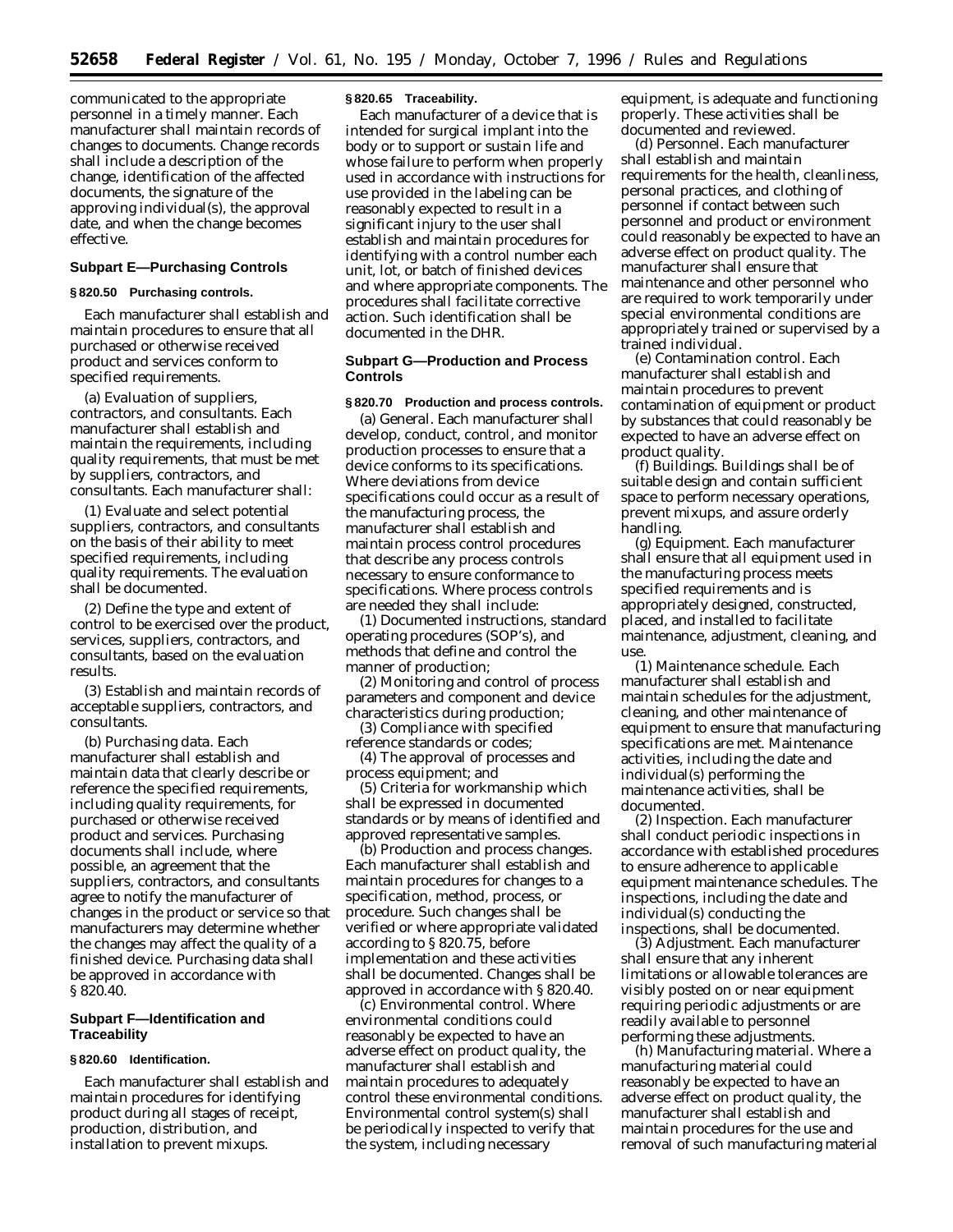communicated to the appropriate personnel in a timely manner. Each manufacturer shall maintain records of changes to documents. Change records shall include a description of the change, identification of the affected documents, the signature of the approving individual(s), the approval date, and when the change becomes effective.

## **Subpart E—Purchasing Controls**

## **§ 820.50 Purchasing controls.**

Each manufacturer shall establish and maintain procedures to ensure that all purchased or otherwise received product and services conform to specified requirements.

(a) *Evaluation of suppliers, contractors, and consultants.* Each manufacturer shall establish and maintain the requirements, including quality requirements, that must be met by suppliers, contractors, and consultants. Each manufacturer shall:

(1) Evaluate and select potential suppliers, contractors, and consultants on the basis of their ability to meet specified requirements, including quality requirements. The evaluation shall be documented.

(2) Define the type and extent of control to be exercised over the product, services, suppliers, contractors, and consultants, based on the evaluation results.

(3) Establish and maintain records of acceptable suppliers, contractors, and consultants.

(b) *Purchasing data.* Each manufacturer shall establish and maintain data that clearly describe or reference the specified requirements, including quality requirements, for purchased or otherwise received product and services. Purchasing documents shall include, where possible, an agreement that the suppliers, contractors, and consultants agree to notify the manufacturer of changes in the product or service so that manufacturers may determine whether the changes may affect the quality of a finished device. Purchasing data shall be approved in accordance with § 820.40.

## **Subpart F—Identification and Traceability**

## **§ 820.60 Identification.**

Each manufacturer shall establish and maintain procedures for identifying product during all stages of receipt, production, distribution, and installation to prevent mixups.

## **§ 820.65 Traceability.**

Each manufacturer of a device that is intended for surgical implant into the body or to support or sustain life and whose failure to perform when properly used in accordance with instructions for use provided in the labeling can be reasonably expected to result in a significant injury to the user shall establish and maintain procedures for identifying with a control number each unit, lot, or batch of finished devices and where appropriate components. The procedures shall facilitate corrective action. Such identification shall be documented in the DHR.

## **Subpart G—Production and Process Controls**

## **§ 820.70 Production and process controls.**

(a) *General.* Each manufacturer shall develop, conduct, control, and monitor production processes to ensure that a device conforms to its specifications. Where deviations from device specifications could occur as a result of the manufacturing process, the manufacturer shall establish and maintain process control procedures that describe any process controls necessary to ensure conformance to specifications. Where process controls are needed they shall include:

(1) Documented instructions, standard operating procedures (SOP's), and methods that define and control the manner of production;

(2) Monitoring and control of process parameters and component and device characteristics during production;

(3) Compliance with specified reference standards or codes;

(4) The approval of processes and process equipment; and

(5) Criteria for workmanship which shall be expressed in documented standards or by means of identified and approved representative samples.

(b) *Production and process changes.* Each manufacturer shall establish and maintain procedures for changes to a specification, method, process, or procedure. Such changes shall be verified or where appropriate validated according to § 820.75, before implementation and these activities shall be documented. Changes shall be approved in accordance with § 820.40.

(c) *Environmental control.* Where environmental conditions could reasonably be expected to have an adverse effect on product quality, the manufacturer shall establish and maintain procedures to adequately control these environmental conditions. Environmental control system(s) shall be periodically inspected to verify that the system, including necessary

equipment, is adequate and functioning properly. These activities shall be documented and reviewed.

(d) *Personnel.* Each manufacturer shall establish and maintain requirements for the health, cleanliness, personal practices, and clothing of personnel if contact between such personnel and product or environment could reasonably be expected to have an adverse effect on product quality. The manufacturer shall ensure that maintenance and other personnel who are required to work temporarily under special environmental conditions are appropriately trained or supervised by a trained individual.

(e) *Contamination control.* Each manufacturer shall establish and maintain procedures to prevent contamination of equipment or product by substances that could reasonably be expected to have an adverse effect on product quality.

(f) *Buildings.* Buildings shall be of suitable design and contain sufficient space to perform necessary operations, prevent mixups, and assure orderly handling.

(g) *Equipment.* Each manufacturer shall ensure that all equipment used in the manufacturing process meets specified requirements and is appropriately designed, constructed, placed, and installed to facilitate maintenance, adjustment, cleaning, and use.

(1) *Maintenance schedule.* Each manufacturer shall establish and maintain schedules for the adjustment, cleaning, and other maintenance of equipment to ensure that manufacturing specifications are met. Maintenance activities, including the date and individual(s) performing the maintenance activities, shall be documented.

(2) *Inspection.* Each manufacturer shall conduct periodic inspections in accordance with established procedures to ensure adherence to applicable equipment maintenance schedules. The inspections, including the date and individual(s) conducting the inspections, shall be documented.

(3) *Adjustment.* Each manufacturer shall ensure that any inherent limitations or allowable tolerances are visibly posted on or near equipment requiring periodic adjustments or are readily available to personnel performing these adjustments.

(h) *Manufacturing material.* Where a manufacturing material could reasonably be expected to have an adverse effect on product quality, the manufacturer shall establish and maintain procedures for the use and removal of such manufacturing material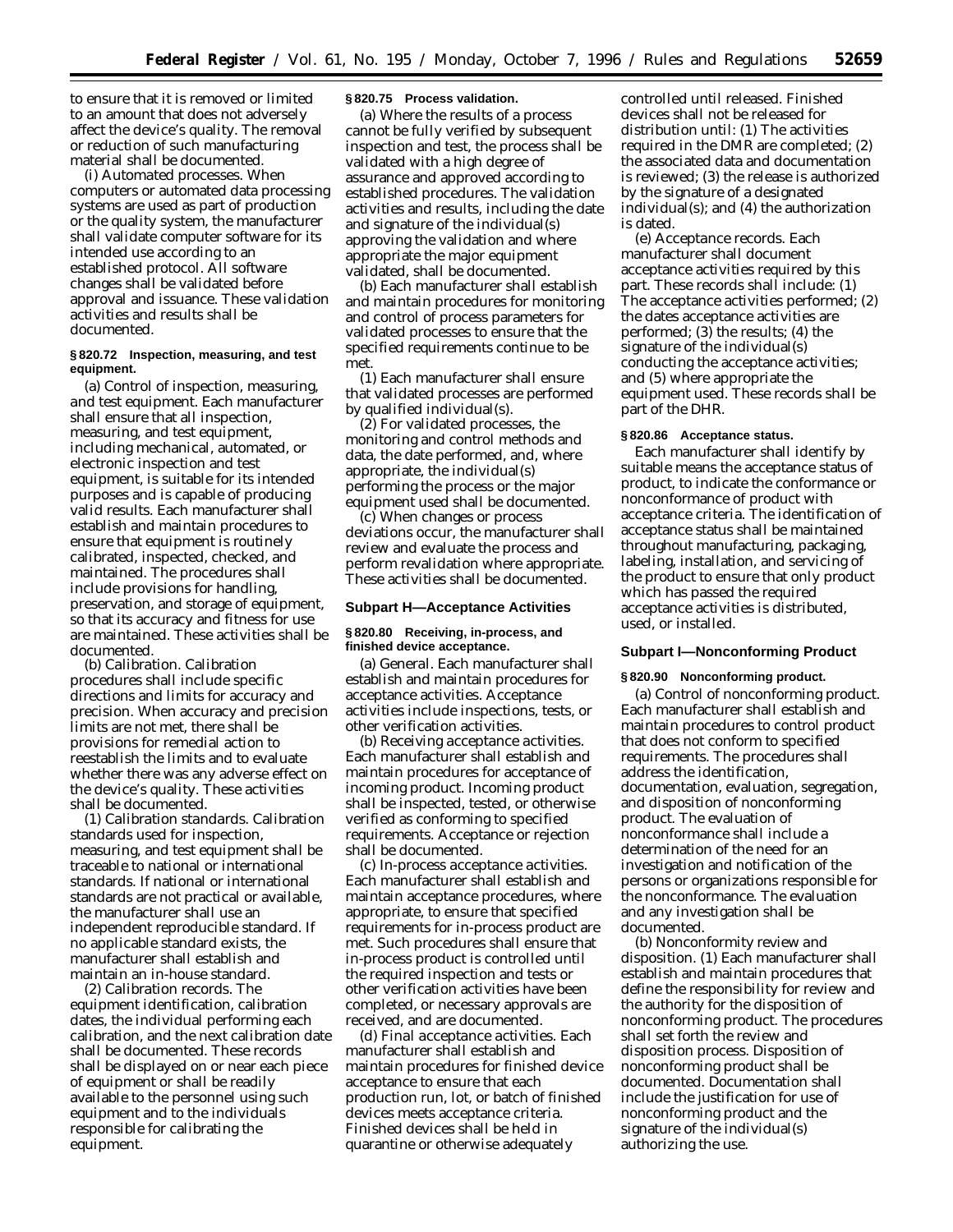to ensure that it is removed or limited to an amount that does not adversely affect the device's quality. The removal or reduction of such manufacturing material shall be documented.

(i) *Automated processes.* When computers or automated data processing systems are used as part of production or the quality system, the manufacturer shall validate computer software for its intended use according to an established protocol. All software changes shall be validated before approval and issuance. These validation activities and results shall be documented.

## **§ 820.72 Inspection, measuring, and test equipment.**

(a) *Control of inspection, measuring, and test equipment.* Each manufacturer shall ensure that all inspection, measuring, and test equipment, including mechanical, automated, or electronic inspection and test equipment, is suitable for its intended purposes and is capable of producing valid results. Each manufacturer shall establish and maintain procedures to ensure that equipment is routinely calibrated, inspected, checked, and maintained. The procedures shall include provisions for handling, preservation, and storage of equipment, so that its accuracy and fitness for use are maintained. These activities shall be documented.

(b) *Calibration.* Calibration procedures shall include specific directions and limits for accuracy and precision. When accuracy and precision limits are not met, there shall be provisions for remedial action to reestablish the limits and to evaluate whether there was any adverse effect on the device's quality. These activities shall be documented.

(1) *Calibration standards.* Calibration standards used for inspection, measuring, and test equipment shall be traceable to national or international standards. If national or international standards are not practical or available, the manufacturer shall use an independent reproducible standard. If no applicable standard exists, the manufacturer shall establish and maintain an in-house standard.

(2) *Calibration records.* The equipment identification, calibration dates, the individual performing each calibration, and the next calibration date shall be documented. These records shall be displayed on or near each piece of equipment or shall be readily available to the personnel using such equipment and to the individuals responsible for calibrating the equipment.

## **§ 820.75 Process validation.**

(a) Where the results of a process cannot be fully verified by subsequent inspection and test, the process shall be validated with a high degree of assurance and approved according to established procedures. The validation activities and results, including the date and signature of the individual(s) approving the validation and where appropriate the major equipment validated, shall be documented.

(b) Each manufacturer shall establish and maintain procedures for monitoring and control of process parameters for validated processes to ensure that the specified requirements continue to be met.

(1) Each manufacturer shall ensure that validated processes are performed by qualified individual(s).

(2) For validated processes, the monitoring and control methods and data, the date performed, and, where appropriate, the individual(s) performing the process or the major equipment used shall be documented.

(c) When changes or process deviations occur, the manufacturer shall review and evaluate the process and perform revalidation where appropriate. These activities shall be documented.

## **Subpart H—Acceptance Activities**

#### **§ 820.80 Receiving, in-process, and finished device acceptance.**

(a) *General.* Each manufacturer shall establish and maintain procedures for acceptance activities. Acceptance activities include inspections, tests, or other verification activities.

(b) *Receiving acceptance activities.* Each manufacturer shall establish and maintain procedures for acceptance of incoming product. Incoming product shall be inspected, tested, or otherwise verified as conforming to specified requirements. Acceptance or rejection shall be documented.

(c) *In-process acceptance activities.* Each manufacturer shall establish and maintain acceptance procedures, where appropriate, to ensure that specified requirements for in-process product are met. Such procedures shall ensure that in-process product is controlled until the required inspection and tests or other verification activities have been completed, or necessary approvals are received, and are documented.

(d) *Final acceptance activities.* Each manufacturer shall establish and maintain procedures for finished device acceptance to ensure that each production run, lot, or batch of finished devices meets acceptance criteria. Finished devices shall be held in quarantine or otherwise adequately

controlled until released. Finished devices shall not be released for distribution until: (1) The activities required in the DMR are completed; (2) the associated data and documentation is reviewed; (3) the release is authorized by the signature of a designated individual(s); and (4) the authorization is dated.

(e) *Acceptance records.* Each manufacturer shall document acceptance activities required by this part. These records shall include: (1) The acceptance activities performed; (2) the dates acceptance activities are performed; (3) the results; (4) the signature of the individual(s) conducting the acceptance activities; and (5) where appropriate the equipment used. These records shall be part of the DHR.

## **§ 820.86 Acceptance status.**

Each manufacturer shall identify by suitable means the acceptance status of product, to indicate the conformance or nonconformance of product with acceptance criteria. The identification of acceptance status shall be maintained throughout manufacturing, packaging, labeling, installation, and servicing of the product to ensure that only product which has passed the required acceptance activities is distributed, used, or installed.

## **Subpart I—Nonconforming Product**

#### **§ 820.90 Nonconforming product.**

(a) *Control of nonconforming product.* Each manufacturer shall establish and maintain procedures to control product that does not conform to specified requirements. The procedures shall address the identification, documentation, evaluation, segregation, and disposition of nonconforming product. The evaluation of nonconformance shall include a determination of the need for an investigation and notification of the persons or organizations responsible for the nonconformance. The evaluation and any investigation shall be documented.

(b) *Nonconformity review and disposition.* (1) Each manufacturer shall establish and maintain procedures that define the responsibility for review and the authority for the disposition of nonconforming product. The procedures shall set forth the review and disposition process. Disposition of nonconforming product shall be documented. Documentation shall include the justification for use of nonconforming product and the signature of the individual(s) authorizing the use.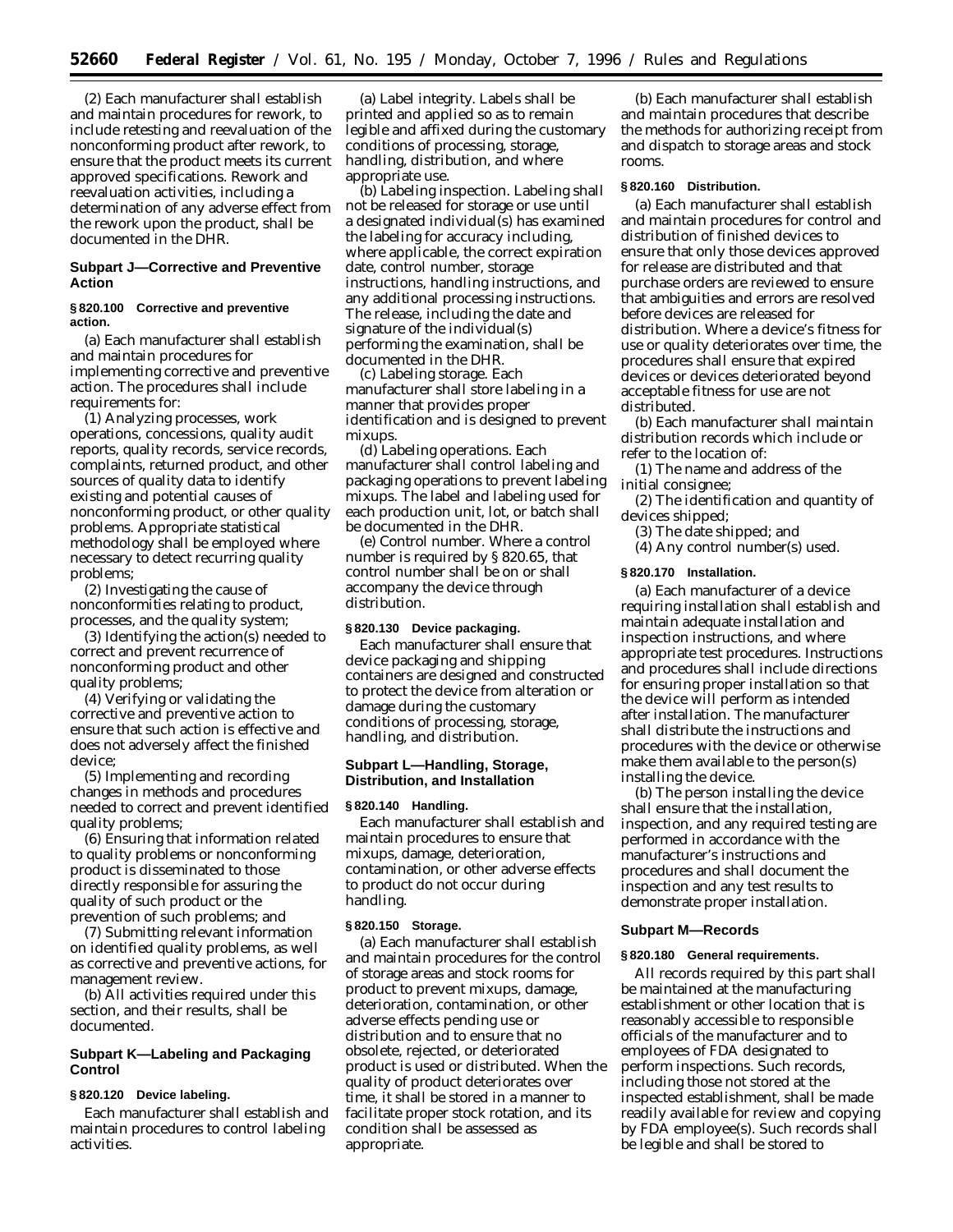(2) Each manufacturer shall establish and maintain procedures for rework, to include retesting and reevaluation of the nonconforming product after rework, to ensure that the product meets its current approved specifications. Rework and reevaluation activities, including a determination of any adverse effect from the rework upon the product, shall be documented in the DHR.

## **Subpart J—Corrective and Preventive Action**

#### **§ 820.100 Corrective and preventive action.**

(a) Each manufacturer shall establish and maintain procedures for implementing corrective and preventive action. The procedures shall include requirements for:

(1) Analyzing processes, work operations, concessions, quality audit reports, quality records, service records, complaints, returned product, and other sources of quality data to identify existing and potential causes of nonconforming product, or other quality problems. Appropriate statistical methodology shall be employed where necessary to detect recurring quality problems;

(2) Investigating the cause of nonconformities relating to product, processes, and the quality system;

(3) Identifying the action(s) needed to correct and prevent recurrence of nonconforming product and other quality problems;

(4) Verifying or validating the corrective and preventive action to ensure that such action is effective and does not adversely affect the finished device;

(5) Implementing and recording changes in methods and procedures needed to correct and prevent identified quality problems;

(6) Ensuring that information related to quality problems or nonconforming product is disseminated to those directly responsible for assuring the quality of such product or the prevention of such problems; and

(7) Submitting relevant information on identified quality problems, as well as corrective and preventive actions, for management review.

(b) All activities required under this section, and their results, shall be documented.

## **Subpart K—Labeling and Packaging Control**

## **§ 820.120 Device labeling.**

Each manufacturer shall establish and maintain procedures to control labeling activities.

(a) *Label integrity.* Labels shall be printed and applied so as to remain legible and affixed during the customary conditions of processing, storage, handling, distribution, and where appropriate use.

(b) *Labeling inspection.* Labeling shall not be released for storage or use until a designated individual(s) has examined the labeling for accuracy including, where applicable, the correct expiration date, control number, storage instructions, handling instructions, and any additional processing instructions. The release, including the date and signature of the individual(s) performing the examination, shall be documented in the DHR.

(c) *Labeling storage.* Each manufacturer shall store labeling in a manner that provides proper identification and is designed to prevent mixups.

(d) *Labeling operations.* Each manufacturer shall control labeling and packaging operations to prevent labeling mixups. The label and labeling used for each production unit, lot, or batch shall be documented in the DHR.

(e) *Control number.* Where a control number is required by § 820.65, that control number shall be on or shall accompany the device through distribution.

#### **§ 820.130 Device packaging.**

Each manufacturer shall ensure that device packaging and shipping containers are designed and constructed to protect the device from alteration or damage during the customary conditions of processing, storage, handling, and distribution.

#### **Subpart L—Handling, Storage, Distribution, and Installation**

## **§ 820.140 Handling.**

Each manufacturer shall establish and maintain procedures to ensure that mixups, damage, deterioration, contamination, or other adverse effects to product do not occur during handling.

#### **§ 820.150 Storage.**

(a) Each manufacturer shall establish and maintain procedures for the control of storage areas and stock rooms for product to prevent mixups, damage, deterioration, contamination, or other adverse effects pending use or distribution and to ensure that no obsolete, rejected, or deteriorated product is used or distributed. When the quality of product deteriorates over time, it shall be stored in a manner to facilitate proper stock rotation, and its condition shall be assessed as appropriate.

(b) Each manufacturer shall establish and maintain procedures that describe the methods for authorizing receipt from and dispatch to storage areas and stock rooms.

## **§ 820.160 Distribution.**

(a) Each manufacturer shall establish and maintain procedures for control and distribution of finished devices to ensure that only those devices approved for release are distributed and that purchase orders are reviewed to ensure that ambiguities and errors are resolved before devices are released for distribution. Where a device's fitness for use or quality deteriorates over time, the procedures shall ensure that expired devices or devices deteriorated beyond acceptable fitness for use are not distributed.

(b) Each manufacturer shall maintain distribution records which include or refer to the location of:

(1) The name and address of the initial consignee;

(2) The identification and quantity of devices shipped;

(3) The date shipped; and

(4) Any control number(s) used.

#### **§ 820.170 Installation.**

(a) Each manufacturer of a device requiring installation shall establish and maintain adequate installation and inspection instructions, and where appropriate test procedures. Instructions and procedures shall include directions for ensuring proper installation so that the device will perform as intended after installation. The manufacturer shall distribute the instructions and procedures with the device or otherwise make them available to the person(s) installing the device.

(b) The person installing the device shall ensure that the installation, inspection, and any required testing are performed in accordance with the manufacturer's instructions and procedures and shall document the inspection and any test results to demonstrate proper installation.

#### **Subpart M—Records**

#### **§ 820.180 General requirements.**

All records required by this part shall be maintained at the manufacturing establishment or other location that is reasonably accessible to responsible officials of the manufacturer and to employees of FDA designated to perform inspections. Such records, including those not stored at the inspected establishment, shall be made readily available for review and copying by FDA employee(s). Such records shall be legible and shall be stored to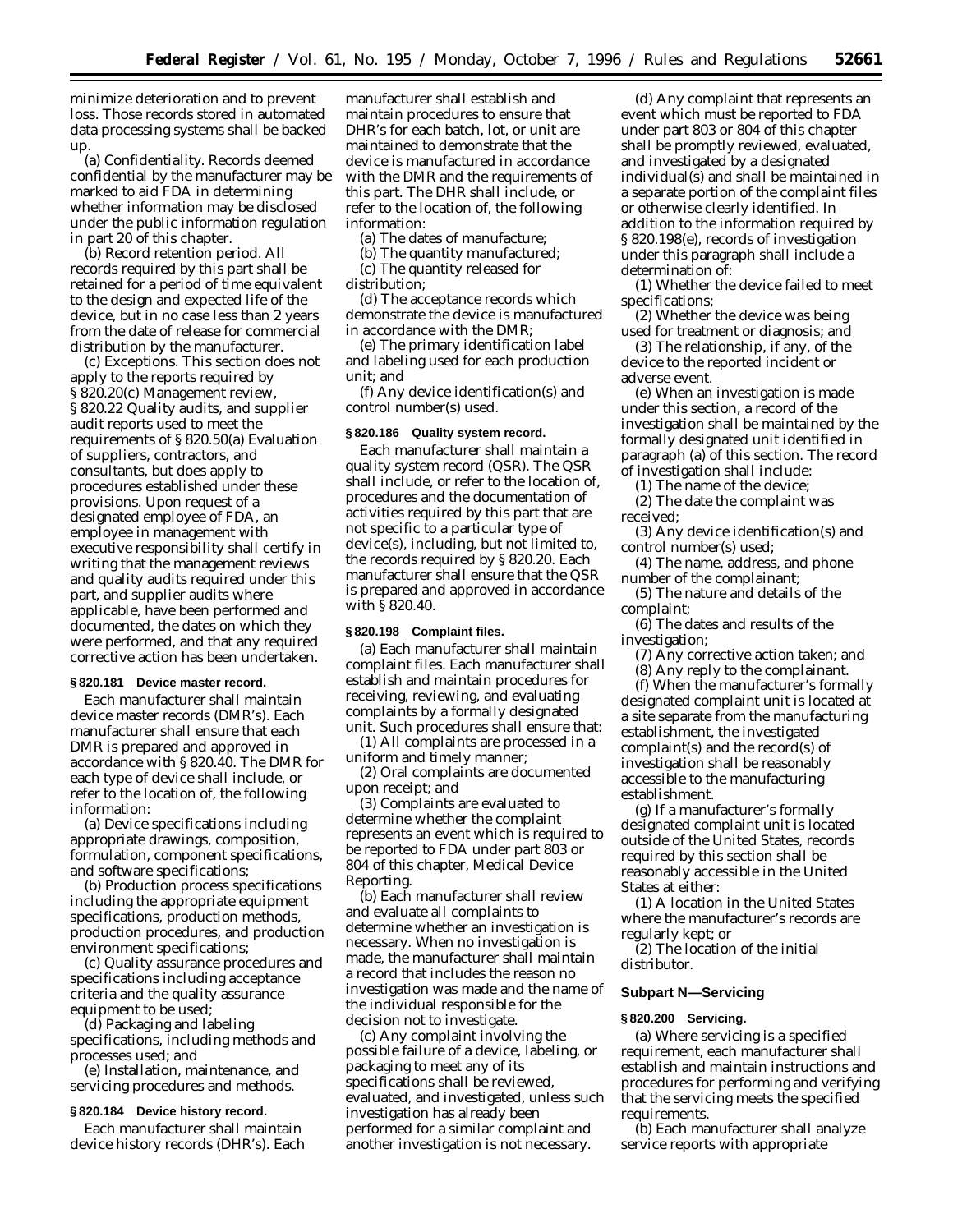minimize deterioration and to prevent loss. Those records stored in automated data processing systems shall be backed up.

(a) *Confidentiality.* Records deemed confidential by the manufacturer may be marked to aid FDA in determining whether information may be disclosed under the public information regulation in part 20 of this chapter.

(b) *Record retention period.* All records required by this part shall be retained for a period of time equivalent to the design and expected life of the device, but in no case less than 2 years from the date of release for commercial distribution by the manufacturer.

(c) *Exceptions.* This section does not apply to the reports required by § 820.20(c) Management review, § 820.22 Quality audits, and supplier audit reports used to meet the requirements of § 820.50(a) Evaluation of suppliers, contractors, and consultants, but does apply to procedures established under these provisions. Upon request of a designated employee of FDA, an employee in management with executive responsibility shall certify in writing that the management reviews and quality audits required under this part, and supplier audits where applicable, have been performed and documented, the dates on which they were performed, and that any required corrective action has been undertaken.

## **§ 820.181 Device master record.**

Each manufacturer shall maintain device master records (DMR's). Each manufacturer shall ensure that each DMR is prepared and approved in accordance with § 820.40. The DMR for each type of device shall include, or refer to the location of, the following information:

(a) Device specifications including appropriate drawings, composition, formulation, component specifications, and software specifications;

(b) Production process specifications including the appropriate equipment specifications, production methods, production procedures, and production environment specifications;

(c) Quality assurance procedures and specifications including acceptance criteria and the quality assurance equipment to be used;

(d) Packaging and labeling specifications, including methods and processes used; and

(e) Installation, maintenance, and servicing procedures and methods.

## **§ 820.184 Device history record.**

Each manufacturer shall maintain device history records (DHR's). Each

manufacturer shall establish and maintain procedures to ensure that DHR's for each batch, lot, or unit are maintained to demonstrate that the device is manufactured in accordance with the DMR and the requirements of this part. The DHR shall include, or refer to the location of, the following information:

(a) The dates of manufacture;

(b) The quantity manufactured; (c) The quantity released for

distribution; (d) The acceptance records which demonstrate the device is manufactured

in accordance with the DMR; (e) The primary identification label

and labeling used for each production unit; and

(f) Any device identification(s) and control number(s) used.

## **§ 820.186 Quality system record.**

Each manufacturer shall maintain a quality system record (QSR). The QSR shall include, or refer to the location of, procedures and the documentation of activities required by this part that are not specific to a particular type of device(s), including, but not limited to, the records required by § 820.20. Each manufacturer shall ensure that the QSR is prepared and approved in accordance with § 820.40.

#### **§ 820.198 Complaint files.**

(a) Each manufacturer shall maintain complaint files. Each manufacturer shall establish and maintain procedures for receiving, reviewing, and evaluating complaints by a formally designated unit. Such procedures shall ensure that:

(1) All complaints are processed in a uniform and timely manner;

(2) Oral complaints are documented upon receipt; and

(3) Complaints are evaluated to determine whether the complaint represents an event which is required to be reported to FDA under part 803 or 804 of this chapter, Medical Device Reporting.

(b) Each manufacturer shall review and evaluate all complaints to determine whether an investigation is necessary. When no investigation is made, the manufacturer shall maintain a record that includes the reason no investigation was made and the name of the individual responsible for the decision not to investigate.

(c) Any complaint involving the possible failure of a device, labeling, or packaging to meet any of its specifications shall be reviewed, evaluated, and investigated, unless such investigation has already been performed for a similar complaint and another investigation is not necessary.

(d) Any complaint that represents an event which must be reported to FDA under part 803 or 804 of this chapter shall be promptly reviewed, evaluated, and investigated by a designated individual(s) and shall be maintained in a separate portion of the complaint files or otherwise clearly identified. In addition to the information required by § 820.198(e), records of investigation under this paragraph shall include a determination of:

(1) Whether the device failed to meet specifications;

(2) Whether the device was being used for treatment or diagnosis; and

(3) The relationship, if any, of the device to the reported incident or adverse event.

(e) When an investigation is made under this section, a record of the investigation shall be maintained by the formally designated unit identified in paragraph (a) of this section. The record of investigation shall include:

(1) The name of the device;

(2) The date the complaint was received;

(3) Any device identification(s) and control number(s) used;

(4) The name, address, and phone number of the complainant;

(5) The nature and details of the complaint;

(6) The dates and results of the investigation;

(7) Any corrective action taken; and (8) Any reply to the complainant.

(f) When the manufacturer's formally designated complaint unit is located at a site separate from the manufacturing establishment, the investigated complaint(s) and the record(s) of investigation shall be reasonably accessible to the manufacturing establishment.

(g) If a manufacturer's formally designated complaint unit is located outside of the United States, records required by this section shall be reasonably accessible in the United States at either:

(1) A location in the United States where the manufacturer's records are regularly kept; or

(2) The location of the initial distributor.

#### **Subpart N—Servicing**

#### **§ 820.200 Servicing.**

(a) Where servicing is a specified requirement, each manufacturer shall establish and maintain instructions and procedures for performing and verifying that the servicing meets the specified requirements.

(b) Each manufacturer shall analyze service reports with appropriate